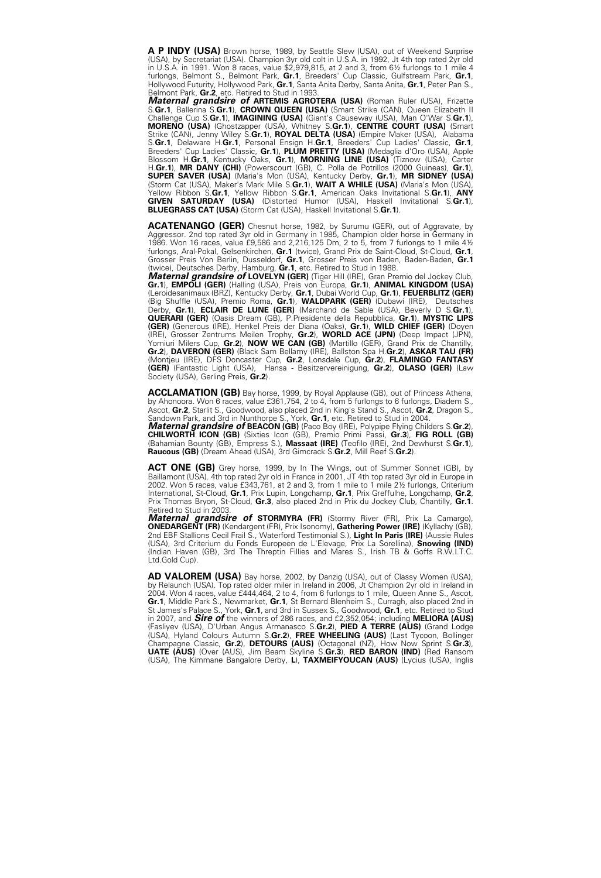**A P INDY (USA)** Brown horse, 1989, by Seattle Slew (USA), out of Weekend Surprise (USA), by Secretariat (USA). Champion 3yr old colt in U.S.A. in 1992, Jt 4th top rated 2yr old in U.S.A. in 1991. Won 8 races, value \$2,979,815, at 2 and 3, from 6½ furlongs to 1 mile 4 furlongs, Belmont S., Belmont Park, **Gr.1**, Breeders' Cup Classic, Gulfstream Park, **Gr.1**, Hollywood Futurity, Hollywood Park, **Gr.1**, Santa Anita Derby, Santa Anita, **Gr.1**, Peter Pan S., Belmont Park, **Gr.2**, etc. Retired to Stud in 1993.

**Maternal grandsire of ARTEMIS AGROTERA (USA)** (Roman Ruler (USA), Frizette<br>S.**Gr.1**, Ballerina S.**Gr.1**), **CROWN QUEEN (USA)** (Smart Strike (CAN), Queen Elizabeth II<br>Challenge Cup S.**Gr.1), IMAGINING (USA)** (Giant's Cause **MORENO (USA)** (Ghostzapper (USA), Whitney S.**Gr.1**), **CENTRE COURT (USA)** (Smart Strike (CAN), Jenny Wiley S.**Gr.1**), **ROYAL DELTA (USA)** (Empire Maker (USA), Alabama S.**Gr.1**, Delaware H.**Gr.1**, Personal Ensign H.**Gr.1**, Breeders' Cup Ladies' Classic, **Gr.1**, Breeders' Cup Ladies' Classic, **Gr.1**), **PLUM PRETTY (USA)** (Medaglia d'Oro (USA), Apple Blossom H.**Gr.1**, Kentucky Oaks, **Gr.1**), **MORNING LINE (USA)** (Tiznow (USA), Carter H.**Gr.1**), **MR DANY (CHI)** (Powerscourt (GB), C. Polla de Potrillos (2000 Guineas), **Gr.1**), **SUPER SAVER (USA)** (Maria's Mon (USA), Kentucky Derby, **Gr.1**), **MR SIDNEY (USA)** (Storm Cat (USA), Maker's Mark Mile S.**Gr.1**), **WAIT A WHILE (USA)** (Maria's Mon (USA), Yellow Ribbon S.**Gr.1**, Yellow Ribbon S.**Gr.1**, American Oaks Invitational S.**Gr.1**), **ANY GIVEN SATURDAY (USA)** (Distorted Humor (USA), Haskell Invitational S.**Gr.1**), **BLUEGRASS CAT (USA)** (Storm Cat (USA), Haskell Invitational S.**Gr.1**).

**ACATENANGO (GER)** Chesnut horse, 1982, by Surumu (GER), out of Aggravate, by<br>Aggressor. 2nd top rated 3yr old in Germany in 1985, Champion older horse in Germany in<br>1986. Won 16 races, value £9,586 and 2,216,125 Dm, 2 to furlongs, Aral-Pokal, Gelsenkirchen, **Gr.1** (twice), Grand Prix de Saint-Cloud, St-Cloud, **Gr.1**, Grosser Preis Von Berlin, Dusseldorf, **Gr.1**, Grosser Preis von Baden, Baden-Baden, **Gr.1** (twice), Deutsches Derby, Hamburg, **Gr.1**, etc. Retired to Stud in 1988.

*Maternal grandsire of* LOVELYN (GER) (Tiger Hill (IRE), Gran Premio del Jockey Club,<br>Gr.1), EMPOLI (GER) (Halling (USA), Preis von Europa, Gr.1), ANIMAL KINGDOM (USA)<br>(Leroidesanimaux (BRZ), Kentucky Derby, Gr.1, Dubai Wo (Big Shuffle (USA), Premio Roma, **Gr.1**), **WALDPARK (GER)** (Dubawi (IRE), Deutsches Derby, **Gr.1**), **ECLAIR DE LUNE (GER)** (Marchand de Sable (USA), Beverly D S.**Gr.1**), **QUERARI (GER)** (Oasis Dream (GB), P.Presidente della Repubblica, **Gr.1**), **MYSTIC LIPS (GER)** (Generous (IRE), Henkel Preis der Diana (Oaks), **Gr.1**), **WILD CHIEF (GER)** (Doyen (IRE), Grosser Zentrums Meilen Trophy, **Gr.2**), **WORLD ACE (JPN)** (Deep Impact (JPN), Yomiuri Milers Cup, **Gr.2**), **NOW WE CAN (GB)** (Martillo (GER), Grand Prix de Chantilly, **Gr.2**), **DAVERON (GER)** (Black Sam Bellamy (IRE), Ballston Spa H.**Gr.2**), **ASKAR TAU (FR)** (Montjeu (IRE), DFS Doncaster Cup, **Gr.2**, Lonsdale Cup, **Gr.2**), **FLAMINGO FANTASY (GER)** (Fantastic Light (USA), Hansa - Besitzervereinigung, **Gr.2**), **OLASO (GER)** (Law Society (USA), Gerling Preis, **Gr.2**).

**ACCLAMATION (GB)** Bay horse, 1999, by Royal Applause (GB), out of Princess Athena, by Ahonoora. Won 6 races, value £361,754, 2 to 4, from 5 furlongs to 6 furlongs, Diadem S., Ascot, **Gr.2**, Starlit S., Goodwood, also placed 2nd in King's Stand S., Ascot, **Gr.2**, Dragon S., Sandown Park, and 3rd in Nunthorpe S., York, **Gr.1**, etc. Retired to Stud in 2004.

*Maternal grandsire of* **BEACON (GB)** (Paco Boy (IRE), Polypipe Flying Childers S.**Gr.2**), **CHILWORTH ICON (GB)** (Sixties Icon (GB), Premio Primi Passi, **Gr.3**), **FIG ROLL (GB)** (Bahamian Bounty (GB), Empress S.), **Massaat (IRE)** (Teofilo (IRE), 2nd Dewhurst S.**Gr.1**), **Raucous (GB)** (Dream Ahead (USA), 3rd Gimcrack S.**Gr.2**, Mill Reef S.**Gr.2**).

**ACT ONE (GB)** Grey horse, 1999, by In The Wings, out of Summer Sonnet (GB), by Baillamont (USA). 4th top rated 2yr old in France in 2001, JT 4th top rated 3yr old in Europe in 2002. Won 5 races, value £343,761, at 2 and 3, from 1 mile to 1 mile 2½ furlongs, Criterium International, St-Cloud, **Gr.1**, Prix Lupin, Longchamp, **Gr.1**, Prix Greffulhe, Longchamp, **Gr.2**, Prix Thomas Bryon, St-Cloud, **Gr.3**, also placed 2nd in Prix du Jockey Club, Chantilly, **Gr.1**. Retired to Stud in 2003.

*Maternal grandsire of* **STORMYRA (FR)** (Stormy River (FR), Prix La Camargo), **ONEDARGENT (FR)** (Kendargent (FR), Prix Isonomy), **Gathering Power (IRE)** (Kyllachy (GB), 2nd EBF Stallions Cecil Frail S., Waterford Testimonial S.), **Light In Paris (IRE)** (Aussie Rules (USA), 3rd Criterium du Fonds Europeen de L'Elevage, Prix La Sorellina), **Snowing (IND)** (Indian Haven (GB), 3rd The Threptin Fillies and Mares S., Irish TB & Goffs R.W.I.T.C. Ltd.Gold Cup).

**AD VALOREM (USA)** Bay horse, 2002, by Danzig (USA), out of Classy Women (USA), by Relaunch (USA). Top rated older miler in Ireland in 2006, Jt Champion 2yr old in Ireland in 2004. Won 4 races, value £444,464, 2 to 4, from 6 furlongs to 1 mile, Queen Anne S., Ascot, **Gr.1**, Middle Park S., Newmarket, **Gr.1**, St Bernard Blenheim S., Curragh, also placed 2nd in St James's Palace S., York, **Gr.1**, and 3rd in Sussex S., Goodwood, **Gr.1**, etc. Retired to Stud<br>in 2007, and *Sire of* the winners of 286 races, and £2,352,054; including MELIORA (AUS)<br>(Fasliyev (USA), D'Urban Angus Arman (USA), Hyland Colours Autumn S.**Gr.2**), **FREE WHEELING (AUS)** (Last Tycoon, Bollinger Champagne Classic, **Gr.2**), **DETOURS (AUS)** (Octagonal (NZ), How Now Sprint S.**Gr.3**), **UATE (AUS)** (Over (AUS), Jim Beam Skyline S.**Gr.3**), **RED BARON (IND)** (Red Ransom (USA), The Kimmane Bangalore Derby, **L**), **TAXMEIFYOUCAN (AUS)** (Lycius (USA), Inglis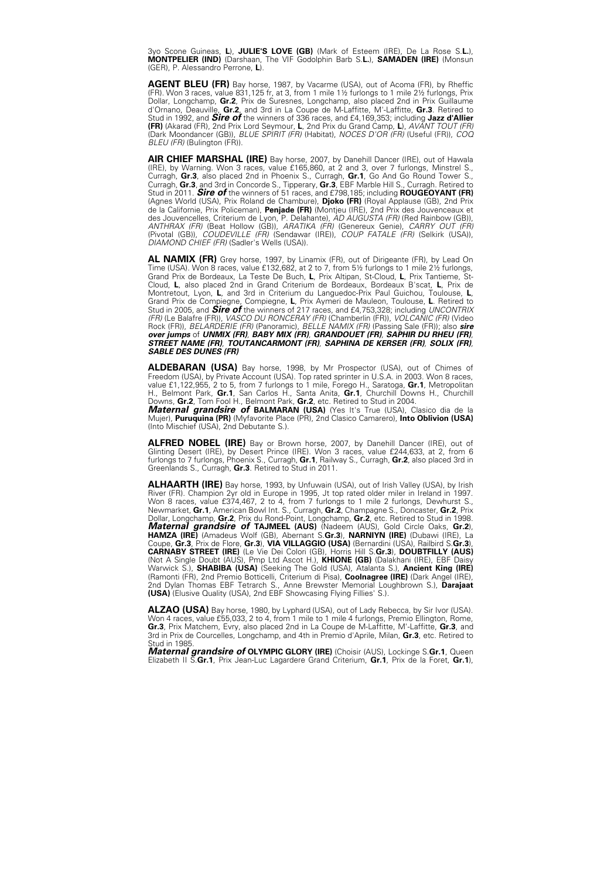3yo Scone Guineas, **L**), **JULIE'S LOVE (GB)** (Mark of Esteem (IRE), De La Rose S.**L.**), **MONTPELIER (IND)** (Darshaan, The VIF Godolphin Barb S.**L.**), **SAMADEN (IRE)** (Monsun (GER), P. Alessandro Perrone, **L**).

**AGENT BLEU (FR)** Bay horse, 1987, by Vacarme (USA), out of Acoma (FR), by Rheffic (FR). Won 3 races, value 831,125 fr, at 3, from 1 mile 1½ furlongs to 1 mile 2½ furlongs, Prix Dollar, Longchamp, **Gr.2**, Prix de Suresnes, Longchamp, also placed 2nd in Prix Guillaume d'Ornano, Deauville, **Gr.2**, and 3rd in La Coupe de M-Laffitte, M'-Laffitte, **Gr.3**. Retired to Stud in 1992, and *Sire of* the winners of 336 races, and £4,169,353; including **Jazz d'Allier (FR)** (Akarad (FR), 2nd Prix Lord Seymour, **L**, 2nd Prix du Grand Camp, **L**), *AVANT TOUT (FR)* (Dark Moondancer (GB)), *BLUE SPIRIT (FR)* (Habitat), *NOCES D'OR (FR)* (Useful (FR)), *COQ BLEU (FR)* (Bulington (FR)).

**AIR CHIEF MARSHAL (IRE)** Bay horse, 2007, by Danehill Dancer (IRE), out of Hawala (IRE), by Warning. Won 3 races, value £165,860, at 2 and 3, over 7 furlongs, Minstrel S., Curragh, **Gr.3**, also placed 2nd in Phoenix S., Curragh, **Gr.1**, Go And Go Round Tower S., Curragh, **Gr.3**, and 3rd in Concorde S., Tipperary, **Gr.3**, EBF Marble Hill S., Curragh. Retired to Stud in 2011. *Sire of* the winners of 51 races, and £798,185; including **ROUGEOYANT (FR)** (Agnes World (USA), Prix Roland de Chambure), **Djoko (FR)** (Royal Applause (GB), 2nd Prix de la Californie, Prix Policeman), **Penjade (FR)** (Montjeu (IRE), 2nd Prix des Jouvenceaux et des Jouvencelles, Criterium de Lyon, P. Delahante), *AD AUGUSTA (FR)* (Red Rainbow (GB)), *ANTHRAX (FR)* (Beat Hollow (GB)), *ARATIKA (FR)* (Genereux Genie), *CARRY OUT (FR)* (Pivotal (GB)), *COUDEVILLE (FR)* (Sendawar (IRE)), *COUP FATALE (FR)* (Selkirk (USA)), *DIAMOND CHIEF (FR)* (Sadler's Wells (USA)).

**AL NAMIX (FR)** Grey horse, 1997, by Linamix (FR), out of Dirigeante (FR), by Lead On Time (USA). Won 8 races, value £132,682, at 2 to 7, from 5½ furlongs to 1 mile 2½ furlongs, Grand Prix de Bordeaux, La Teste De Buch, **L**, Prix Altipan, St-Cloud, **L**, Prix Tantieme, St-Cloud, **L**, also placed 2nd in Grand Criterium de Bordeaux, Bordeaux B'scat, **L**, Prix de Montretout, Lyon, **L**, and 3rd in Criterium du Languedoc-Prix Paul Guichou, Toulouse, **L**, Grand Prix de Compiegne, Compiegne, **L**, Prix Aymeri de Mauleon, Toulouse, **L**. Retired to Stud in 2005, and *Sire of* the winners of 217 races, and £4,753,328; including *UNCONTRIX (FR)* (Le Balafre (FR)), *VASCO DU RONCERAY (FR)* (Chamberlin (FR)), *VOLCANIC (FR)* (Video Rock (FR)), *BELARDERIE (FR)* (Panoramic), *BELLE NAMIX (FR)* (Passing Sale (FR)); also *sire*  over jumps of UNMIX (FR), BABY MIX (FR), GRANDOUET (FR), SAPHIR DU RHEU (FR),<br>STREET NAME (FR), TOUTANCARMONT (FR), SAPHINA DE KERSER (FR), SOLIX (FR), *SABLE DES DUNES (FR)*

**ALDEBARAN (USA)** Bay horse, 1998, by Mr Prospector (USA), out of Chimes of Freedom (USA), by Private Account (USA). Top rated sprinter in U.S.A. in 2003. Won 8 races, value £1,122,955, 2 to 5, from 7 furlongs to 1 mile, Forego H., Saratoga, **Gr.1**, Metropolitan H., Belmont Park, **Gr.1**, San Carlos H., Santa Anita, **Gr.1**, Churchill Downs H., Churchill Downs, **Gr.2**, Tom Fool H., Belmont Park, **Gr.2**, etc. Retired to Stud in 2004.

*Maternal grandsire of* **BALMARAN (USA)** (Yes It's True (USA), Clasico dia de la Mujer), **Puruquina (PR)** (Myfavorite Place (PR), 2nd Clasico Camarero), **Into Oblivion (USA)** (Into Mischief (USA), 2nd Debutante S.).

**ALFRED NOBEL (IRE)** Bay or Brown horse, 2007, by Danehill Dancer (IRE), out of Glinting Desert (IRE), by Desert Prince (IRE). Won 3 races, value £244,633, at 2, from 6 furlongs to 7 furlongs, Phoenix S., Curragh, **Gr.1**, Railway S., Curragh, **Gr.2**, also placed 3rd in Greenlands S., Curragh, **Gr.3**. Retired to Stud in 2011.

**ALHAARTH (IRE)** Bay horse, 1993, by Unfuwain (USA), out of Irish Valley (USA), by Irish River (FR). Champion 2yr old in Europe in 1995, Jt top rated older miler in Ireland in 1997. Won 8 races, value £374,467, 2 to 4, from 7 furlongs to 1 mile 2 furlongs, Dewhurst S., Newmarket, **Gr.1**, American Bowl Int. S., Curragh, **Gr.2**, Champagne S., Doncaster, **Gr.2**, Prix<br>Dollar, Longchamp, **Gr.2**, Prix du Rond-Point, Longchamp, **Gr.2**, etc. Retired to Stud in 1998.<br>*Haternal grandsire of TAJMEE* **CARNABY STREET (IRE)** (Le Vie Dei Colori (GB), Horris Hill S.**Gr.3**), **DOUBTFILLY (AUS)** (Not A Single Doubt (AUS), Pmp Ltd Ascot H.), **KHIONE (GB)** (Dalakhani (IRE), EBF Daisy Warwick S.), **SHABIBA (USA)** (Seeking The Gold (USA), Atalanta S.), **Ancient King (IRE)** (Ramonti (FR), 2nd Premio Botticelli, Criterium di Pisa), **Coolnagree (IRE)** (Dark Angel (IRE), 2nd Dylan Thomas EBF Tetrarch S., Anne Brewster Memorial Loughbrown S.), **Darajaat (USA)** (Elusive Quality (USA), 2nd EBF Showcasing Flying Fillies' S.).

**ALZAO (USA)** Bay horse, 1980, by Lyphard (USA), out of Lady Rebecca, by Sir Ivor (USA). Won 4 races, value £55,033, 2 to 4, from 1 mile to 1 mile 4 furlongs, Premio Ellington, Rome, **Gr.3**, Prix Matchem, Evry, also placed 2nd in La Coupe de M-Laffitte, M'-Laffitte, **Gr.3**, and 3rd in Prix de Courcelles, Longchamp, and 4th in Premio d'Aprile, Milan, **Gr.3**, etc. Retired to ud in 1985

*Maternal grandsire of* **OLYMPIC GLORY (IRE)** (Choisir (AUS), Lockinge S.**Gr.1**, Queen Elizabeth II S.**Gr.1**, Prix Jean-Luc Lagardere Grand Criterium, **Gr.1**, Prix de la Foret, **Gr.1**),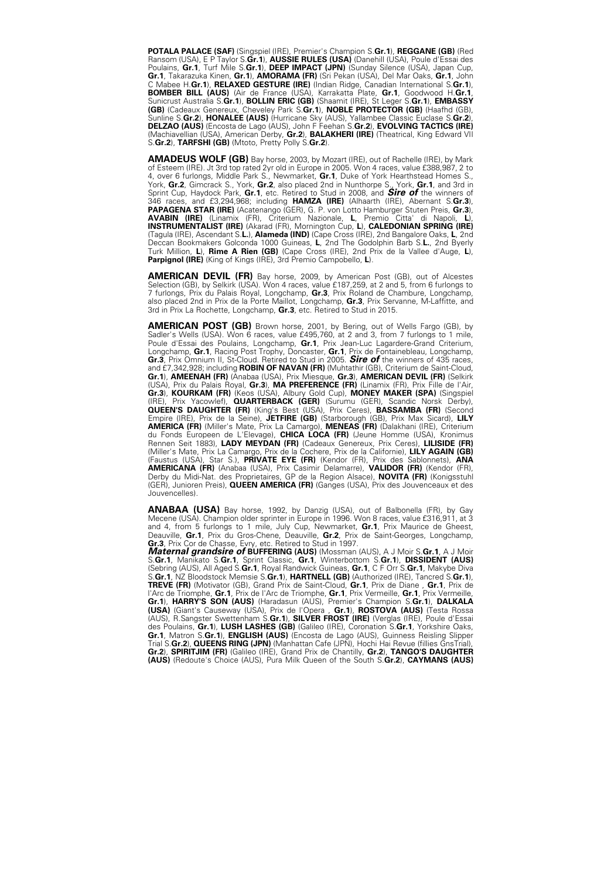**POTALA PALACE (SAF)** (Singspiel (IRE), Premier's Champion S.**Gr.1**), **REGGANE (GB)** (Red Ransom (USA), E P Taylor S.**Gr.1**), **AUSSIE RULES (USA)** (Danehill (USA), Poule d'Essai des Poulains, **Gr.1**, Turf Mile S.**Gr.1**), **DEEP IMPACT (JPN)** (Sunday Silence (USA), Japan Cup, **Gr.1**, Takarazuka Kinen, **Gr.1**), **AMORAMA (FR)** (Sri Pekan (USA), Del Mar Oaks, **Gr.1**, John C Mabee H.**Gr.1**), **RELAXED GESTURE (IRE)** (Indian Ridge, Canadian International S.**Gr.1**), **BOMBER BILL (AUS)** (Air de France (USA), Karrakatta Plate, **Gr.1**, Goodwood H.**Gr.1**, Sunicrust Australia S.**Gr.1**), **BOLLIN ERIC (GB)** (Shaamit (IRE), St Leger S.**Gr.1**), **EMBASSY (GB)** (Cadeaux Genereux, Cheveley Park S.**Gr.1**), **NOBLE PROTECTOR (GB)** (Haafhd (GB), Sunline S.**Gr.2**), **HONALEE (AUS)** (Hurricane Sky (AUS), Yallambee Classic Euclase S.**Gr.2**), **DELZAO (AUS)** (Encosta de Lago (AUS), John F Feehan S.**Gr.2**), **EVOLVING TACTICS (IRE)** (Machiavellian (USA), American Derby, **Gr.2**), **BALAKHERI (IRE)** (Theatrical, King Edward VII S.**Gr.2**), **TARFSHI (GB)** (Mtoto, Pretty Polly S.**Gr.2**).

**AMADEUS WOLF (GB)** Bay horse, 2003, by Mozart (IRE), out of Rachelle (IRE), by Mark of Esteem (IRE). Jt 3rd top rated 2yr old in Europe in 2005. Won 4 races, value £388,987, 2 to 4, over 6 furlongs, Middle Park S., Newmarket, **Gr.1**, Duke of York Hearthstead Homes S., York, **Gr.2**, Gimcrack S., York, **Gr.2**, also placed 2nd in Nunthorpe S., York, **Gr.1**, and 3rd in Sprint Cup, Haydock Park, **Gr.1**, etc. Retired to Stud in 2008, and *Sire of* the winners of 346 races, and £3,294,968; including **HAMZA (IRE)** (Alhaarth (IRE), Abernant S.**Gr.3**), **PAPAGENA STAR (IRE)** (Acatenango (GER), G. P. von Lotto Hamburger Stuten Preis, **Gr.3**), **AVABIN (IRE)** (Linamix (FR), Criterium Nazionale, **L**, Premio Citta' di Napoli, **L**), **INSTRUMENTALIST (IRE)** (Akarad (FR), Mornington Cup, **L**), **CALEDONIAN SPRING (IRE)** (Tagula (IRE), Ascendant S.**L.**), **Alameda (IND)** (Cape Cross (IRE), 2nd Bangalore Oaks, **L**, 2nd Deccan Bookmakers Golconda 1000 Guineas, **L**, 2nd The Godolphin Barb S.**L.**, 2nd Byerly Turk Million, **L**), **Rime A Rien (GB)** (Cape Cross (IRE), 2nd Prix de la Vallee d'Auge, **L**), **Parpignol (IRE)** (King of Kings (IRE), 3rd Premio Campobello, **L**).

**AMERICAN DEVIL (FR)** Bay horse, 2009, by American Post (GB), out of Alcestes<br>Selection (GB), by Selkirk (USA). Won 4 races, value £187,259, at 2 and 5, from 6 furlongs to<br>7 furlongs, Prix du Palais Royal, Longchamp, **Gr.3** also placed 2nd in Prix de la Porte Maillot, Longchamp, **Gr.3**, Prix Servanne, M-Laffitte, and 3rd in Prix La Rochette, Longchamp, **Gr.3**, etc. Retired to Stud in 2015.

**AMERICAN POST (GB)** Brown horse, 2001, by Bering, out of Wells Fargo (GB), by Sadler's Wells (USA). Won 6 races, value £495,760, at 2 and 3, from 7 furlongs to 1 mile, Poule d'Essai des Poulains, Longchamp, **Gr.1**, Prix Jean-Luc Lagardere-Grand Criterium, Longchamp, **Gr.1**, Racing Post Trophy, Doncaster, **Gr.1**, Prix de Fontainebleau, Longchamp, **Gr.3**, Prix Omnium II, St-Cloud. Retired to Stud in 2005. *Sire of* the winners of 435 races, and £7,342,928; including **ROBIN OF NAVAN (FR)** (Muhtathir (GB), Criterium de Saint-Cloud, **Gr.1**), **AMEENAH (FR)** (Anabaa (USA), Prix Miesque, **Gr.3**), **AMERICAN DEVIL (FR)** (Selkirk (USA), Prix du Palais Royal, **Gr.3**), **MA PREFERENCE (FR)** (Linamix (FR), Prix Fille de l'Air, **Gr.3**), **KOURKAM (FR)** (Keos (USA), Albury Gold Cup), **MONEY MAKER (SPA)** (Singspiel (IRE), Prix Yacowlef), **QUARTERBACK (GER)** (Surumu (GER), Scandic Norsk Derby), **QUEEN'S DAUGHTER (FR)** (King's Best (USA), Prix Ceres), **BASSAMBA (FR)** (Second Empire (IRE), Prix de la Seine), **JETFIRE (GB)** (Starborough (GB), Prix Max Sicard), **LILY AMERICA (FR)** (Miller's Mate, Prix La Camargo), **MENEAS (FR)** (Dalakhani (IRE), Criterium du Fonds Europeen de L'Elevage), **CHICA LOCA (FR)** (Jeune Homme (USA), Kronimus Rennen Seit 1883), **LADY MEYDAN (FR)** (Cadeaux Genereux, Prix Ceres), **LILISIDE (FR)** (Miller's Mate, Prix La Camargo, Prix de la Cochere, Prix de la Californie), **LILY AGAIN (GB)** (Faustus (USA), Star S.), **PRIVATE EYE (FR)** (Kendor (FR), Prix des Sablonnets), **ANA AMERICANA (FR)** (Anabaa (USA), Prix Casimir Delamarre), **VALIDOR (FR)** (Kendor (FR), Derby du Midi-Nat. des Proprietaires, GP de la Region Alsace), **NOVITA (FR)** (Konigsstuhl (GER), Junioren Preis), **QUEEN AMERICA (FR)** (Ganges (USA), Prix des Jouvenceaux et des Jouvencelles).

**ANABAA (USA)** Bay horse, 1992, by Danzig (USA), out of Balbonella (FR), by Gay Mecene (USA). Champion older sprinter in Europe in 1996. Won 8 races, value £316,911, at 3 and 4, from 5 furlongs to 1 mile, July Cup, Newmarket, **Gr.1**, Prix Maurice de Gheest, Deauville, **Gr.1**, Prix du Gros-Chene, Deauville, **Gr.2**, Prix de Saint-Georges, Longchamp,

**Gr.3**, Prix Cor de Chasse, Evry, etc. Retired to Stud in 1997. *Maternal grandsire of* **BUFFERING (AUS)** (Mossman (AUS), A J Moir S.**Gr.1**, A J Moir S.**Gr.1**, Manikato S.**Gr.1**, Sprint Classic, **Gr.1**, Winterbottom S.**Gr.1**), **DISSIDENT (AUS)**<br>(Sebring (AUS), All Aged S.**Gr.1**, Royal Randwick Guineas, **Gr.1**, C F Orr S.**Gr.1**, Makybe Diva S.**Gr.1**, NZ Bloodstock Memsie S.**Gr.1**), **HARTNELL (GB)** (Authorized (IRE), Tancred S.**Gr.1**), **TREVE (FR)** (Motivator (GB), Grand Prix de Saint-Cloud, **Gr.1**, Prix de Diane , **Gr.1**, Prix de<br>l'Arc de Triomphe, **Gr.1**, Prix de l'Arc de Triomphe, **Gr.1**, Prix Vermeille, **Gr.1**, Prix Vermeille, **Gr.1**), **HARRY'S SON (AUS)** (Haradasun (AUS), Premier's Champion S.**Gr.1**), **DALKALA (USA)** (Giant's Causeway (USA), Prix de l'Opera , **Gr.1**), **ROSTOVA (AUS)** (Testa Rossa (AUS), R.Sangster Swettenham S.**Gr.1**), **SILVER FROST (IRE)** (Verglas (IRE), Poule d'Essai des Poulains, **Gr.1**), **LUSH LASHES (GB)** (Galileo (IRE), Coronation S.**Gr.1**, Yorkshire Oaks, **Gr.1**, Matron S.**Gr.1**), **ENGLISH (AUS)** (Encosta de Lago (AUS), Guinness Reisling Slipper Trial S.**Gr.2**), **QUEENS RING (JPN)** (Manhattan Cafe (JPN), Hochi Hai Revue (fillies GnsTrial), **Gr.2**), **SPIRITJIM (FR)** (Galileo (IRE), Grand Prix de Chantilly, **Gr.2**), **TANGO'S DAUGHTER (AUS)** (Redoute's Choice (AUS), Pura Milk Queen of the South S.**Gr.2**), **CAYMANS (AUS)**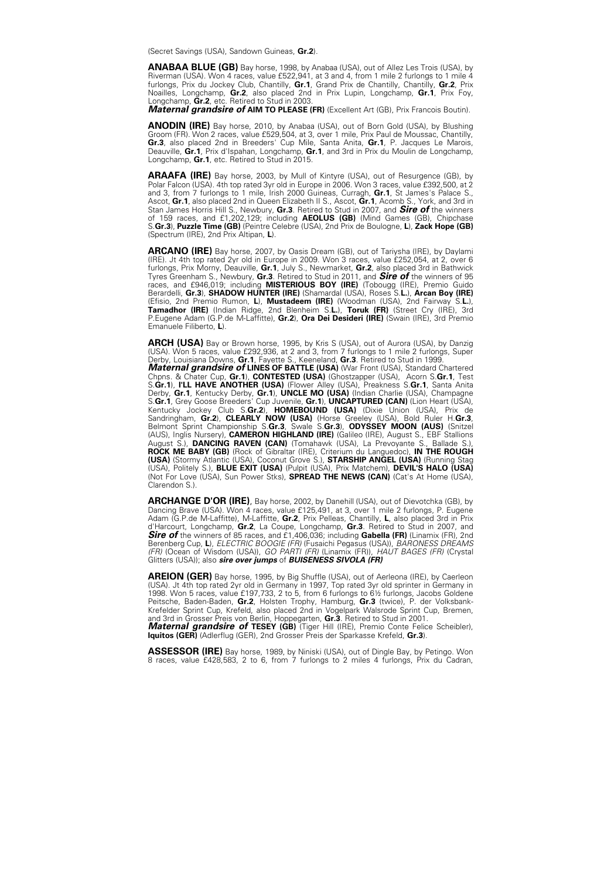(Secret Savings (USA), Sandown Guineas, **Gr.2**).

**ANABAA BLUE (GB)** Bay horse, 1998, by Anabaa (USA), out of Allez Les Trois (USA), by Riverman (USA). Won 4 races, value £522,941, at 3 and 4, from 1 mile 2 furlongs to 1 mile 4 furlongs, Prix du Jockey Club, Chantilly, **Gr.1**, Grand Prix de Chantilly, Chantilly, **Gr.2**, Prix Noailles, Longchamp, **Gr.2**, also placed 2nd in Prix Lupin, Longchamp, **Gr.1**, Prix Foy, Longchamp, **Gr.2**, etc. Retired to Stud in 2003.

*Maternal grandsire of* **AIM TO PLEASE (FR)** (Excellent Art (GB), Prix Francois Boutin).

**ANODIN (IRE)** Bay horse, 2010, by Anabaa (USA), out of Born Gold (USA), by Blushing<br>Groom (FR). Won 2 races, value £529,504, at 3, over 1 mile, Prix Paul de Moussac, Chantilly,<br>**Gr.3**, also placed 2nd in Breeders' Cup Mil Deauville, **Gr.1**, Prix d'Ispahan, Longchamp, **Gr.1**, and 3rd in Prix du Moulin de Longchamp, Longchamp, **Gr.1**, etc. Retired to Stud in 2015.

**ARAAFA (IRE)** Bay horse, 2003, by Mull of Kintyre (USA), out of Resurgence (GB), by Polar Falcon (USA). 4th top rated 3yr old in Europe in 2006. Won 3 races, value £392,500, at 2 and 3, from 7 furlongs to 1 mile, Irish 2000 Guineas, Curragh, **Gr.1**, St James's Palace S., Ascot, **Gr.1**, also placed 2nd in Queen Elizabeth II S., Ascot, **Gr.1**, Acomb S., York, and 3rd in Stan James Horris Hill S., Newbury, **Gr.3**. Retired to Stud in 2007, and *Sire of* the winners of 159 races, and £1,202,129; including **AEOLUS (GB)** (Mind Games (GB), Chipchase S.**Gr.3**), **Puzzle Time (GB)** (Peintre Celebre (USA), 2nd Prix de Boulogne, **L**), **Zack Hope (GB)** (Spectrum (IRE), 2nd Prix Altipan, **L**).

**ARCANO (IRE)** Bay horse, 2007, by Oasis Dream (GB), out of Tariysha (IRE), by Daylami (IRE). Jt 4th top rated 2yr old in Europe in 2009. Won 3 races, value £252,054, at 2, over 6 furlongs, Prix Morny, Deauville, **Gr.1**, July S., Newmarket, **Gr.2**, also placed 3rd in Bathwick<br>Tyres Greenham S., Newbury, **Gr.3**. Retired to Stud in 2011, and *Sire of* the winners of 95<br>races, and £946,019; including M (Efisio, 2nd Premio Rumon, **L**), **Mustadeem (IRE)** (Woodman (USA), 2nd Fairway S.**L.**), **Tamadhor (IRE)** (Indian Ridge, 2nd Blenheim S.**L.**), **Toruk (FR)** (Street Cry (IRE), 3rd P.Eugene Adam (G.P.de M-Laffitte), **Gr.2**), **Ora Dei Desideri (IRE)** (Swain (IRE), 3rd Premio Emanuele Filiberto, **L**).

**ARCH (USA)** Bay or Brown horse, 1995, by Kris S (USA), out of Aurora (USA), by Danzig (USA). Won 5 races, value £292,936, at 2 and 3, from 7 furlongs to 1 mile 2 furlongs, Super

Derby, Louisiana Downs, **Gr.1**, Fayette S., Keeneland, **Gr.3**. Retired to Stud in 1999. *Maternal grandsire of* **LINES OF BATTLE (USA)** (War Front (USA), Standard Chartered Chpns. & Chater Cup, **Gr.1**), **CONTESTED (USA)** (Ghostzapper (USA), Acorn S.**Gr.1**, Test S.**Gr.1**), **I'LL HAVE ANOTHER (USA)** (Flower Alley (USA), Preakness S.**Gr.1**, Santa Anita Derby, **Gr.1**, Kentucky Derby, **Gr.1**), **UNCLE MO (USA)** (Indian Charlie (USA), Champagne S.**Gr.1**, Grey Goose Breeders' Cup Juvenile, **Gr.1**), **UNCAPTURED (CAN)** (Lion Heart (USA), Kentucky Jockey Club S.**Gr.2**), **HOMEBOUND (USA)** (Dixie Union (USA), Prix de Sandringham, **Gr.2**), **CLEARLY NOW (USA)** (Horse Greeley (USA), Bold Ruler H.**Gr.3**, Belmont Sprint Championship S.**Gr.3**, Swale S.**Gr.3**), **ODYSSEY MOON (AUS)** (Snitzel (AUS), Inglis Nursery), **CAMERON HIGHLAND (IRE)** (Galileo (IRE), August S., EBF Stallions August S.), **DANCING RAVEN (CAN)** (Tomahawk (USA), La Prevoyante S., Ballade S.), **ROCK ME BABY (GB)** (Rock of Gibraltar (IRE), Criterium du Languedoc), **IN THE ROUGH (USA)** (Stormy Atlantic (USA), Coconut Grove S.), **STARSHIP ANGEL (USA)** (Running Stag (USA), Politely S.), **BLUE EXIT (USA)** (Pulpit (USA), Prix Matchem), **DEVIL'S HALO (USA)** (Not For Love (USA), Sun Power Stks), **SPREAD THE NEWS (CAN)** (Cat's At Home (USA), Clarendon S.).

**ARCHANGE D'OR (IRE)**, Bay horse, 2002, by Danehill (USA), out of Dievotchka (GB), by Dancing Brave (USA). Won 4 races, value £125,491, at 3, over 1 mile 2 furlongs, P. Eugene Adam (G.P.de M-Laffitte), M-Laffitte, **Gr.2**, Prix Pelleas, Chantilly, **L**, also placed 3rd in Prix d'Harcourt, Longchamp, **Gr.2**, La Coupe, Longchamp, **Gr.3**. Retired to Stud in 2007, and *Sire of* the winners of 85 races, and £1,406,036; including **Gabella (FR)** (Linamix (FR), 2nd Berenberg Cup, **L**), *ELECTRIC BOOGIE (FR)* (Fusaichi Pegasus (USA)), *BARONESS DREAMS (FR)* (Ocean of Wisdom (USA)), *GO PARTI (FR)* (Linamix (FR)), *HAUT BAGES (FR)* (Crystal Glitters (USA)); also *sire over jumps* of *BUISENESS SIVOLA (FR)*

**AREION (GER)** Bay horse, 1995, by Big Shuffle (USA), out of Aerleona (IRE), by Caerleon (USA). Jt 4th top rated 2yr old in Germany in 1997, Top rated 3yr old sprinter in Germany in 1998. Won 5 races, value £197,733, 2 to 5, from 6 furlongs to 6½ furlongs, Jacobs Goldene Peitsche, Baden-Baden, **Gr.2**, Holsten Trophy, Hamburg, **Gr.3** (twice), P. der Volksbank-Krefelder Sprint Cup, Krefeld, also placed 2nd in Vogelpark Walsrode Sprint Cup, Bremen,<br>and 3rd in Grosser Preis von Berlin, Hoppegarten, **Gr.3**. Retired to Stud in 2001.<br>**Maternal grandsire of TESEY (GB)** (Tiger Hill (IR **Iquitos (GER)** (Adlerflug (GER), 2nd Grosser Preis der Sparkasse Krefeld, **Gr.3**).

**ASSESSOR (IRE)** Bay horse, 1989, by Niniski (USA), out of Dingle Bay, by Petingo. Won 8 races, value £428,583, 2 to 6, from 7 furlongs to 2 miles 4 furlongs, Prix du Cadran,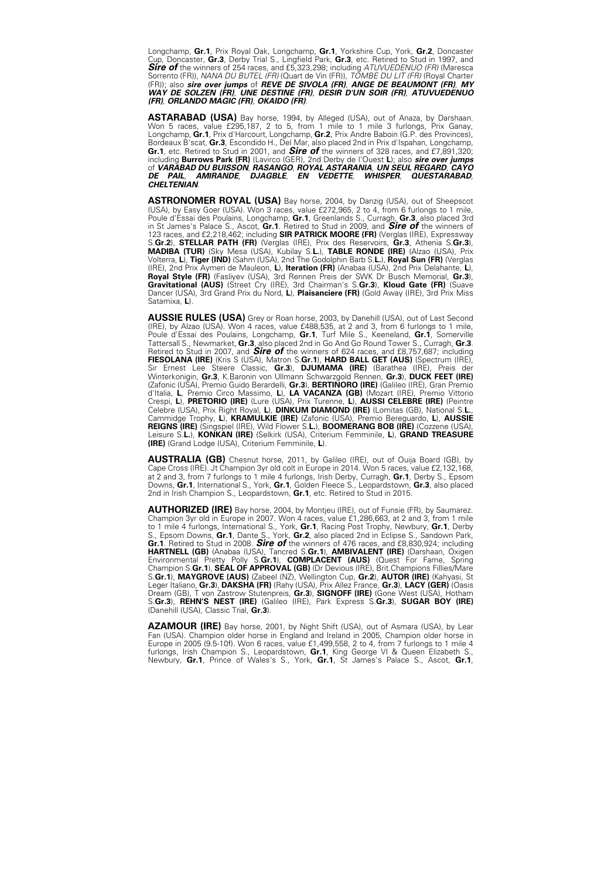Longchamp, **Gr.1**, Prix Royal Oak, Longchamp, **Gr.1**, Yorkshire Cup, York, **Gr.2**, Doncaster Cup, Doncaster, **Gr.3**, Derby Trial S., Lingfield Park, **Gr.3**, etc. Retired to Stud in 1997, and *Sire of* the winners of 254 races, and £5,323,298; including *ATUVUEDENUO (FR)* (Maresca Sorrento (FR)), *NANA DU BUTEL (FR)* (Quart de Vin (FR)), *TOMBE DU LIT (FR)* (Royal Charter (FR)); also **sire over jumps** of **REVE DE SIVOLA (FR), ANGE DE BEAUMONT (FR), MY**<br>WAY DE SOLZEN (FR), UNE DESTINE (FR), DESIR D'UN SOIR (FR), ATUVUEDENUO *(FR), ORLANDO MAGIC (FR), OKAIDO (FR)*.

**ASTARABAD (USA)** Bay horse, 1994, by Alleged (USA), out of Anaza, by Darshaan. Won 5 races, value £295,187, 2 to 5, from 1 mile to 1 mile 3 furlongs, Prix Ganay, Longchamp, **Gr.1**, Prix d'Harcourt, Longchamp, **Gr.2**, Prix Andre Baboin (G.P. des Provinces), Bordeaux B'scat, **Gr.3**, Escondido H., Del Mar, also placed 2nd in Prix d'Ispahan, Longchamp, **Gr.1**, etc. Retired to Stud in 2001, and *Sire of* the winners of 328 races, and £7,891,320; including **Burrows Park (FR)** (Lavirco (GER), 2nd Derby de l'Ouest **L**); also *sire over jumps* of *VARABAD DU BUISSON*, *RASANGO*, *ROYAL ASTARANIA*, *UN SEUL REGARD*, *CAYO DE PAIL*, *AMIRANDE*, *DJAGBLE*, *EN VEDETTE*, *WHISPER*, *QUESTARABAD*, *CHELTENIAN*.

**ASTRONOMER ROYAL (USA)** Bay horse, 2004, by Danzig (USA), out of Sheepscot (USA), by Easy Goer (USA). Won 3 races, value £272,965, 2 to 4, from 6 furlongs to 1 mile,<br>Poule d'Essai des Poulains, Longchamp, **Gr.1**, Greenlands S., Curragh, **Gr.3**, also placed 3rd<br>in St James's Palace S., Ascot, **Gr.** 123 races, and £2,218,462; including **SIR PATRICK MOORE (FR)** (Verglas (IRE), Expressway S.**Gr.2**), **STELLAR PATH (FR)** (Verglas (IRE), Prix des Reservoirs, **Gr.3**, Athenia S.**Gr.3**), **MADIBA (TUR)** (Sky Mesa (USA), Kubilay S.**L.**), **TABLE RONDE (IRE)** (Alzao (USA), Prix Volterra, **L**), **Tiger (IND)** (Sahm (USA), 2nd The Godolphin Barb S.**L.), Royal Sun (FR)** (Verglas<br>(IRE), 2nd Prix Aymeri de Mauleon, **L), Iteration (FR)** (Anabaa (USA), 2nd Prix Delahante, **L**), **Royal Style (FR)** (Fasliyev (USA), 3rd Rennen Preis der SWK Dr Busch Memorial, **Gr.3**), **Gravitational (AUS)** (Street Cry (IRE), 3rd Chairman's S.**Gr.3**), **Kloud Gate (FR)** (Suave Dancer (USA), 3rd Grand Prix du Nord, **L**), **Plaisanciere (FR)** (Gold Away (IRE), 3rd Prix Miss Satamixa, **L**).

**AUSSIE RULES (USA)** Grey or Roan horse, 2003, by Danehill (USA), out of Last Second (IRE), by Alzao (USA). Won 4 races, value £488,535, at 2 and 3, from 6 furlongs to 1 mile, Poule d'Essai des Poulains, Longchamp, **Gr.1**, Turf Mile S., Keeneland, **Gr.1**, Somerville Tattersall S., Newmarket, **Gr.3**, also placed 2nd in Go And Go Round Tower S., Curragh, **Gr.3**. Retired to Stud in 2007, and *Sire of* the winners of 624 races, and £8,757,687; including **FIESOLANA (IRE)** (Kris S (USA), Matron S.**Gr.1**), **HARD BALL GET (AUS)** (Spectrum (IRE), Sir Ernest Lee Steere Classic, **Gr.3**), **DJUMAMA (IRE)** (Barathea (IRE), Preis der Winterkonigin, **Gr.3**, K.Baronin von Ullmann Schwarzgold Rennen, **Gr.3**), **DUCK FEET (IRE)** (Zafonic (USA), Premio Guido Berardelli, **Gr.3**), **BERTINORO (IRE)** (Galileo (IRE), Gran Premio d'Italia, **L**, Premio Circo Massimo, **L**), **LA VACANZA (GB)** (Mozart (IRE), Premio Vittorio Crespi, **L**), **PRETORIO (IRE)** (Lure (USA), Prix Turenne, **L**), **AUSSI CELEBRE (IRE)** (Peintre Celebre (USA), Prix Right Royal, **L**), **DINKUM DIAMOND (IRE)** (Lomitas (GB), National S.**L.**, Cammidge Trophy, **L**), **KRAMULKIE (IRE)** (Zafonic (USA), Premio Bereguardo, **L**), **AUSSIE REIGNS (IRE)** (Singspiel (IRE), Wild Flower S.**L.**), **BOOMERANG BOB (IRE)** (Cozzene (USA), Leisure S.**L.**), **KONKAN (IRE)** (Selkirk (USA), Criterium Femminile, **L**), **GRAND TREASURE (IRE)** (Grand Lodge (USA), Criterium Femminile, **L**).

**AUSTRALIA (GB)** Chesnut horse, 2011, by Galileo (IRE), out of Ouija Board (GB), by Cape Cross (IRE). Jt Champion 3yr old colt in Europe in 2014. Won 5 races, value £2,132,168, at 2 and 3, from 7 furlongs to 1 mile 4 furlongs, Irish Derby, Curragh, **Gr.1**, Derby S., Epsom Downs, **Gr.1**, International S., York, **Gr.1**, Golden Fleece S., Leopardstown, **Gr.3**, also placed 2nd in Irish Champion S., Leopardstown, **Gr.1**, etc. Retired to Stud in 2015.

**AUTHORIZED (IRE)** Bay horse, 2004, by Montjeu (IRE), out of Funsie (FR), by Saumarez. Champion 3yr old in Europe in 2007. Won 4 races, value £1,286,663, at 2 and 3, from 1 mile to 1 mile 4 furlongs, International S., York, **Gr.1**, Racing Post Trophy, Newbury, **Gr.1**, Derby S., Epsom Downs, **Gr.1**, Dante S., York, **Gr.2**, also placed 2nd in Eclipse S., Sandown Park,<br>**Gr.1**. Retired to Stud in 2008. *Sire of the winners of 476 races, and £8,830,924; including<br>HARTNELL (GB) (Anabaa (USA), T* Environmental Pretty Polly S.**Gr.1**), **COMPLACENT (AUS)** (Quest For Fame, Spring Champion S.**Gr.1**), **SEAL OF APPROVAL (GB)** (Dr Devious (IRE), Brit.Champions Fillies/Mare S.**Gr.1**), **MAYGROVE (AUS)** (Zabeel (NZ), Wellington Cup, **Gr.2**), **AUTOR (IRE)** (Kahyasi, St Leger Italiano, **Gr.3**), **DAKSHA (FR)** (Rahy (USA), Prix Allez France, **Gr.3**), **LACY (GER)** (Oasis Dream (GB), T von Zastrow Stutenpreis, **Gr.3**), **SIGNOFF (IRE)** (Gone West (USA), Hotham S.**Gr.3**), **REHN'S NEST (IRE)** (Galileo (IRE), Park Express S.**Gr.3**), **SUGAR BOY (IRE)** (Danehill (USA), Classic Trial, **Gr.3**).

**AZAMOUR (IRE)** Bay horse, 2001, by Night Shift (USA), out of Asmara (USA), by Lear Fan (USA). Champion older horse in England and Ireland in 2005, Champion older horse in Europe in 2005 (9.5-10f). Won 6 races, value £1,499,558, 2 to 4, from 7 furlongs to 1 mile 4 furlongs, Irish Champion S., Leopardstown, **Gr.1**, King George VI & Queen Elizabeth S., Newbury, **Gr.1**, Prince of Wales's S., York, **Gr.1**, St James's Palace S., Ascot, **Gr.1**,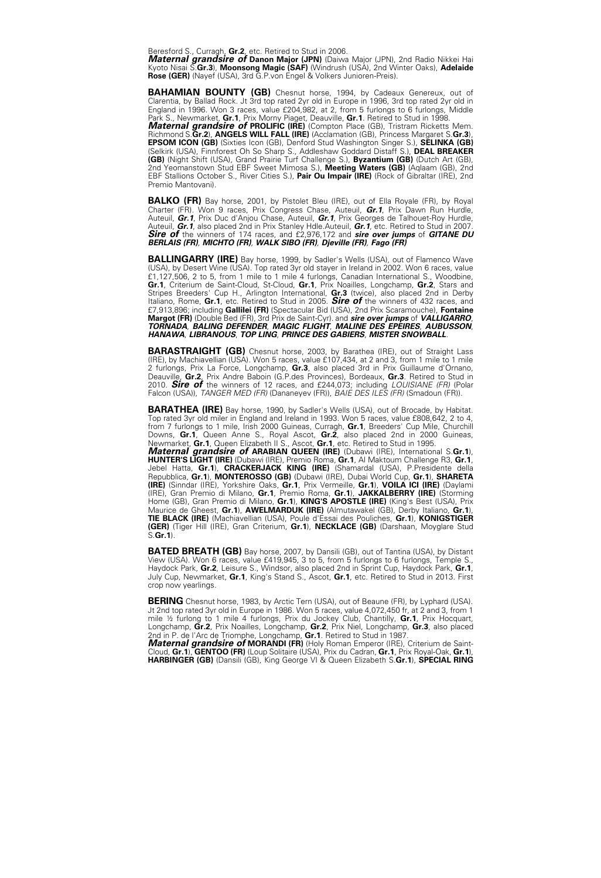Beresford S., Curragh**, Gr.2,** etc. Retired to Stud in 2006.<br>*Maternal grandsire of D***anon Major (JPN)** (Daiwa Major (JPN), 2nd Radio Nikkei Hai<br>Kyoto Nisai S.**Gr.3**), **Moonsong Magic (SAF)** (Windrush (USA), 2nd Winter Oa **Rose (GER)** (Nayef (USA), 3rd G.P.von Engel & Volkers Junioren-Preis).

**BAHAMIAN BOUNTY (GB)** Chesnut horse, 1994, by Cadeaux Genereux, out of Clarentia, by Ballad Rock. Jt 3rd top rated 2yr old in Europe in 1996, 3rd top rated 2yr old in England in 1996. Won 3 races, value £204,982, at 2, from 5 furlongs to 6 furlongs, Middle<br>Park S., Newmarket, **Gr.1**, Prix Morny Piaget, Deauville, **Gr.1**. Retired to Stud in 1998.<br>**Maternal grandsire of PROLIFIC (IRE)** (C

Richmond S.**Gr.2**), **ANGELS WILL FALL (IRE)** (Acclamation (GB), Princess Margaret S.**Gr.3**), **EPSOM ICON (GB)** (Sixties Icon (GB), Denford Stud Washington Singer S.), **SELINKA (GB)** (Selkirk (USA), Finnforest Oh So Sharp S., Addleshaw Goddard Distaff S.), **DEAL BREAKER (GB)** (Night Shift (USA), Grand Prairie Turf Challenge S.), **Byzantium (GB)** (Dutch Art (GB), 2nd Yeomanstown Stud EBF Sweet Mimosa S.), **Meeting Waters (GB)** (Aqlaam (GB), 2nd EBF Stallions October S., River Cities S.), **Pair Ou Impair (IRE)** (Rock of Gibraltar (IRE), 2nd Premio Mantovani).

**BALKO (FR)** Bay horse, 2001, by Pistolet Bleu (IRE), out of Ella Royale (FR), by Royal Charter (FR). Won 9 races, Prix Congress Chase, Auteuil, *Gr.1*, Prix Dawn Run Hurdle, Auteuil, *Gr.1*, Prix Duc d'Anjou Chase, Auteuil, *Gr.1*, Prix Georges de Talhouet-Roy Hurdle, Auteuil, **Gr.1**, also placed 2nd in Prix Stanley Hdle.Auteuil, **Gr.1**, etc. Retired to Stud in 2007.<br>**Sire of** the winners of 174 races, and £2,976,172 and **sire over jumps** of **GITANE DU**<br>BERLAIS (FR), MICHTO (FR), WALK S

**BALLINGARRY (IRE)** Bay horse, 1999, by Sadler's Wells (USA), out of Flamenco Wave (USA), by Desert Wine (USA). Top rated 3yr old stayer in Ireland in 2002. Won 6 races, value £1,127,506, 2 to 5, from 1 mile to 1 mile 4 furlongs, Canadian International S., Woodbine, **Gr.1**, Criterium de Saint-Cloud, St-Cloud, **Gr.1**, Prix Noailles, Longchamp, **Gr.2**, Stars and Stripes Breeders' Cup H., Arlington International, **Gr.3** (twice), also placed 2nd in Derby Italiano, Rome, **Gr.1**, etc. Retired to Stud in 2005. *Sire of* the winners of 432 races, and £7,913,896; including **Gallilei (FR)** (Spectacular Bid (USA), 2nd Prix Scaramouche), **Fontaine Margot (FR)** (Double Bed (FR), 3rd Prix de Saint-Cyr). and *sire over jumps* of *VALLIGARRO*, *TORNADA*, *BALING DEFENDER*, *MAGIC FLIGHT*, *MALINE DES EPEIRES*, *AUBUSSON*, *HANAWA*, *LIBRANOUS*, *TOP LING*, *PRINCE DES GABIERS*, *MISTER SNOWBALL*.

**BARASTRAIGHT (GB)** Chesnut horse, 2003, by Barathea (IRE), out of Straight Lass (IRE), by Machiavellian (USA). Won 5 races, value £107,434, at 2 and 3, from 1 mile to 1 mile 2 furlongs, Prix La Force, Longchamp, **Gr.3**, also placed 3rd in Prix Guillaume d'Ornano, Deauville, **Gr.2**, Prix Andre Baboin (G.P.des Provinces), Bordeaux, **Gr.3**. Retired to Stud in<br>2010. *Sire of the winners of 12 races, and £244,073; including LOUISIANE (FR) (Polar<br>Falcon (USA)), <i>TANGER MED (FR)* (Danan

**BARATHEA (IRE)** Bay horse, 1990, by Sadler's Wells (USA), out of Brocade, by Habitat. Top rated 3yr old miler in England and Ireland in 1993. Won 5 races, value £808,642, 2 to 4, from 7 furlongs to 1 mile, Irish 2000 Guineas, Curragh, **Gr.1**, Breeders' Cup Mile, Churchill

Downs, **Gr.1**, Queen Anne S., Royal Ascot, **Gr.2**, also placed 2nd in 2000 Guineas,<br>Newmarket, **Gr.1**, Queen Elizabeth II S., Ascot, **Gr.1**, etc. Retired to Stud in 1995.<br>**Maternal grandsire of ARABIAN QUEEN (IRE)** (Dubawi Repubblica, **Gr.1**), **MONTEROSSO (GB)** (Dubawi (IRE), Dubai World Cup, **Gr.1**), **SHARETA (IRE)** (Sinndar (IRE), Yorkshire Oaks, **Gr.1**, Prix Vermeille, **Gr.1**), **VOILA ICI (IRE)** (Daylami (IRE), Gran Premio di Milano, **Gr.1**, Premio Roma, **Gr.1**), **JAKKALBERRY (IRE)** (Storming Home (GB), Gran Premio di Milano, **Gr.1**), **KING'S APOSTLE (IRE)** (King's Best (USA), Prix Maurice de Gheest, **Gr.1**), **AWELMARDUK (IRE)** (Almutawakel (GB), Derby Italiano, **Gr.1**), **TIE BLACK (IRE)** (Machiavellian (USA), Poule d'Essai des Pouliches, **Gr.1**), **KONIGSTIGER (GER)** (Tiger Hill (IRE), Gran Criterium, **Gr.1**), **NECKLACE (GB)** (Darshaan, Moyglare Stud S.**Gr.1**).

**BATED BREATH (GB)** Bay horse, 2007, by Dansili (GB), out of Tantina (USA), by Distant<br>View (USA). Won 6 races, value £419,945, 3 to 5, from 5 furlongs to 6 furlongs, Temple S.,<br>Haydock Park, **Gr.2**, Leisure S., Windsor, a July Cup, Newmarket, **Gr.1**, King's Stand S., Ascot, **Gr.1**, etc. Retired to Stud in 2013. First crop now yearlings.

**BERING** Chesnut horse, 1983, by Arctic Tern (USA), out of Beaune (FR), by Lyphard (USA). Jt 2nd top rated 3yr old in Europe in 1986. Won 5 races, value 4,072,450 fr, at 2 and 3, from 1 mile ½ furlong to 1 mile 4 furlongs, Prix du Jockey Club, Chantilly, **Gr.1**, Prix Hocquart, Longchamp, **Gr.2**, Prix Noailles, Longchamp, **Gr.2**, Prix Niel, Longchamp, **Gr.3**, also placed 2nd in P. de l'Arc de Triomphe, Longchamp, **Gr.1**. Retired to Stud in 1987.

*Maternal grandsire of* **MORANDI (FR)** (Holy Roman Emperor (IRE), Criterium de Saint-Cloud, **Gr.1**), **GENTOO (FR)** (Loup Solitaire (USA), Prix du Cadran, **Gr.1**, Prix Royal-Oak, **Gr.1**), **HARBINGER (GB)** (Dansili (GB), King George VI & Queen Elizabeth S.**Gr.1**), **SPECIAL RING**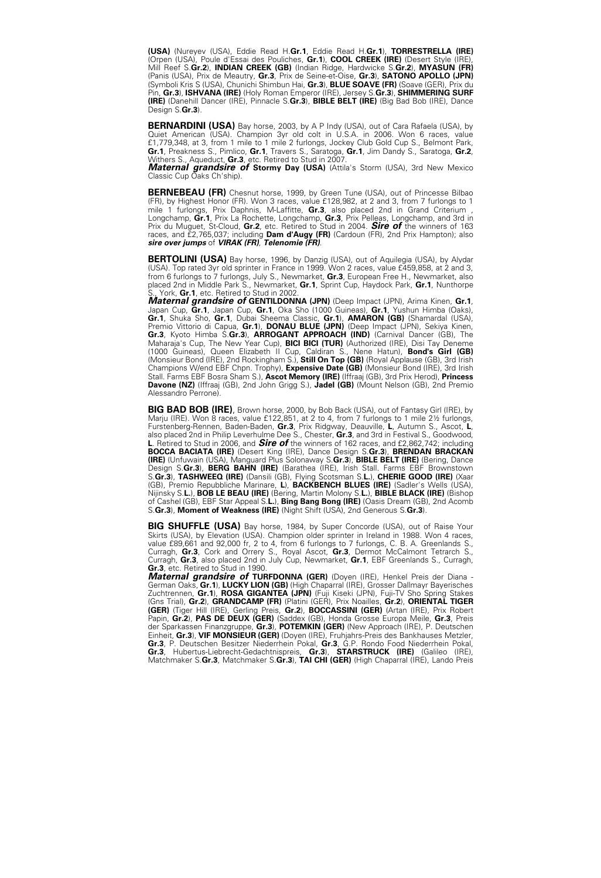**(USA)** (Nureyev (USA), Eddie Read H.**Gr.1**, Eddie Read H.**Gr.1**), **TORRESTRELLA (IRE)** (Orpen (USA), Poule d'Essai des Pouliches, **Gr.1**), **COOL CREEK (IRE)** (Desert Style (IRE), Mill Reef S.**Gr.2**), **INDIAN CREEK (GB)** (Indian Ridge, Hardwicke S.**Gr.2**), **MYASUN (FR)** (Panis (USA), Prix de Meautry, **Gr.3**, Prix de Seine-et-Oise, **Gr.3**), **SATONO APOLLO (JPN)** (Symboli Kris S (USA), Chunichi Shimbun Hai, **Gr.3**), **BLUE SOAVE (FR)** (Soave (GER), Prix du Pin, **Gr.3**), **ISHVANA (IRE)** (Holy Roman Emperor (IRE), Jersey S.**Gr.3**), **SHIMMERING SURF (IRE)** (Danehill Dancer (IRE), Pinnacle S.**Gr.3**), **BIBLE BELT (IRE)** (Big Bad Bob (IRE), Dance Design S.**Gr.3**).

**BERNARDINI (USA)** Bay horse, 2003, by A P Indy (USA), out of Cara Rafaela (USA), by<br>Quiet American (USA). Champion 3yr old colt in U.S.A. in 2006. Won 6 races, value<br>£1,779,348, at 3, from 1 mile to 1 mile 2 furlongs, Joc **Gr.1**, Preakness S., Pimlico, **Gr.1**, Travers S., Saratoga, **Gr.1**, Jim Dandy S., Saratoga, **Gr.2**, Withers S., Aqueduct, **Gr.3**, etc. Retired to Stud in 2007. *Maternal grandsire of* **Stormy Day (USA)** (Attila's Storm (USA), 3rd New Mexico

Classic Cup Oaks Ch'ship).

**BERNEBEAU (FR)** Chesnut horse, 1999, by Green Tune (USA), out of Princesse Bilbao (FR), by Highest Honor (FR). Won 3 races, value £128,982, at 2 and 3, from 7 furlongs to 1 mile 1 furlongs, Prix Daphnis, M-Laffitte, **Gr.3**, also placed 2nd in Grand Criterium ,<br>Longchamp, **Gr.1**, Prix La Rochette, Longchamp, **Gr.3**, Prix Pelleas, Longchamp, and 3rd in<br>Prix du Muguet, St-Cloud, **Gr.2**, etc. Ret races, and £2,765,037; including **Dam d'Augy (FR)** (Cardoun (FR), 2nd Prix Hampton); also *sire over jumps* of *VIRAK (FR), Telenomie (FR)*.

**BERTOLINI (USA)** Bay horse, 1996, by Danzig (USA), out of Aquilegia (USA), by Alydar (USA). Top rated 3yr old sprinter in France in 1999. Won 2 races, value £459,858, at 2 and 3, from 6 furlongs to 7 furlongs, July S., Newmarket, **Gr.3**, European Free H., Newmarket, also placed 2nd in Middle Park S., Newmarket, **Gr.1**, Sprint Cup, Haydock Park, **Gr.1**, Nunthorpe S., York, **Gr.1**, etc. Retired to Stud in 2002.

*Maternal grandsire of* **GENTILDONNA (JPN)** (Deep Impact (JPN), Arima Kinen, **Gr.1**, Japan Cup, **Gr.1**, Japan Cup, **Gr.1**, Oka Sho (1000 Guineas), **Gr.1**, Yushun Himba (Oaks), **Gr.1**, Shuka Sho, **Gr.1**, Dubai Sheema Classic, **Gr.1**), **AMARON (GB)** (Shamardal (USA), Premio Vittorio di Capua, **Gr.1**), **DONAU BLUE (JPN)** (Deep Impact (JPN), Sekiya Kinen, **Gr.3**, Kyoto Himba S.**Gr.3**), **ARROGANT APPROACH (IND)** (Carnival Dancer (GB), The Maharaja's Cup, The New Year Cup), **BICI BICI (TUR)** (Authorized (IRE), Disi Tay Deneme (1000 Guineas), Queen Elizabeth II Cup, Caldiran S., Nene Hatun), **Bond's Girl (GB)** (Monsieur Bond (IRE), 2nd Rockingham S.), **Still On Top (GB)** (Royal Applause (GB), 3rd Irish Champions W/end EBF Chpn. Trophy), **Expensive Date (GB)** (Monsieur Bond (IRE), 3rd Irish Stall. Farms EBF Bosra Sham S.), **Ascot Memory (IRE)** (Iffraaj (GB), 3rd Prix Herod), **Princess Davone (NZ)** (Iffraaj (GB), 2nd John Grigg S.), **Jadel (GB)** (Mount Nelson (GB), 2nd Premio Alessandro Perrone).

**BIG BAD BOB (IRE)**, Brown horse, 2000, by Bob Back (USA), out of Fantasy Girl (IRE), by Marju (IRE). Won 8 races, value £122,851, at 2 to 4, from 7 furlongs to 1 mile 2½ furlongs, Furstenberg-Rennen, Baden-Baden, **Gr.3**, Prix Ridgway, Deauville, **L**, Autumn S., Ascot, **L**, also placed 2nd in Philip Leverhulme Dee S., Chester, **Gr.3**, and 3rd in Festival S., Goodwood,<br>**L**. Retired to Stud in 2006, and *Sire of* the winners of 162 races, and £2,862,742; including<br>**BOCCA BACIATA (IRE)** (Desert **(IRE)** (Unfuwain (USA), Manguard Plus Solonaway S.**Gr.3**), **BIBLE BELT (IRE)** (Bering, Dance Design S.**Gr.3**), **BERG BAHN (IRE)** (Barathea (IRE), Irish Stall. Farms EBF Brownstown S.**Gr.3**), **TASHWEEQ (IRE)** (Dansili (GB), Flying Scotsman S.**L.**), **CHERIE GOOD (IRE)** (Xaar (GB), Premio Repubbliche Marinare, **L**), **BACKBENCH BLUES (IRE)** (Sadler's Wells (USA), Nijinsky S.**L.**), **BOB LE BEAU (IRE)** (Bering, Martin Molony S.**L.**), **BIBLE BLACK (IRE)** (Bishop of Cashel (GB), EBF Star Appeal S.**L.**), **Bing Bang Bong (IRE)** (Oasis Dream (GB), 2nd Acomb S.**Gr.3**), **Moment of Weakness (IRE)** (Night Shift (USA), 2nd Generous S.**Gr.3**).

**BIG SHUFFLE (USA)** Bay horse, 1984, by Super Concorde (USA), out of Raise Your Skirts (USA), by Elevation (USA). Champion older sprinter in Ireland in 1988. Won 4 races, value £89,661 and 92,000 fr, 2 to 4, from 6 furlongs to 7 furlongs, C. B. A. Greenlands S., Curragh, **Gr.3**, Cork and Orrery S., Royal Ascot, **Gr.3**, Dermot McCalmont Tetrarch S., Curragh, **Gr.3**, also placed 2nd in July Cup, Newmarket, **Gr.1**, EBF Greenlands S., Curragh,<br>**Gr.3**, etc. Retired to Stud in 1990.<br>**Maternal grandsire of TURFDONNA (GER)** (Doyen (IRE), Henkel Preis der Diana -

German Oaks, **Gr.1**), **LUCKY LION (GB)** (High Chaparral (IRE), Grosser Dallmayr Bayerisches Zuchtrennen, **Gr.1**), **ROSA GIGANTEA (JPN)** (Fuji Kiseki (JPN), Fuji-TV Sho Spring Stakes (Gns Trial), **Gr.2**), **GRANDCAMP (FR)** (Platini (GER), Prix Noailles, **Gr.2**), **ORIENTAL TIGER (GER)** (Tiger Hill (IRE), Gerling Preis, **Gr.2**), **BOCCASSINI (GER)** (Artan (IRE), Prix Robert Papin, **Gr.2**), **PAS DE DEUX (GER)** (Saddex (GB), Honda Grosse Europa Meile, **Gr.3**, Preis der Sparkassen Finanzgruppe, **Gr.3**), **POTEMKIN (GER)** (New Approach (IRE), P. Deutschen Einheit, **Gr.3**), **VIF MONSIEUR (GER)** (Doyen (IRE), Fruhjahrs-Preis des Bankhauses Metzler, **Gr.3**, P. Deutschen Besitzer Niederrhein Pokal, **Gr.3**, G.P. Rondo Food Niederrhein Pokal, **Gr.3**, Hubertus-Liebrecht-Gedachtnispreis, **Gr.3**), **STARSTRUCK (IRE)** (Galileo (IRE), Matchmaker S.**Gr.3**, Matchmaker S.**Gr.3**), **TAI CHI (GER)** (High Chaparral (IRE), Lando Preis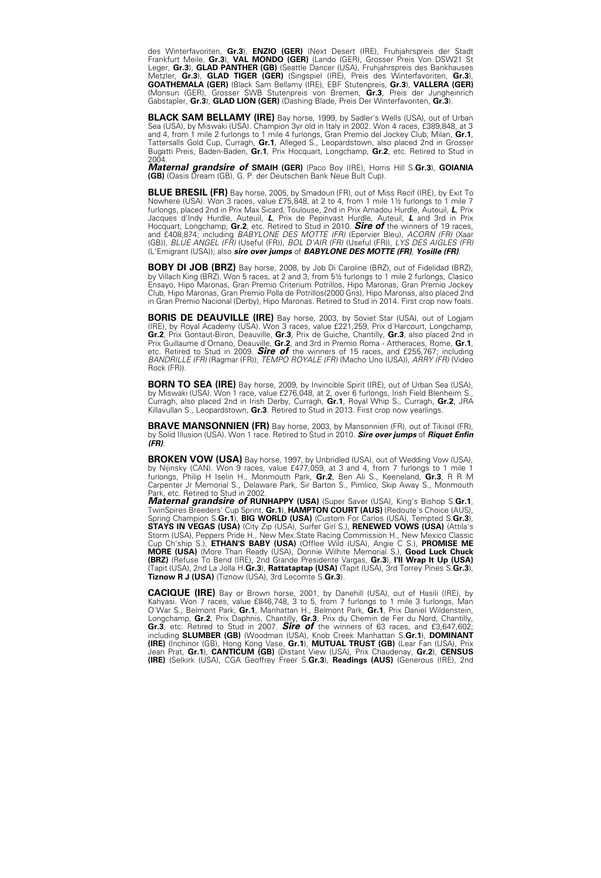des Winterfavoriten, **Gr.3**), **ENZIO (GER)** (Next Desert (IRE), Fruhjahrspreis der Stadt Frankfurt Meile, **Gr.3**), **VAL MONDO (GER)** (Lando (GER), Grosser Preis Von DSW21 St Leger, **Gr.3**), **GLAD PANTHER (GB)** (Seattle Dancer (USA), Fruhjahrspreis des Bankhauses Metzler, **Gr.3**), **GLAD TIGER (GER)** (Singspiel (IRE), Preis des Winterfavoriten, **Gr.3**), **GOATHEMALA (GER)** (Black Sam Bellamy (IRE), EBF Stutenpreis, **Gr.3**), **VALLERA (GER)** (Monsun (GER), Grosser SWB Stutenpreis von Bremen, **Gr.3**, Preis der Jungheinrich Gabstapler, **Gr.3**), **GLAD LION (GER)** (Dashing Blade, Preis Der Winterfavoriten, **Gr.3**).

**BLACK SAM BELLAMY (IRE)** Bay horse, 1999, by Sadler's Wells (USA), out of Urban Sea (USA), by Miswaki (USA). Champion 3yr old in Italy in 2002. Won 4 races, £389,848, at 3 and 4, from 1 mile 2 furlongs to 1 mile 4 furlongs, Gran Premio del Jockey Club, Milan, **Gr.1**, Tattersalls Gold Cup, Curragh, **Gr.1**, Alleged S., Leopardstown, also placed 2nd in Grosser Bugatti Preis, Baden-Baden, **Gr.1**, Prix Hocquart, Longchamp, **Gr.2**, etc. Retired to Stud in

2004. *Maternal grandsire of* **SMAIH (GER)** (Paco Boy (IRE), Horris Hill S.**Gr.3**), **GOIANIA (GB)** (Oasis Dream (GB), G. P. der Deutschen Bank Neue Bult Cup).

**BLUE BRESIL (FR)** Bay horse, 2005, by Smadoun (FR), out of Miss Recif (IRE), by Exit To Nowhere (USA). Won 3 races, value £75,848, at 2 to 4, from 1 mile 1½ furlongs to 1 mile 7 furlongs, placed 2nd in Prix Max Sicard, Toulouse, 2nd in Prix Amadou Hurdle, Auteuil, **L**, Prix<br>Jacques d'Indy Hurdle, Auteuil, **L**, Prix de Pepinvast Hurdle, Auteuil, **L** and 3rd in Prix<br>Hocquart, Longchamp, **Gr.2**, etc. and £408,874; including *BABYLONE DES MOTTE (FR)* (Epervier Bleu), *ACORN (FR)* (Xaar (GB)), *BLUE ANGEL (FR)* (Useful (FR)), *BOL D'AIR (FR)* (Useful (FR)), *LYS DES AIGLES (FR)* (L'Emigrant (USA)); also *sire over jumps* of *BABYLONE DES MOTTE (FR), Yosille (FR)*.

**BOBY DI JOB (BRZ)** Bay horse, 2008, by Job Di Caroline (BRZ), out of Fidelidad (BRZ), by Villach King (BRZ). Won 5 races, at 2 and 3, from 5½ furlongs to 1 mile 2 furlongs, Clasico Ensayo, Hipo Maronas, Gran Premio Criterium Potrillos, Hipo Maronas, Gran Premio Jockey Club, Hipo Maronas, Gran Premio Polla de Potrillos(2000 Gns), Hipo Maronas, also placed 2nd in Gran Premio Nacional (Derby), Hipo Maronas. Retired to Stud in 2014. First crop now foals.

**BORIS DE DEAUVILLE (IRE)** Bay horse, 2003, by Soviet Star (USA), out of Logjam (IRE), by Royal Academy (USA). Won 3 races, value £221,259, Prix d'Harcourt, Longchamp, **Gr.2**, Prix Gontaut-Biron, Deauville, **Gr.3**, Prix de Guiche, Chantilly, **Gr.3**, also placed 2nd in<br>Prix Guillaume d'Ornano, Deauville, **Gr.2**, and 3rd in Premio Roma - Attheraces, Rome, **Gr.1**,<br>etc. Retired to Stud in 20 *BANDRILLE (FR)* (Ragmar (FR)), *TEMPO ROYALE (FR)* (Macho Uno (USA)), *ARRY (FR)* (Video Rock (FR)).

**BORN TO SEA (IRE)** Bay horse, 2009, by Invincible Spirit (IRE), out of Urban Sea (USA), by Miswaki (USA). Won 1 race, value £276,048, at 2, over 6 furlongs, Irish Field Blenheim S., Curragh, also placed 2nd in Irish Derby, Curragh, **Gr.1**, Royal Whip S., Curragh, **Gr.2**, JRA Killavullan S., Leopardstown, **Gr.3**. Retired to Stud in 2013. First crop now yearlings.

**BRAVE MANSONNIEN (FR)** Bay horse, 2003, by Mansonnien (FR), out of Tikisol (FR), by Solid Illusion (USA). Won 1 race. Retired to Stud in 2010. *Sire over jumps* of *Riquet Enfin (FR)*.

**BROKEN VOW (USA)** Bay horse, 1997, by Unbridled (USA), out of Wedding Vow (USA), by Nijinsky (CAN). Won 9 races, value £477,059, at 3 and 4, from 7 furlongs to 1 mile 1 furlongs, Philip H Iselin H., Monmouth Park, **Gr.2**, Ben Ali S., Keeneland, **Gr.3**, R R M Carpenter Jr Memorial S., Delaware Park, Sir Barton S., Pimlico, Skip Away S., Monmouth

Park, etc. Retired to Stud in 2002. *Maternal grandsire of* **RUNHAPPY (USA)** (Super Saver (USA), King's Bishop S.**Gr.1**, TwinSpires Breeders' Cup Sprint, **Gr.1**), **HAMPTON COURT (AUS)** (Redoute's Choice (AUS), Spring Champion S.**Gr.1**), **BIG WORLD (USA)** (Custom For Carlos (USA), Tempted S.**Gr.3**), **STAYS IN VEGAS (USA)** (City Zip (USA), Surfer Girl S.), **RENEWED VOWS (USA)** (Attila's Storm (USA), Peppers Pride H., New Mex.State Racing Commission H., New Mexico Classic Cup Ch'ship S.), **ETHAN'S BABY (USA)** (Offlee Wild (USA), Angie C S.), **PROMISE ME MORE (USA)** (More Than Ready (USA), Donnie Wilhite Memorial S.), **Good Luck Chuck (BRZ)** (Refuse To Bend (IRE), 2nd Grande Presidente Vargas, **Gr.3**), **I'll Wrap It Up (USA)** (Tapit (USA), 2nd La Jolla H.**Gr.3**), **Rattataptap (USA)** (Tapit (USA), 3rd Torrey Pines S.**Gr.3**), **Tiznow R J (USA)** (Tiznow (USA), 3rd Lecomte S.**Gr.3**).

**CACIQUE (IRE)** Bay or Brown horse, 2001, by Danehill (USA), out of Hasili (IRE), by Kahyasi. Won 7 races, value £846,748, 3 to 5, from 7 furlongs to 1 mile 3 furlongs, Man O'War S., Belmont Park, **Gr.1**, Manhattan H., Belmont Park, **Gr.1**, Prix Daniel Wildenstein, Longchamp, **Gr.2**, Prix Daphnis, Chantilly, **Gr.3**, Prix du Chemin de Fer du Nord, Chantilly,<br>**Gr.3,** etc. Retired to Stud in 2007. *Sire of t*he winners of 63 races, and £3,647,602;<br>including SLUMBER (GB) (Woodman (USA), Jean Prat, **Gr.1**), **CANTICUM (GB)** (Distant View (USA), Prix Chaudenay, **Gr.2**), **CENSUS (IRE)** (Selkirk (USA), CGA Geoffrey Freer S.**Gr.3**), **Readings (AUS)** (Generous (IRE), 2nd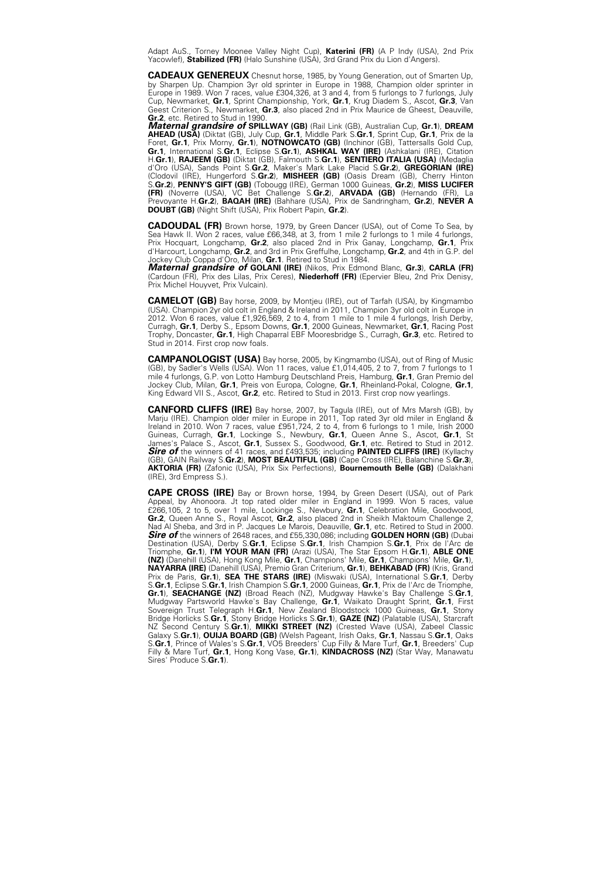Adapt AuS., Torney Moonee Valley Night Cup), **Katerini (FR)** (A P Indy (USA), 2nd Prix Yacowlef), **Stabilized (FR)** (Halo Sunshine (USA), 3rd Grand Prix du Lion d'Angers).

**CADEAUX GENEREUX** Chesnut horse, 1985, by Young Generation, out of Smarten Up, by Sharpen Up. Champion 3yr old sprinter in Europe in 1988, Champion older sprinter in Europe in 1989. Won 7 races, value £304,326, at 3 and 4, from 5 furlongs to 7 furlongs, July Cup, Newmarket, **Gr.1**, Sprint Championship, York, **Gr.1**, Krug Diadem S., Ascot, **Gr.3**, Van Geest Criterion S., Newmarket, **Gr.3**, also placed 2nd in Prix Maurice de Gheest, Deauville, **Gr.2**, etc. Retired to Stud in 1990.

*Maternal grandsire of* **SPILLWAY (GB)** (Rail Link (GB), Australian Cup, **Gr.1**), **DREAM AHEAD (USA)** (Diktat (GB), July Cup, **Gr.1**, Middle Park S.**Gr.1**, Sprint Cup, **Gr.1**, Prix de la<br>Foret, **Gr.1**, Prix Morny, **Gr.1**), **NOTNOWCATO (GB)** (Inchinor (GB), Tattersalls Gold Cup, **Gr.1**, International S.**Gr.1**, Eclipse S.**Gr.1**), **ASHKAL WAY (IRE)** (Ashkalani (IRE), Citation H.**Gr.1**), **RAJEEM (GB)** (Diktat (GB), Falmouth S.**Gr.1**), **SENTIERO ITALIA (USA)** (Medaglia d'Oro (USA), Sands Point S.**Gr.2**, Maker's Mark Lake Placid S.**Gr.2**), **GREGORIAN (IRE)** (Clodovil (IRE), Hungerford S.**Gr.2**), **MISHEER (GB)** (Oasis Dream (GB), Cherry Hinton S.**Gr.2**), **PENNY'S GIFT (GB)** (Tobougg (IRE), German 1000 Guineas, **Gr.2**), **MISS LUCIFER (FR)** (Noverre (USA), VC Bet Challenge S.**Gr.2**), **ARVADA (GB)** (Hernando (FR), La Prevoyante H.**Gr.2**), **BAQAH (IRE)** (Bahhare (USA), Prix de Sandringham, **Gr.2**), **NEVER A DOUBT (GB)** (Night Shift (USA), Prix Robert Papin, **Gr.2**).

**CADOUDAL (FR)** Brown horse, 1979, by Green Dancer (USA), out of Come To Sea, by Sea Hawk II. Won 2 races, value £66,348, at 3, from 1 mile 2 furlongs to 1 mile 4 furlongs, Prix Hocquart, Longchamp, **Gr.2**, also placed 2nd in Prix Ganay, Longchamp, **Gr.1**, Prix d'Harcourt, Longchamp, **Gr.2**, and 3rd in Prix Greffulhe, Longchamp, **Gr.2**, and 4th in G.P. del

Jockey Club Coppa d'Oro, Milan, **Gr.1**. Retired to Stud in 1984. *Maternal grandsire of* **GOLANI (IRE)** (Nikos, Prix Edmond Blanc, **Gr.3**), **CARLA (FR)** (Cardoun (FR), Prix des Lilas, Prix Ceres), **Niederhoff (FR)** (Epervier Bleu, 2nd Prix Denisy, Prix Michel Houyvet, Prix Vulcain).

**CAMELOT (GB)** Bay horse, 2009, by Montjeu (IRE), out of Tarfah (USA), by Kingmambo (USA). Champion 2yr old colt in England & Ireland in 2011, Champion 3yr old colt in Europe in 2012. Won 6 races, value £1,926,569, 2 to 4, from 1 mile to 1 mile 4 furlongs, Irish Derby, Curragh, **Gr.1**, Derby S., Epsom Downs, **Gr.1**, 2000 Guineas, Newmarket, **Gr.1**, Racing Post Trophy, Doncaster, **Gr.1**, High Chaparral EBF Mooresbridge S., Curragh, **Gr.3**, etc. Retired to Stud in 2014. First crop now foals.

**CAMPANOLOGIST (USA)** Bay horse, 2005, by Kingmambo (USA), out of Ring of Music (GB), by Sadler's Wells (USA). Won 11 races, value £1,014,405, 2 to 7, from 7 furlongs to 1 mile 4 furlongs, G.P. von Lotto Hamburg Deutschland Preis, Hamburg, **Gr.1**, Gran Premio del Jockey Club, Milan, **Gr.1**, Preis von Europa, Cologne, **Gr.1**, Rheinland-Pokal, Cologne, **Gr.1**, King Edward VII S., Ascot, **Gr.2**, etc. Retired to Stud in 2013. First crop now yearlings.

**CANFORD CLIFFS (IRE)** Bay horse, 2007, by Tagula (IRE), out of Mrs Marsh (GB), by Marju (IRE). Champion older miler in Europe in 2011, Top rated 3yr old miler in England & Ireland in 2010. Won 7 races, value £951,724, 2 to 4, from 6 furlongs to 1 mile, Irish 2000 Guineas, Curragh, **Gr.1**, Lockinge S., Newbury, **Gr.1**, Queen Anne S., Ascot, **Gr.1**, St James's Palace S., Ascot, **Gr.1**, Sussex S., Goodwood, **Gr.1**, etc. Retired to Stud in 2012.<br>*Sire of* the winners of 41 races, and £493,535; including **PAINTED CLIFFS (IRE)** (Kyllachy<br>(GB), GAIN Railway S.**Gr.2), MOST B AKTORIA (FR)** (Zafonic (USA), Prix Six Perfections), **Bournemouth Belle (GB)** (Dalakhani (IRE), 3rd Empress S.).

**CAPE CROSS (IRE)** Bay or Brown horse, 1994, by Green Desert (USA), out of Park Appeal, by Ahonoora. Jt top rated older miler in England in 1999. Won 5 races, value £266,105, 2 to 5, over 1 mile, Lockinge S., Newbury, **Gr.1**, Celebration Mile, Goodwood, **Gr.2**, Queen Anne S., Royal Ascot, **Gr.2**, also placed 2nd in Sheikh Maktoum Challenge 2, Nad Al Sheba, and 3rd in P. Jacques Le Marois, Deauville, **Gr.1**, etc. Retired to Stud in 2000. *Sire of* the winners of 2648 races, and £55,330,086; including **GOLDEN HORN (GB)** (Dubai Destination (USA), Derby S.**Gr.1**, Eclipse S.**Gr.1**, Irish Champion S.**Gr.1**, Prix de l'Arc de Triomphe, **Gr.1**), **I'M YOUR MAN (FR)** (Arazi (USA), The Star Epsom H.**Gr.1**), **ABLE ONE (NZ)** (Danehill (USA), Hong Kong Mile, **Gr.1**, Champions' Mile, **Gr.1**, Champions' Mile, **Gr.1**),<br>**NAYARRA (IRE)** (Danehill (USA), Premio Gran Criterium, **Gr.1**), **BEHKABAD (FR)** (Kris, Grand Prix de Paris, **Gr.1**), **SEA THE STARS (IRE)** (Miswaki (USA), International S.**Gr.1**, Derby S.**Gr.1**, Eclipse S.**Gr.1**, Irish Champion S.**Gr.1**, 2000 Guineas, **Gr.1**, Prix de l'Arc de Triomphe, **Gr.1**), **SEACHANGE (NZ)** (Broad Reach (NZ), Mudgway Hawke's Bay Challenge S.**Gr.1**, Mudgway Partsworld Hawke's Bay Challenge, **Gr.1**, Waikato Draught Sprint, **Gr.1**, First Sovereign Trust Telegraph H.**Gr.1**, New Zealand Bloodstock 1000 Guineas, **Gr.1**, Stony Bridge Horlicks S.**Gr.1**, Stony Bridge Horlicks S.**Gr.1**), **GAZE (NZ)** (Palatable (USA), Starcraft NZ Second Century S.**Gr.1**), **MIKKI STREET (NZ)** (Crested Wave (USA), Zabeel Classic Galaxy S.**Gr.1**), **OUIJA BOARD (GB)** (Welsh Pageant, Irish Oaks, **Gr.1**, Nassau S.**Gr.1**, Oaks S.**Gr.1**, Prince of Wales's S.**Gr.1**, VO5 Breeders' Cup Filly & Mare Turf, **Gr.1**, Breeders' Cup Filly & Mare Turf, **Gr.1**, Hong Kong Vase, **Gr.1**), **KINDACROSS (NZ)** (Star Way, Manawatu Sires' Produce S.**Gr.1**).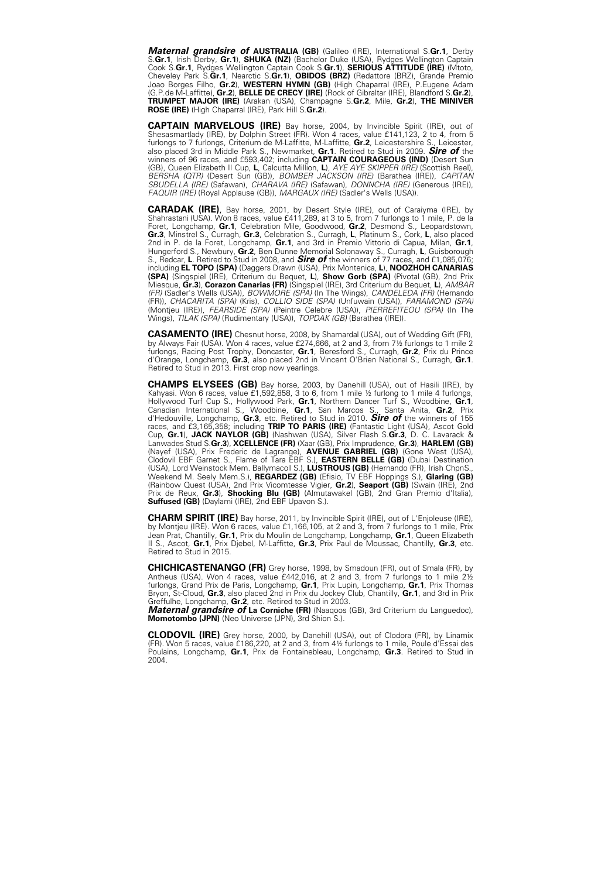**Maternal grandsire of AUSTRALIA (GB)** (Galileo (IRE), International S.**Gr.1**, Derby<br>S.**Gr.1**, Irish Derby, **Gr.1**), SHUKA (NZ) (Bachelor Duke (USA), Rydges Wellington Captain<br>Cook S.**Gr.1**, Rydges Wellington Captain Cook Cheveley Park S.**Gr.1**, Nearctic S.**Gr.1**), **OBIDOS (BRZ)** (Redattore (BRZ), Grande Premio Joao Borges Filho, **Gr.2**), **WESTERN HYMN (GB)** (High Chaparral (IRE), P.Eugene Adam (G.P.de M-Laffitte), **Gr.2**), **BELLE DE CRECY (IRE)** (Rock of Gibraltar (IRE), Blandford S.**Gr.2**), **TRUMPET MAJOR (IRE)** (Arakan (USA), Champagne S.**Gr.2**, Mile, **Gr.2**), **THE MINIVER ROSE (IRE)** (High Chaparral (IRE), Park Hill S.**Gr.2**).

**CAPTAIN MARVELOUS (IRE)** Bay horse, 2004, by Invincible Spirit (IRE), out of Shesasmartlady (IRE), by Dolphin Street (FR). Won 4 races, value £141,123, 2 to 4, from 5 furlongs to 7 furlongs, Criterium de M-Laffitte, M-Laffitte, **Gr.2**, Leicestershire S., Leicester, also placed 3rd in Middle Park S., Newmarket, **Gr.1**. Retired to Stud in 2009. *Sire of* the winners of 96 races, and £593,402; including **CAPTAIN COURAGEOUS (IND)** (Desert Sun (GB), Queen Elizabeth II Cup, **L**, Calcutta Million, **L**), *AYE AYE SKIPPER (IRE)* (Scottish Reel), *BERSHA (QTR)* (Desert Sun (GB)), *BOMBER JACKSON (IRE)* (Barathea (IRE)), *CAPITAN SBUDELLA (IRE)* (Safawan), *CHARAVA (IRE)* (Safawan), *DONNCHA (IRE)* (Generous (IRE)), *FAQUIR (IRE)* (Royal Applause (GB)), *MARGAUX (IRE)* (Sadler's Wells (USA)).

**CARADAK (IRE)**, Bay horse, 2001, by Desert Style (IRE), out of Caraiyma (IRE), by Shahrastani (USA). Won 8 races, value £411,289, at 3 to 5, from 7 furlongs to 1 mile, P. de la Foret, Longchamp, **Gr.1**, Celebration Mile, Goodwood, **Gr.2**, Desmond S., Leopardstown, **Gr.3**, Minstrel S., Curragh, **Gr.3**, Celebration S., Curragh, **L**, Platinum S., Cork, **L**, also placed<br>2nd in P. de la Foret, Longchamp, **Gr.1**, and 3rd in Premio Vittorio di Capua, Milan, **Gr.1**, Hungerford S., Newbury, **Gr.2**, Ben Dunne Memorial Solonaway S., Curragh, **L**, Guisborough S., Redcar, **L**. Retired to Stud in 2008, and *Sire of* the winners of 77 races, and £1,085,076; including **EL TOPO (SPA)** (Daggers Drawn (USA), Prix Montenica, **L**), **NOOZHOH CANARIAS (SPA)** (Singspiel (IRE), Criterium du Bequet, **L**), **Show Gorb (SPA)** (Pivotal (GB), 2nd Prix Miesque, **Gr.3**), **Corazon Canarias (FR)** (Singspiel (IRE), 3rd Criterium du Bequet, **L**), *AMBAR (FR)* (Sadler's Wells (USA)), *BOWMORE (SPA)* (In The Wings), *CANDELEDA (FR)* (Hernando (FR)), *CHACARITA (SPA)* (Kris), *COLLIO SIDE (SPA)* (Unfuwain (USA)), *FARAMOND (SPA)* (Montjeu (IRE)), *FEARSIDE (SPA)* (Peintre Celebre (USA)), *PIERREFITEOU (SPA)* (In The Wings), *TILAK (SPA)* (Rudimentary (USA)), *TOPDAK (GB)* (Barathea (IRE)).

**CASAMENTO (IRE)** Chesnut horse, 2008, by Shamardal (USA), out of Wedding Gift (FR), by Always Fair (USA). Won 4 races, value £274,666, at 2 and 3, from 7½ furlongs to 1 mile 2 furlongs, Racing Post Trophy, Doncaster, **Gr.1**, Beresford S., Curragh, **Gr.2**, Prix du Prince d'Orange, Longchamp, **Gr.3**, also placed 2nd in Vincent O'Brien National S., Curragh, **Gr.1**. Retired to Stud in 2013. First crop now yearlings.

**CHAMPS ELYSEES (GB)** Bay horse, 2003, by Danehill (USA), out of Hasili (IRE), by Kahyasi. Won 6 races, value £1,592,858, 3 to 6, from 1 mile ½ furlong to 1 mile 4 furlongs, Hollywood Turf Cup S., Hollywood Park, **Gr.1**, Northern Dancer Turf S., Woodbine, **Gr.1**, Canadian International S., Woodbine, **Gr.1**, San Marcos S., Santa Anita, **Gr.2**, Prix<br>d'Hedouville, Longchamp, **Gr.3**, etc. Retired to Stud in 2010. *Sire of* the winners of 155<br>races, and £3,165,358; including TRIP TO PAR Cup, **Gr.1**), **JACK NAYLOR (GB)** (Nashwan (USA), Silver Flash S.**Gr.3**, D. C. Lavarack & Lanwades Stud S.**Gr.3**), **XCELLENCE (FR)** (Xaar (GB), Prix Imprudence, **Gr.3**), **HARLEM (GB)** (Nayef (USA), Prix Frederic de Lagrange), **AVENUE GABRIEL (GB)** (Gone West (USA), Clodovil EBF Garnet S., Flame of Tara EBF S.), **EASTERN BELLE (GB)** (Dubai Destination (USA), Lord Weinstock Mem. Ballymacoll S.), **LUSTROUS (GB)** (Hernando (FR), Irish ChpnS., Weekend M. Seely Mem.S.), **REGARDEZ (GB)** (Efisio, TV EBF Hoppings S.), **Glaring (GB)** (Rainbow Quest (USA), 2nd Prix Vicomtesse Vigier, **Gr.2**), **Seaport (GB)** (Swain (IRE), 2nd Prix de Reux, **Gr.3**), **Shocking Blu (GB)** (Almutawakel (GB), 2nd Gran Premio d'Italia), **Suffused (GB)** (Daylami (IRE), 2nd EBF Upavon S.).

**CHARM SPIRIT (IRE)** Bay horse, 2011, by Invincible Spirit (IRE), out of L'Enjoleuse (IRE), by Montjeu (IRE). Won 6 races, value £1,166,105, at 2 and 3, from 7 furlongs to 1 mile, Prix Jean Prat, Chantilly, **Gr.1**, Prix du Moulin de Longchamp, Longchamp, **Gr.1**, Queen Elizabeth II S., Ascot, **Gr.1**, Prix Djebel, M-Laffitte, **Gr.3**, Prix Paul de Moussac, Chantilly, **Gr.3**, etc. Retired to Stud in 2015.

**CHICHICASTENANGO (FR)** Grey horse, 1998, by Smadoun (FR), out of Smala (FR), by Antheus (USA). Won 4 races, value £442,016, at 2 and 3, from 7 furlongs to 1 mile 2½ furlongs, Grand Prix de Paris, Longchamp, **Gr.1**, Prix Lupin, Longchamp, **Gr.1**, Prix Thomas Bryon, St-Cloud, **Gr.3**, also placed 2nd in Prix du Jockey Club, Chantilly, **Gr.1**, and 3rd in Prix Greffulhe, Longchamp, **Gr.2**, etc. Retired to Stud in 2003.

*Maternal grandsire of* **La Corniche (FR)** (Naaqoos (GB), 3rd Criterium du Languedoc), **Momotombo (JPN)** (Neo Universe (JPN), 3rd Shion S.).

**CLODOVIL (IRE)** Grey horse, 2000, by Danehill (USA), out of Clodora (FR), by Linamix (FR). Won 5 races, value £186,220, at 2 and 3, from 4½ furlongs to 1 mile, Poule d'Essai des Poulains, Longchamp, **Gr.1**, Prix de Fontainebleau, Longchamp, **Gr.3**. Retired to Stud in 2004.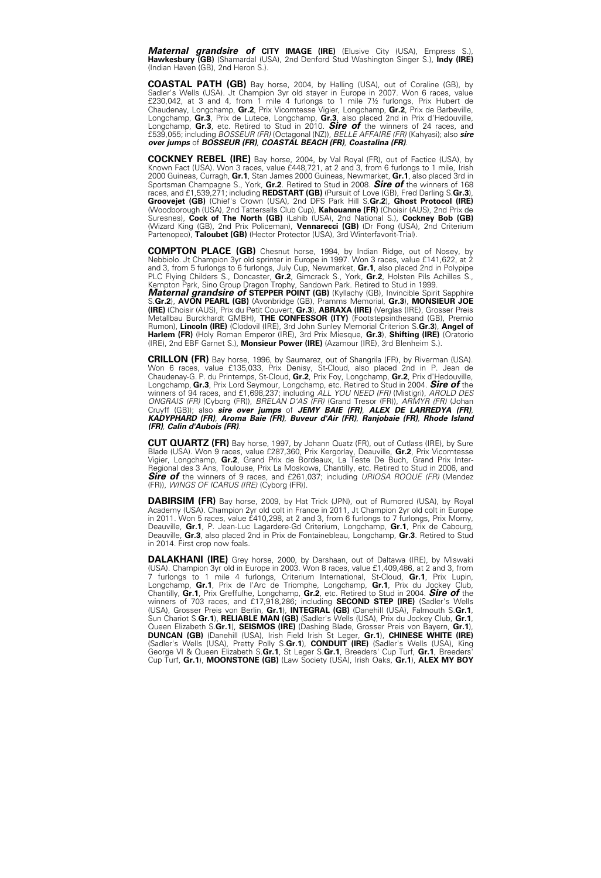*Maternal grandsire of* **CITY IMAGE (IRE)** (Elusive City (USA), Empress S.), **Hawkesbury (GB)** (Shamardal (USA), 2nd Denford Stud Washington Singer S.), **Indy (IRE)** (Indian Haven (GB), 2nd Heron S.).

**COASTAL PATH (GB)** Bay horse, 2004, by Halling (USA), out of Coraline (GB), by Sadler's Wells (USA). Jt Champion 3yr old stayer in Europe in 2007. Won 6 races, value £230,042, at 3 and 4, from 1 mile 4 furlongs to 1 mile 7½ furlongs, Prix Hubert de Chaudenay, Longchamp, **Gr.2**, Prix Vicomtesse Vigier, Longchamp, **Gr.2**, Prix de Barbeville,<br>Longchamp, **Gr.3**, Prix de Lutece, Longchamp, **Gr.3,** also placed 2nd in Prix d'Hedouville,<br>Longchamp, **Gr.3**, etc. Retired to St *over jumps* of *BOSSEUR (FR), COASTAL BEACH (FR), Coastalina (FR)*.

**COCKNEY REBEL (IRE)** Bay horse, 2004, by Val Royal (FR), out of Factice (USA), by Known Fact (USA). Won 3 races, value £448,721, at 2 and 3, from 6 furlongs to 1 mile, Irish 2000 Guineas, Curragh, **Gr.1**, Stan James 2000 Guineas, Newmarket, **Gr.1**, also placed 3rd in Sportsman Champagne S., York, **Gr.2**. Retired to Stud in 2008. *Sire of* the winners of 168 races, and £1,539,271; including **REDSTART (GB)** (Pursuit of Love (GB), Fred Darling S.**Gr.3**), **Groovejet (GB)** (Chief's Crown (USA), 2nd DFS Park Hill S.**Gr.2**), **Ghost Protocol (IRE)** (Woodborough (USA), 2nd Tattersalls Club Cup), **Kahouanne (FR)** (Choisir (AUS), 2nd Prix de Suresnes), **Cock of The North (GB)** (Lahib (USA), 2nd National S.), **Cockney Bob (GB)** (Wizard King (GB), 2nd Prix Policeman), **Vennarecci (GB)** (Dr Fong (USA), 2nd Criterium Partenopeo), **Taloubet (GB)** (Hector Protector (USA), 3rd Winterfavorit-Trial).

**COMPTON PLACE (GB)** Chesnut horse, 1994, by Indian Ridge, out of Nosey, by Nebbiolo. Jt Champion 3yr old sprinter in Europe in 1997. Won 3 races, value £141,622, at 2 and 3, from 5 furlongs to 6 furlongs, July Cup, Newmarket, **Gr.1**, also placed 2nd in Polypipe PLC Flying Childers S., Doncaster, **Gr.2**, Gimcrack S., York, **Gr.2**, Holsten Pils Achilles S.,

Kempton Park, Sino Group Dragon Trophy, Sandown Park. Retired to Stud in 1999. *Maternal grandsire of* **STEPPER POINT (GB)** (Kyllachy (GB), Invincible Spirit Sapphire S.**Gr.2**), **AVON PEARL (GB)** (Avonbridge (GB), Pramms Memorial, **Gr.3**), **MONSIEUR JOE (IRE)** (Choisir (AUS), Prix du Petit Couvert, **Gr.3**), **ABRAXA (IRE)** (Verglas (IRE), Grosser Preis Metallbau Burckhardt GMBH), **THE CONFESSOR (ITY)** (Footstepsinthesand (GB), Premio Rumon), **Lincoln (IRE)** (Clodovil (IRE), 3rd John Sunley Memorial Criterion S.**Gr.3**), **Angel of Harlem (FR)** (Holy Roman Emperor (IRE), 3rd Prix Miesque, **Gr.3**), **Shifting (IRE)** (Oratorio (IRE), 2nd EBF Garnet S.), **Monsieur Power (IRE)** (Azamour (IRE), 3rd Blenheim S.).

**CRILLON (FR)** Bay horse, 1996, by Saumarez, out of Shangrila (FR), by Riverman (USA). Won 6 races, value £135,033, Prix Denisy, St-Cloud, also placed 2nd in P. Jean de Chaudenay-G. P. du Printemps, St-Cloud, **Gr.2**, Prix Foy, Longchamp, **Gr.2**, Prix d'Hedouville,<br>Longchamp, **Gr.3**, Prix Lord Seymour, Longchamp, etc. Retired to Stud in 2004. *Sire of the*<br>winners of 94 races, and £1,698 *ONGRAIS (FR)* (Cyborg (FR)), *BRELAN D'AS (FR)* (Grand Tresor (FR)), *ARMYR (FR)* (Johan Cruyff (GB)); also *sire over jumps* of *JEMY BAIE (FR), ALEX DE LARREDYA (FR), KADYPHARD (FR), Aroma Baie (FR), Buveur d'Air (FR), Ranjobaie (FR), Rhode Island (FR), Calin d'Aubois (FR)*.

**CUT QUARTZ (FR)** Bay horse, 1997, by Johann Quatz (FR), out of Cutlass (IRE), by Sure Blade (USA). Won 9 races, value £287,360, Prix Kergorlay, Deauville, **Gr.2**, Prix Vicomtesse Vigier, Longchamp, **Gr.2**, Grand Prix de Bordeaux, La Teste De Buch, Grand Prix Inter-Regional des 3 Ans, Toulouse, Prix La Moskowa, Chantilly, etc. Retired to Stud in 2006, and *Sire of* the winners of 9 races, and £261,037; including *URIOSA ROQUE (FR)* (Mendez (FR)), *WINGS OF ICARUS (IRE)* (Cyborg (FR)).

**DABIRSIM (FR)** Bay horse, 2009, by Hat Trick (JPN), out of Rumored (USA), by Royal Academy (USA). Champion 2yr old colt in France in 2011, Jt Champion 2yr old colt in Europe in 2011. Won 5 races, value £410,298, at 2 and 3, from 6 furlongs to 7 furlongs, Prix Morny, Deauville, **Gr.1**, P. Jean-Luc Lagardere-Gd Criterium, Longchamp, **Gr.1**, Prix de Cabourg, Deauville, **Gr.3**, also placed 2nd in Prix de Fontainebleau, Longchamp, **Gr.3**. Retired to Stud in 2014. First crop now foals.

**DALAKHANI (IRE)** Grey horse, 2000, by Darshaan, out of Daltawa (IRE), by Miswaki (USA). Champion 3yr old in Europe in 2003. Won 8 races, value £1,409,486, at 2 and 3, from 7 furlongs to 1 mile 4 furlongs, Criterium International, St-Cloud, **Gr.1**, Prix Lupin, Longchamp, **Gr.1**, Prix de l'Arc de Triomphe, Longchamp, **Gr.1**, Prix du Jockey Club, Chantilly, **Gr.1**, Prix Greffulhe, Longchamp, **Gr.2**, etc. Retired to Stud in 2004. *Sire of* the winners of 703 races, and £17,918,286; including **SECOND STEP (IRE)** (Sadler's Wells (USA), Grosser Preis von Berlin, **Gr.1**), **INTEGRAL (GB)** (Danehill (USA), Falmouth S.**Gr.1**, Sun Chariot S.**Gr.1**), **RELIABLE MAN (GB)** (Sadler's Wells (USA), Prix du Jockey Club, **Gr.1**, Queen Elizabeth S.**Gr.1**), **SEISMOS (IRE)** (Dashing Blade, Grosser Preis von Bayern, **Gr.1**), **DUNCAN (GB)** (Danehill (USA), Irish Field Irish St Leger, **Gr.1**), **CHINESE WHITE (IRE)** (Sadler's Wells (USA), Pretty Polly S.**Gr.1**), **CONDUIT (IRE)** (Sadler's Wells (USA), King George VI & Queen Elizabeth S.**Gr.1**, St Leger S.**Gr.1**, Breeders' Cup Turf, **Gr.1**, Breeders' Cup Turf, **Gr.1**), **MOONSTONE (GB)** (Law Society (USA), Irish Oaks, **Gr.1**), **ALEX MY BOY**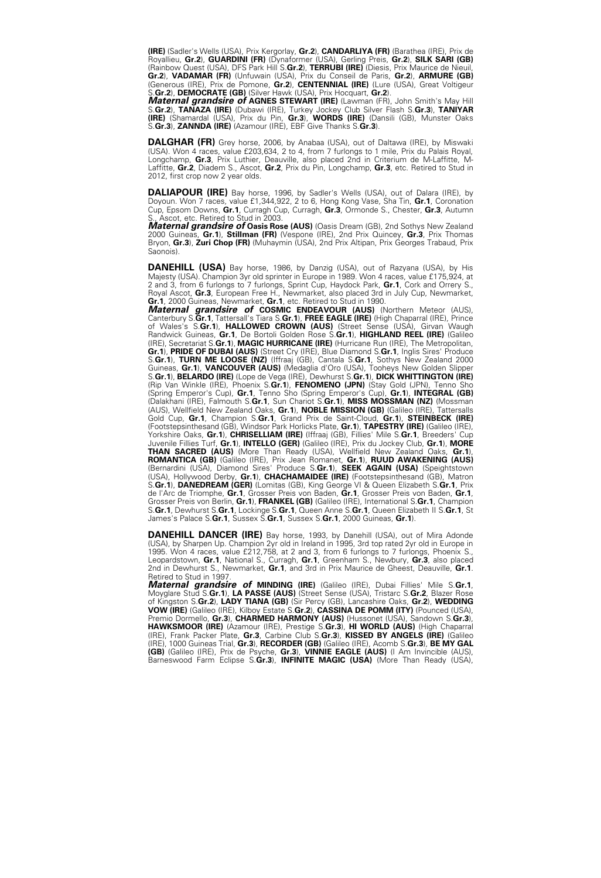**(IRE)** (Sadler's Wells (USA), Prix Kergorlay, **Gr.2**), **CANDARLIYA (FR)** (Barathea (IRE), Prix de Royallieu, **Gr.2**), **GUARDINI (FR)** (Dynaformer (USA), Gerling Preis, **Gr.2**), **SILK SARI (GB)** (Rainbow Quest (USA), DFS Park Hill S.**Gr.2**), **TERRUBI (IRE)** (Diesis, Prix Maurice de Nieuil, **Gr.2**), **VADAMAR (FR)** (Unfuwain (USA), Prix du Conseil de Paris, **Gr.2**), **ARMURE (GB)** (Generous (IRE), Prix de Pomone, **Gr.2**), **CENTENNIAL (IRE)** (Lure (USA), Great Voltigeur S.**Gr.2**), **DEMOCRATE (GB)** (Silver Hawk (USA), Prix Hocquart, **Gr.2**).

*Maternal grandsire of* **AGNES STEWART (IRE)** (Lawman (FR), John Smith's May Hill S.**Gr.2**), **TANAZA (IRE)** (Dubawi (IRE), Turkey Jockey Club Silver Flash S.**Gr.3**), **TANIYAR (IRE)** (Shamardal (USA), Prix du Pin, **Gr.3**), **WORDS (IRE)** (Dansili (GB), Munster Oaks S.**Gr.3**), **ZANNDA (IRE)** (Azamour (IRE), EBF Give Thanks S.**Gr.3**).

**DALGHAR (FR)** Grey horse, 2006, by Anabaa (USA), out of Daltawa (IRE), by Miswaki (USA). Won 4 races, value £203,634, 2 to 4, from 7 furlongs to 1 mile, Prix du Palais Royal, Longchamp, **Gr.3**, Prix Luthier, Deauville, also placed 2nd in Criterium de M-Laffitte, M-Laffitte, **Gr.2**, Diadem S., Ascot, **Gr.2**, Prix du Pin, Longchamp, **Gr.3**, etc. Retired to Stud in 2012, first crop now 2 year olds.

**DALIAPOUR (IRE)** Bay horse, 1996, by Sadler's Wells (USA), out of Dalara (IRE), by Doyoun. Won 7 races, value £1,344,922, 2 to 6, Hong Kong Vase, Sha Tin, **Gr.1**, Coronation Cup, Epsom Downs, **Gr.1**, Curragh Cup, Curragh, **Gr.3**, Ormonde S., Chester, **Gr.3**, Autumn S., Ascot, etc. Retired to Stud in 2003.

**Maternal grandsire of Oasis Rose (AUS)** (Oasis Dream (GB), 2nd Sothys New Zealand<br>2000 Guineas, **Gr.1**), **Stillman (FR)** (Vespone (IRE), 2nd Prix Quincey, **Gr.3**, Prix Thomas<br>Bryon, **Gr.3**), **Zuri Chop (FR)** (Muhaymin (US Saonois).

**DANEHILL (USA)** Bay horse, 1986, by Danzig (USA), out of Razyana (USA), by His Majesty (USA). Champion 3yr old sprinter in Europe in 1989. Won 4 races, value £175,924, at 2 and 3, from 6 furlongs to 7 furlongs, Sprint Cup, Haydock Park, **Gr.1**, Cork and Orrery S., Royal Ascot, **Gr.3**, European Free H., Newmarket, also placed 3rd in July Cup, Newmarket, **Gr.1**, 2000 Guineas, Newmarket, **Gr.1**, etc. Retired to Stud in 1990.

*Maternal grandsire of* **COSMIC ENDEAVOUR (AUS)** (Northern Meteor (AUS), Canterbury S.**Gr.1**, Tattersall's Tiara S.**Gr.1**), **FREE EAGLE (IRE)** (High Chaparral (IRE), Prince of Wales's S.**Gr.1**), **HALLOWED CROWN (AUS)** (Street Sense (USA), Girvan Waugh Randwick Guineas, **Gr.1**, De Bortoli Golden Rose S.**Gr.1**), **HIGHLAND REEL (IRE)** (Galileo (IRE), Secretariat S.**Gr.1**), **MAGIC HURRICANE (IRE)** (Hurricane Run (IRE), The Metropolitan, **Gr.1**), **PRIDE OF DUBAI (AUS)** (Street Cry (IRE), Blue Diamond S.**Gr.1**, Inglis Sires' Produce S.**Gr.1**), **TURN ME LOOSE (NZ)** (Iffraaj (GB), Cantala S.**Gr.1**, Sothys New Zealand 2000 Guineas, **Gr.1**), **VANCOUVER (AUS)** (Medaglia d'Oro (USA), Tooheys New Golden Slipper S.**Gr.1**), **BELARDO (IRE)** (Lope de Vega (IRE), Dewhurst S.**Gr.1**), **DICK WHITTINGTON (IRE)** (Rip Van Winkle (IRE), Phoenix S.**Gr.1**), **FENOMENO (JPN)** (Stay Gold (JPN), Tenno Sho (Spring Emperor's Cup), **Gr.1**, Tenno Sho (Spring Emperor's Cup), **Gr.1**), **INTEGRAL (GB)** (Dalakhani (IRE), Falmouth S.**Gr.1**, Sun Chariot S.**Gr.1**), **MISS MOSSMAN (NZ)** (Mossman (AUS), Wellfield New Zealand Oaks, **Gr.1**), **NOBLE MISSION (GB)** (Galileo (IRE), Tattersalls Gold Cup, **Gr.1**, Champion S.**Gr.1**, Grand Prix de Saint-Cloud, **Gr.1**), **STEINBECK (IRE)** (Footstepsinthesand (GB), Windsor Park Horlicks Plate, **Gr.1**), **TAPESTRY (IRE)** (Galileo (IRE), Yorkshire Oaks, **Gr.1**), **CHRISELLIAM (IRE)** (Iffraaj (GB), Fillies' Mile S.**Gr.1**, Breeders' Cup Juvenile Fillies Turf, **Gr.1**), **INTELLO (GER)** (Galileo (IRE), Prix du Jockey Club, **Gr.1**), **MORE THAN SACRED (AUS)** (More Than Ready (USA), Wellfield New Zealand Oaks, **Gr.1**), **ROMANTICA (GB)** (Galileo (IRE), Prix Jean Romanet, **Gr.1**), **RUUD AWAKENING (AUS)** (Bernardini (USA), Diamond Sires' Produce S.**Gr.1**), **SEEK AGAIN (USA)** (Speightstown (USA), Hollywood Derby, **Gr.1**), **CHACHAMAIDEE (IRE)** (Footstepsinthesand (GB), Matron S.**Gr.1**), **DANEDREAM (GER)** (Lomitas (GB), King George VI & Queen Elizabeth S.**Gr.1**, Prix de l'Arc de Triomphe, **Gr.1**, Grosser Preis von Baden, **Gr.1**, Grosser Preis von Baden, **Gr.1**, Grosser Preis von Berlin, **Gr.1**), **FRANKEL (GB)** (Galileo (IRE), International S.**Gr.1**, Champion S.**Gr.1**, Dewhurst S.**Gr.1**, Lockinge S.**Gr.1**, Queen Anne S.**Gr.1**, Queen Elizabeth II S.**Gr.1**, St James's Palace S.**Gr.1**, Sussex S.**Gr.1**, Sussex S.**Gr.1**, 2000 Guineas, **Gr.1**).

**DANEHILL DANCER (IRE)** Bay horse, 1993, by Danehill (USA), out of Mira Adonde (USA), by Sharpen Up. Champion 2yr old in Ireland in 1995, 3rd top rated 2yr old in Europe in 1995. Won 4 races, value £212,758, at 2 and 3, from 6 furlongs to 7 furlongs, Phoenix S., Leopardstown, **Gr.1**, National S., Curragh, **Gr.1**, Greenham S., Newbury, **Gr.3**, also placed 2nd in Dewhurst S., Newmarket, **Gr.1**, and 3rd in Prix Maurice de Gheest, Deauville, **Gr.1**. Retired to Stud in 1997.

*Maternal grandsire of* **MINDING (IRE)** (Galileo (IRE), Dubai Fillies' Mile S.**Gr.1**, Moyglare Stud S.**Gr.1**), **LA PASSE (AUS)** (Street Sense (USA), Tristarc S.**Gr.2**, Blazer Rose of Kingston S.**Gr.2**), **LADY TIANA (GB)** (Sir Percy (GB), Lancashire Oaks, **Gr.2**), **WEDDING VOW (IRE)** (Galileo (IRE), Kilboy Estate S.**Gr.2**), **CASSINA DE POMM (ITY)** (Pounced (USA), Premio Dormello, **Gr.3**), **CHARMED HARMONY (AUS)** (Hussonet (USA), Sandown S.**Gr.3**), **HAWKSMOOR (IRE)** (Azamour (IRE), Prestige S.**Gr.3**), **HI WORLD (AUS)** (High Chaparral (IRE), Frank Packer Plate, **Gr.3**, Carbine Club S.**Gr.3**), **KISSED BY ANGELS (IRE)** (Galileo (IRE), 1000 Guineas Trial, **Gr.3**), **RECORDER (GB)** (Galileo (IRE), Acomb S.**Gr.3**), **BE MY GAL (GB)** (Galileo (IRE), Prix de Psyche, **Gr.3**), **VINNIE EAGLE (AUS)** (I Am Invincible (AUS), Barneswood Farm Eclipse S.**Gr.3**), **INFINITE MAGIC (USA)** (More Than Ready (USA),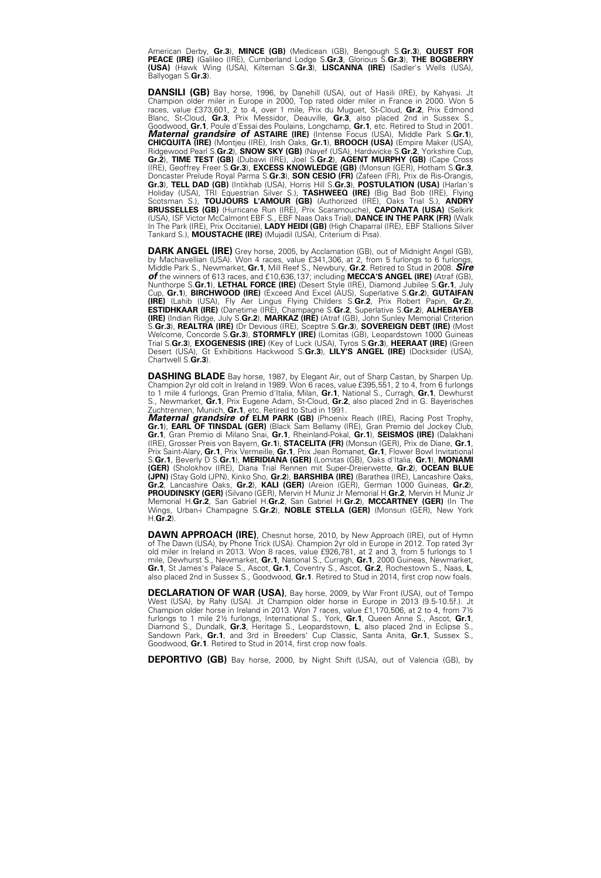American Derby, **Gr.3**), **MINCE (GB)** (Medicean (GB), Bengough S.**Gr.3**), **QUEST FOR PEACE (IRE)** (Galileo (IRE), Cumberland Lodge S.**Gr.3**, Glorious S.**Gr.3**), **THE BOGBERRY (USA)** (Hawk Wing (USA), Kilternan S.**Gr.3**), **LISCANNA (IRE)** (Sadler's Wells (USA), Ballyogan S.**Gr.3**).

**DANSILI (GB)** Bay horse, 1996, by Danehill (USA), out of Hasili (IRE), by Kahyasi. Jt Champion older miler in Europe in 2000, Top rated older miler in France in 2000. Won 5 races, value £373,601, 2 to 4, over 1 mile, Prix du Muguet, St-Cloud, **Gr.2**, Prix Edmond Blanc, St-Cloud, **Gr.3**, Prix Messidor, Deauville, **Gr.3**, also placed 2nd in Sussex S., Goodwood, **Gr.1**, Poule d'Essai des Poulains, Longchamp, **Gr.1**, etc. Retired to Stud in 2001.<br>*Maternal grandsire of* ASTAIRE (IRE) (Intense Focus (USA), Middle Park S.**Gr.1**),<br>CHICQUITA (IRE) (Montjeu (IRE), I Ridgewood Pearl S.**Gr.2**), **SNOW SKY (GB)** (Nayef (USA), Hardwicke S.**Gr.2**, Yorkshire Cup, **Gr.2**), **TIME TEST (GB)** (Dubawi (IRE), Joel S.**Gr.2**), **AGENT MURPHY (GB)** (Cape Cross (IRE), Geoffrey Freer S.**Gr.3**), **EXCESS KNOWLEDGE (GB)** (Monsun (GER), Hotham S.**Gr.3**, Doncaster Prelude Royal Parma S.**Gr.3**), **SON CESIO (FR)** (Zafeen (FR), Prix de Ris-Orangis, **Gr.3**), **TELL DAD (GB)** (Intikhab (USA), Horris Hill S.**Gr.3**), **POSTULATION (USA)** (Harlan's Holiday (USA), TRI Equestrian Silver S.), **TASHWEEQ (IRE)** (Big Bad Bob (IRE), Flying Scotsman S.), **TOUJOURS L'AMOUR (GB)** (Authorized (IRE), Oaks Trial S.), **ANDRY BRUSSELLES (GB)** (Hurricane Run (IRE), Prix Scaramouche), **CAPONATA (USA)** (Selkirk (USA), ISF Victor McCalmont EBF S., EBF Naas Oaks Trial), **DANCE IN THE PARK (FR)** (Walk In The Park (IRE), Prix Occitanie), **LADY HEIDI (GB)** (High Chaparral (IRE), EBF Stallions Silver Tankard S.), **MOUSTACHE (IRE)** (Mujadil (USA), Criterium di Pisa).

**DARK ANGEL (IRE)** Grey horse, 2005, by Acclamation (GB), out of Midnight Angel (GB), by Machiavellian (USA). Won 4 races, value £341,306, at 2, from 5 furlongs to 6 furlongs, Middle Park S., Newmarket, **Gr.1**, Mill Reef S., Newbury, **Gr.2**. Retired to Stud in 2008. *Sire*  of the winners of 613 races, and £10,636,137; including MECCA'S ANGEL (IRE) (Atraf (GB),<br>Nunthorpe S.Gr.1), LETHAL FORCE (IRE) (Desert Style (IRE), Diamond Jubilee S.Gr.1, July<br>Cup, Gr.1), BIRCHWOOD (IRE) (Exceed And Excel **(IRE)** (Lahib (USA), Fly Aer Lingus Flying Childers S.**Gr.2**, Prix Robert Papin, **Gr.2**), **ESTIDHKAAR (IRE)** (Danetime (IRE), Champagne S.**Gr.2**, Superlative S.**Gr.2**), **ALHEBAYEB (IRE)** (Indian Ridge, July S.**Gr.2**), **MARKAZ (IRE)** (Atraf (GB), John Sunley Memorial Criterion S.**Gr.3**), **REALTRA (IRE)** (Dr Devious (IRE), Sceptre S.**Gr.3**), **SOVEREIGN DEBT (IRE)** (Most Welcome, Concorde S.**Gr.3**), **STORMFLY (IRE)** (Lomitas (GB), Leopardstown 1000 Guineas Trial S.**Gr.3**), **EXOGENESIS (IRE)** (Key of Luck (USA), Tyros S.**Gr.3**), **HEERAAT (IRE)** (Green Desert (USA), Gt Exhibitions Hackwood S.**Gr.3**), **LILY'S ANGEL (IRE)** (Docksider (USA), Chartwell S.**Gr.3**).

**DASHING BLADE** Bay horse, 1987, by Elegant Air, out of Sharp Castan, by Sharpen Up. Champion 2yr old colt in Ireland in 1989. Won 6 races, value £395,551, 2 to 4, from 6 furlongs to 1 mile 4 furlongs, Gran Premio d'Italia, Milan, **Gr.1**, National S., Curragh, **Gr.1**, Dewhurst S., Newmarket, **Gr.1**, Prix Eugene Adam, St-Cloud, **Gr.2**, also placed 2nd in G. Bayerisches

Zuchtrennen, Munich, **Gr.1**, etc. Retired to Stud in 1991.<br>*Maternal grandsire of ELM PARK (GB) (Phoenix Reach (IRE), Racing Post Trophy,*<br>Gr.1), EARL OF TINSDAL (GER) (Black Sam Bellamy (IRE), Gran Premio del Jockey Clu **Gr.1**, Gran Premio di Milano Snai, **Gr.1**, Rheinland-Pokal, **Gr.1**), **SEISMOS (IRE)** (Dalakhani (IRE), Grosser Preis von Bayern, **Gr.1**), **STACELITA (FR)** (Monsun (GER), Prix de Diane, **Gr.1**, Prix Saint-Alary, **Gr.1**, Prix Vermeille, **Gr.1**, Prix Jean Romanet, **Gr.1**, Flower Bowl Invitational S.**Gr.1**, Beverly D S.**Gr.1**), **MERIDIANA (GER)** (Lomitas (GB), Oaks d'Italia, **Gr.1**), **MONAMI (GER)** (Sholokhov (IRE), Diana Trial Rennen mit Super-Dreierwette, **Gr.2**), **OCEAN BLUE (JPN)** (Stay Gold (JPN), Kinko Sho, **Gr.2**), **BARSHIBA (IRE)** (Barathea (IRE), Lancashire Oaks, **Gr.2**, Lancashire Oaks, **Gr.2**), **KALI (GER)** (Areion (GER), German 1000 Guineas, **Gr.2**), **PROUDINSKY (GER)** (Silvano (GER), Mervin H Muniz Jr Memorial H.**Gr.2**, Mervin H Muniz Jr Memorial H.**Gr.2**, San Gabriel H.**Gr.2**, San Gabriel H.**Gr.2**), **MCCARTNEY (GER)** (In The Wings, Urban-i Champagne S.**Gr.2**), **NOBLE STELLA (GER)** (Monsun (GER), New York H.**Gr.2**).

**DAWN APPROACH (IRE)**, Chesnut horse, 2010, by New Approach (IRE), out of Hymn of The Dawn (USA), by Phone Trick (USA). Champion 2yr old in Europe in 2012. Top rated 3yr old miler in Ireland in 2013. Won 8 races, value £926,781, at 2 and 3, from 5 furlongs to 1 mile, Dewhurst S., Newmarket, **Gr.1**, National S., Curragh, **Gr.1**, 2000 Guineas, Newmarket, **Gr.1**, St James's Palace S., Ascot, **Gr.1**, Coventry S., Ascot, **Gr.2**, Rochestown S., Naas, **L**, also placed 2nd in Sussex S., Goodwood, **Gr.1**. Retired to Stud in 2014, first crop now foals.

**DECLARATION OF WAR (USA)**, Bay horse, 2009, by War Front (USA), out of Tempo West (USA), by Rahy (USA). Jt Champion older horse in Europe in 2013 (9.5-10.5f.). Jt Champion older horse in Ireland in 2013. Won 7 races, value £1,170,506, at 2 to 4, from  $7\frac{1}{2}$ furlongs to 1 mile 2½ furlongs, International S., York, **Gr.1**, Queen Anne S., Ascot, **Gr.1**, Diamond S., Dundalk, **Gr.3**, Heritage S., Leopardstown, **L**, also placed 2nd in Eclipse S., Sandown Park, **Gr.1**, and 3rd in Breeders' Cup Classic, Santa Anita, **Gr.1**, Sussex S., Goodwood, **Gr.1**. Retired to Stud in 2014, first crop now foals.

**DEPORTIVO (GB)** Bay horse, 2000, by Night Shift (USA), out of Valencia (GB), by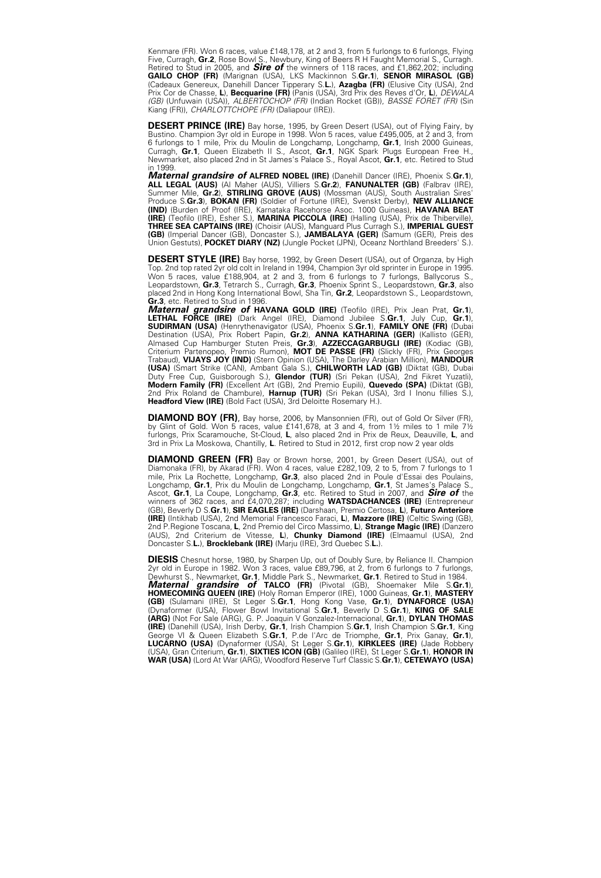Kenmare (FR). Won 6 races, value £148,178, at 2 and 3, from 5 furlongs to 6 furlongs, Flying Five, Curragh, **Gr.2**, Rose Bowl S., Newbury, King of Beers R H Faught Memorial S., Curragh.<br>Retired to Stud in 2005, and *Sire of* the winners of 118 races, and £1,862,202; including<br>GAILO CHOP (FR) (Marignan (USA), LKS M (Cadeaux Genereux, Danehill Dancer Tipperary S.**L.**), **Azagba (FR)** (Elusive City (USA), 2nd Prix Cor de Chasse, **L**), **Becquarine (FR)** (Panis (USA), 3rd Prix des Reves d'Or, **L**), *DEWALA (GB)* (Unfuwain (USA)), *ALBERTOCHOP (FR)* (Indian Rocket (GB)), *BASSE FORET (FR)* (Sin Kiang (FR)), *CHARLOTTCHOPE (FR)* (Daliapour (IRE)).

**DESERT PRINCE (IRE)** Bay horse, 1995, by Green Desert (USA), out of Flying Fairy, by<br>Bustino. Champion 3yr old in Europe in 1998. Won 5 races, value £495,005, at 2 and 3, from<br>6 furlongs to 1 mile, Prix du Moulin de Longc Curragh, **Gr.1**, Queen Elizabeth II S., Ascot, **Gr.1**, NGK Spark Plugs European Free H., Newmarket, also placed 2nd in St James's Palace S., Royal Ascot, **Gr.1**, etc. Retired to Stud in 1999.

*Maternal grandsire of* **ALFRED NOBEL (IRE)** (Danehill Dancer (IRE), Phoenix S.**Gr.1**), **ALL LEGAL (AUS)** (Al Maher (AUS), Villiers S.**Gr.2**), **FANUNALTER (GB)** (Falbrav (IRE), Summer Mile, **Gr.2**), **STIRLING GROVE (AUS)** (Mossman (AUS), South Australian Sires' Produce S.**Gr.3**), **BOKAN (FR)** (Soldier of Fortune (IRE), Svenskt Derby), **NEW ALLIANCE (IND)** (Burden of Proof (IRE), Karnataka Racehorse Asoc. 1000 Guineas), **HAVANA BEAT (IRE)** (Teofilo (IRE), Esher S.), **MARINA PICCOLA (IRE)** (Halling (USA), Prix de Thiberville), **THREE SEA CAPTAINS (IRE)** (Choisir (AUS), Manguard Plus Curragh S.), **IMPERIAL GUEST (GB)** (Imperial Dancer (GB), Doncaster S.), **JAMBALAYA (GER)** (Samum (GER), Preis des Union Gestuts), **POCKET DIARY (NZ)** (Jungle Pocket (JPN), Oceanz Northland Breeders' S.).

**DESERT STYLE (IRE)** Bay horse, 1992, by Green Desert (USA), out of Organza, by High Top. 2nd top rated 2yr old colt in Ireland in 1994, Champion 3yr old sprinter in Europe in 1995. Won 5 races, value £188,904, at 2 and 3, from 6 furlongs to 7 furlongs, Ballycorus S., Leopardstown, **Gr.3**, Tetrarch S., Curragh, **Gr.3**, Phoenix Sprint S., Leopardstown, **Gr.3**, also placed 2nd in Hong Kong International Bowl, Sha Tin, **Gr.2**, Leopardstown S., Leopardstown, **Gr.3**, etc. Retired to Stud in 1996.

*Maternal grandsire of* **HAVANA GOLD (IRE)** (Teofilo (IRE), Prix Jean Prat, **Gr.1**), **LETHAL FORCE (IRE)** (Dark Angel (IRE), Diamond Jubilee S.**Gr.1**, July Cup, **Gr.1**), **SUDIRMAN (USA)** (Henrythenavigator (USA), Phoenix S.**Gr.1**), **FAMILY ONE (FR)** (Dubai Destination (USA), Prix Robert Papin, **Gr.2**), **ANNA KATHARINA (GER)** (Kallisto (GER), Almased Cup Hamburger Stuten Preis, **Gr.3**), **AZZECCAGARBUGLI (IRE)** (Kodiac (GB), Criterium Partenopeo, Premio Rumon), **MOT DE PASSE (FR)** (Slickly (FR), Prix Georges Trabaud), **VIJAYS JOY (IND)** (Stern Opinion (USA), The Darley Arabian Million), **MANDOUR (USA)** (Smart Strike (CAN), Ambant Gala S.), **CHILWORTH LAD (GB)** (Diktat (GB), Dubai Duty Free Cup, Guisborough S.), **Glendor (TUR)** (Sri Pekan (USA), 2nd Fikret Yuzatli), **Modern Family (FR)** (Excellent Art (GB), 2nd Premio Eupili), **Quevedo (SPA)** (Diktat (GB), 2nd Prix Roland de Chambure), **Harnup (TUR)** (Sri Pekan (USA), 3rd I Inonu fillies S.), **Headford View (IRE)** (Bold Fact (USA), 3rd Deloitte Rosemary H.).

**DIAMOND BOY (FR)**, Bay horse, 2006, by Mansonnien (FR), out of Gold Or Silver (FR), by Glint of Gold. Won 5 races, value £141,678, at 3 and 4, from 1½ miles to 1 mile 7½ furlongs, Prix Scaramouche, St-Cloud, **L**, also placed 2nd in Prix de Reux, Deauville, **L**, and 3rd in Prix La Moskowa, Chantilly, **L**. Retired to Stud in 2012, first crop now 2 year olds

**DIAMOND GREEN (FR)** Bay or Brown horse, 2001, by Green Desert (USA), out of Diamonaka (FR), by Akarad (FR). Won 4 races, value £282,109, 2 to 5, from 7 furlongs to 1 mile, Prix La Rochette, Longchamp, **Gr.3**, also placed 2nd in Poule d'Essai des Poulains, Longchamp, **Gr.1**, Prix du Moulin de Longchamp, Longchamp, **Gr.1**, St James's Palace S., Ascot, **Gr.1**, La Coupe, Longchamp, **Gr.3**, etc. Retired to Stud in 2007, and *Sire of* the winners of 362 races, and £4,070,287; including **WATSDACHANCES (IRE)** (Entrepreneur (GB), Beverly D S.**Gr.1), SIR EAGLES (IRE)** (Darshaan, Premio Certosa, **L), Futuro Anteriore**<br>**(IRE)** (Intikhab (USA), 2nd Memorial Francesco Faraci, **L), Mazzore (IRE)** (Celtic Swing (GB), 2nd P.Regione Toscana, **L**, 2nd Premio del Circo Massimo, **L**), **Strange Magic (IRE)** (Danzero (AUS), 2nd Criterium de Vitesse, **L**), **Chunky Diamond (IRE)** (Elmaamul (USA), 2nd Doncaster S.**L.**), **Brocklebank (IRE)** (Marju (IRE), 3rd Quebec S.**L.**).

**DIESIS** Chesnut horse, 1980, by Sharpen Up, out of Doubly Sure, by Reliance II. Champion 2yr old in Europe in 1982. Won 3 races, value £89,796, at 2, from 6 furlongs to 7 furlongs, Dewhurst S., Newmarket, **Gr.1**, Middle Park S., Newmarket, **Gr.1**. Retired to Stud in 1984.<br>*Maternal grandsire of TALCO (FR) (Pivotal (GB), Shoemaker Mile S.Gr.1),***<br>HOMECOMING QUEEN (IRE) (Holy Roman Emperor (IRE), 1000 (GB)** (Sulamani (IRE), St Leger S.**Gr.1**, Hong Kong Vase, **Gr.1**), **DYNAFORCE (USA)** (Dynaformer (USA), Flower Bowl Invitational S.**Gr.1**, Beverly D S.**Gr.1**), **KING OF SALE (ARG)** (Not For Sale (ARG), G. P. Joaquin V Gonzalez-Internacional, **Gr.1**), **DYLAN THOMAS (IRE)** (Danehill (USA), Irish Derby, **Gr.1**, Irish Champion S.**Gr.1**, Irish Champion S.**Gr.1**, King George VI & Queen Elizabeth S.**Gr.1**, P.de l'Arc de Triomphe, **Gr.1**, Prix Ganay, **Gr.1**), **LUCARNO (USA)** (Dynaformer (USA), St Leger S.**Gr.1**), **KIRKLEES (IRE)** (Jade Robbery (USA), Gran Criterium, **Gr.1**), **SIXTIES ICON (GB)** (Galileo (IRE), St Leger S.**Gr.1**), **HONOR IN WAR (USA)** (Lord At War (ARG), Woodford Reserve Turf Classic S.**Gr.1**), **CETEWAYO (USA)**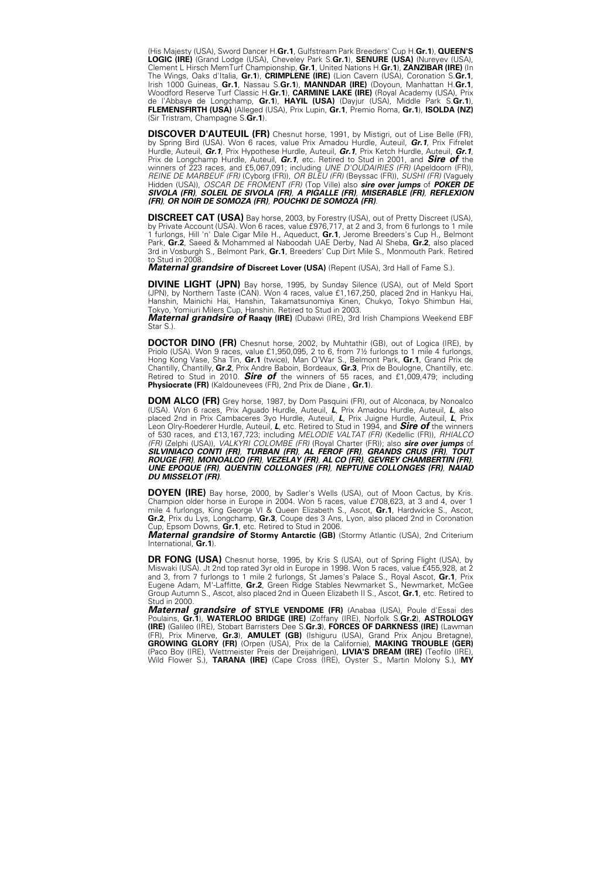(His Majesty (USA), Sword Dancer H.**Gr.1**, Gulfstream Park Breeders' Cup H.**Gr.1**), **QUEEN'S LOGIC (IRE)** (Grand Lodge (USA), Cheveley Park S.**Gr.1**), **SENURE (USA)** (Nureyev (USA), Clement L Hirsch MemTurf Championship, **Gr.1**, United Nations H.**Gr.1**), **ZANZIBAR (IRE)** (In The Wings, Oaks d'Italia, **Gr.1**), **CRIMPLENE (IRE)** (Lion Cavern (USA), Coronation S.**Gr.1**, Irish 1000 Guineas, **Gr.1**, Nassau S.**Gr.1**), **MANNDAR (IRE)** (Doyoun, Manhattan H.**Gr.1**, Woodford Reserve Turf Classic H.**Gr.1**), **CARMINE LAKE (IRE)** (Royal Academy (USA), Prix de l'Abbaye de Longchamp, **Gr.1**), **HAYIL (USA)** (Dayjur (USA), Middle Park S.**Gr.1**), **FLEMENSFIRTH (USA)** (Alleged (USA), Prix Lupin, **Gr.1**, Premio Roma, **Gr.1**), **ISOLDA (NZ)** (Sir Tristram, Champagne S.**Gr.1**).

**DISCOVER D'AUTEUIL (FR)** Chesnut horse, 1991, by Mistigri, out of Lise Belle (FR), by Spring Bird (USA). Won 6 races, value Prix Amadou Hurdle, Auteuil, *Gr.1*, Prix Fifrelet Hurdle, Auteuil, *Gr.1*, Prix Hypothese Hurdle, Auteuil, *Gr.1*, Prix Ketch Hurdle, Auteuil, *Gr.1*, Prix de Longchamp Hurdle, Auteuil, *Gr.1*, etc. Retired to Stud in 2001, and *Sire of* the winners of 223 races, and £5,067,091; including *UNE D'OUDAIRIES (FR)* (Apeldoorn (FR)), *REINE DE MARBEUF (FR)* (Cyborg (FR)), *OR BLEU (FR)* (Beyssac (FR)), *SUSHI (FR)* (Vaguely Hidden (USA)), *OSCAR DE FROMENT (FR)* (Top Ville) also **sire over jumps** of **POKER DE**<br>**SIVOLA (FR), SOLEIL DE SIVOLA (FR), A PIGALLE (FR), MISERABLE (FR), REFLEXION** *(FR), OR NOIR DE SOMOZA (FR), POUCHKI DE SOMOZA (FR)*.

**DISCREET CAT (USA)** Bay horse, 2003, by Forestry (USA), out of Pretty Discreet (USA), by Private Account (USA). Won 6 races, value £976,717, at 2 and 3, from 6 furlongs to 1 mile 1 furlongs, Hill 'n' Dale Cigar Mile H., Aqueduct, **Gr.1**, Jerome Breeders's Cup H., Belmont Park, **Gr.2**, Saeed & Mohammed al Naboodah UAE Derby, Nad Al Sheba, **Gr.2**, also placed 3rd in Vosburgh S., Belmont Park, **Gr.1**, Breeders' Cup Dirt Mile S., Monmouth Park. Retired Stud in 2008.

*Maternal grandsire of* **Discreet Lover (USA)** (Repent (USA), 3rd Hall of Fame S.).

**DIVINE LIGHT (JPN)** Bay horse, 1995, by Sunday Silence (USA), out of Meld Sport (JPN), by Northern Taste (CAN). Won 4 races, value £1,167,250, placed 2nd in Hankyu Hai, Hanshin, Mainichi Hai, Hanshin, Takamatsunomiya Kinen, Chukyo, Tokyo Shimbun Hai,

Tokyo, Yomiuri Milers Cup, Hanshin. Retired to Stud in 2003. *Maternal grandsire of* **Raaqy (IRE)** (Dubawi (IRE), 3rd Irish Champions Weekend EBF Star S.).

**DOCTOR DINO (FR)** Chesnut horse, 2002, by Muhtathir (GB), out of Logica (IRE), by Priolo (USA). Won 9 races, value £1,950,095, 2 to 6, from 7½ furlongs to 1 mile 4 furlongs, Hong Kong Vase, Sha Tin, **Gr.1** (twice), Man O'War S., Belmont Park, **Gr.1**, Grand Prix de Chantilly, Chantilly, **Gr.2**, Prix Andre Baboin, Bordeaux, **Gr.3**, Prix de Boulogne, Chantilly, etc. Retired to Stud in 2010. *Sire of* the winners of 55 races, and £1,009,479; including **Physiocrate (FR)** (Kaldounevees (FR), 2nd Prix de Diane , **Gr.1**).

**DOM ALCO (FR)** Grey horse, 1987, by Dom Pasquini (FR), out of Alconaca, by Nonoalco (USA). Won 6 races, Prix Aguado Hurdle, Auteuil, *L*, Prix Amadou Hurdle, Auteuil, *L*, also placed 2nd in Prix Cambaceres 3yo Hurdle, Auteuil, **L**, Prix Juigne Hurdle, Auteuil, **L**, Prix<br>Leon Olry-Roederer Hurdle, Auteuil, **L**, etc. Retired to Stud in 1994, and **Sire of** the winners<br>of 530 races, and £13,167,723; *SILVINIACO CONTI (FR), TURBAN (FR), AL FEROF (FR), GRANDS CRUS (FR), TOUT ROUGE (FR), MONOALCO (FR), VEZELAY (FR), AL CO (FR), GEVREY CHAMBERTIN (FR), UNE EPOQUE (FR), QUENTIN COLLONGES (FR), NEPTUNE COLLONGES (FR), NAIAD DU MISSELOT (FR)*.

**DOYEN (IRE)** Bay horse, 2000, by Sadler's Wells (USA), out of Moon Cactus, by Kris. Champion older horse in Europe in 2004. Won 5 races, value £708,623, at 3 and 4, over 1 mile 4 furlongs, King George VI & Queen Elizabeth S., Ascot, **Gr.1**, Hardwicke S., Ascot, **Gr.2**, Prix du Lys, Longchamp, **Gr.3**, Coupe des 3 Ans, Lyon, also placed 2nd in Coronation Cup, Epsom Downs, **Gr.1**, etc. Retired to Stud in 2006.

*Maternal grandsire of* **Stormy Antarctic (GB)** (Stormy Atlantic (USA), 2nd Criterium International, **Gr.1**).

**DR FONG (USA)** Chesnut horse, 1995, by Kris S (USA), out of Spring Flight (USA), by Miswaki (USA). Jt 2nd top rated 3yr old in Europe in 1998. Won 5 races, value £455,928, at 2 and 3, from 7 furlongs to 1 mile 2 furlongs, St James's Palace S., Royal Ascot, **Gr.1**, Prix Eugene Adam, M'-Laffitte, **Gr.2**, Green Ridge Stables Newmarket S., Newmarket, McGee Group Autumn S., Ascot, also placed 2nd in Queen Elizabeth II S., Ascot, **Gr.1**, etc. Retired to Stud in 2000.

*Maternal grandsire of* **STYLE VENDOME (FR)** (Anabaa (USA), Poule d'Essai des Poulains, **Gr.1**), **WATERLOO BRIDGE (IRE)** (Zoffany (IRE), Norfolk S.**Gr.2**), **ASTROLOGY (IRE)** (Galileo (IRE), Stobart Barristers Dee S.**Gr.3**), **FORCES OF DARKNESS (IRE)** (Lawman (FR), Prix Minerve, **Gr.3**), **AMULET (GB)** (Ishiguru (USA), Grand Prix Anjou Bretagne), **GROWING GLORY (FR)** (Orpen (USA), Prix de la Californie), **MAKING TROUBLE (GER)** (Paco Boy (IRE), Wettmeister Preis der Dreijahrigen), **LIVIA'S DREAM (IRE)** (Teofilo (IRE), Wild Flower S.), **TARANA (IRE)** (Cape Cross (IRE), Oyster S., Martin Molony S.), **MY**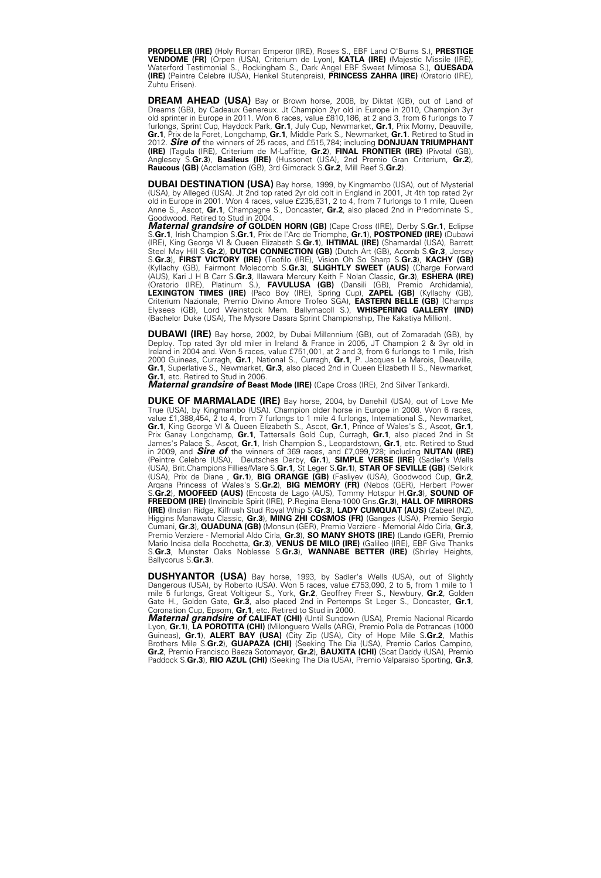**PROPELLER (IRE)** (Holy Roman Emperor (IRE), Roses S., EBF Land O'Burns S.), **PRESTIGE VENDOME (FR)** (Orpen (USA), Criterium de Lyon), **KATLA (IRE)** (Majestic Missile (IRE), Waterford Testimonial S., Rockingham S., Dark Angel EBF Sweet Mimosa S.), **QUESADA (IRE)** (Peintre Celebre (USA), Henkel Stutenpreis), **PRINCESS ZAHRA (IRE)** (Oratorio (IRE), Zuhtu Erisen).

**DREAM AHEAD (USA)** Bay or Brown horse, 2008, by Diktat (GB), out of Land of Dreams (GB), by Cadeaux Genereux. Jt Champion 2yr old in Europe in 2010, Champion 3yr old sprinter in Europe in 2011. Won 6 races, value £810,186, at 2 and 3, from 6 furlongs to 7 furlongs, Sprint Cup, Haydock Park, **Gr.1**, July Cup, Newmarket, **Gr.1**, Prix Morny, Deauville, **Gr.1**, Prix de la Foret, Longchamp, **Gr.1**, Middle Park S., Newmarket, **Gr.1**. Retired to Stud in 2012. *Sire of* the winners of 25 races, and £515,784; including **DONJUAN TRIUMPHANT (IRE)** (Tagula (IRE), Criterium de M-Laffitte, **Gr.2**), **FINAL FRONTIER (IRE)** (Pivotal (GB), Anglesey S.**Gr.3**), **Basileus (IRE)** (Hussonet (USA), 2nd Premio Gran Criterium, **Gr.2**), **Raucous (GB)** (Acclamation (GB), 3rd Gimcrack S.**Gr.2**, Mill Reef S.**Gr.2**).

**DUBAI DESTINATION (USA)** Bay horse, 1999, by Kingmambo (USA), out of Mysterial (USA), by Alleged (USA). Jt 2nd top rated 2yr old colt in England in 2001, Jt 4th top rated 2yr old in Europe in 2001. Won 4 races, value £235,631, 2 to 4, from 7 furlongs to 1 mile, Queen Anne S., Ascot, **Gr.1**, Champagne S., Doncaster, **Gr.2**, also placed 2nd in Predominate S., Goodwood. Retired to Stud in 2004.

*Maternal grandsire of* **GOLDEN HORN (GB)** (Cape Cross (IRE), Derby S.**Gr.1**, Eclipse S.**Gr.1**, Irish Champion S.**Gr.1**, Prix de l'Arc de Triomphe, **Gr.1**), **POSTPONED (IRE)** (Dubawi (IRE), King George VI & Queen Elizabeth S.**Gr.1**), **IHTIMAL (IRE)** (Shamardal (USA), Barrett Steel May Hill S.**Gr.2**), **DUTCH CONNECTION (GB)** (Dutch Art (GB), Acomb S.**Gr.3**, Jersey S.**Gr.3**), **FIRST VICTORY (IRE)** (Teofilo (IRE), Vision Oh So Sharp S.**Gr.3**), **KACHY (GB)** (Kyllachy (GB), Fairmont Molecomb S.**Gr.3**), **SLIGHTLY SWEET (AUS)** (Charge Forward (AUS), Kari J H B Carr S.**Gr.3**, Illawara Mercury Keith F Nolan Classic, **Gr.3**), **ESHERA (IRE)** (Oratorio (IRE), Platinum S.), **FAVULUSA (GB)** (Dansili (GB), Premio Archidamia), **LEXINGTON TIMES (IRE)** (Paco Boy (IRE), Spring Cup), **ZAPEL (GB)** (Kyllachy (GB), Criterium Nazionale, Premio Divino Amore Trofeo SGA), **EASTERN BELLE (GB)** (Champs Elysees (GB), Lord Weinstock Mem. Ballymacoll S.), **WHISPERING GALLERY (IND)** (Bachelor Duke (USA), The Mysore Dasara Sprint Championship, The Kakatiya Million).

**DUBAWI (IRE)** Bay horse, 2002, by Dubai Millennium (GB), out of Zomaradah (GB), by Deploy. Top rated 3yr old miler in Ireland & France in 2005, JT Champion 2 & 3yr old in Ireland in 2004 and. Won 5 races, value £751,001, at 2 and 3, from 6 furlongs to 1 mile, Irish 2000 Guineas, Curragh, **Gr.1**, National S., Curragh, **Gr.1**, P. Jacques Le Marois, Deauville, **Gr.1**, Superlative S., Newmarket, **Gr.3**, also placed 2nd in Queen Elizabeth II S., Newmarket, **Gr.1**, etc. Retired to Stud in 2006.

*Maternal grandsire of* **Beast Mode (IRE)** (Cape Cross (IRE), 2nd Silver Tankard).

**DUKE OF MARMALADE (IRE)** Bay horse, 2004, by Danehill (USA), out of Love Me True (USA), by Kingmambo (USA). Champion older horse in Europe in 2008. Won 6 races, value £1,388,454, 2 to 4, from 7 furlongs to 1 mile 4 furlongs, International S., Newmarket, **Gr.1**, King George VI & Queen Elizabeth S., Ascot, **Gr.1**, Prince of Wales's S., Ascot, **Gr.1**, Prix Ganay Longchamp, **Gr.1**, Tattersalls Gold Cup, Curragh, **Gr.1**, also placed 2nd in St James's Palace S., Ascot, **Gr.1**, Irish Champion S., Leopardstown, **Gr.1**, etc. Retired to Stud in 2009, and *Sire of* the winners of 369 races, and £7,099,728; including **NUTAN (IRE)** (Peintre Celebre (USA), Deutsches Derby, **Gr.1**), **SIMPLE VERSE (IRE)** (Sadler's Wells (USA), Brit.Champions Fillies/Mare S.**Gr.1**, St Leger S.**Gr.1**), **STAR OF SEVILLE (GB)** (Selkirk (USA), Prix de Diane , **Gr.1**), **BIG ORANGE (GB)** (Fasliyev (USA), Goodwood Cup, **Gr.2**, Arqana Princess of Wales's S.Gr.2), **BIG MEMORY (FR)** (Nebos (GER), Herbert Power S.**Gr.2**), **MOOFEED (AUS)** (Encosta de Lago (AUS), Tommy Hotspur H.**Gr.3**), **SOUND OF FREEDOM (IRE)** (Invincible Spirit (IRE), P.Regina Elena-1000 Gns.**Gr.3**), **HALL OF MIRRORS (IRE)** (Indian Ridge, Kilfrush Stud Royal Whip S.**Gr.3**), **LADY CUMQUAT (AUS)** (Zabeel (NZ), Higgins Manawatu Classic, **Gr.3**), **MING ZHI COSMOS (FR)** (Ganges (USA), Premio Sergio Cumani, **Gr.3**), **QUADUNA (GB)** (Monsun (GER), Premio Verziere - Memorial Aldo Cirla, **Gr.3**, Premio Verziere - Memorial Aldo Cirla, **Gr.3**), **SO MANY SHOTS (IRE)** (Lando (GER), Premio Mario Incisa della Rocchetta, **Gr.3**), **VENUS DE MILO (IRE)** (Galileo (IRE), EBF Give Thanks S.**Gr.3**, Munster Oaks Noblesse S.**Gr.3**), **WANNABE BETTER (IRE)** (Shirley Heights, Ballycorus S.**Gr.3**).

**DUSHYANTOR (USA)** Bay horse, 1993, by Sadler's Wells (USA), out of Slightly Dangerous (USA), by Roberto (USA). Won 5 races, value £753,090, 2 to 5, from 1 mile to 1 mile 5 furlongs, Great Voltigeur S., York, **Gr.2**, Geoffrey Freer S., Newbury, **Gr.2**, Golden Gate H., Golden Gate, **Gr.3**, also placed 2nd in Pertemps St Leger S., Doncaster, **Gr.1**,

Coronation Cup, Epsom, **Gr.1**, etc. Retired to Stud in 2000.<br>**Maternal grandsire of CALIFAT (CHI)** (Until Sundown (USA), Premio Nacional Ricardo<br>Lyon, **Gr.1), LA POROTITA (CHI)** (Milonguero Wells (ARG), Premio Polla de Pot Guineas), **Gr.1**), **ALERT BAY (USA)** (City Zip (USA), City of Hope Mile S.**Gr.2**, Mathis Brothers Mile S.**Gr.2**), **GUAPAZA (CHI)** (Seeking The Dia (USA), Premio Carlos Campino, **Gr.2**, Premio Francisco Baeza Sotomayor, **Gr.2**), **BAUXITA (CHI)** (Scat Daddy (USA), Premio Paddock S.**Gr.3**), **RIO AZUL (CHI)** (Seeking The Dia (USA), Premio Valparaiso Sporting, **Gr.3**,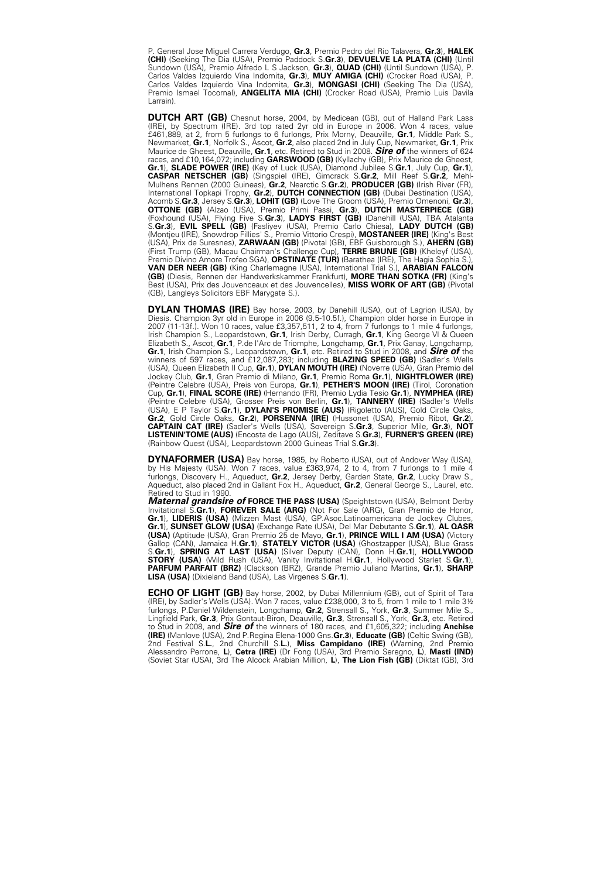P. General Jose Miguel Carrera Verdugo, **Gr.3**, Premio Pedro del Rio Talavera, **Gr.3**), **HALEK (CHI)** (Seeking The Dia (USA), Premio Paddock S.**Gr.3**), **DEVUELVE LA PLATA (CHI)** (Until Sundown (USA), Premio Alfredo L S Jackson, **Gr.3**), **QUAD (CHI)** (Until Sundown (USA), P. Carlos Valdes Izquierdo Vina Indomita, **Gr.3**), **MUY AMIGA (CHI)** (Crocker Road (USA), P. Carlos Valdes Izquierdo Vina Indomita, **Gr.3**), **MONGASI (CHI)** (Seeking The Dia (USA), Premio Ismael Tocornal), **ANGELITA MIA (CHI)** (Crocker Road (USA), Premio Luis Davila Larrain).

**DUTCH ART (GB)** Chesnut horse, 2004, by Medicean (GB), out of Halland Park Lass (IRE), by Spectrum (IRE). 3rd top rated 2yr old in Europe in 2006. Won 4 races, value £461,889, at 2, from 5 furlongs to 6 furlongs, Prix Morny, Deauville, **Gr.1**, Middle Park S.,<br>Newmarket, **Gr.1**, Norfolk S., Ascot, **Gr.2**, also placed 2nd in July Cup, Newmarket, **Gr.1**, Prix<br>Maurice de Gheest, Deauville, races, and £10,164,072; including **GARSWOOD (GB)** (Kyllachy (GB), Prix Maurice de Gheest, **Gr.1**), **SLADE POWER (IRE)** (Key of Luck (USA), Diamond Jubilee S.**Gr.1**, July Cup, **Gr.1**), **CASPAR NETSCHER (GB)** (Singspiel (IRE), Gimcrack S.**Gr.2**, Mill Reef S.**Gr.2**, Mehl-Mulhens Rennen (2000 Guineas), **Gr.2**, Nearctic S.**Gr.2**), **PRODUCER (GB)** (Irish River (FR), International Topkapi Trophy, **Gr.2**), **DUTCH CONNECTION (GB)** (Dubai Destination (USA), Acomb S.**Gr.3**, Jersey S.**Gr.3**), **LOHIT (GB)** (Love The Groom (USA), Premio Omenoni, **Gr.3**), **OTTONE (GB)** (Alzao (USA), Premio Primi Passi, **Gr.3**), **DUTCH MASTERPIECE (GB)** (Foxhound (USA), Flying Five S.**Gr.3**), **LADYS FIRST (GB)** (Danehill (USA), TBA Atalanta S.**Gr.3**), **EVIL SPELL (GB)** (Fasliyev (USA), Premio Carlo Chiesa), **LADY DUTCH (GB)** (Montjeu (IRE), Snowdrop Fillies' S., Premio Vittorio Crespi), **MOSTANEER (IRE)** (King's Best (USA), Prix de Suresnes), **ZARWAAN (GB)** (Pivotal (GB), EBF Guisborough S.), **AHERN (GB)** (First Trump (GB), Macau Chairman's Challenge Cup), **TERRE BRUNE (GB)** (Kheleyf (USA), Premio Divino Amore Trofeo SGA), **OPSTINATE (TUR)** (Barathea (IRE), The Hagia Sophia S.), **VAN DER NEER (GB)** (King Charlemagne (USA), International Trial S.), **ARABIAN FALCON (GB)** (Diesis, Rennen der Handwerkskammer Frankfurt), **MORE THAN SOTKA (FR)** (King's Best (USA), Prix des Jouvenceaux et des Jouvencelles), **MISS WORK OF ART (GB)** (Pivotal (GB), Langleys Solicitors EBF Marygate S.).

**DYLAN THOMAS (IRE)** Bay horse, 2003, by Danehill (USA), out of Lagrion (USA), by Diesis. Champion 3yr old in Europe in 2006 (9.5-10.5f.), Champion older horse in Europe in 2007 (11-13f.). Won 10 races, value £3,357,511, 2 to 4, from 7 furlongs to 1 mile 4 furlongs, Irish Champion S., Leopardstown, **Gr.1**, Irish Derby, Curragh, **Gr.1**, King George VI & Queen<br>Elizabeth S., Ascot, **Gr.1**, P.de l'Arc de Triomphe, Longchamp, **Gr.1**, Prix Ganay, Longchamp,<br>**Gr.1**, Irish Champion S., Leopar winners of 597 races, and £12,087,283; including **BLAZING SPEED (GB)** (Sadler's Wells (USA), Queen Elizabeth II Cup, **Gr.1**), **DYLAN MOUTH (IRE)** (Noverre (USA), Gran Premio del Jockey Club, **Gr.1**, Gran Premio di Milano, **Gr.1**, Premio Roma **Gr.1**), **NIGHTFLOWER (IRE)** (Peintre Celebre (USA), Preis von Europa, **Gr.1**), **PETHER'S MOON (IRE)** (Tirol, Coronation Cup, **Gr.1**), **FINAL SCORE (IRE)** (Hernando (FR), Premio Lydia Tesio **Gr.1**), **NYMPHEA (IRE)** (Peintre Celebre (USA), Grosser Preis von Berlin, **Gr.1**), **TANNERY (IRE)** (Sadler's Wells (USA), E P Taylor S.**Gr.1**), **DYLAN'S PROMISE (AUS)** (Rigoletto (AUS), Gold Circle Oaks, **Gr.2**, Gold Circle Oaks, **Gr.2**), **PORSENNA (IRE)** (Hussonet (USA), Premio Ribot, **Gr.2**), **CAPTAIN CAT (IRE)** (Sadler's Wells (USA), Sovereign S.**Gr.3**, Superior Mile, **Gr.3**), **NOT LISTENIN'TOME (AUS)** (Encosta de Lago (AUS), Zeditave S.**Gr.3**), **FURNER'S GREEN (IRE)** (Rainbow Quest (USA), Leopardstown 2000 Guineas Trial S.**Gr.3**).

**DYNAFORMER (USA)** Bay horse, 1985, by Roberto (USA), out of Andover Way (USA), by His Majesty (USA). Won 7 races, value £363,974, 2 to 4, from 7 furlongs to 1 mile 4 furlongs, Discovery H., Aqueduct, **Gr.2**, Jersey Derby, Garden State, **Gr.2**, Lucky Draw S., Aqueduct, also placed 2nd in Gallant Fox H., Aqueduct, **Gr.2**, General George S., Laurel, etc.

Retired to Stud in 1990. *Maternal grandsire of* **FORCE THE PASS (USA)** (Speightstown (USA), Belmont Derby Invitational S.**Gr.1**), **FOREVER SALE (ARG)** (Not For Sale (ARG), Gran Premio de Honor, **Gr.1**), **LIDERIS (USA)** (Mizzen Mast (USA), GP.Asoc.Latinoamericana de Jockey Clubes, **Gr.1**), **SUNSET GLOW (USA)** (Exchange Rate (USA), Del Mar Debutante S.**Gr.1**), **AL QASR (USA)** (Aptitude (USA), Gran Premio 25 de Mayo, **Gr.1**), **PRINCE WILL I AM (USA)** (Victory Gallop (CAN), Jamaica H.**Gr.1**), **STATELY VICTOR (USA)** (Ghostzapper (USA), Blue Grass S.**Gr.1**), **SPRING AT LAST (USA)** (Silver Deputy (CAN), Donn H.**Gr.1**), **HOLLYWOOD STORY (USA)** (Wild Rush (USA), Vanity Invitational H.**Gr.1**, Hollywood Starlet S.**Gr.1**), **PARFUM PARFAIT (BRZ)** (Clackson (BRZ), Grande Premio Juliano Martins, **Gr.1**), **SHARP LISA (USA)** (Dixieland Band (USA), Las Virgenes S.**Gr.1**).

**ECHO OF LIGHT (GB)** Bay horse, 2002, by Dubai Millennium (GB), out of Spirit of Tara (IRE), by Sadler's Wells (USA). Won 7 races, value £238,000, 3 to 5, from 1 mile to 1 mile 3½ furlongs, P.Daniel Wildenstein, Longchamp, **Gr.2**, Strensall S., York, **Gr.3**, Summer Mile S.,<br>Lingfield Park, **Gr.3**, Prix Gontaut-Biron, Deauville, **Gr.3**, Strensall S., York, **Gr.3**, etc. Retired<br>to Stud in 2008, and **(IRE)** (Manlove (USA), 2nd P.Regina Elena-1000 Gns.**Gr.3**), **Educate (GB)** (Celtic Swing (GB), 2nd Festival S.**L.**, 2nd Churchill S.**L.**), **Miss Campidano (IRE)** (Warning, 2nd Premio Alessandro Perrone, **L**), **Cetra (IRE)** (Dr Fong (USA), 3rd Premio Seregno, **L**), **Masti (IND)** (Soviet Star (USA), 3rd The Alcock Arabian Million, **L**), **The Lion Fish (GB)** (Diktat (GB), 3rd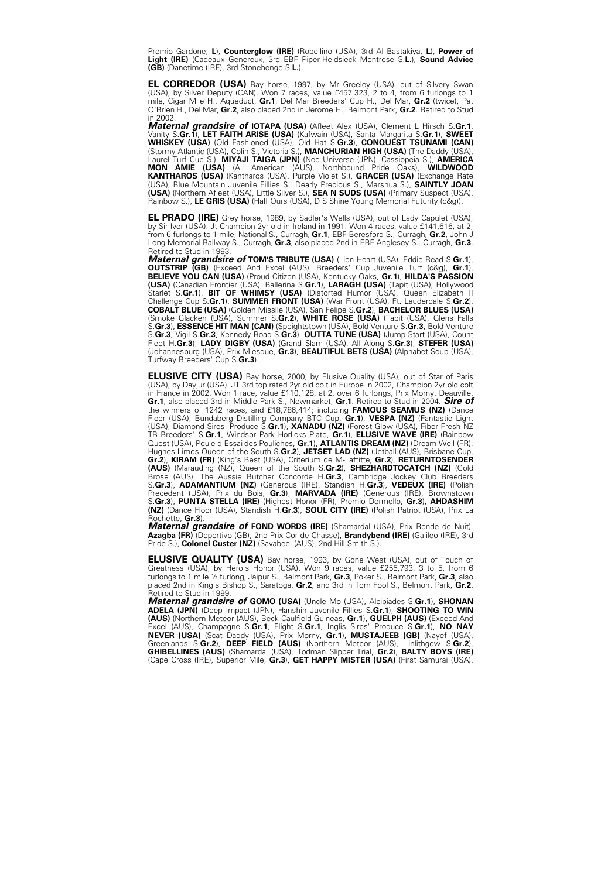Premio Gardone, **L**), **Counterglow (IRE)** (Robellino (USA), 3rd Al Bastakiya, **L**), **Power of Light (IRE)** (Cadeaux Genereux, 3rd EBF Piper-Heidsieck Montrose S.**L.**), **Sound Advice (GB)** (Danetime (IRE), 3rd Stonehenge S.**L.**).

**EL CORREDOR (USA)** Bay horse, 1997, by Mr Greeley (USA), out of Silvery Swan (USA), by Silver Deputy (CAN). Won 7 races, value £457,323, 2 to 4, from 6 furlongs to 1 mile, Cigar Mile H., Aqueduct, **Gr.1**, Del Mar Breeders' Cup H., Del Mar, **Gr.2** (twice), Pat O'Brien H., Del Mar, **Gr.2**, also placed 2nd in Jerome H., Belmont Park, **Gr.2**. Retired to Stud in 2002.

*Maternal grandsire of* **IOTAPA (USA)** (Afleet Alex (USA), Clement L Hirsch S.**Gr.1**, Vanity S.**Gr.1**), **LET FAITH ARISE (USA)** (Kafwain (USA), Santa Margarita S.**Gr.1**), **SWEET WHISKEY (USA)** (Old Fashioned (USA), Old Hat S.**Gr.3**), **CONQUEST TSUNAMI (CAN)** (Stormy Atlantic (USA), Colin S., Victoria S.), **MANCHURIAN HIGH (USA)** (The Daddy (USA), Laurel Turf Cup S.), **MIYAJI TAIGA (JPN)** (Neo Universe (JPN), Cassiopeia S.), **AMERICA MON AMIE (USA)** (All American (AUS), Northbound Pride Oaks), **WILDWOOD KANTHAROS (USA)** (Kantharos (USA), Purple Violet S.), **GRACER (USA)** (Exchange Rate (USA), Blue Mountain Juvenile Fillies S., Dearly Precious S., Marshua S.), **SAINTLY JOAN (USA)** (Northern Afleet (USA), Little Silver S.), **SEA N SUDS (USA)** (Primary Suspect (USA), Rainbow S.), LE GRIS (USA) (Half Ours (USA), D S Shine Young Memorial Futurity (c&g)).

**EL PRADO (IRE)** Grey horse, 1989, by Sadler's Wells (USA), out of Lady Capulet (USA), by Sir Ivor (USA). Jt Champion 2yr old in Ireland in 1991. Won 4 races, value £141,616, at 2, from 6 furlongs to 1 mile, National S., Curragh, **Gr.1**, EBF Beresford S., Curragh, **Gr.2**, John J Long Memorial Railway S., Curragh, **Gr.3**, also placed 2nd in EBF Anglesey S., Curragh, **Gr.3**. Retired to Stud in 1993.

*Maternal grandsire of* **TOM'S TRIBUTE (USA)** (Lion Heart (USA), Eddie Read S.**Gr.1**), **OUTSTRIP (GB)** (Exceed And Excel (AUS), Breeders' Cup Juvenile Turf (c&g), **Gr.1**), **BELIEVE YOU CAN (USA)** (Proud Citizen (USA), Kentucky Oaks, **Gr.1**), **HILDA'S PASSION (USA)** (Canadian Frontier (USA), Ballerina S.**Gr.1**), **LARAGH (USA)** (Tapit (USA), Hollywood Starlet S.**Gr.1**), **BIT OF WHIMSY (USA)** (Distorted Humor (USA), Queen Elizabeth II Challenge Cup S.**Gr.1**), **SUMMER FRONT (USA)** (War Front (USA), Ft. Lauderdale S.**Gr.2**), **COBALT BLUE (USA)** (Golden Missile (USA), San Felipe S.**Gr.2**), **BACHELOR BLUES (USA)** (Smoke Glacken (USA), Summer S.**Gr.2**), **WHITE ROSE (USA)** (Tapit (USA), Glens Falls S.**Gr.3**), **ESSENCE HIT MAN (CAN)** (Speightstown (USA), Bold Venture S.**Gr.3**, Bold Venture S.**Gr.3**, Vigil S.**Gr.3**, Kennedy Road S.**Gr.3**), **OUTTA TUNE (USA)** (Jump Start (USA), Count<br>Fleet H.**Gr.3), LADY DIGBY (USA)** (Grand Slam (USA), All Along S.**Gr.3), STEFER (USA)** (Johannesburg (USA), Prix Miesque, **Gr.3**), **BEAUTIFUL BETS (USA)** (Alphabet Soup (USA), Turfway Breeders' Cup S.**Gr.3**).

**ELUSIVE CITY (USA)** Bay horse, 2000, by Elusive Quality (USA), out of Star of Paris (USA), by Dayjur (USA). JT 3rd top rated 2yr old colt in Europe in 2002, Champion 2yr old colt in France in 2002. Won 1 race, value £110,128, at 2, over 6 furlongs, Prix Morny, Deauville, **Gr.1**, also placed 3rd in Middle Park S., Newmarket, **Gr.1**. Retired to Stud in 2004. *Sire of*  the winners of 1242 races, and £18,786,414; including **FAMOUS SEAMUS (NZ)** (Dance Floor (USA), Bundaberg Distilling Company BTC Cup, **Gr.1**), **VESPA (NZ)** (Fantastic Light (USA), Diamond Sires' Produce S.**Gr.1**), **XANADU (NZ)** (Forest Glow (USA), Fiber Fresh NZ TB Breeders' S.**Gr.1**, Windsor Park Horlicks Plate, **Gr.1**), **ELUSIVE WAVE (IRE)** (Rainbow Quest (USA), Poule d'Essai des Pouliches, **Gr.1**), **ATLANTIS DREAM (NZ)** (Dream Well (FR), Hughes Limos Queen of the South S.**Gr.2**), **JETSET LAD (NZ)** (Jetball (AUS), Brisbane Cup, **Gr.2**), **KIRAM (FR)** (King's Best (USA), Criterium de M-Laffitte, **Gr.2**), **RETURNTOSENDER (AUS)** (Marauding (NZ), Queen of the South S.**Gr.2**), **SHEZHARDTOCATCH (NZ)** (Gold Brose (AUS), The Aussie Butcher Concorde H.**Gr.3**, Cambridge Jockey Club Breeders S.**Gr.3**), **ADAMANTIUM (NZ)** (Generous (IRE), Standish H.**Gr.3**), **VEDEUX (IRE)** (Polish Precedent (USA), Prix du Bois, **Gr.3**), **MARVADA (IRE)** (Generous (IRE), Brownstown S.**Gr.3**), **PUNTA STELLA (IRE)** (Highest Honor (FR), Premio Dormello, **Gr.3**), **AHDASHIM (NZ)** (Dance Floor (USA), Standish H.**Gr.3**), **SOUL CITY (IRE)** (Polish Patriot (USA), Prix La Rochette, **Gr.3**).

*Maternal grandsire of* **FOND WORDS (IRE)** (Shamardal (USA), Prix Ronde de Nuit), **Azagba (FR)** (Deportivo (GB), 2nd Prix Cor de Chasse), **Brandybend (IRE)** (Galileo (IRE), 3rd Pride S.), **Colonel Custer (NZ)** (Savabeel (AUS), 2nd Hill-Smith S.).

**ELUSIVE QUALITY (USA)** Bay horse, 1993, by Gone West (USA), out of Touch of Greatness (USA), by Hero's Honor (USA). Won 9 races, value £255,793, 3 to 5, from 6 furlongs to 1 mile ½ furlong, Jaipur S., Belmont Park, **Gr.3**, Poker S., Belmont Park, **Gr.3**, also placed 2nd in King's Bishop S., Saratoga, **Gr.2**, and 3rd in Tom Fool S., Belmont Park, **Gr.2**. etired to Stud in 1999

*Maternal grandsire of* **GOMO (USA)** (Uncle Mo (USA), Alcibiades S.**Gr.1**), **SHONAN ADELA (JPN)** (Deep Impact (JPN), Hanshin Juvenile Fillies S.**Gr.1**), **SHOOTING TO WIN (AUS)** (Northern Meteor (AUS), Beck Caulfield Guineas, **Gr.1**), **GUELPH (AUS)** (Exceed And Excel (AUS), Champagne S.**Gr.1**, Flight S.**Gr.1**, Inglis Sires' Produce S.**Gr.1**), **NO NAY NEVER (USA)** (Scat Daddy (USA), Prix Morny, **Gr.1**), **MUSTAJEEB (GB)** (Nayef (USA), Greenlands S.**Gr.2**), **DEEP FIELD (AUS)** (Northern Meteor (AUS), Linlithgow S.**Gr.2**), **GHIBELLINES (AUS)** (Shamardal (USA), Todman Slipper Trial, **Gr.2**), **BALTY BOYS (IRE)** (Cape Cross (IRE), Superior Mile, **Gr.3**), **GET HAPPY MISTER (USA)** (First Samurai (USA),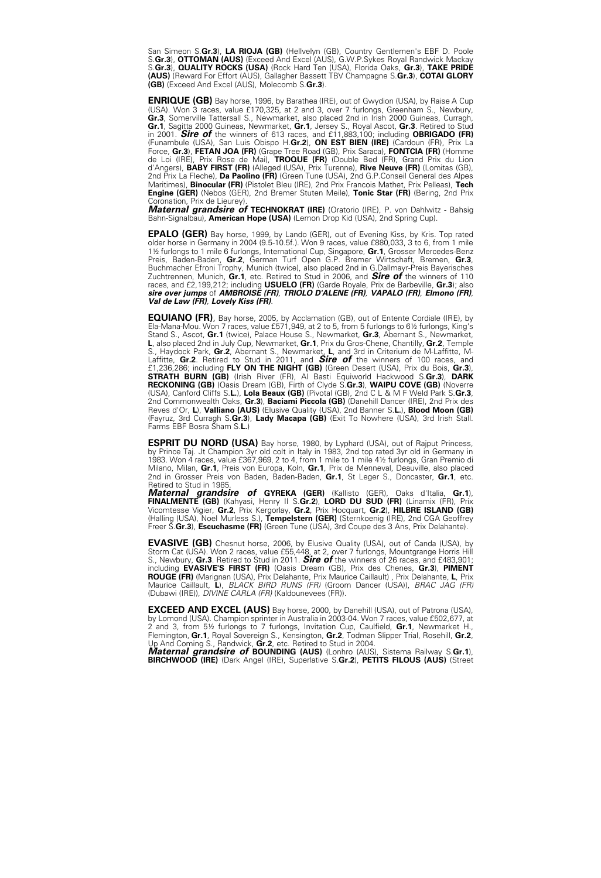San Simeon S.**Gr.3**), **LA RIOJA (GB)** (Hellvelyn (GB), Country Gentlemen's EBF D. Poole S.**Gr.3**), **OTTOMAN (AUS)** (Exceed And Excel (AUS), G.W.P.Sykes Royal Randwick Mackay S.**Gr.3**), **QUALITY ROCKS (USA)** (Rock Hard Ten (USA), Florida Oaks, **Gr.3**), **TAKE PRIDE (AUS)** (Reward For Effort (AUS), Gallagher Bassett TBV Champagne S.**Gr.3**), **COTAI GLORY (GB)** (Exceed And Excel (AUS), Molecomb S.**Gr.3**).

**ENRIQUE (GB)** Bay horse, 1996, by Barathea (IRE), out of Gwydion (USA), by Raise A Cup (USA). Won 3 races, value £170,325, at 2 and 3, over 7 furlongs, Greenham S., Newbury, **Gr.3**, Somerville Tattersall S., Newmarket, also placed 2nd in Irish 2000 Guineas, Curragh, **Gr.1**, Sagitta 2000 Guineas, Newmarket, **Gr.1**, Jersey S., Royal Ascot, **Gr.3**. Retired to Stud<br>in 2001. *Sire of the winners of 613 races, and £11,883,100; including OBRIGADO (FR)<br>(Funambule (USA), San Luis Obispo H.* Force, **Gr.3**), **FETAN JOA (FR)** (Grape Tree Road (GB), Prix Saraca), **FONTCIA (FR)** (Homme de Loi (IRE), Prix Rose de Mai), **TROQUE (FR)** (Double Bed (FR), Grand Prix du Lion d'Angers), **BABY FIRST (FR)** (Alleged (USA), Prix Turenne), **Rive Neuve (FR)** (Lomitas (GB), 2nd Prix La Fleche), **Da Paolino (FR)** (Green Tune (USA), 2nd G.P.Conseil General des Alpes Maritimes), **Binocular (FR)** (Pistolet Bleu (IRE), 2nd Prix Francois Mathet, Prix Pelleas), **Tech Engine (GER)** (Nebos (GER), 2nd Bremer Stuten Meile), **Tonic Star (FR)** (Bering, 2nd Prix Coronation, Prix de Lieurey).

*Maternal grandsire of* **TECHNOKRAT (IRE)** (Oratorio (IRE), P. von Dahlwitz - Bahsig Bahn-Signalbau), **American Hope (USA)** (Lemon Drop Kid (USA), 2nd Spring Cup).

**EPALO (GER)** Bay horse, 1999, by Lando (GER), out of Evening Kiss, by Kris. Top rated older horse in Germany in 2004 (9.5-10.5f.). Won 9 races, value £880,033, 3 to 6, from 1 mile 1½ furlongs to 1 mile 6 furlongs, International Cup, Singapore, **Gr.1**, Grosser Mercedes-Benz Preis, Baden-Baden, **Gr.2**, German Turf Open G.P. Bremer Wirtschaft, Bremen, **Gr.3**, Buchmacher Efroni Trophy, Munich (twice), also placed 2nd in G.Dallmayr-Preis Bayerisches Zuchtrennen, Munich, **Gr.1**, etc. Retired to Stud in 2006, and *Sire of* the winners of 110<br>races, and £2,199,212; including **USUELO (FR)** (Garde Royale, Prix de Barbeville, **Gr.3**); also<br>*sire over jumps* of *AMBROISE (FR Val de Law (FR), Lovely Kiss (FR)*.

**EQUIANO (FR)**, Bay horse, 2005, by Acclamation (GB), out of Entente Cordiale (IRE), by Ela-Mana-Mou. Won 7 races, value £571,949, at 2 to 5, from 5 furlongs to 6½ furlongs, King's Stand S., Ascot, **Gr.1** (twice), Palace House S., Newmarket, **Gr.3**, Abernant S., Newmarket, **L**, also placed 2nd in July Cup, Newmarket, **Gr.1**, Prix du Gros-Chene, Chantilly, **Gr.2**, Temple S., Haydock Park, **Gr.2**, Abernant S., Newmarket, **L**, and 3rd in Criterium de M-Laffitte, M-<br>Laffitte, **Gr.2**. Retired to Stud in 2011, and Sire of the winners of 100 races, and<br>£1,236,286; including FLY ON THE NIGHT (GB) **STRATH BURN (GB)** (Irish River (FR), Al Basti Equiworld Hackwood S.**Gr.3**), **DARK RECKONING (GB)** (Oasis Dream (GB), Firth of Clyde S.**Gr.3**), **WAIPU COVE (GB)** (Noverre (USA), Canford Cliffs S.**L.**), **Lola Beaux (GB)** (Pivotal (GB), 2nd C L & M F Weld Park S.**Gr.3**, 2nd Commonwealth Oaks, **Gr.3**), **Baciami Piccola (GB)** (Danehill Dancer (IRE), 2nd Prix des Reves d'Or, **L**), **Valliano (AUS)** (Elusive Quality (USA), 2nd Banner S.**L.**), **Blood Moon (GB)** (Fayruz, 3rd Curragh S.**Gr.3**), **Lady Macapa (GB)** (Exit To Nowhere (USA), 3rd Irish Stall. Farms EBF Bosra Sham S.**L.**)

**ESPRIT DU NORD (USA)** Bay horse, 1980, by Lyphard (USA), out of Rajput Princess, by Prince Taj. Jt Champion 3yr old colt in Italy in 1983, 2nd top rated 3yr old in Germany in 1983. Won 4 races, value £367,969, 2 to 4, from 1 mile to 1 mile 4½ furlongs, Gran Premio di Milano, Milan, **Gr.1**, Preis von Europa, Koln, **Gr.1**, Prix de Menneval, Deauville, also placed 2nd in Grosser Preis von Baden, Baden-Baden, **Gr.1**, St Leger S., Doncaster, **Gr.1**, etc. Retired to Stud in 1985.

*Maternal grandsire of* **GYREKA (GER)** (Kallisto (GER), Oaks d'Italia, **Gr.1**), **FINALMENTE (GB)** (Kahyasi, Henry II S.**Gr.2**), **LORD DU SUD (FR)** (Linamix (FR), Prix Vicomtesse Vigier, **Gr.2**, Prix Kergorlay, **Gr.2**, Prix Hocquart, **Gr.2**), **HILBRE ISLAND (GB)** (Halling (USA), Noel Murless S.), **Tempelstern (GER)** (Sternkoenig (IRE), 2nd CGA Geoffrey Freer S.**Gr.3**), **Escuchasme (FR)** (Green Tune (USA), 3rd Coupe des 3 Ans, Prix Delahante).

**EVASIVE (GB)** Chesnut horse, 2006, by Elusive Quality (USA), out of Canda (USA), by<br>Storm Cat (USA). Won 2 races, value £55,448, at 2, over 7 furlongs, Mountgrange Horris Hill<br>S., Newbury, **Gr.3**. Retired to Stud in 2011. including **EVASIVE'S FIRST (FR)** (Oasis Dream (GB), Prix des Chenes, **Gr.3**), **PIMENT ROUGE (FR)** (Marignan (USA), Prix Delahante, Prix Maurice Caillault) , Prix Delahante, **L**, Prix Maurice Caillault, **L**), *BLACK BIRD RUNS (FR)* (Groom Dancer (USA)), *BRAC JAG (FR)* (Dubawi (IRE)), *DIVINE CARLA (FR)* (Kaldounevees (FR)).

**EXCEED AND EXCEL (AUS)** Bay horse, 2000, by Danehill (USA), out of Patrona (USA), by Lomond (USA). Champion sprinter in Australia in 2003-04. Won 7 races, value £502,677, at 2 and 3, from 5½ furlongs to 7 furlongs, Invitation Cup, Caulfield, **Gr.1**, Newmarket H., Flemington, **Gr.1**, Royal Sovereign S., Kensington, **Gr.2**, Todman Slipper Trial, Rosehill, **Gr.2**,

Up And Coming S., Randwick, **Gr.2**, etc. Retired to Stud in 2004. *Maternal grandsire of* **BOUNDING (AUS)** (Lonhro (AUS), Sistema Railway S.**Gr.1**), **BIRCHWOOD (IRE)** (Dark Angel (IRE), Superlative S.**Gr.2**), **PETITS FILOUS (AUS)** (Street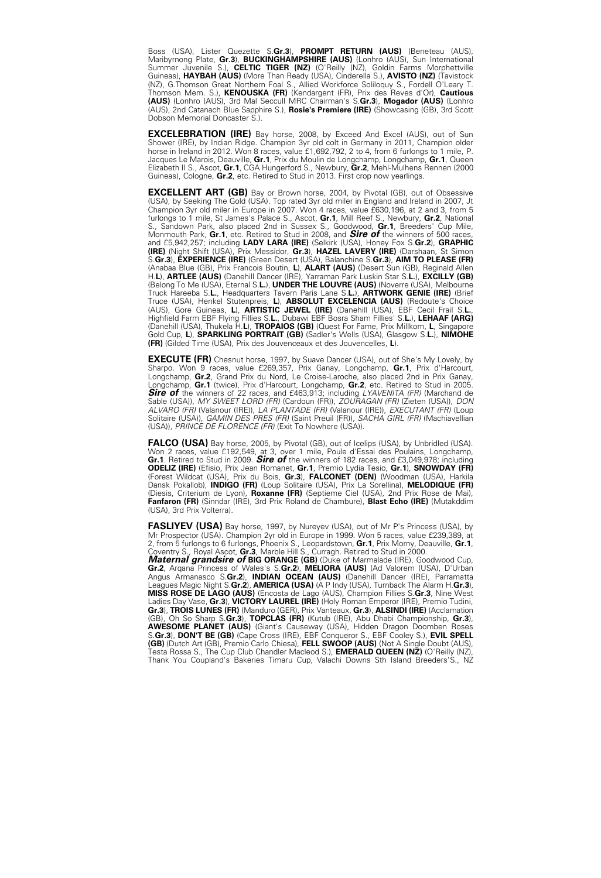Boss (USA), Lister Quezette S.**Gr.3**), **PROMPT RETURN (AUS)** (Beneteau (AUS), Maribyrnong Plate, **Gr.3**), **BUCKINGHAMPSHIRE (AUS)** (Lonhro (AUS), Sun International Summer Juvenile S.), **CELTIC TIGER (NZ)** (O'Reilly (NZ), Goldin Farms Morphettville Guineas), **HAYBAH (AUS)** (More Than Ready (USA), Cinderella S.), **AVISTO (NZ)** (Tavistock (NZ), G.Thomson Great Northern Foal S., Allied Workforce Soliloquy S., Fordell O'Leary T. Thomson Mem. S.), **KENOUSKA (FR)** (Kendargent (FR), Prix des Reves d'Or), **Cautious (AUS)** (Lonhro (AUS), 3rd Mal Seccull MRC Chairman's S.**Gr.3**), **Mogador (AUS)** (Lonhro (AUS), 2nd Catanach Blue Sapphire S.), **Rosie's Premiere (IRE)** (Showcasing (GB), 3rd Scott Dobson Memorial Doncaster S.).

**EXCELEBRATION (IRE)** Bay horse, 2008, by Exceed And Excel (AUS), out of Sun Shower (IRE), by Indian Ridge. Champion 3yr old colt in Germany in 2011, Champion older horse in Ireland in 2012. Won 8 races, value £1,692,792, 2 to 4, from 6 furlongs to 1 mile, P. Jacques Le Marois, Deauville, **Gr.1**, Prix du Moulin de Longchamp, Longchamp, **Gr.1**, Queen Elizabeth II S., Ascot, **Gr.1**, CGA Hungerford S., Newbury, **Gr.2**, Mehl-Mulhens Rennen (2000 Guineas), Cologne, **Gr.2**, etc. Retired to Stud in 2013. First crop now yearlings.

**EXCELLENT ART (GB)** Bay or Brown horse, 2004, by Pivotal (GB), out of Obsessive (USA), by Seeking The Gold (USA). Top rated 3yr old miler in England and Ireland in 2007, Jt Champion 3yr old miler in Europe in 2007. Won 4 races, value £630,196, at 2 and 3, from 5 furlongs to 1 mile, St James's Palace S., Ascot, **Gr.1**, Mill Reef S., Newbury, **Gr.2**, National S., Sandown Park, also placed 2nd in Sussex S., Goodwood, **Gr.1**, Breeders' Cup Mile,<br>Monmouth Park, **Gr.1**, etc. Retired to Stud in 2008, and *Sire of the winners of 500 races,*<br>and £5,942,257; including **LADY LARA (IRE (IRE)** (Night Shift (USA), Prix Messidor, **Gr.3**), **HAZEL LAVERY (IRE)** (Darshaan, St Simon S.**Gr.3**), **EXPERIENCE (IRE)** (Green Desert (USA), Balanchine S.**Gr.3**), **AIM TO PLEASE (FR)** (Anabaa Blue (GB), Prix Francois Boutin, **L**), **ALART (AUS)** (Desert Sun (GB), Reginald Allen H.**L**), **ARTLEE (AUS)** (Danehill Dancer (IRE), Yarraman Park Luskin Star S.**L.**), **EXCILLY (GB)** (Belong To Me (USA), Eternal S.**L.**), **UNDER THE LOUVRE (AUS)** (Noverre (USA), Melbourne Truck Hareeba S.**L.**, Headquarters Tavern Paris Lane S.**L.**), **ARTWORK GENIE (IRE)** (Brief Truce (USA), Henkel Stutenpreis, **L**), **ABSOLUT EXCELENCIA (AUS)** (Redoute's Choice (AUS), Gore Guineas, **L**), **ARTISTIC JEWEL (IRE)** (Danehill (USA), EBF Cecil Frail S.**L.**, Highfield Farm EBF Flying Fillies S.**L.**, Dubawi EBF Bosra Sham Fillies' S.**L.**), **LEHAAF (ARG)** (Danehill (USA), Thukela H.**L**), **TROPAIOS (GB)** (Quest For Fame, Prix Millkom, **L**, Singapore Gold Cup, **L**), **SPARKLING PORTRAIT (GB)** (Sadler's Wells (USA), Glasgow S.**L.**), **NIMOHE (FR)** (Gilded Time (USA), Prix des Jouvenceaux et des Jouvencelles, **L**).

**EXECUTE (FR)** Chesnut horse, 1997, by Suave Dancer (USA), out of She's My Lovely, by Sharpo. Won 9 races, value £269,357, Prix Ganay, Longchamp, **Gr.1**, Prix d'Harcourt, Longchamp, **Gr.2**, Grand Prix du Nord, Le Croise-Laroche, also placed 2nd in Prix Ganay, Longchamp, **Gr.1** (twice), Prix d'Harcourt, Longchamp, **Gr.2**, etc. Retired to Stud in 2005.<br>**Sire of** the winners of 22 races, and £463,913; including *LYAVENITA (FR)* (Marchand de<br>Sable (USA)), *MY SWEET LORD (FR)* (Card *ALVARO (FR)* (Valanour (IRE)), *LA PLANTADE (FR)* (Valanour (IRE)), *EXECUTANT (FR)* (Loup Solitaire (USA)), *GAMIN DES PRES (FR)* (Saint Preuil (FR)), *SACHA GIRL (FR)* (Machiavellian (USA)), *PRINCE DE FLORENCE (FR)* (Exit To Nowhere (USA)).

**FALCO (USA)** Bay horse, 2005, by Pivotal (GB), out of Icelips (USA), by Unbridled (USA).<br>Won 2 races, value £192,549, at 3, over 1 mile, Poule d'Essai des Poulains, Longchamp,<br>**Gr.1**. Retired to Stud in 2009. *Sire of* **ODELIZ (IRE)** (Efisio, Prix Jean Romanet, **Gr.1**, Premio Lydia Tesio, **Gr.1**), **SNOWDAY (FR)** (Forest Wildcat (USA), Prix du Bois, **Gr.3**), **FALCONET (DEN)** (Woodman (USA), Harkila Dansk Pokallob), **INDIGO (FR)** (Loup Solitaire (USA), Prix La Sorellina), **MELODIQUE (FR)** (Diesis, Criterium de Lyon), **Roxanne (FR)** (Septieme Ciel (USA), 2nd Prix Rose de Mai), **Fanfaron (FR)** (Sinndar (IRE), 3rd Prix Roland de Chambure), **Blast Echo (IRE)** (Mutakddim (USA), 3rd Prix Volterra).

**FASLIYEV (USA)** Bay horse, 1997, by Nureyev (USA), out of Mr P's Princess (USA), by Mr Prospector (USA). Champion 2yr old in Europe in 1999. Won 5 races, value £239,389, at 2, from 5 furlongs to 6 furlongs, Phoenix S., Leopardstown, **Gr.1**, Prix Morny, Deauville, **Gr.1**, Coventry S., Royal Ascot, **Gr.3**, Marble Hill S., Curragh. Retired to Stud in 2000. *Maternal grandsire of* **BIG ORANGE (GB)** (Duke of Marmalade (IRE), Goodwood Cup,

**Gr.2**, Arqana Princess of Wales's S.**Gr.2**), **MELIORA (AUS)** (Ad Valorem (USA), D'Urban Angus Armanasco S.**Gr.2**), **INDIAN OCEAN (AUS)** (Danehill Dancer (IRE), Parramatta Leagues Magic Night S.**Gr.2**), **AMERICA (USA)** (A P Indy (USA), Turnback The Alarm H.**Gr.3**), **MISS ROSE DE LAGO (AUS)** (Encosta de Lago (AUS), Champion Fillies S.**Gr.3**, Nine West Ladies Day Vase, **Gr.3**), **VICTORY LAUREL (IRE)** (Holy Roman Emperor (IRE), Premio Tudini, **Gr.3**), **TROIS LUNES (FR)** (Manduro (GER), Prix Vanteaux, **Gr.3**), **ALSINDI (IRE)** (Acclamation (GB), Oh So Sharp S.**Gr.3**), **TOPCLAS (FR)** (Kutub (IRE), Abu Dhabi Championship, **Gr.3**), **AWESOME PLANET (AUS)** (Giant's Causeway (USA), Hidden Dragon Doomben Roses S.**Gr.3**), **DON'T BE (GB)** (Cape Cross (IRE), EBF Conqueror S., EBF Cooley S.), **EVIL SPELL (GB)** (Dutch Art (GB), Premio Carlo Chiesa), **FELL SWOOP (AUS)** (Not A Single Doubt (AUS), Testa Rossa S., The Cup Club Chandler Macleod S.), **EMERALD QUEEN (NZ)** (O'Reilly (NZ), Thank You Coupland's Bakeries Timaru Cup, Valachi Downs Sth Island Breeders'S., NZ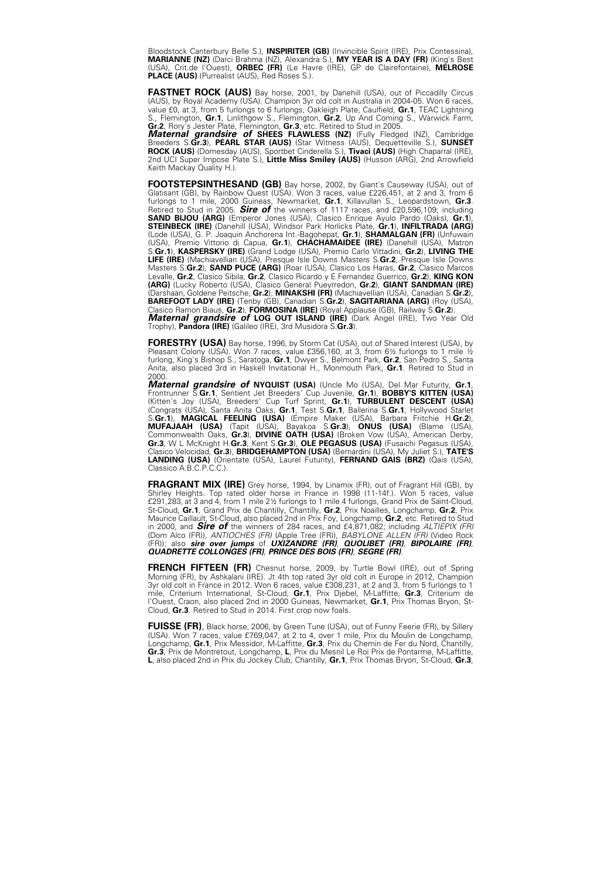Bloodstock Canterbury Belle S.), **INSPIRITER (GB)** (Invincible Spirit (IRE), Prix Contessina), **MARIANNE (NZ)** (Darci Brahma (NZ), Alexandra S.), **MY YEAR IS A DAY (FR)** (King's Best (USA), Crit.de l'Ouest), **ORBEC (FR)** (Le Havre (IRE), GP de Clairefontaine), **MELROSE PLACE (AUS)** (Purrealist (AUS), Red Roses S.).

FASTNET ROCK (AUS) Bay horse, 2001, by Danehill (USA), out of Piccadilly Circus (AUS), by Royal Academy (USA). Champion 3yr old colt in Australia in 2004-05. Won 6 races, value £0, at 3, from 5 furlongs to 6 furlongs, Oakleigh Plate, Caulfield, **Gr.1**, TEAC Lightning S., Flemington, **Gr.1**, Linlithgow S., Flemington, **Gr.2**, Up And Coming S., Warwick Farm,

**Gr.2**, Rory's Jester Plate, Flemington, **Gr.3**, etc. Retired to Stud in 2005.<br>*Maternal grandsire of S***HEES FLAWLESS (NZ)** (Fully Fledged (NZ), Cambridge<br>Breeders S.**Gr.3**), **PEARL STAR (AUS)** (Star Witness (AUS), Dequet **ROCK (AUS)** (Domesday (AUS), Sportbet Cinderella S.), **Tivaci (AUS)** (High Chaparral (IRE), 2nd UCI Super Impose Plate S.), **Little Miss Smiley (AUS)** (Husson (ARG), 2nd Arrowfield Keith Mackay Quality H.).

**FOOTSTEPSINTHESAND (GB)** Bay horse, 2002, by Giant's Causeway (USA), out of Glatisant (GB), by Rainbow Quest (USA). Won 3 races, value £226,451, at 2 and 3, from 6 furlongs to 1 mile, 2000 Guineas, Newmarket, **Gr.1**, Killavullan S., Leopardstown, **Gr.3**.<br>Retired to Stud in 2005. *Sire of* the winners of 1117 races, and £20,596,109; including<br>**SAND BIJOU (ARG)** (Emperor Jones (USA), **STEINBECK (IRE)** (Danehill (USA), Windsor Park Horlicks Plate, **Gr.1**), **INFILTRADA (ARG)** (Lode (USA), G. P. Joaquin Anchorena Int.-Bagohepat, **Gr.1**), **SHAMALGAN (FR)** (Unfuwain (USA), Premio Vittorio di Capua, **Gr.1**), **CHACHAMAIDEE (IRE)** (Danehill (USA), Matron S.**Gr.1**), **KASPERSKY (IRE)** (Grand Lodge (USA), Premio Carlo Vittadini, **Gr.2**), **LIVING THE LIFE (IRE)** (Machiavellian (USA), Presque Isle Downs Masters S.**Gr.2**, Presque Isle Downs Masters S.**Gr.2**), **SAND PUCE (ARG)** (Roar (USA), Clasico Los Haras, **Gr.2**, Clasico Marcos Levalle, **Gr.2**, Clasico Sibila, **Gr.2**, Clasico Ricardo y E Fernandez Guerrico, **Gr.2**), **KING KON (ARG)** (Lucky Roberto (USA), Clasico General Pueyrredon, **Gr.2**), **GIANT SANDMAN (IRE)** (Darshaan, Goldene Peitsche, **Gr.2**), **MINAKSHI (FR)** (Machiavellian (USA), Canadian S.**Gr.2**), **BAREFOOT LADY (IRE)** (Tenby (GB), Canadian S.**Gr.2**), **SAGITARIANA (ARG)** (Roy (USA),

Clasico Ramon Biaus, **Gr.2**), **FORMOSINA (IRE)** (Royal Applause (GB), Railway S.**Gr.2**). *Maternal grandsire of* **LOG OUT ISLAND (IRE)** (Dark Angel (IRE), Two Year Old Trophy), **Pandora (IRE)** (Galileo (IRE), 3rd Musidora S.**Gr.3**).

**FORESTRY (USA)** Bay horse, 1996, by Storm Cat (USA), out of Shared Interest (USA), by Pleasant Colony (USA). Won 7 races, value £356,160, at 3, from 6½ furlongs to 1 mile ½ furlong, King's Bishop S., Saratoga, **Gr.1**, Dwyer S., Belmont Park, **Gr.2**, San Pedro S., Santa Anita, also placed 3rd in Haskell Invitational H., Monmouth Park, **Gr.1**. Retired to Stud in

2000. *Maternal grandsire of* **NYQUIST (USA)** (Uncle Mo (USA), Del Mar Futurity, **Gr.1**, Frontrunner S.**Gr.1**, Sentient Jet Breeders' Cup Juvenile, **Gr.1**), **BOBBY'S KITTEN (USA)** (Kitten's Joy (USA), Breeders' Cup Turf Sprint, **Gr.1**), **TURBULENT DESCENT (USA)** (Congrats (USA), Santa Anita Oaks, **Gr.1**, Test S.**Gr.1**, Ballerina S.**Gr.1**, Hollywood Starlet S.**Gr.1**), **MAGICAL FEELING (USA)** (Empire Maker (USA), Barbara Fritchie H.**Gr.2**), **MUFAJAAH (USA)** (Tapit (USA), Bayakoa S.**Gr.3**), **ONUS (USA)** (Blame (USA), Commonwealth Oaks, **Gr.3**), **DIVINE OATH (USA)** (Broken Vow (USA), American Derby, **Gr.3**, W L McKnight H.**Gr.3**, Kent S.**Gr.3**), **OLE PEGASUS (USA)** (Fusaichi Pegasus (USA), Clasico Velocidad, **Gr.3**), **BRIDGEHAMPTON (USA)** (Bernardini (USA), My Juliet S.), **TATE'S LANDING (USA)** (Orientate (USA), Laurel Futurity), **FERNAND GAIS (BRZ)** (Qais (USA), Classico A.B.C.P.C.C.).

**FRAGRANT MIX (IRE)** Grey horse, 1994, by Linamix (FR), out of Fragrant Hill (GB), by Shirley Heights. Top rated older horse in France in 1998 (11-14f.). Won 5 races, value £291,283, at 3 and 4, from 1 mile 2½ furlongs to 1 mile 4 furlongs, Grand Prix de Saint-Cloud, St-Cloud, **Gr.1**, Grand Prix de Chantilly, Chantilly, **Gr.2**, Prix Noailles, Longchamp, **Gr.2**, Prix<br>Maurice Caillault, St-Cloud, also placed 2nd in Prix Foy, Longchamp, **Gr.2**, etc. Retired to Stud<br>in 2000, and **Sire of** *QUADRETTE COLLONGES (FR), PRINCE DES BOIS (FR), SEGRE (FR)*.

**FRENCH FIFTEEN (FR)** Chesnut horse, 2009, by Turtle Bowl (IRE), out of Spring Morning (FR), by Ashkalani (IRE). Jt 4th top rated 3yr old colt in Europe in 2012, Champion 3yr old colt in France in 2012. Won 6 races, value £308,231, at 2 and 3, from 5 furlongs to 1 mile, Criterium International, St-Cloud, **Gr.1**, Prix Djebel, M-Laffitte, **Gr.3**, Criterium de l'Ouest, Craon, also placed 2nd in 2000 Guineas, Newmarket, **Gr.1**, Prix Thomas Bryon, St-Cloud, **Gr.3**. Retired to Stud in 2014. First crop now foals.

**FUISSE (FR)**, Black horse, 2006, by Green Tune (USA), out of Funny Feerie (FR), by Sillery (USA). Won 7 races, value £769,047, at 2 to 4, over 1 mile, Prix du Moulin de Longchamp, Longchamp, **Gr.1**, Prix Messidor, M-Laffitte, **Gr.3**, Prix du Chemin de Fer du Nord, Chantilly, **Gr.3**, Prix de Montretout, Longchamp, **L**, Prix du Mesnil Le Roi Prix de Pontarme, M-Laffitte, **L**, also placed 2nd in Prix du Jockey Club, Chantilly, **Gr.1**, Prix Thomas Bryon, St-Cloud, **Gr.3**,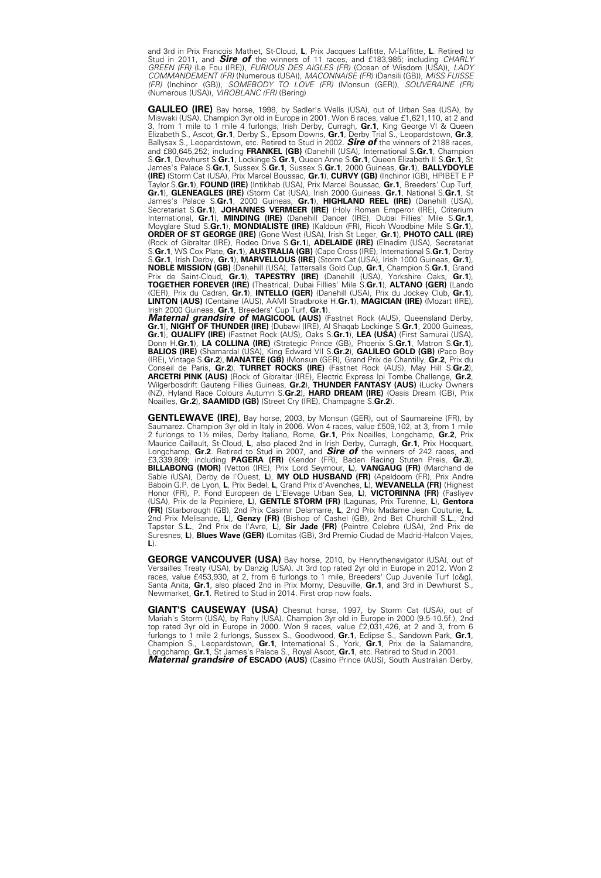and 3rd in Prix Francois Mathet, St-Cloud, **L**, Prix Jacques Laffitte, M-Laffitte, **L**. Retired to Stud in 2011, and *Sire of* the winners of 11 races, and £183,985; including *CHARLY GREEN (FR)* (Le Fou (IRE)), *FURIOUS DES AIGLES (FR)* (Ocean of Wisdom (USA)), *LADY COMMANDEMENT (FR)* (Numerous (USA)), *MACONNAISE (FR)* (Dansili (GB)), *MISS FUISSE (FR)* (Inchinor (GB)), *SOMEBODY TO LOVE (FR)* (Monsun (GER)), *SOUVERAINE (FR)* (Numerous (USA)), *VIROBLANC (FR)* (Bering)

**GALILEO (IRE)** Bay horse, 1998, by Sadler's Wells (USA), out of Urban Sea (USA), by Miswaki (USA). Champion 3yr old in Europe in 2001. Won 6 races, value £1,621,110, at 2 and 3, from 1 mile to 1 mile 4 furlongs, Irish Derby, Curragh, **Gr.1**, King George VI & Queen Elizabeth S., Ascot, **Gr.1**, Derby S., Epsom Downs, **Gr.1**, Derby Trial S., Leopardstown, **Gr.3**, Ballysax S., Leopardstown, etc. Retired to Stud in 2002. *Sire of* the winners of 2188 races, and £80,645,252; including **FRANKEL (GB)** (Danehill (USA), International S.**Gr.1**, Champion S.**Gr.1**, Dewhurst S.**Gr.1**, Lockinge S.**Gr.1**, Queen Anne S.**Gr.1**, Queen Elizabeth II S.**Gr.1**, St<br>James's Palace S.**Gr.1**, Sussex S.**Gr.1**, Sussex S.**Gr.1**, 2000 Guineas, **Gr.1**), **BALLYDOYLE (IRE)** (Storm Cat (USA), Prix Marcel Boussac, **Gr.1**), **CURVY (GB)** (Inchinor (GB), HPIBET E P Taylor S.**Gr.1), FOUND (IRE)** (Intikhab (USA), Prix Marcel Boussac**, Gr.1,** Breeders' Cup Turf,<br>**Gr.1), GLENEAGLES (IRE)** (Storm Cat (USA), Irish 2000 Guineas, **Gr.1,** National S.**Gr.1**, St James's Palace S.**Gr.1**, 2000 Guineas, **Gr.1**), **HIGHLAND REEL (IRE)** (Danehill (USA), Secretariat S.**Gr.1**), **JOHANNES VERMEER (IRE)** (Holy Roman Emperor (IRE), Criterium International, **Gr.1**), **MINDING (IRE)** (Danehill Dancer (IRE), Dubai Fillies' Mile S.**Gr.1**, Moyglare Stud S.**Gr.1**), **MONDIALISTE (IRE)** (Kaldoun (FR), Ricoh Woodbine Mile S.**Gr.1**), **ORDER OF ST GEORGE (IRE)** (Gone West (USA), Irish St Leger, **Gr.1**), **PHOTO CALL (IRE)** (Rock of Gibraltar (IRE), Rodeo Drive S.**Gr.1**), **ADELAIDE (IRE)** (Elnadim (USA), Secretariat S.**Gr.1**, WS Cox Plate, **Gr.1**), **AUSTRALIA (GB)** (Cape Cross (IRE), International S.**Gr.1**, Derby S.**Gr.1**, Irish Derby, **Gr.1), MARVELLOUS (IRE)** (Storm Cat (USA), Irish 1000 Guineas, **Gr.1),**<br>**NOBLE MISSION (GB)** (Danehill (USA), Tattersalls Gold Cup, **Gr.1**, Champion S.**Gr.1**, Grand Prix de Saint-Cloud, **Gr.1**), **TAPESTRY (IRE)** (Danehill (USA), Yorkshire Oaks, **Gr.1**), **TOGETHER FOREVER (IRE)** (Theatrical, Dubai Fillies' Mile S.**Gr.1**), **ALTANO (GER)** (Lando (GER), Prix du Cadran, **Gr.1**), **INTELLO (GER)** (Danehill (USA), Prix du Jockey Club, **Gr.1**), **LINTON (AUS)** (Centaine (AUS), AAMI Stradbroke H.**Gr.1**), **MAGICIAN (IRE)** (Mozart (IRE),

Irish 2000 Guineas, **Gr.1**, Breeders' Cup Turf, **Gr.1**).<br>*Maternal grandsire of M*AGICOOL (AUS) (Fastnet Rock (AUS), Queensland Derby,<br>Gr.1), NIGHT OF THUNDER (IRE) (Dubawi (IRE), Al Shaqab Lockinge S.Gr.1, 2000 Guineas, **Gr.1), QUALIFY (IRE)** (Fastnet Rock (AUS), Oaks S.**Gr.1), LEA (USA)** (First Samurai (USA),<br>Donn H.**Gr.1), LA COLLINA (IRE)** (Strategic Prince (GB), Phoenix S.**Gr.1**, Matron S.**Gr.1**), **BALIOS (IRE)** (Shamardal (USA), King Edward VII S.**Gr.2**), **GALILEO GOLD (GB)** (Paco Boy (IRE), Vintage S.**Gr.2**), **MANATEE (GB)** (Monsun (GER), Grand Prix de Chantilly, **Gr.2**, Prix du Conseil de Paris, **Gr.2**), **TURRET ROCKS (IRE)** (Fastnet Rock (AUS), May Hill S.**Gr.2**), **ARCETRI PINK (AUS)** (Rock of Gibraltar (IRE), Electric Express Ipi Tombe Challenge, **Gr.2**, Wilgerbosdrift Gauteng Fillies Guineas, **Gr.2**), **THUNDER FANTASY (AUS)** (Lucky Owners (NZ), Hyland Race Colours Autumn S.**Gr.2**), **HARD DREAM (IRE)** (Oasis Dream (GB), Prix Noailles, **Gr.2**), **SAAMIDD (GB)** (Street Cry (IRE), Champagne S.**Gr.2**).

**GENTLEWAVE (IRE)**, Bay horse, 2003, by Monsun (GER), out of Saumareine (FR), by Saumarez. Champion 3yr old in Italy in 2006. Won 4 races, value £509,102, at 3, from 1 mile 2 furlongs to 1½ miles, Derby Italiano, Rome, **Gr.1**, Prix Noailles, Longchamp, **Gr.2**, Prix Maurice Caillault, St-Cloud, **L**, also placed 2nd in Irish Derby, Curragh, **Gr.1**, Prix Hocquart,<br>Longchamp, **Gr.2**. Retired to Stud in 2007, and *Sire of* the winners of 242 races, and<br>£3,339,809; including PAGERA (FR) (K Sable (USA), Derby de l'Ouest, **L**), **MY OLD HUSBAND (FR)** (Apeldoorn (FR), Prix Andre Baboin G.P. de Lyon, **L**, Prix Bedel, **L**, Grand Prix d'Avenches, **L**), **WEVANELLA (FR)** (Highest Honor (FR), P. Fond Europeen de L'Elevage Urban Sea, **L**), **VICTORINNA (FR)** (Fasliyev (USA), Prix de la Pepiniere, **L**), **GENTLE STORM (FR)** (Lagunas, Prix Turenne, **L**), **Gentora (FR)** (Starborough (GB), 2nd Prix Casimir Delamarre, **L**, 2nd Prix Madame Jean Couturie, **L**, 2nd Prix Melisande, **L**), **Genzy (FR)** (Bishop of Cashel (GB), 2nd Bet Churchill S.**L.**, 2nd Tapster S.**L.**, 2nd Prix de l'Avre, **L**), **Sir Jade (FR)** (Peintre Celebre (USA), 2nd Prix de Sures Factor S.L., 2nd Prix de l'Avre, **L), Sir Jade (FR)** (Peintre Celebre (USA), 2nd Prix de Suresnes, L), **Blues Wave (GER)** (Lomitas (GB), 3rd Premio Ciudad de Madrid-Halcon Viajes, **L**).

**GEORGE VANCOUVER (USA)** Bay horse, 2010, by Henrythenavigator (USA), out of Versailles Treaty (USA), by Danzig (USA). Jt 3rd top rated 2yr old in Europe in 2012. Won 2 races, value £453,930, at 2, from 6 furlongs to 1 mile, Breeders' Cup Juvenile Turf (c&g), Santa Anita, **Gr.1**, also placed 2nd in Prix Morny, Deauville, **Gr.1**, and 3rd in Dewhurst S., Newmarket, **Gr.1**. Retired to Stud in 2014. First crop now foals.

**GIANT'S CAUSEWAY (USA)** Chesnut horse, 1997, by Storm Cat (USA), out of Mariah's Storm (USA), by Rahy (USA). Champion 3yr old in Europe in 2000 (9.5-10.5f.), 2nd top rated 3yr old in Europe in 2000. Won 9 races, value £2,031,426, at 2 and 3, from 6 furlongs to 1 mile 2 furlongs, Sussex S., Goodwood, **Gr.1**, Eclipse S., Sandown Park, **Gr.1**, Champion S., Leopardstown, **Gr.1**, International S., York, **Gr.1**, Prix de la Salamandre, Longchamp, **Gr.1**, St James's Palace S., Royal Ascot, **Gr.1**, etc. Retired to Stud in 2001. *Maternal grandsire of* **ESCADO (AUS)** (Casino Prince (AUS), South Australian Derby,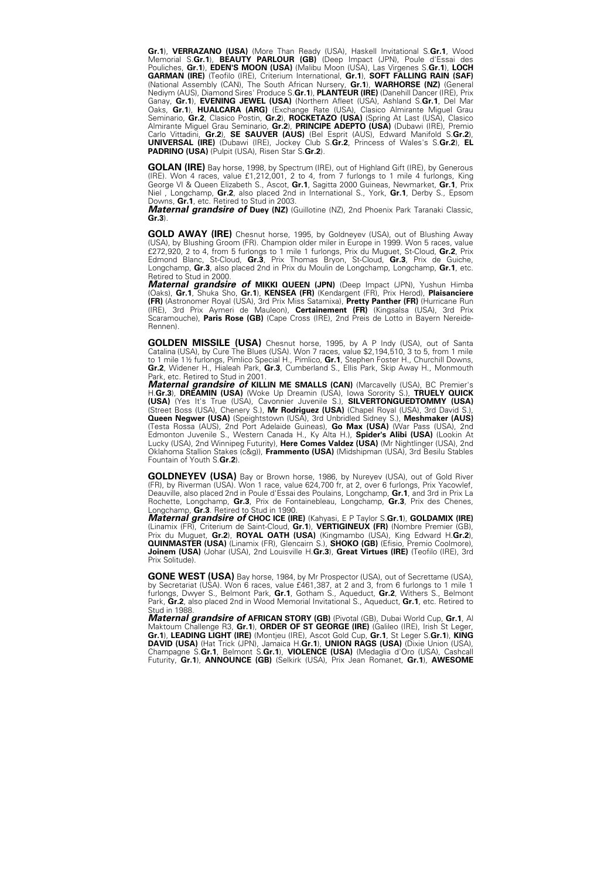**Gr.1**), **VERRAZANO (USA)** (More Than Ready (USA), Haskell Invitational S.**Gr.1**, Wood Memorial S.**Gr.1**), **BEAUTY PARLOUR (GB)** (Deep Impact (JPN), Poule d'Essai des Pouliches, **Gr.1**), **EDEN'S MOON (USA)** (Malibu Moon (USA), Las Virgenes S.**Gr.1**), **LOCH GARMAN (IRE)** (Teofilo (IRE), Criterium International, **Gr.1**), **SOFT FALLING RAIN (SAF)** (National Assembly (CAN), The South African Nursery, **Gr.1**), **WARHORSE (NZ)** (General Nediym (AUS), Diamond Sires' Produce S.**Gr.1**), **PLANTEUR (IRE)** (Danehill Dancer (IRE), Prix Ganay, **Gr.1**), **EVENING JEWEL (USA)** (Northern Afleet (USA), Ashland S.**Gr.1**, Del Mar Oaks, **Gr.1**), **HUALCARA (ARG)** (Exchange Rate (USA), Clasico Almirante Miguel Grau Seminario, **Gr.2**, Clasico Postin, **Gr.2**), **ROCKETAZO (USA)** (Spring At Last (USA), Clasico Almirante Miguel Grau Seminario, **Gr.2**), **PRINCIPE ADEPTO (USA)** (Dubawi (IRE), Premio Carlo Vittadini, **Gr.2**), **SE SAUVER (AUS)** (Bel Esprit (AUS), Edward Manifold S.**Gr.2**), **UNIVERSAL (IRE)** (Dubawi (IRE), Jockey Club S.**Gr.2**, Princess of Wales's S.**Gr.2**), **EL PADRINO (USA)** (Pulpit (USA), Risen Star S.**Gr.2**).

**GOLAN (IRE)** Bay horse, 1998, by Spectrum (IRE), out of Highland Gift (IRE), by Generous (IRE). Won 4 races, value £1,212,001, 2 to 4, from 7 furlongs to 1 mile 4 furlongs, King George VI & Queen Elizabeth S., Ascot, **Gr.1**, Sagitta 2000 Guineas, Newmarket, **Gr.1**, Prix Niel , Longchamp, **Gr.2**, also placed 2nd in International S., York, **Gr.1**, Derby S., Epsom Downs, **Gr.1**, etc. Retired to Stud in 2003.

*Maternal grandsire of* **Duey (NZ)** (Guillotine (NZ), 2nd Phoenix Park Taranaki Classic, **Gr.3**).

**GOLD AWAY (IRE)** Chesnut horse, 1995, by Goldneyev (USA), out of Blushing Away (USA), by Blushing Groom (FR). Champion older miler in Europe in 1999. Won 5 races, value £272,920, 2 to 4, from 5 furlongs to 1 mile 1 furlongs, Prix du Muguet, St-Cloud, **Gr.2**, Prix Edmond Blanc, St-Cloud, **Gr.3**, Prix Thomas Bryon, St-Cloud, **Gr.3**, Prix de Guiche, Longchamp, **Gr.3**, also placed 2nd in Prix du Moulin de Longchamp, Longchamp, **Gr.1**, etc. Retired to Stud in 2000.

*Maternal grandsire of* **MIKKI QUEEN (JPN)** (Deep Impact (JPN), Yushun Himba (Oaks), **Gr.1**, Shuka Sho, **Gr.1**), **KENSEA (FR)** (Kendargent (FR), Prix Herod), **Plaisanciere (FR)** (Astronomer Royal (USA), 3rd Prix Miss Satamixa), **Pretty Panther (FR)** (Hurricane Run (IRE), 3rd Prix Aymeri de Mauleon), **Certainement (FR)** (Kingsalsa (USA), 3rd Prix Scaramouche), **Paris Rose (GB)** (Cape Cross (IRE), 2nd Preis de Lotto in Bayern Nereide-Rennen).

**GOLDEN MISSILE (USA)** Chesnut horse, 1995, by A P Indy (USA), out of Santa Catalina (USA), by Cure The Blues (USA). Won 7 races, value \$2,194,510, 3 to 5, from 1 mile to 1 mile 1½ furlongs, Pimlico Special H., Pimlico, **Gr.1**, Stephen Foster H., Churchill Downs, **Gr.2**, Widener H., Hialeah Park, **Gr.3**, Cumberland S., Ellis Park, Skip Away H., Monmouth

Park, etc. Retired to Stud in 2001.<br>*Maternal grandsire of K***ILLIN ME SMALLS (CAN)** (Marcavelly (USA), BC Premier's H.**Gr.3**), **DREAMIN (USA)** (Woke Up Dreamin (USA), Iowa Sorority S.), **TRUELY QUICK (USA)** (Yes It's True (USA), Cavonnier Juvenile S.), **SILVERTONGUEDTOMMY (USA)** (Street Boss (USA), Chenery S.), **Mr Rodriguez (USA)** (Chapel Royal (USA), 3rd David S.), **Queen Negwer (USA)** (Speightstown (USA), 3rd Unbridled Sidney S.), **Meshmaker (AUS)** (Testa Rossa (AUS), 2nd Port Adelaide Guineas), **Go Max (USA)** (War Pass (USA), 2nd Edmonton Juvenile S., Western Canada H., Ky Alta H.), **Spider's Alibi (USA)** (Lookin At Lucky (USA), 2nd Winnipeg Futurity), **Here Comes Valdez (USA)** (Mr Nightlinger (USA), 2nd Oklahoma Stallion Stakes (c&g)), **Frammento (USA)** (Midshipman (USA), 3rd Besilu Stables Fountain of Youth S.**Gr.2**).

**GOLDNEYEV (USA)** Bay or Brown horse, 1986, by Nureyev (USA), out of Gold River (FR), by Riverman (USA). Won 1 race, value 624,700 fr, at 2, over 6 furlongs, Prix Yacowlef, Deauville, also placed 2nd in Poule d'Essai des Poulains, Longchamp, **Gr.1**, and 3rd in Prix La Rochette, Longchamp, **Gr.3**, Prix de Fontainebleau, Longchamp, **Gr.3**, Prix des Chenes, Longchamp, **Gr.3**. Retired to Stud in 1990.

*Maternal grandsire of* **CHOC ICE (IRE)** (Kahyasi, E P Taylor S.**Gr.1**), **GOLDAMIX (IRE)** (Linamix (FR), Criterium de Saint-Cloud, **Gr.1**), **VERTIGINEUX (FR)** (Nombre Premier (GB), Prix du Muguet, **Gr.2**), **ROYAL OATH (USA)** (Kingmambo (USA), King Edward H.**Gr.2**), **QUINMASTER (USA)** (Linamix (FR), Glencairn S.), **SHOKO (GB)** (Efisio, Premio Coolmore), **Joinem (USA)** (Johar (USA), 2nd Louisville H.**Gr.3**), **Great Virtues (IRE)** (Teofilo (IRE), 3rd Prix Solitude).

**GONE WEST (USA)** Bay horse, 1984, by Mr Prospector (USA), out of Secrettame (USA), by Secretariat (USA). Won 6 races, value £461,387, at 2 and 3, from 6 furlongs to 1 mile 1 furlongs, Dwyer S., Belmont Park, **Gr.1**, Gotham S., Aqueduct, **Gr.2**, Withers S., Belmont Park, **Gr.2**, also placed 2nd in Wood Memorial Invitational S., Aqueduct, **Gr.1**, etc. Retired to Stud in 1988.

*Maternal grandsire of* **AFRICAN STORY (GB)** (Pivotal (GB), Dubai World Cup, **Gr.1**, Al Maktoum Challenge R3, **Gr.1**), **ORDER OF ST GEORGE (IRE)** (Galileo (IRE), Irish St Leger, **Gr.1**), **LEADING LIGHT (IRE)** (Montjeu (IRE), Ascot Gold Cup, **Gr.1**, St Leger S.**Gr.1**), **KING DAVID (USA)** (Hat Trick (JPN), Jamaica H.**Gr.1**), **UNION RAGS (USA)** (Dixie Union (USA), Champagne S.**Gr.1**, Belmont S.**Gr.1**), **VIOLENCE (USA)** (Medaglia d'Oro (USA), Cashcall Futurity, **Gr.1**), **ANNOUNCE (GB)** (Selkirk (USA), Prix Jean Romanet, **Gr.1**), **AWESOME**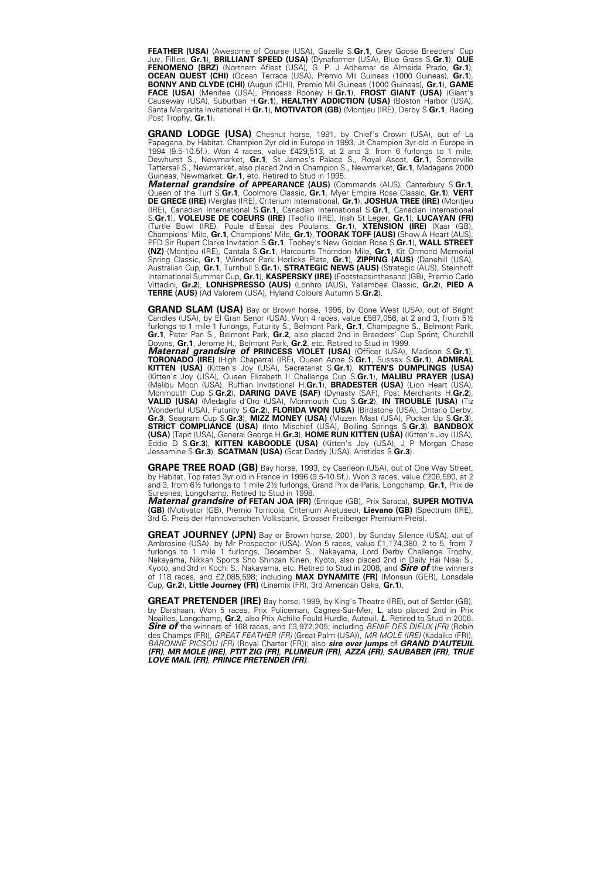**FEATHER (USA)** (Awesome of Course (USA), Gazelle S.**Gr.1**, Grey Goose Breeders' Cup Juv. Fillies, **Gr.1**), **BRILLIANT SPEED (USA)** (Dynaformer (USA), Blue Grass S.**Gr.1**), **QUE FENOMENO (BRZ)** (Northern Afleet (USA), G. P. J Adhemar de Almeida Prado, **Gr.1**), **OCEAN QUEST (CHI)** (Ocean Terrace (USA), Premio Mil Guineas (1000 Guineas), **Gr.1**), **BONNY AND CLYDE (CHI)** (Auguri (CHI), Premio Mil Guineas (1000 Guineas), **Gr.1**), **GAME FACE (USA)** (Menifee (USA), Princess Rooney H.**Gr.1**), **FROST GIANT (USA)** (Giant's Causeway (USA), Suburban H.**Gr.1**), **HEALTHY ADDICTION (USA)** (Boston Harbor (USA), Santa Margarita Invitational H.**Gr.1**), **MOTIVATOR (GB)** (Montjeu (IRE), Derby S.**Gr.1**, Racing Post Trophy, **Gr.1**).

**GRAND LODGE (USA)** Chesnut horse, 1991, by Chief's Crown (USA), out of La Papagena, by Habitat. Champion 2yr old in Europe in 1993, Jt Champion 3yr old in Europe in 1994 (9.5-10.5f.). Won 4 races, value £429,513, at 2 and 3, from 6 furlongs to 1 mile, Dewhurst S., Newmarket, **Gr.1**, St James's Palace S., Royal Ascot, **Gr.1**, Somerville Tattersall S., Newmarket, also placed 2nd in Champion S., Newmarket, **Gr.1**, Madagans 2000

Guineas, Newmarket, **Gr.1**, etc. Retired to Stud in 1995. *Maternal grandsire of* **APPEARANCE (AUS)** (Commands (AUS), Canterbury S.**Gr.1**, Queen of the Turf S.**Gr.1**, Coolmore Classic, **Gr.1**, Myer Empire Rose Classic, **Gr.1**), **VERT DE GRECE (IRE)** (Verglas (IRE), Criterium International, **Gr.1**), **JOSHUA TREE (IRE)** (Montjeu (IRE), Canadian International S.**Gr.1**, Canadian International S.**Gr.1**, Canadian International S.**Gr.1**), **VOLEUSE DE COEURS (IRE)** (Teofilo (IRE), Irish St Leger, **Gr.1**), **LUCAYAN (FR)** (Turtle Bowl (IRE), Poule d'Essai des Poulains, **Gr.1**), **XTENSION (IRE)** (Xaar (GB), Champions' Mile, **Gr.1**, Champions' Mile, **Gr.1**), **TOORAK TOFF (AUS)** (Show A Heart (AUS), PFD Sir Rupert Clarke Invitation S.**Gr.1**, Toohey's New Golden Rose S.**Gr.1**), **WALL STREET (NZ)** (Montjeu (IRE), Cantala S.**Gr.1**, Harcourts Thorndon Mile, **Gr.1**, Kit Ormond Memorial Spring Classic, **Gr.1**, Windsor Park Horlicks Plate, **Gr.1**), **ZIPPING (AUS)** (Danehill (USA), Australian Cup, **Gr.1**, Turnbull S.**Gr.1**), **STRATEGIC NEWS (AUS)** (Strategic (AUS), Steinhoff International Summer Cup, **Gr.1**), **KASPERSKY (IRE)** (Footstepsinthesand (GB), Premio Carlo Vittadini, **Gr.2**), **LONHSPRESSO (AUS)** (Lonhro (AUS), Yallambee Classic, **Gr.2**), **PIED A TERRE (AUS)** (Ad Valorem (USA), Hyland Colours Autumn S.**Gr.2**).

**GRAND SLAM (USA)** Bay or Brown horse, 1995, by Gone West (USA), out of Bright Candles (USA), by El Gran Senor (USA). Won 4 races, value £587,056, at 2 and 3, from 5½ furlongs to 1 mile 1 furlongs, Futurity S., Belmont Park, **Gr.1**, Champagne S., Belmont Park, **Gr.1**, Peter Pan S., Belmont Park, **Gr.2**, also placed 2nd in Breeders' Cup Sprint, Churchill Downs, **Gr.1**, Jerome H., Belmont Park, **Gr.2**, etc. Retired to Stud in 1999.

*Maternal grandsire of* **PRINCESS VIOLET (USA)** (Officer (USA), Madison S.**Gr.1**), **TORONADO (IRE)** (High Chaparral (IRE), Queen Anne S.**Gr.1**, Sussex S.**Gr.1**), **ADMIRAL KITTEN (USA)** (Kitten's Joy (USA), Secretariat S.**Gr.1**), **KITTEN'S DUMPLINGS (USA)** (Kitten's Joy (USA), Queen Elizabeth II Challenge Cup S.**Gr.1**), **MALIBU PRAYER (USA)** (Malibu Moon (USA), Ruffian Invitational H.**Gr.1**), **BRADESTER (USA)** (Lion Heart (USA), Monmouth Cup S.**Gr.2**), **DARING DAVE (SAF)** (Dynasty (SAF), Post Merchants H.**Gr.2**), **VALID (USA)** (Medaglia d'Oro (USA), Monmouth Cup S.**Gr.2**), **IN TROUBLE (USA)** (Tiz Wonderful (USA), Futurity S.**Gr.2**), **FLORIDA WON (USA)** (Birdstone (USA), Ontario Derby, **Gr.3**, Seagram Cup S.**Gr.3**), **MIZZ MONEY (USA)** (Mizzen Mast (USA), Pucker Up S.**Gr.3**), **STRICT COMPLIANCE (USA)** (Into Mischief (USA), Boiling Springs S.**Gr.3**), **BANDBOX (USA)** (Tapit (USA), General George H.**Gr.3**), **HOME RUN KITTEN (USA)** (Kitten's Joy (USA), Eddie D S.**Gr.3**), **KITTEN KABOODLE (USA)** (Kitten's Joy (USA), J P Morgan Chase Jessamine S.**Gr.3**), **SCATMAN (USA)** (Scat Daddy (USA), Aristides S.**Gr.3**).

**GRAPE TREE ROAD (GB)** Bay horse, 1993, by Caerleon (USA), out of One Way Street, by Habitat. Top rated 3yr old in France in 1996 (9.5-10.5f.). Won 3 races, value £206,590, at 2 and 3, from 6½ furlongs to 1 mile 2½ furlongs, Grand Prix de Paris, Longchamp, **Gr.1**, Prix de

Suresnes, Longchamp. Retired to Stud in 1998. *Maternal grandsire of* **FETAN JOA (FR)** (Enrique (GB), Prix Saraca), **SUPER MOTIVA (GB)** (Motivator (GB), Premio Torricola, Criterium Aretuseo), **Lievano (GB)** (Spectrum (IRE), 3rd G. Preis der Hannoverschen Volksbank, Grosser Freiberger Premium-Preis).

**GREAT JOURNEY (JPN)** Bay or Brown horse, 2001, by Sunday Silence (USA), out of Ambrosine (USA), by Mr Prospector (USA). Won 5 races, value £1,174,380, 2 to 5, from 7 furlongs to 1 mile 1 furlongs, December S., Nakayama, Lord Derby Challenge Trophy, Nakayama, Nikkan Sports Sho Shinzan Kinen, Kyoto, also placed 2nd in Daily Hai Nisai S.,<br>Kyoto, and 3rd in Kochi S., Nakayama, etc. Retired to Stud in 2008, and *Sire of* the winners<br>of 118 races, and £2,085,598; includi Cup, **Gr.2**), **Little Journey (FR)** (Linamix (FR), 3rd American Oaks, **Gr.1**).

**GREAT PRETENDER (IRE)** Bay horse, 1999, by King's Theatre (IRE), out of Settler (GB), by Darshaan. Won 5 races, Prix Policeman, Cagnes-Sur-Mer, **L**, also placed 2nd in Prix Noailles, Longchamp, **Gr.2**, also Prix Achille Fould Hurdle, Auteuil, *L*. Retired to Stud in 2006. *Sire of* the winners of 168 races, and £3,972,205; including *BENIE DES DIEUX (FR)* (Robin des Champs (FR)), *GREAT FEATHER (FR)* (Great Palm (USA)), *MR MOLE (IRE)* (Kadalko (FR)), *BARONNE PICSOU (FR)* (Royal Charter (FR)); also *sire over jumps* of *GRAND D'AUTEUIL (FR), MR MOLE (IRE), PTIT ZIG (FR), PLUMEUR (FR), AZZA (FR), SAUBABER (FR), TRUE LOVE MAIL (FR), PRINCE PRETENDER (FR).*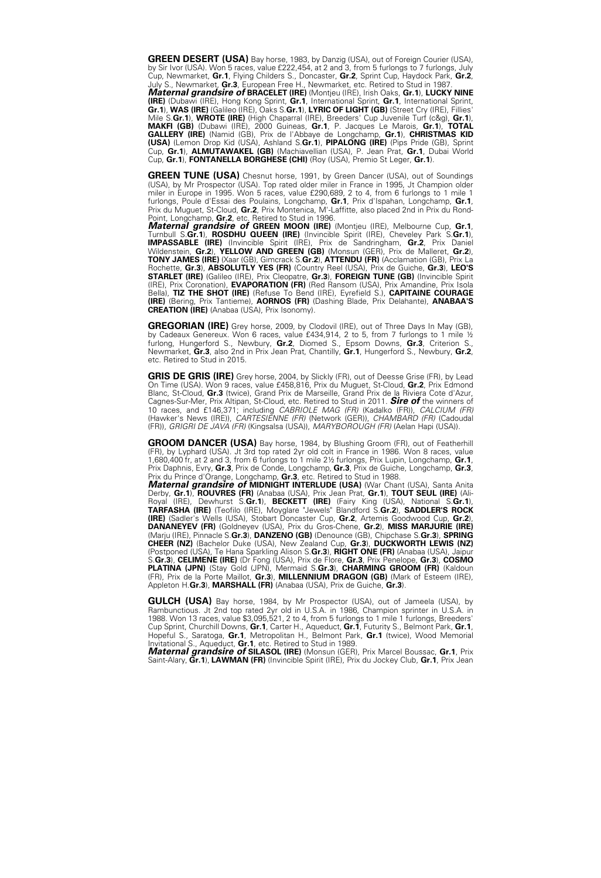**GREEN DESERT (USA)** Bay horse, 1983, by Danzig (USA), out of Foreign Courier (USA),<br>by Sir Ivor (USA). Won 5 races, value £222,454, at 2 and 3, from 5 furlongs to 7 furlongs, July Cup, Newmarket, **Gr.1**, Flying Childers S., Doncaster, **Gr.2**, Sprint Cup, Haydock Park, **Gr.2**, July S., Newmarket, **Gr.3**, European Free H., Newmarket, etc. Retired to Stud in 1987. *Maternal grandsire of* **BRACELET (IRE)** (Montjeu (IRE), Irish Oaks, **Gr.1**), **LUCKY NINE (IRE)** (Dubawi (IRE), Hong Kong Sprint, **Gr.1**, International Sprint, **Gr.1**, International Sprint, **Gr.1), WAS (IRE)** (Galileo (IRE), Oaks S.**Gr.1), LYRIC OF LIGHT (GB)** (Street Cry (IRE), Fillies'<br>Mile S.**Gr.1), WROTE (IRE)** (High Chaparral (IRE), Breeders' Cup Juvenile Turf (c&g), **Gr.1)**, **MAKFI (GB)** (Dubawi (IRE), 2000 Guineas, **Gr.1**, P. Jacques Le Marois, **Gr.1**), **TOTAL GALLERY (IRE)** (Namid (GB), Prix de l'Abbaye de Longchamp, **Gr.1**), **CHRISTMAS KID (USA)** (Lemon Drop Kid (USA), Ashland S.**Gr.1**), **PIPALONG (IRE)** (Pips Pride (GB), Sprint Cup, **Gr.1**), **ALMUTAWAKEL (GB)** (Machiavellian (USA), P. Jean Prat, **Gr.1**, Dubai World Cup, **Gr.1**), **FONTANELLA BORGHESE (CHI)** (Roy (USA), Premio St Leger, **Gr.1**).

**GREEN TUNE (USA)** Chesnut horse, 1991, by Green Dancer (USA), out of Soundings<br>(USA), by Mr Prospector (USA). Top rated older miler in France in 1995, Jt Champion older<br>miler in Europe in 1995. Won 5 races, value £290,689 furlongs, Poule d'Essai des Poulains, Longchamp, **Gr.1**, Prix d'Ispahan, Longchamp, **Gr.1**, Prix du Muguet, St-Cloud, **Gr.2**, Prix Montenica, M'-Laffitte, also placed 2nd in Prix du Rond-<br>Point, Longchamp, **Gr.2**, etc. Retired to Stud in 1996.<br>**Maternal grandsire of GREEN MOON (IRE)** (Montjeu (IRE), Melbourne Cup

Turnbull S.**Gr.1**), **ROSDHU QUEEN (IRE)** (Invincible Spirit (IRE), Cheveley Park S.**Gr.1**), **IMPASSABLE (IRE)** (Invincible Spirit (IRE), Prix de Sandringham, **Gr.2**, Prix Daniel Wildenstein, **Gr.2**), **YELLOW AND GREEN (GB)** (Monsun (GER), Prix de Malleret, **Gr.2**), **TONY JAMES (IRE)** (Xaar (GB), Gimcrack S.**Gr.2**), **ATTENDU (FR)** (Acclamation (GB), Prix La Rochette, **Gr.3**), **ABSOLUTLY YES (FR)** (Country Reel (USA), Prix de Guiche, **Gr.3**), **LEO'S STARLET (IRE)** (Galileo (IRE), Prix Cleopatre, **Gr.3**), **FOREIGN TUNE (GB)** (Invincible Spirit (IRE), Prix Coronation), **EVAPORATION (FR)** (Red Ransom (USA), Prix Amandine, Prix Isola Bella), **TIZ THE SHOT (IRE)** (Refuse To Bend (IRE), Eyrefield S.), **CAPITAINE COURAGE (IRE)** (Bering, Prix Tantieme), **AORNOS (FR)** (Dashing Blade, Prix Delahante), **ANABAA'S CREATION (IRE)** (Anabaa (USA), Prix Isonomy).

**GREGORIAN (IRE)** Grey horse, 2009, by Clodovil (IRE), out of Three Days In May (GB), by Cadeaux Genereux. Won 6 races, value £434,914, 2 to 5, from 7 furlongs to 1 mile ½ furlong, Hungerford S., Newbury, **Gr.2**, Diomed S., Epsom Downs, **Gr.3**, Criterion S., Newmarket, **Gr.3**, also 2nd in Prix Jean Prat, Chantilly, **Gr.1**, Hungerford S., Newbury, **Gr.2**, etc. Retired to Stud in 2015.

**GRIS DE GRIS (IRE)** Grey horse, 2004, by Slickly (FR), out of Deesse Grise (FR), by Lead<br>On Time (USA). Won 9 races, value £458,816, Prix du Muguet, St-Cloud, **Gr.2**, Prix Edmond<br>Blanc, St-Cloud, **Gr.3** (twice), Grand Pri 10 races, and £146,371; including *CABRIOLE MAG (FR)* (Kadalko (FR)), *CALCIUM (FR)* (Hawker's News (IRE)), *CARTESIENNE (FR)* (Network (GER)), *CHAMBARD (FR)* (Cadoudal (FR)), *GRIGRI DE JAVA (FR)* (Kingsalsa (USA)), *MARYBOROUGH (FR)* (Aelan Hapi (USA)).

**GROOM DANCER (USA)** Bay horse, 1984, by Blushing Groom (FR), out of Featherhill (FR), by Lyphard (USA). Jt 3rd top rated 2yr old colt in France in 1986. Won 8 races, value 1,680,400 fr, at 2 and 3, from 6 furlongs to 1 mile 2½ furlongs, Prix Lupin, Longchamp, **Gr.1**, Prix Daphnis, Evry, **Gr.3**, Prix de Conde, Longchamp, **Gr.3**, Prix de Guiche, Longchamp, **Gr.3**, Prix du Prince d'Orange, Longchamp, **Gr.3**, etc. Retired to Stud in 1988.

*Maternal grandsire of* **MIDNIGHT INTERLUDE (USA)** (War Chant (USA), Santa Anita Derby, **Gr.1**), **ROUVRES (FR)** (Anabaa (USA), Prix Jean Prat, **Gr.1**), **TOUT SEUL (IRE)** (Ali-Royal (IRE), Dewhurst S.**Gr.1**), **BECKETT (IRE)** (Fairy King (USA), National S.**Gr.1**), **TARFASHA (IRE)** (Teofilo (IRE), Moyglare "Jewels" Blandford S.**Gr.2**), **SADDLER'S ROCK (IRE)** (Sadler's Wells (USA), Stobart Doncaster Cup, **Gr.2**, Artemis Goodwood Cup, **Gr.2**), **DANANEYEV (FR)** (Goldneyev (USA), Prix du Gros-Chene, **Gr.2**), **MISS MARJURIE (IRE)** (Marju (IRE), Pinnacle S.**Gr.3**), **DANZENO (GB)** (Denounce (GB), Chipchase S.**Gr.3**), **SPRING CHEER (NZ)** (Bachelor Duke (USA), New Zealand Cup, **Gr.3**), **DUCKWORTH LEWIS (NZ)** (Postponed (USA), Te Hana Sparkling Alison S.**Gr.3**), **RIGHT ONE (FR)** (Anabaa (USA), Jaipur S.**Gr.3**), **CELIMENE (IRE)** (Dr Fong (USA), Prix de Flore, **Gr.3**, Prix Penelope, **Gr.3**), **COSMO PLATINA (JPN)** (Stay Gold (JPN), Mermaid S.**Gr.3**), **CHARMING GROOM (FR)** (Kaldoun (FR), Prix de la Porte Maillot, **Gr.3**), **MILLENNIUM DRAGON (GB)** (Mark of Esteem (IRE), Appleton H.**Gr.3**), **MARSHALL (FR)** (Anabaa (USA), Prix de Guiche, **Gr.3**).

**GULCH (USA)** Bay horse, 1984, by Mr Prospector (USA), out of Jameela (USA), by Rambunctious. Jt 2nd top rated 2yr old in U.S.A. in 1986, Champion sprinter in U.S.A. in 1988. Won 13 races, value \$3,095,521, 2 to 4, from 5 furlongs to 1 mile 1 furlongs, Breeders' Cup Sprint, Churchill Downs, **Gr.1**, Carter H., Aqueduct, **Gr.1**, Futurity S., Belmont Park, **Gr.1**, Hopeful S., Saratoga, **Gr.1**, Metropolitan H., Belmont Park, **Gr.1** (twice), Wood Memorial

Invitational S., Aqueduct, **Gr.1**, etc. Retired to Stud in 1989. *Maternal grandsire of* **SILASOL (IRE)** (Monsun (GER), Prix Marcel Boussac, **Gr.1**, Prix Saint-Alary, **Gr.1**), **LAWMAN (FR)** (Invincible Spirit (IRE), Prix du Jockey Club, **Gr.1**, Prix Jean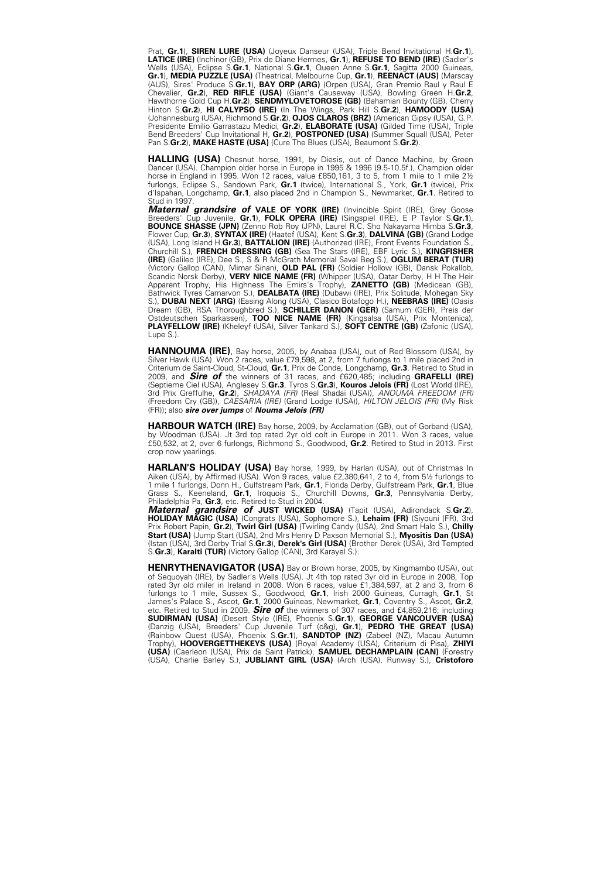Prat, **Gr.1**), **SIREN LURE (USA)** (Joyeux Danseur (USA), Triple Bend Invitational H.**Gr.1**), **LATICE (IRE)** (Inchinor (GB), Prix de Diane Hermes, **Gr.1**), **REFUSE TO BEND (IRE)** (Sadler's Wells (USA), Eclipse S.**Gr.1**, National S.**Gr.1**, Queen Anne S.**Gr.1**, Sagitta 2000 Guineas, **Gr.1**), **MEDIA PUZZLE (USA)** (Theatrical, Melbourne Cup, **Gr.1**), **REENACT (AUS)** (Marscay (AUS), Sires' Produce S.**Gr.1**), **BAY ORP (ARG)** (Orpen (USA), Gran Premio Raul y Raul E Chevalier, **Gr.2**), **RED RIFLE (USA)** (Giant's Causeway (USA), Bowling Green H.**Gr.2**, Hawthorne Gold Cup H.**Gr.2**), **SENDMYLOVETOROSE (GB)** (Bahamian Bounty (GB), Cherry Hinton S.**Gr.2**), **HI CALYPSO (IRE)** (In The Wings, Park Hill S.**Gr.2**), **HAMOODY (USA)** (Johannesburg (USA), Richmond S.**Gr.2**), **OJOS CLAROS (BRZ)** (American Gipsy (USA), G.P. Presidente Emilio Garrastazu Medici, **Gr.2**), **ELABORATE (USA)** (Gilded Time (USA), Triple Bend Breeders' Cup Invitational H, **Gr.2**), **POSTPONED (USA)** (Summer Squall (USA), Peter Pan S.**Gr.2**), **MAKE HASTE (USA)** (Cure The Blues (USA), Beaumont S.**Gr.2**).

**HALLING (USA)** Chesnut horse, 1991, by Diesis, out of Dance Machine, by Green Dancer (USA). Champion older horse in Europe in 1995 & 1996 (9.5-10.5f.), Champion older horse in England in 1995. Won 12 races, value £850,161, 3 to 5, from 1 mile to 1 mile 2½ furlongs, Eclipse S., Sandown Park, **Gr.1** (twice), International S., York, **Gr.1** (twice), Prix d'Ispahan, Longchamp, **Gr.1**, also placed 2nd in Champion S., Newmarket, **Gr.1**. Retired to Stud in 1997.

*Maternal grandsire of* **VALE OF YORK (IRE)** (Invincible Spirit (IRE), Grey Goose Breeders' Cup Juvenile, **Gr.1**), **FOLK OPERA (IRE)** (Singspiel (IRE), E P Taylor S.**Gr.1**), **BOUNCE SHASSE (JPN)** (Zenno Rob Roy (JPN), Laurel R.C. Sho Nakayama Himba S.**Gr.3**, Flower Cup, **Gr.3**), **SYNTAX (IRE)** (Haatef (USA), Kent S.**Gr.3**), **DALVINA (GB)** (Grand Lodge (USA), Long Island H.**Gr.3**), **BATTALION (IRE)** (Authorized (IRE), Front Events Foundation Churchill S.), **FRENCH DRESSING (GB)** (Sea The Stars (IRE), EBF Lyric S.), **KINGFISHER (IRE)** (Galileo (IRE), Dee S., S & R McGrath Memorial Saval Beg S.), **OGLUM BERAT (TUR)** (Victory Gallop (CAN), Mimar Sinan), **OLD PAL (FR)** (Soldier Hollow (GB), Dansk Pokallob, Scandic Norsk Derby), **VERY NICE NAME (FR)** (Whipper (USA), Qatar Derby, H H The Heir Apparent Trophy, His Highness The Emirs's Trophy), **ZANETTO (GB)** (Medicean (GB), Bathwick Tyres Carnarvon S.), **DEALBATA (IRE)** (Dubawi (IRE), Prix Solitude, Mohegan Sky S.), **DUBAI NEXT (ARG)** (Easing Along (USA), Clasico Botafogo H.), **NEEBRAS (IRE)** (Oasis Dream (GB), RSA Thoroughbred S.), **SCHILLER DANON (GER)** (Samum (GER), Preis der Ostdeutschen Sparkassen), **TOO NICE NAME (FR)** (Kingsalsa (USA), Prix Montenica), **PLAYFELLOW (IRE)** (Kheleyf (USA), Silver Tankard S.), **SOFT CENTRE (GB)** (Zafonic (USA), Lupe S.).

**HANNOUMA (IRE)**, Bay horse, 2005, by Anabaa (USA), out of Red Blossom (USA), by Silver Hawk (USA). Won 2 races, value £79,598, at 2, from 7 furlongs to 1 mile placed 2nd in Criterium de Saint-Cloud, St-Cloud, **Gr.1**, Prix de Conde, Longchamp, **Gr.3**. Retired to Stud in 2009, and *Sire of* the winners of 31 races, and £620,485; including **GRAFELLI (IRE)** (Septieme Ciel (USA), Anglesey S.**Gr.3**, Tyros S.**Gr.3**), **Kouros Jelois (FR)** (Lost World (IRE), 3rd Prix Greffulhe, **Gr.2**), *SHADAYA (FR)* (Real Shadai (USA)), *ANOUMA FREEDOM (FR)* (Freedom Cry (GB)), *CAESARIA (IRE)* (Grand Lodge (USA)), *HILTON JELOIS (FR)* (My Risk (FR)); also *sire over jumps* of *Nouma Jelois (FR)*

**HARBOUR WATCH (IRE)** Bay horse, 2009, by Acclamation (GB), out of Gorband (USA), by Woodman (USA). Jt 3rd top rated 2yr old colt in Europe in 2011. Won 3 races, value £50,532, at 2, over 6 furlongs, Richmond S., Goodwood, **Gr.2**. Retired to Stud in 2013. First crop now yearlings.

**HARLAN'S HOLIDAY (USA)** Bay horse, 1999, by Harlan (USA), out of Christmas In Aiken (USA), by Affirmed (USA). Won 9 races, value £2,380,641, 2 to 4, from 5½ furlongs to 1 mile 1 furlongs, Donn H., Gulfstream Park, **Gr.1**, Florida Derby, Gulfstream Park, **Gr.1**, Blue Grass S., Keeneland, **Gr.1**, Iroquois S., Churchill Downs, **Gr.3**, Pennsylvania Derby, Philadelphia Pa, **Gr.3**, etc. Retired to Stud in 2004.

*Maternal grandsire of* **JUST WICKED (USA)** (Tapit (USA), Adirondack S.**Gr.2**), **HOLIDAY MAGIC (USA)** (Congrats (USA), Sophomore S.), **Lehaim (FR)** (Siyouni (FR), 3rd Prix Robert Papin, **Gr.2**), **Twirl Girl (USA)** (Twirling Candy (USA), 2nd Smart Halo S.), **Chilly Start (USA)** (Jump Start (USA), 2nd Mrs Henry D Paxson Memorial S.), **Myositis Dan (USA)** (Istan (USA), 3rd Derby Trial S.**Gr.3**), **Derek's Girl (USA)** (Brother Derek (USA), 3rd Tempted S.**Gr.3**), **Karalti (TUR)** (Victory Gallop (CAN), 3rd Karayel S.).

**HENRYTHENAVIGATOR (USA)** Bay or Brown horse, 2005, by Kingmambo (USA), out of Sequoyah (IRE), by Sadler's Wells (USA). Jt 4th top rated 3yr old in Europe in 2008, Top rated 3yr old miler in Ireland in 2008. Won 6 races, value £1,384,597, at 2 and 3, from 6 furlongs to 1 mile, Sussex S., Goodwood, **Gr.1**, Irish 2000 Guineas, Curragh, **Gr.1**, St James's Palace S., Ascot, **Gr.1**, 2000 Guineas, Newmarket, **Gr.1**, Coventry S., Ascot, **Gr.2**, etc. Retired to Stud in 2009. *Sire of* the winners of 307 races, and £4,859,216; including **SUDIRMAN (USA)** (Desert Style (IRE), Phoenix S.**Gr.1**), **GEORGE VANCOUVER (USA)** (Danzig (USA), Breeders' Cup Juvenile Turf (c&g), **Gr.1**), **PEDRO THE GREAT (USA)** (Rainbow Quest (USA), Phoenix S.**Gr.1**), **SANDTOP (NZ)** (Zabeel (NZ), Macau Autumn Trophy), **HOOVERGETTHEKEYS (USA)** (Royal Academy (USA), Criterium di Pisa), **ZHIYI (USA)** (Caerleon (USA), Prix de Saint Patrick), **SAMUEL DECHAMPLAIN (CAN)** (Forestry (USA), Charlie Barley S.), **JUBLIANT GIRL (USA)** (Arch (USA), Runway S.), **Cristoforo**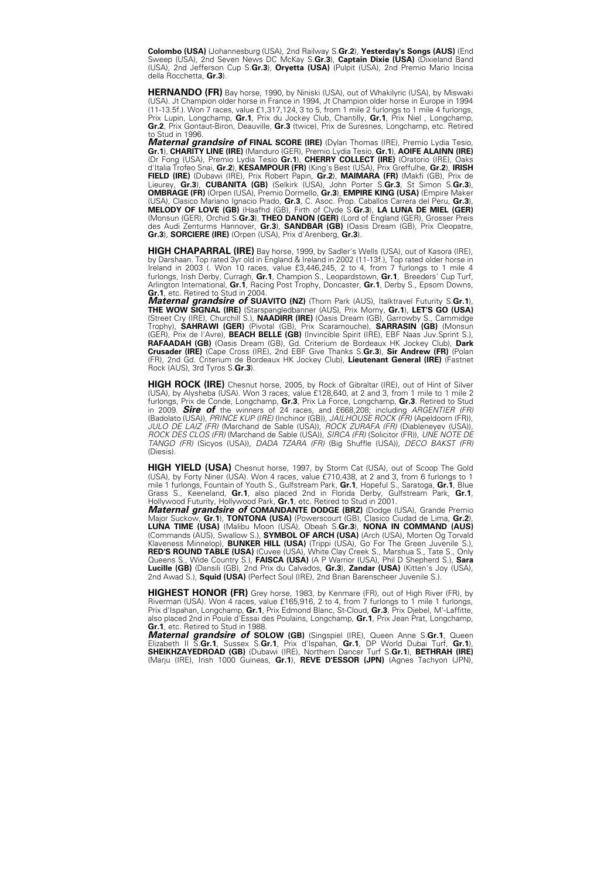**Colombo (USA)** (Johannesburg (USA), 2nd Railway S.**Gr.2**), **Yesterday's Songs (AUS)** (End Sweep (USA), 2nd Seven News DC McKay S.**Gr.3**), **Captain Dixie (USA)** (Dixieland Band (USA), 2nd Jefferson Cup S.**Gr.3**), **Oryetta (USA)** (Pulpit (USA), 2nd Premio Mario Incisa della Rocchetta, **Gr.3**).

**HERNANDO (FR)** Bay horse, 1990, by Niniski (USA), out of Whakilyric (USA), by Miswaki (USA). Jt Champion older horse in France in 1994, Jt Champion older horse in Europe in 1994 (11-13.5f.). Won 7 races, value £1,317,124, 3 to 5, from 1 mile 2 furlongs to 1 mile 4 furlongs, Prix Lupin, Longchamp, **Gr.1**, Prix du Jockey Club, Chantilly, **Gr.1**, Prix Niel , Longchamp, **Gr.2**, Prix Gontaut-Biron, Deauville, **Gr.3** (twice), Prix de Suresnes, Longchamp, etc. Retired  $\frac{1}{100}$ itud in 1996.

*Maternal grandsire of* **FINAL SCORE (IRE)** (Dylan Thomas (IRE), Premio Lydia Tesio, **Gr.1**), **CHARITY LINE (IRE)** (Manduro (GER), Premio Lydia Tesio, **Gr.1**), **AOIFE ALAINN (IRE)** (Dr Fong (USA), Premio Lydia Tesio **Gr.1**), **CHERRY COLLECT (IRE)** (Oratorio (IRE), Oaks d'Italia Trofeo Snai, **Gr.2**), **KESAMPOUR (FR)** (King's Best (USA), Prix Greffulhe, **Gr.2**), **IRISH FIELD (IRE)** (Dubawi (IRE), Prix Robert Papin, **Gr.2**), **MAIMARA (FR)** (Makfi (GB), Prix de Lieurey, **Gr.3**), **CUBANITA (GB)** (Selkirk (USA), John Porter S.**Gr.3**, St Simon S.**Gr.3**), **OMBRAGE (FR)** (Orpen (USA), Premio Dormello, **Gr.3**), **EMPIRE KING (USA)** (Empire Maker (USA), Clasico Mariano Ignacio Prado, **Gr.3**, C. Asoc. Prop. Caballos Carrera del Peru, **Gr.3**), **MELODY OF LOVE (GB)** (Haafhd (GB), Firth of Clyde S.**Gr.3**), **LA LUNA DE MIEL (GER)** (Monsun (GER), Orchid S.**Gr.3**), **THEO DANON (GER)** (Lord of England (GER), Grosser Preis des Audi Zenturms Hannover, **Gr.3**), **SANDBAR (GB)** (Oasis Dream (GB), Prix Cleopatre, **Gr.3**), **SORCIERE (IRE)** (Orpen (USA), Prix d'Arenberg, **Gr.3**).

**HIGH CHAPARRAL (IRE)** Bay horse, 1999, by Sadler's Wells (USA), out of Kasora (IRE), by Darshaan. Top rated 3yr old in England & Ireland in 2002 (11-13f.), Top rated older horse in Ireland in 2003 (. Won 10 races, value £3,446,245, 2 to 4, from 7 furlongs to 1 mile 4 furlongs, Irish Derby, Curragh, **Gr.1**, Champion S., Leopardstown, **Gr.1**, Breeders' Cup Turf, Arlington International, **Gr.1**, Racing Post Trophy, Doncaster, **Gr.1**, Derby S., Epsom Downs, **Gr.1**, etc. Retired to Stud in 2004.

*Maternal grandsire of* **SUAVITO (NZ)** (Thorn Park (AUS), Italktravel Futurity S.**Gr.1**), **THE WOW SIGNAL (IRE)** (Starspangledbanner (AUS), Prix Morny, **Gr.1**), **LET'S GO (USA)** (Street Cry (IRE), Churchill S.), **NAADIRR (IRE)** (Oasis Dream (GB), Garrowby S., Cammidge Trophy), **SAHRAWI (GER)** (Pivotal (GB), Prix Scaramouche), **SARRASIN (GB)** (Monsun (GER), Prix de l'Avre), **BEACH BELLE (GB)** (Invincible Spirit (IRE), EBF Naas Juv.Sprint S.), **RAFAADAH (GB)** (Oasis Dream (GB), Gd. Criterium de Bordeaux HK Jockey Club), **Dark Crusader (IRE)** (Cape Cross (IRE), 2nd EBF Give Thanks S.**Gr.3**), **Sir Andrew (FR)** (Polan (FR), 2nd Gd. Criterium de Bordeaux HK Jockey Club), **Lieutenant General (IRE)** (Fastnet Rock (AUS), 3rd Tyros S.**Gr.3**).

**HIGH ROCK (IRE)** Chesnut horse, 2005, by Rock of Gibraltar (IRE), out of Hint of Silver (USA), by Alysheba (USA). Won 3 races, value £128,640, at 2 and 3, from 1 mile to 1 mile 2 furlongs, Prix de Conde, Longchamp, **Gr.3**, Prix La Force, Longchamp, **Gr.3**. Retired to Stud<br>in 2009. **Sire of** the winners of 24 races, and £668,208; including *ARGENTIER (FR)*<br>(Badolato (USA)), *PRINCE KUP ( JULO DE LAIZ (FR)* (Marchand de Sable (USA)), *ROCK ZURAFA (FR)* (Diableneyev (USA)), *ROCK DES CLOS (FR)* (Marchand de Sable (USA)), *SIRCA (FR)* (Solicitor (FR)), *UNE NOTE DE TANGO (FR)* (Sicyos (USA)), *DADA TZARA (FR)* (Big Shuffle (USA)), *DECO BAKST (FR)* (Diesis).

**HIGH YIELD (USA)** Chesnut horse, 1997, by Storm Cat (USA), out of Scoop The Gold (USA), by Forty Niner (USA). Won 4 races, value £710,438, at 2 and 3, from 6 furlongs to 1 mile 1 furlongs, Fountain of Youth S., Gulfstream Park, **Gr.1**, Hopeful S., Saratoga, **Gr.1**, Blue Grass S., Keeneland, **Gr.1**, also placed 2nd in Florida Derby, Gulfstream Park, **Gr.1**, Hollywood Futurity, Hollywood Park, **Gr.1**, etc. Retired to Stud in 2001.

*Maternal grandsire of* **COMANDANTE DODGE (BRZ)** (Dodge (USA), Grande Premio Major Suckow, **Gr.1**), **TONTONA (USA)** (Powerscourt (GB), Clasico Ciudad de Lima, **Gr.2**), **LUNA TIME (USA)** (Malibu Moon (USA), Obeah S.**Gr.3**), **NONA IN COMMAND (AUS)** (Commands (AUS), Swallow S.), **SYMBOL OF ARCH (USA)** (Arch (USA), Morten Og Torvald Klaveness Minnelop), **BUNKER HILL (USA)** (Trippi (USA), Go For The Green Juvenile S.), **RED'S ROUND TABLE (USA)** (Cuvee (USA), White Clay Creek S., Marshua S., Tate S., Only Queens S., Wide Country S.), **FAISCA (USA)** (A P Warrior (USA), Phil D Shepherd S.), **Sara Lucille (GB)** (Dansili (GB), 2nd Prix du Calvados, **Gr.3**), **Zandar (USA)** (Kitten's Joy (USA), 2nd Awad S.), **Squid (USA)** (Perfect Soul (IRE), 2nd Brian Barenscheer Juvenile S.).

**HIGHEST HONOR (FR)** Grey horse, 1983, by Kenmare (FR), out of High River (FR), by Riverman (USA). Won 4 races, value £165,916, 2 to 4, from 7 furlongs to 1 mile 1 furlongs, Prix d'Ispahan, Longchamp, **Gr.1**, Prix Edmond Blanc, St-Cloud, **Gr.3**, Prix Djebel, M'-Laffitte, also placed 2nd in Poule d'Essai des Poulains, Longchamp, **Gr.1**, Prix Jean Prat, Longchamp, **Gr.1**, etc. Retired to Stud in 1988.

*Maternal grandsire of* **SOLOW (GB)** (Singspiel (IRE), Queen Anne S.**Gr.1**, Queen Elizabeth II S.**Gr.1**, Sussex S.**Gr.1**, Prix d'Ispahan, **Gr.1**, DP World Dubai Turf, **Gr.1**), **SHEIKHZAYEDROAD (GB)** (Dubawi (IRE), Northern Dancer Turf S.**Gr.1**), **BETHRAH (IRE)** (Marju (IRE), Irish 1000 Guineas, **Gr.1**), **REVE D'ESSOR (JPN)** (Agnes Tachyon (JPN),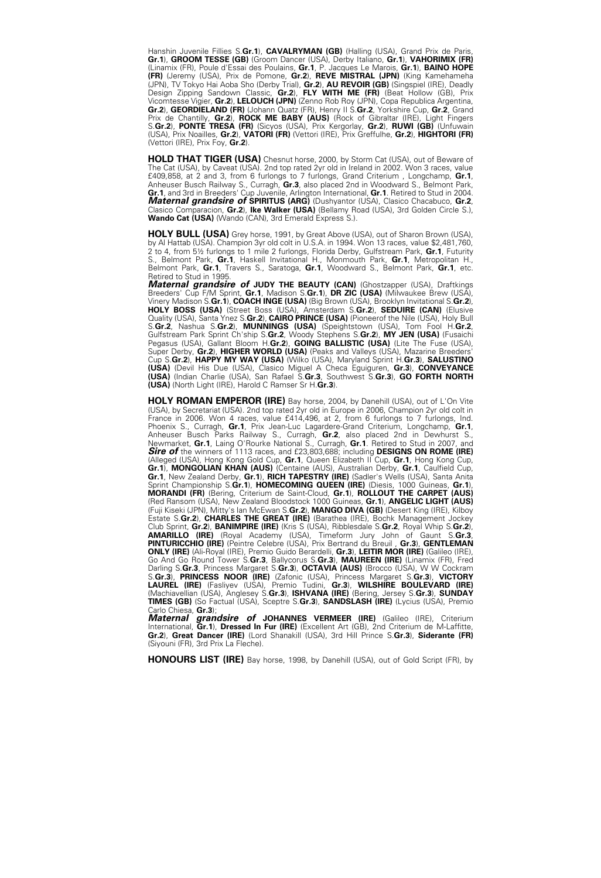Hanshin Juvenile Fillies S.**Gr.1**), **CAVALRYMAN (GB)** (Halling (USA), Grand Prix de Paris, **Gr.1**), **GROOM TESSE (GB)** (Groom Dancer (USA), Derby Italiano, **Gr.1**), **VAHORIMIX (FR)** (Linamix (FR), Poule d'Essai des Poulains, **Gr.1**, P. Jacques Le Marois, **Gr.1**), **BAINO HOPE (FR)** (Jeremy (USA), Prix de Pomone, **Gr.2**), **REVE MISTRAL (JPN)** (King Kamehameha (JPN), TV Tokyo Hai Aoba Sho (Derby Trial), **Gr.2**), **AU REVOIR (GB)** (Singspiel (IRE), Deadly Design Zipping Sandown Classic, **Gr.2**), **FLY WITH ME (FR)** (Beat Hollow (GB), Prix Vicomtesse Vigier, **Gr.2**), **LELOUCH (JPN)** (Zenno Rob Roy (JPN), Copa Republica Argentina, **Gr.2**), **GEORDIELAND (FR)** (Johann Quatz (FR), Henry II S.**Gr.2**, Yorkshire Cup, **Gr.2**, Grand Prix de Chantilly, **Gr.2**), **ROCK ME BABY (AUS)** (Rock of Gibraltar (IRE), Light Fingers S.**Gr.2**), **PONTE TRESA (FR)** (Sicyos (USA), Prix Kergorlay, **Gr.2**), **RUWI (GB)** (Unfuwain (USA), Prix Noailles, **Gr.2**), **VATORI (FR)** (Vettori (IRE), Prix Greffulhe, **Gr.2**), **HIGHTORI (FR)** (Vettori (IRE), Prix Foy, **Gr.2**).

**HOLD THAT TIGER (USA)** Chesnut horse, 2000, by Storm Cat (USA), out of Beware of The Cat (USA), by Caveat (USA). 2nd top rated 2yr old in Ireland in 2002. Won 3 races, value £409,858, at 2 and 3, from 6 furlongs to 7 furlongs, Grand Criterium , Longchamp, **Gr.1**, Anheuser Busch Railway S., Curragh, **Gr.3**, also placed 2nd in Woodward S., Belmont Park,<br>**Gr.1**, and 3rd in Breeders' Cup Juvenile, Arlington International, **Gr.1**. Retired to Stud in 2004.<br>*Maternal grandsire of S***PIRIT** Clasico Comparacion, **Gr.2**), **Ike Walker (USA)** (Bellamy Road (USA), 3rd Golden Circle S.), **Wando Cat (USA)** (Wando (CAN), 3rd Emerald Express S.).

**HOLY BULL (USA)** Grey horse, 1991, by Great Above (USA), out of Sharon Brown (USA), by Al Hattab (USA). Champion 3yr old colt in U.S.A. in 1994. Won 13 races, value \$2,481,760, 2 to 4, from 5½ furlongs to 1 mile 2 furlongs, Florida Derby, Gulfstream Park, **Gr.1**, Futurity S., Belmont Park, **Gr.1**, Haskell Invitational H., Monmouth Park, **Gr.1**, Metropolitan H., Belmont Park, **Gr.1**, Travers S., Saratoga, **Gr.1**, Woodward S., Belmont Park, **Gr.1**, etc. Retired to Stud in 1995.

*Maternal grandsire of* **JUDY THE BEAUTY (CAN)** (Ghostzapper (USA), Draftkings Breeders' Cup F/M Sprint, **Gr.1**, Madison S.**Gr.1**), **DR ZIC (USA)** (Milwaukee Brew (USA), Vinery Madison S.**Gr.1**), **COACH INGE (USA)** (Big Brown (USA), Brooklyn Invitational S.**Gr.2**), **HOLY BOSS (USA)** (Street Boss (USA), Amsterdam S.**Gr.2**), **SEDUIRE (CAN)** (Elusive Quality (USA), Santa Ynez S.**Gr.2**), **CAIRO PRINCE (USA)** (Pioneerof the Nile (USA), Holy Bull S.**Gr.2**, Nashua S.**Gr.2**), **MUNNINGS (USA)** (Speightstown (USA), Tom Fool H.**Gr.2**, Gulfstream Park Sprint Ch'ship S.**Gr.2**, Woody Stephens S.**Gr.2**), **MY JEN (USA)** (Fusaichi Pegasus (USA), Gallant Bloom H.**Gr.2**), **GOING BALLISTIC (USA)** (Lite The Fuse (USA), Super Derby, **Gr.2**), **HIGHER WORLD (USA)** (Peaks and Valleys (USA), Mazarine Breeders' Cup S.**Gr.2**), **HAPPY MY WAY (USA)** (Wilko (USA), Maryland Sprint H.**Gr.3**), **SALUSTINO (USA)** (Devil His Due (USA), Clasico Miguel A Checa Eguiguren, **Gr.3**), **CONVEYANCE (USA)** (Indian Charlie (USA), San Rafael S.**Gr.3**, Southwest S.**Gr.3**), **GO FORTH NORTH (USA)** (North Light (IRE), Harold C Ramser Sr H.**Gr.3**).

**HOLY ROMAN EMPEROR (IRE)** Bay horse, 2004, by Danehill (USA), out of L'On Vite (USA), by Secretariat (USA). 2nd top rated 2yr old in Europe in 2006, Champion 2yr old colt in France in 2006. Won 4 races, value £414,496, at 2, from 6 furlongs to 7 furlongs, Ind. Phoenix S., Curragh, **Gr.1**, Prix Jean-Luc Lagardere-Grand Criterium, Longchamp, **Gr.1**, Anheuser Busch Parks Railway S., Curragh, **Gr.2**, also placed 2nd in Dewhurst S.,<br>Newmarket, **Gr.1**, Laing O'Rourke National S., Curragh, **Gr.1**. Retired to Stud in 2007, and<br>*Sire of* the winners of 1113 races, and £23, **Gr.1**), **MONGOLIAN KHAN (AUS)** (Centaine (AUS), Australian Derby, **Gr.1**, Caulfield Cup, **Gr.1**, New Zealand Derby, **Gr.1**), **RICH TAPESTRY (IRE)** (Sadler's Wells (USA), Santa Anita Sprint Championship S.**Gr.1**), **HOMECOMING QUEEN (IRE)** (Diesis, 1000 Guineas, **Gr.1**), **MORANDI (FR)** (Bering, Criterium de Saint-Cloud, **Gr.1**), **ROLLOUT THE CARPET (AUS)** (Red Ransom (USA), New Zealand Bloodstock 1000 Guineas, **Gr.1**), **ANGELIC LIGHT (AUS)** (Fuji Kiseki (JPN), Mitty's Ian McEwan S.**Gr.2**), **MANGO DIVA (GB)** (Desert King (IRE), Kilboy Estate S.**Gr.2**), **CHARLES THE GREAT (IRE)** (Barathea (IRE), Bochk Management Jockey Club Sprint, **Gr.2**), **BANIMPIRE (IRE)** (Kris S (USA), Ribblesdale S.**Gr.2**, Royal Whip S.**Gr.2**), **AMARILLO (IRE)** (Royal Academy (USA), Timeform Jury John of Gaunt S.**Gr.3**, **PINTURICCHIO (IRE)** (Peintre Celebre (USA), Prix Bertrand du Breuil , **Gr.3**), **GENTLEMAN ONLY (IRE)** (Ali-Royal (IRE), Premio Guido Berardelli, **Gr.3**), **LEITIR MOR (IRE)** (Galileo (IRE), Go And Go Round Tower S.**Gr.3**, Ballycorus S.**Gr.3**), **MAUREEN (IRE)** (Linamix (FR), Fred Darling S.**Gr.3**, Princess Margaret S.**Gr.3**), **OCTAVIA (AUS)** (Brocco (USA), W W Cockram S.**Gr.3**), **PRINCESS NOOR (IRE)** (Zafonic (USA), Princess Margaret S.**Gr.3**), **VICTORY LAUREL (IRE)** (Fasliyev (USA), Premio Tudini, **Gr.3**), **WILSHIRE BOULEVARD (IRE)** (Machiavellian (USA), Anglesey S.**Gr.3**), **ISHVANA (IRE)** (Bering, Jersey S.**Gr.3**), **SUNDAY TIMES (GB)** (So Factual (USA), Sceptre S.**Gr.3**), **SANDSLASH (IRE)** (Lycius (USA), Premio

Carlo Chiesa, **Gr.3**);<br>*Maternal grandsire of J*OHANNES VERMEER (IRE) (Galileo (IRE), Criterium<br>International, **Gr.1**), **Dressed In Fur (IRE)** (Excellent Art (GB), 2nd Criterium de M-Laffitte, **Gr.2**), **Great Dancer (IRE)** (Lord Shanakill (USA), 3rd Hill Prince S.**Gr.3**), **Siderante (FR)** (Siyouni (FR), 3rd Prix La Fleche).

**HONOURS LIST (IRE)** Bay horse, 1998, by Danehill (USA), out of Gold Script (FR), by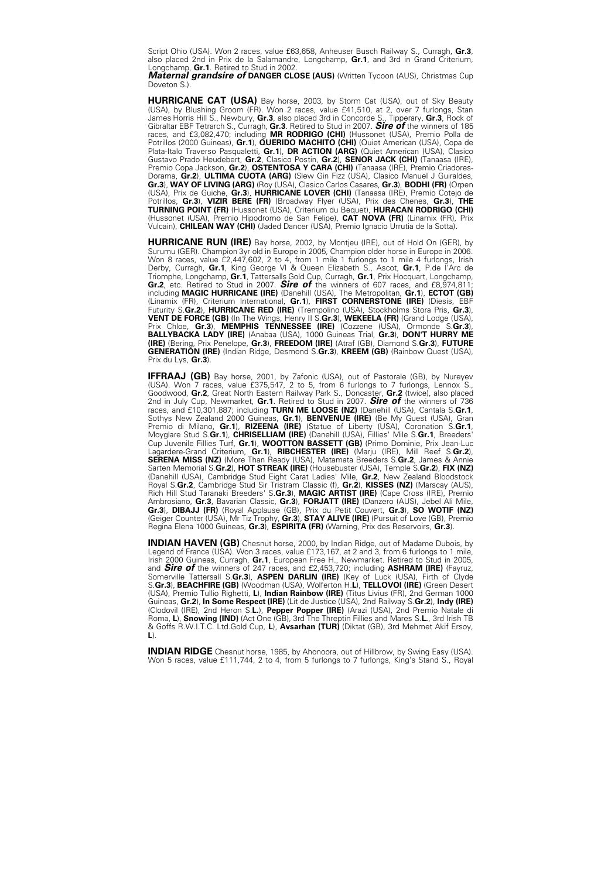Script Ohio (USA). Won 2 races, value £63,658, Anheuser Busch Railway S., Curragh, **Gr.3**, also placed 2nd in Prix de la Salamandre, Longchamp, **Gr.1**, and 3rd in Grand Criterium, Longchamp, **Gr.1**. Retired to Stud in 2002.

*Maternal grandsire of* **DANGER CLOSE (AUS)** (Written Tycoon (AUS), Christmas Cup Doveton S.).

**HURRICANE CAT (USA)** Bay horse, 2003, by Storm Cat (USA), out of Sky Beauty (USA), by Blushing Groom (FR). Won 2 races, value £41,510, at 2, over 7 furlongs, Stan<br>James Horris Hill S., Newbury, Gr.3, also placed 3rd in Concorde S., Tipperary, Gr.3, Rock of<br>Gibraltar EBF Tetrarch S., Curragh, Gr.3. Plata-Italo Traverso Pasqualetti, **Gr.1**), **DR ACTION (ARG)** (Quiet American (USA), Clasico Gustavo Prado Heudebert, **Gr.2**, Clasico Postin, **Gr.2**), **SENOR JACK (CHI)** (Tanaasa (IRE), Premio Copa Jackson, **Gr.2**), **OSTENTOSA Y CARA (CHI)** (Tanaasa (IRE), Premio Criadores-Dorama, **Gr.2**), **ULTIMA CUOTA (ARG)** (Slew Gin Fizz (USA), Clasico Manuel J Guiraldes, **Gr.3**), **WAY OF LIVING (ARG)** (Roy (USA), Clasico Carlos Casares, **Gr.3**), **BODHI (FR)** (Orpen (USA), Prix de Guiche, **Gr.3**), **HURRICANE LOVER (CHI)** (Tanaasa (IRE), Premio Cotejo de Potrillos, **Gr.3**), **VIZIR BERE (FR)** (Broadway Flyer (USA), Prix des Chenes, **Gr.3**), **THE TURNING POINT (FR)** (Hussonet (USA), Criterium du Bequet), **HURACAN RODRIGO (CHI)** (Hussonet (USA), Premio Hipodromo de San Felipe), **CAT NOVA (FR)** (Linamix (FR), Prix Vulcain), **CHILEAN WAY (CHI)** (Jaded Dancer (USA), Premio Ignacio Urrutia de la Sotta).

**HURRICANE RUN (IRE)** Bay horse, 2002, by Montjeu (IRE), out of Hold On (GER), by Surumu (GER). Champion 3yr old in Europe in 2005, Champion older horse in Europe in 2006. Won 8 races, value £2,447,602, 2 to 4, from 1 mile 1 furlongs to 1 mile 4 furlongs, Irish Derby, Curragh, **Gr.1**, King George VI & Queen Elizabeth S., Ascot, **Gr.1**, P.de l'Arc de Triomphe, Longchamp, **Gr.1**, Tattersalls Gold Cup, Curragh, **Gr.1**, Prix Hocquart, Longchamp,<br>**Gr.2**, etc. Retired to Stud in 2007. *Sire of* the winners of 607 races, and £8,974,811;<br>including **MAGIC HURRICANE (IRE)** (Dan (Linamix (FR), Criterium International, **Gr.1**), **FIRST CORNERSTONE (IRE)** (Diesis, EBF Futurity S.**Gr.2**), **HURRICANE RED (IRE)** (Trempolino (USA), Stockholms Stora Pris, **Gr.3**), **VENT DE FORCE (GB)** (In The Wings, Henry II S.**Gr.3**), **WEKEELA (FR)** (Grand Lodge (USA), Prix Chloe, **Gr.3**), **MEMPHIS TENNESSEE (IRE)** (Cozzene (USA), Ormonde S.**Gr.3**), **BALLYBACKA LADY (IRE)** (Anabaa (USA), 1000 Guineas Trial, **Gr.3**), **DON'T HURRY ME (IRE)** (Bering, Prix Penelope, **Gr.3**), **FREEDOM (IRE)** (Atraf (GB), Diamond S.**Gr.3**), **FUTURE GENERATION (IRE)** (Indian Ridge, Desmond S.**Gr.3**), **KREEM (GB)** (Rainbow Quest (USA), Prix du Lys, **Gr.3**).

**IFFRAAJ (GB)** Bay horse, 2001, by Zafonic (USA), out of Pastorale (GB), by Nureyev<br>(USA). Won 7 races, value £375,547, 2 to 5, from 6 furlongs to 7 furlongs, Lennox S.,<br>Goodwood, **Gr.2**, Great North Eastern Railway Park S races, and £10,301,887; including **TURN ME LOOSE (NZ)** (Danehill (USA), Cantala S.**Gr.1**, Sothys New Zealand 2000 Guineas, **Gr.1**), **BENVENUE (IRE)** (Be My Guest (USA), Gran Premio di Milano, **Gr.1**), **RIZEENA (IRE)** (Statue of Liberty (USA), Coronation S.**Gr.1**, Moyglare Stud S.**Gr.1**), **CHRISELLIAM (IRE)** (Danehill (USA), Fillies' Mile S.**Gr.1**, Breeders' Cup Juvenile Fillies Turf, **Gr.1**), **WOOTTON BASSETT (GB)** (Primo Dominie, Prix Jean-Luc Lagardere-Grand Criterium, **Gr.1**), **RIBCHESTER (IRE)** (Marju (IRE), Mill Reef S.**Gr.2**), **SERENA MISS (NZ)** (More Than Ready (USA), Matamata Breeders S.**Gr.2**, James & Annie Sarten Memorial S.**Gr.2**), **HOT STREAK (IRE)** (Housebuster (USA), Temple S.**Gr.2**), **FIX (NZ)** (Danehill (USA), Cambridge Stud Eight Carat Ladies' Mile, **Gr.2**, New Zealand Bloodstock Royal S.**Gr.2**, Cambridge Stud Sir Tristram Classic (f), **Gr.2**), **KISSES (NZ)** (Marscay (AUS), Rich Hill Stud Taranaki Breeders' S.**Gr.3**), **MAGIC ARTIST (IRE)** (Cape Cross (IRE), Premio Ambrosiano, **Gr.3**, Bavarian Classic, **Gr.3**), **FORJATT (IRE)** (Danzero (AUS), Jebel Ali Mile, **Gr.3**), **DIBAJJ (FR)** (Royal Applause (GB), Prix du Petit Couvert, **Gr.3**), **SO WOTIF (NZ)** (Geiger Counter (USA), Mr Tiz Trophy, **Gr.3**), **STAY ALIVE (IRE)** (Pursuit of Love (GB), Premio Regina Elena 1000 Guineas, **Gr.3**), **ESPIRITA (FR)** (Warning, Prix des Reservoirs, **Gr.3**).

**INDIAN HAVEN (GB)** Chesnut horse, 2000, by Indian Ridge, out of Madame Dubois, by Legend of France (USA). Won 3 races, value £173,167, at 2 and 3, from 6 furlongs to 1 mile, Irish 2000 Guineas, Curragh, **Gr.1**, European Free H., Newmarket. Retired to Stud in 2005,<br>and *Sire of* the winners of 247 races, and £2,453,720; including **ASHRAM (IRE)** (Fayruz,<br>Somerville Tattersall S.**Gr.3), ASPEN DAR** S.**Gr.3**), **BEACHFIRE (GB)** (Woodman (USA), Wolferton H.**L**), **TELLOVOI (IRE)** (Green Desert (USA), Premio Tullio Righetti, **L**), **Indian Rainbow (IRE)** (Titus Livius (FR), 2nd German 1000 Guineas, **Gr.2**), **In Some Respect (IRE)** (Lit de Justice (USA), 2nd Railway S.**Gr.2**), **Indy (IRE)** (Clodovil (IRE), 2nd Heron S.**L.**), **Pepper Popper (IRE)** (Arazi (USA), 2nd Premio Natale di Roma, **L**), **Snowing (IND)** (Act One (GB), 3rd The Threptin Fillies and Mares S.**L.**, 3rd Irish TB & Goffs R.W.I.T.C. Ltd.Gold Cup, **L**), **Avsarhan (TUR)** (Diktat (GB), 3rd Mehmet Akif Ersoy, **L**).

**INDIAN RIDGE** Chesnut horse, 1985, by Ahonoora, out of Hillbrow, by Swing Easy (USA). Won 5 races, value £111,744, 2 to 4, from 5 furlongs to 7 furlongs, King's Stand S., Royal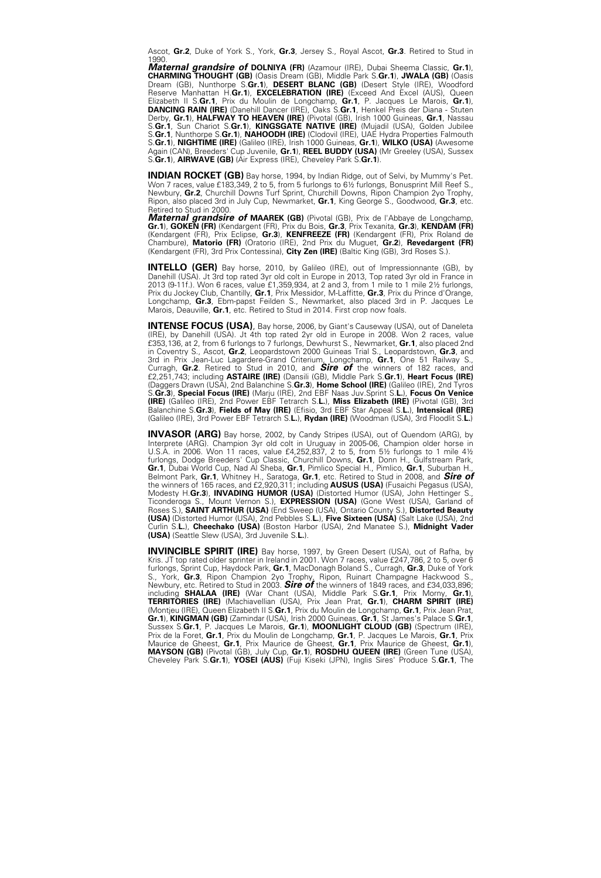Ascot, **Gr.2**, Duke of York S., York, **Gr.3**, Jersey S., Royal Ascot, **Gr.3**. Retired to Stud in 1990.

*Maternal grandsire of* **DOLNIYA (FR)** (Azamour (IRE), Dubai Sheema Classic, **Gr.1**), **CHARMING THOUGHT (GB)** (Oasis Dream (GB), Middle Park S.**Gr.1**), **JWALA (GB)** (Oasis Dream (GB), Nunthorpe S.**Gr.1**), **DESERT BLANC (GB)** (Desert Style (IRE), Woodford Reserve Manhattan H.**Gr.1**), **EXCELEBRATION (IRE)** (Exceed And Excel (AUS), Queen Elizabeth II S.**Gr.1**, Prix du Moulin de Longchamp, **Gr.1**, P. Jacques Le Marois, **Gr.1**), **DANCING RAIN (IRE)** (Danehill Dancer (IRE), Oaks S.**Gr.1**, Henkel Preis der Diana - Stuten Derby, **Gr.1**), **HALFWAY TO HEAVEN (IRE)** (Pivotal (GB), Irish 1000 Guineas, **Gr.1**, Nassau S.**Gr.1**, Sun Chariot S.**Gr.1**), **KINGSGATE NATIVE (IRE)** (Mujadil (USA), Golden Jubilee S.**Gr.1**, Nunthorpe S.**Gr.1), NAHOODH (IRE)** (Clodovil (IRE), UAE Hydra Properties Falmouth<br>S.**Gr.1), NIGHTIME (IRE)** (Galileo (IRE), Irish 1000 Guineas, **Gr.1), WILKO (USA)** (Awesome Again (CAN), Breeders' Cup Juvenile, **Gr.1**), **REEL BUDDY (USA)** (Mr Greeley (USA), Sussex S.**Gr.1**), **AIRWAVE (GB)** (Air Express (IRE), Cheveley Park S.**Gr.1**).

**INDIAN ROCKET (GB)** Bay horse, 1994, by Indian Ridge, out of Selvi, by Mummy's Pet. Won 7 races, value £183,349, 2 to 5, from 5 furlongs to 6½ furlongs, Bonusprint Mill Reef S., Newbury, **Gr.2**, Churchill Downs Turf Sprint, Churchill Downs, Ripon Champion 2yo Trophy, Ripon, also placed 3rd in July Cup, Newmarket, **Gr.1**, King George S., Goodwood, **Gr.3**, etc. Retired to Stud in 2000.

*Maternal grandsire of* **MAAREK (GB)** (Pivotal (GB), Prix de l'Abbaye de Longchamp, **Gr.1**), **GOKEN (FR)** (Kendargent (FR), Prix du Bois, **Gr.3**, Prix Texanita, **Gr.3**), **KENDAM (FR)** (Kendargent (FR), Prix Eclipse, **Gr.3**), **KENFREEZE (FR)** (Kendargent (FR), Prix Roland de Chambure), **Matorio (FR)** (Oratorio (IRE), 2nd Prix du Muguet, **Gr.2**), **Revedargent (FR)** (Kendargent (FR), 3rd Prix Contessina), **City Zen (IRE)** (Baltic King (GB), 3rd Roses S.).

**INTELLO (GER)** Bay horse, 2010, by Galileo (IRE), out of Impressionnante (GB), by Danehill (USA). Jt 3rd top rated 3yr old colt in Europe in 2013, Top rated 3yr old in France in 2013 (9-11f.). Won 6 races, value £1,359,934, at 2 and 3, from 1 mile to 1 mile 2½ furlongs, Prix du Jockey Club, Chantilly, **Gr.1**, Prix Messidor, M-Laffitte, **Gr.3**, Prix du Prince d'Orange, Longchamp, **Gr.3**, Ebm-papst Feilden S., Newmarket, also placed 3rd in P. Jacques Le Marois, Deauville, **Gr.1**, etc. Retired to Stud in 2014. First crop now foals.

**INTENSE FOCUS (USA)**, Bay horse, 2006, by Giant's Causeway (USA), out of Daneleta (IRE), by Danehill (USA). Jt 4th top rated 2yr old in Europe in 2008. Won 2 races, value £353,136, at 2, from 6 furlongs to 7 furlongs, Dewhurst S., Newmarket, **Gr.1**, also placed 2nd in Coventry S., Ascot, **Gr.2**, Leopardstown 2000 Guineas Trial S., Leopardstown, **Gr.3**, and 3rd in Prix Jean-Luc Lagardere-Grand Criterium, Longchamp, **Gr.1**, One 51 Railway S.,<br>Curragh, **Gr.2**. Retired to Stud in 2010, and *Sire of* the winners of 182 races, and<br>£2,251,743; including **ASTAIRE (IRE)** (Dansili ( (Daggers Drawn (USA), 2nd Balanchine S.**Gr.3**), **Home School (IRE)** (Galileo (IRE), 2nd Tyros S.**Gr.3**), **Special Focus (IRE)** (Marju (IRE), 2nd EBF Naas Juv.Sprint S.**L.**), **Focus On Venice (IRE)** (Galileo (IRE), 2nd Power EBF Tetrarch S.**L.**), **Miss Elizabeth (IRE)** (Pivotal (GB), 3rd Balanchine S.**Gr.3**), **Fields of May (IRE)** (Efisio, 3rd EBF Star Appeal S.**L.**), **Intensical (IRE)** (Galileo (IRE), 3rd Power EBF Tetrarch S.**L.**), **Rydan (IRE)** (Woodman (USA), 3rd Floodlit S.**L.**)

**INVASOR (ARG)** Bay horse, 2002, by Candy Stripes (USA), out of Quendom (ARG), by Interprete (ARG). Champion 3yr old colt in Uruguay in 2005-06, Champion older horse in U.S.A. in 2006. Won 11 races, value  $£4,252,837, 2$  to 5, from  $5\frac{1}{2}$  furlongs to 1 mile  $4\frac{1}{2}$ furlongs, Dodge Breeders' Cup Classic, Churchill Downs, **Gr.1**, Donn H., Gulfstream Park, **Gr.1**, Dubai World Cup, Nad Al Sheba, **Gr.1**, Pimlico Special H., Pimlico, **Gr.1**, Suburban H.,<br>Belmont Park, **Gr.1**, Whitney H., Saratoga, **Gr.1**, etc. Retired to Stud in 2008, and *Sire of<br>the winners of 165 races, an* Modesty H.**Gr.3**), **INVADING HUMOR (USA)** (Distorted Humor (USA), John Hettinger S., Ticonderoga S., Mount Vernon S.), **EXPRESSION (USA)** (Gone West (USA), Garland of Roses S.), **SAINT ARTHUR (USA)** (End Sweep (USA), Ontario County S.), **Distorted Beauty (USA)** (Distorted Humor (USA), 2nd Pebbles S.**L.**), **Five Sixteen (USA)** (Salt Lake (USA), 2nd Curlin S.**L.**), **Cheechako (USA)** (Boston Harbor (USA), 2nd Manatee S.), **Midnight Vader (USA)** (Seattle Slew (USA), 3rd Juvenile S.**L.**).

**INVINCIBLE SPIRIT (IRE)** Bay horse, 1997, by Green Desert (USA), out of Rafha, by Kris. JT top rated older sprinter in Ireland in 2001. Won 7 races, value £247,786, 2 to 5, over 6 furlongs, Sprint Cup, Haydock Park, **Gr.1**, MacDonagh Boland S., Curragh, **Gr.3**, Duke of York S., York, **Gr.3**, Ripon Champion 2yo Trophy, Ripon, Ruinart Champagne Hackwood S.,<br>Newbury, etc. Retired to Stud in 2003. **Sire of** the winners of 1849 races, and £34,033,896;<br>including **SHALAA (IRE)** (War Chant (USA), Mid **TERRITORIES (IRE)** (Machiavellian (USA), Prix Jean Prat, **Gr.1**), **CHARM SPIRIT (IRE)** (Montjeu (IRE), Queen Elizabeth II S**.Gr.1**, Prix du Moulin de Longchamp, **Gr.1**, Prix Jean Prat,<br>**Gr.1**), **KINGMAN (GB)** (Zamindar (USA), Irish 2000 Guineas, **Gr.1**, St James's Palace S.**Gr.1**, Sussex S.**Gr.1**, P. Jacques Le Marois, **Gr.1**), **MOONLIGHT CLOUD (GB)** (Spectrum (IRE), Prix de la Foret, **Gr.1**, Prix du Moulin de Longchamp, **Gr.1**, P. Jacques Le Marois, **Gr.1**, Prix Maurice de Gheest, **Gr.1**, Prix Maurice de Gheest, **Gr.1**, Prix Maurice de Gheest, **Gr.1**), **MAYSON (GB)** (Pivotal (GB), July Cup, **Gr.1**), **ROSDHU QUEEN (IRE)** (Green Tune (USA), Cheveley Park S.**Gr.1**), **YOSEI (AUS)** (Fuji Kiseki (JPN), Inglis Sires' Produce S.**Gr.1**, The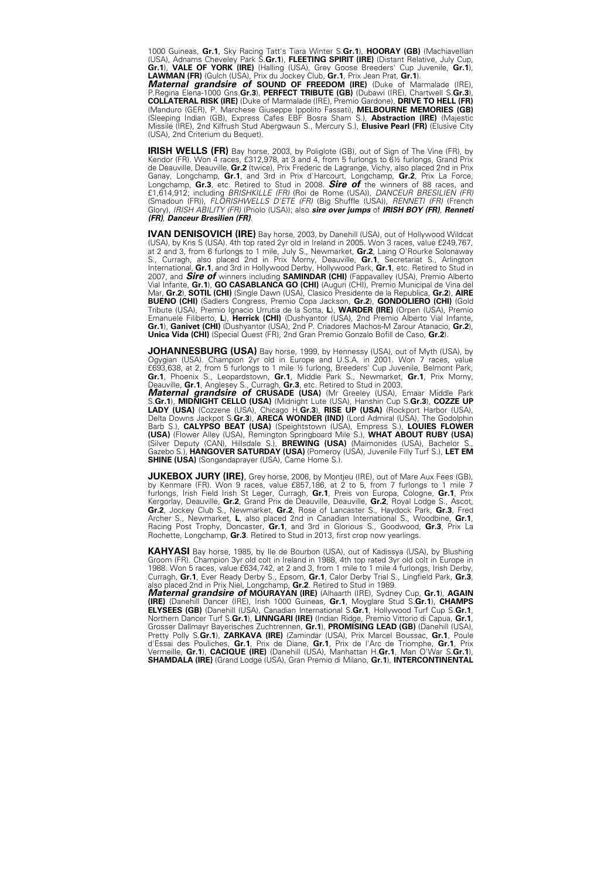1000 Guineas, **Gr.1**, Sky Racing Tatt's Tiara Winter S.**Gr.1**), **HOORAY (GB)** (Machiavellian (USA), Adnams Cheveley Park S.**Gr.1**), **FLEETING SPIRIT (IRE)** (Distant Relative, July Cup, **Gr.1**), **VALE OF YORK (IRE)** (Halling (USA), Grey Goose Breeders' Cup Juvenile, **Gr.1**),

**LAWMAN (FR)** (Gulch (USA), Prix du Jockey Club, **Gr.1**, Prix Jean Prat, **Gr.1**).<br>*Maternal grandsire of SOUND OF FREEDOM (IRE) (Duke of Marmalade (IRE),<br>P.Regina Elena-1000 Gns.Gr.3), PERFECT TRIBUTE (GB) (Dubawi (IRE* **COLLATERAL RISK (IRE)** (Duke of Marmalade (IRE), Premio Gardone), **DRIVE TO HELL (FR)** (Manduro (GER), P. Marchese Giuseppe Ippolito Fassati), **MELBOURNE MEMORIES (GB)** (Sleeping Indian (GB), Express Cafes EBF Bosra Sham S.), **Abstraction (IRE)** (Majestic Missile (IRE), 2nd Kilfrush Stud Abergwaun S., Mercury S.), **Elusive Pearl (FR)** (Elusive City (USA), 2nd Criterium du Bequet).

**IRISH WELLS (FR)** Bay horse, 2003, by Poliglote (GB), out of Sign of The Vine (FR), by Kendor (FR). Won 4 races, £312,978, at 3 and 4, from 5 furlongs to 6½ furlongs, Grand Prix de Deauville, Deauville, **Gr.2** (twice), Prix Frederic de Lagrange, Vichy, also placed 2nd in Prix Ganay, Longchamp, **Gr.1**, and 3rd in Prix d'Harcourt, Longchamp, **Gr.2**, Prix La Force,<br>Longchamp, **Gr.3**, etc. Retired to Stud in 2008. **Sire of** the winners of 88 races, and<br>£1,614,912; including *BRISHKILLE (FR)* (Roi d (Smadoun (FR)), *FLORISHWELLS D'ETE (FR)* (Big Shuffle (USA)), *RENNETI (FR)* (French Glory), *IRISH ABILITY (FR)* (Priolo (USA)); also *sire over jumps* of *IRISH BOY (FR), Renneti (FR), Danceur Bresilien (FR)*.

**IVAN DENISOVICH (IRE)** Bay horse, 2003, by Danehill (USA), out of Hollywood Wildcat (USA), by Kris S (USA). 4th top rated 2yr old in Ireland in 2005. Won 3 races, value £249,767, at 2 and 3, from 6 furlongs to 1 mile, July S., Newmarket, **Gr.2**, Laing O'Rourke Solonaway S., Curragh, also placed 2nd in Prix Morny, Deauville, **Gr.1**, Secretariat S., Arlington<br>International, **Gr.1**, and 3rd in Hollywood Derby, Hollywood Park, **Gr.1**, etc. Retired to Stud in<br>2007, and **Sire of winners includi BUENO (CHI)** (Sadlers Congress, Premio Copa Jackson, **Gr.2**), **GONDOLIERO (CHI)** (Gold Tribute (USA), Premio Ignacio Urrutia de la Sotta, **L**), **WARDER (IRE)** (Orpen (USA), Premio Emanuele Filiberto, **L**), **Herrick (CHI)** (Dushyantor (USA), 2nd Premio Alberto Vial Infante, **Gr.1**), **Ganivet (CHI)** (Dushyantor (USA), 2nd P. Criadores Machos-M Zarour Atanacio, **Gr.2**), **Unica Vida (CHI)** (Special Quest (FR), 2nd Gran Premio Gonzalo Bofill de Caso, **Gr.2**).

**JOHANNESBURG (USA)** Bay horse, 1999, by Hennessy (USA), out of Myth (USA), by Ogygian (USA). Champion 2yr old in Europe and U.S.A. in 2001. Won 7 races, value £693,638, at 2, from 5 furlongs to 1 mile ½ furlong, Breeders' Cup Juvenile, Belmont Park, **Gr.1**, Phoenix S., Leopardstown, **Gr.1**, Middle Park S., Newmarket, **Gr.1**, Prix Morny,

Deauville, **Gr.1**, Anglesey S., Curragh, **Gr.3**, etc. Retired to Stud in 2003.<br>*Maternal grandsire of C***RUSADE (USA)** (Mr Greeley (USA), Emaar Middle Park<br>S.**Gr.1), MIDNIGHT CELLO (USA)** (Midnight Lute (USA), Hanshin Cup **LADY (USA)** (Cozzene (USA), Chicago H.**Gr.3**), **RISE UP (USA)** (Rockport Harbor (USA), Delta Downs Jackpot S.**Gr.3**), **ARECA WONDER (IND)** (Lord Admiral (USA), The Godolphin Barb S.), **CALYPSO BEAT (USA)** (Speightstown (USA), Empress S.), **LOUIES FLOWER (USA)** (Flower Alley (USA), Remington Springboard Mile S.), **WHAT ABOUT RUBY (USA)** (Silver Deputy (CAN), Hillsdale S.), **BREWING (USA)** (Maimonides (USA), Bachelor S., Gazebo S.), **HANGOVER SATURDAY (USA)** (Pomeroy (USA), Juvenile Filly Turf S.), **LET EM SHINE (USA)** (Songandaprayer (USA), Came Home S.).

**JUKEBOX JURY (IRE)**, Grey horse, 2006, by Montjeu (IRE), out of Mare Aux Fees (GB), by Kenmare (FR). Won 9 races, value £857,186, at 2 to 5, from 7 furlongs to 1 mile 7 furlongs, Irish Field Irish St Leger, Curragh, **Gr.1**, Preis von Europa, Cologne, **Gr.1**, Prix Kergorlay, Deauville, **Gr.2**, Grand Prix de Deauville, Deauville, **Gr.2**, Royal Lodge S., Ascot, **Gr.2**, Jockey Club S., Newmarket, **Gr.2**, Rose of Lancaster S., Haydock Park, **Gr.3**, Fred Archer S., Newmarket, **L**, also placed 2nd in Canadian International S., Woodbine, **Gr.1**, Racing Post Trophy, Doncaster, **Gr.1**, and 3rd in Glorious S., Goodwood, **Gr.3**, Prix La Rochette, Longchamp, **Gr.3**. Retired to Stud in 2013, first crop now yearlings.

**KAHYASI** Bay horse, 1985, by Ile de Bourbon (USA), out of Kadissya (USA), by Blushing<br>Groom (FR). Champion 3yr old colt in Ireland in 1988, 4th top rated 3yr old colt in Europe in<br>1988. Won 5 races, value £634,742, at 2 a Curragh, **Gr.1**, Ever Ready Derby S., Epsom, **Gr.1**, Calor Derby Trial S., Lingfield Park, **Gr.3**, also placed 2nd in Prix Niel, Longchamp, **Gr.2**. Retired to Stud in 1989.

*Maternal grandsire of MOURAYAN (IRE) (Alhaarth (IRE), Sydney Cup, Gr.1), AGAIN* **(IRE)** (Danehill Dancer (IRE), Irish 1000 Guineas, **Gr.1**, Moyglare Stud S.**Gr.1**), **CHAMPS ELYSEES (GB)** (Danehill (USA), Canadian International S.**Gr.1**, Hollywood Turf Cup S.**Gr.1**, Northern Dancer Turf S.**Gr.1**), **LINNGARI (IRE)** (Indian Ridge, Premio Vittorio di Capua, **Gr.1**, Grosser Dallmayr Bayerisches Zuchtrennen, **Gr.1**), **PROMISING LEAD (GB)** (Danehill (USA), Pretty Polly S.**Gr.1**), **ZARKAVA (IRE)** (Zamindar (USA), Prix Marcel Boussac, **Gr.1**, Poule d'Essai des Pouliches, **Gr.1**, Prix de Diane, **Gr.1**, Prix de l'Arc de Triomphe, **Gr.1**, Prix Vermeille, **Gr.1**), **CACIQUE (IRE)** (Danehill (USA), Manhattan H.**Gr.1**, Man O'War S.**Gr.1**), **SHAMDALA (IRE)** (Grand Lodge (USA), Gran Premio di Milano, **Gr.1**), **INTERCONTINENTAL**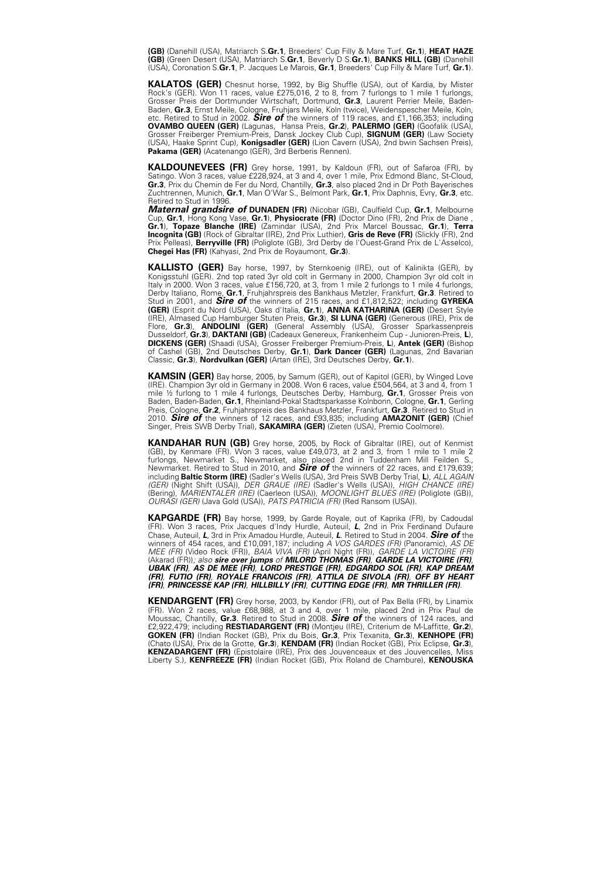**(GB)** (Danehill (USA), Matriarch S.**Gr.1**, Breeders' Cup Filly & Mare Turf, **Gr.1**), **HEAT HAZE (GB)** (Green Desert (USA), Matriarch S.**Gr.1**, Beverly D S.**Gr.1**), **BANKS HILL (GB)** (Danehill<br>(USA), Coronation S.**Gr.1**, P. Jacques Le Marois, **Gr.1**, Breeders' Cup Filly & Mare Turf, **Gr.1**).

**KALATOS (GER)** Chesnut horse, 1992, by Big Shuffle (USA), out of Kardia, by Mister Rock's (GER). Won 11 races, value £275,016, 2 to 8, from 7 furlongs to 1 mile 1 furlongs, Grosser Preis der Dortmunder Wirtschaft, Dortmund, **Gr.3**, Laurent Perrier Meile, Baden-Baden, **Gr.3**, Ernst Meile, Cologne, Fruhjars Meile, Koln (twice), Weidenspescher Meile, Koln, etc. Retired to Stud in 2002. *Sire of* the winners of 119 races, and £1,166,353; including **OVAMBO QUEEN (GER)** (Lagunas, Hansa Preis, **Gr.2**), **PALERMO (GER)** (Goofalik (USA), Grosser Freiberger Premium-Preis, Dansk Jockey Club Cup), **SIGNUM (GER)** (Law Society (USA), Haake Sprint Cup), **Konigsadler (GER)** (Lion Cavern (USA), 2nd bwin Sachsen Preis), **Pakama (GER)** (Acatenango (GER), 3rd Berberis Rennen).

**KALDOUNEVEES (FR)** Grey horse, 1991, by Kaldoun (FR), out of Safaroa (FR), by Satingo. Won 3 races, value £228,924, at 3 and 4, over 1 mile, Prix Edmond Blanc, St-Cloud, **Gr.3**, Prix du Chemin de Fer du Nord, Chantilly, **Gr.3**, also placed 2nd in Dr Poth Bayerisches Zuchtrennen, Munich, **Gr.1**, Man O'War S., Belmont Park, **Gr.1**, Prix Daphnis, Evry, **Gr.3**, etc. Retired to Stud in 1996.

*Maternal grandsire of* **DUNADEN (FR)** (Nicobar (GB), Caulfield Cup, **Gr.1**, Melbourne Cup, **Gr.1**, Hong Kong Vase, **Gr.1**), **Physiocrate (FR)** (Doctor Dino (FR), 2nd Prix de Diane , **Gr.1**), **Topaze Blanche (IRE)** (Zamindar (USA), 2nd Prix Marcel Boussac, **Gr.1**), **Terra Incognita (GB)** (Rock of Gibraltar (IRE), 2nd Prix Luthier), **Gris de Reve (FR)** (Slickly (FR), 2nd Prix Pelleas), **Berryville (FR)** (Poliglote (GB), 3rd Derby de l'Ouest-Grand Prix de L'Asselco), **Chegei Has (FR)** (Kahyasi, 2nd Prix de Royaumont, **Gr.3**).

**KALLISTO (GER)** Bay horse, 1997, by Sternkoenig (IRE), out of Kalinikta (GER), by Konigsstuhl (GER). 2nd top rated 3yr old colt in Germany in 2000, Champion 3yr old colt in Italy in 2000. Won 3 races, value £156,720, at 3, from 1 mile 2 furlongs to 1 mile 4 furlongs, Derby Italiano, Rome, **Gr.1**, Fruhjahrspreis des Bankhaus Metzler, Frankfurt, **Gr.3**. Retired to Stud in 2001, and *Sire of* the winners of 215 races, and £1,812,522; including **GYREKA (GER)** (Esprit du Nord (USA), Oaks d'Italia, **Gr.1**), **ANNA KATHARINA (GER)** (Desert Style (IRE), Almased Cup Hamburger Stuten Preis, **Gr.3**), **SI LUNA (GER)** (Generous (IRE), Prix de Flore, **Gr.3**), **ANDOLINI (GER)** (General Assembly (USA), Grosser Sparkassenpreis Dusseldorf, **Gr.3**), **DAKTANI (GB)** (Cadeaux Genereux, Frankenheim Cup - Junioren-Preis, **L**), **DICKENS (GER)** (Shaadi (USA), Grosser Freiberger Premium-Preis, **L**), **Antek (GER)** (Bishop of Cashel (GB), 2nd Deutsches Derby, **Gr.1**), **Dark Dancer (GER)** (Lagunas, 2nd Bavarian Classic, **Gr.3**), **Nordvulkan (GER)** (Artan (IRE), 3rd Deutsches Derby, **Gr.1**).

**KAMSIN (GER)** Bay horse, 2005, by Samum (GER), out of Kapitol (GER), by Winged Love (IRE). Champion 3yr old in Germany in 2008. Won 6 races, value £504,564, at 3 and 4, from 1 mile ½ furlong to 1 mile 4 furlongs, Deutsches Derby, Hamburg, **Gr.1**, Grosser Preis von Baden, Baden-Baden, **Gr.1**, Rheinland-Pokal Stadtsparkasse Kolnbonn, Cologne, **Gr.1**, Gerling Preis, Cologne, **Gr.2**, Fruhjahrspreis des Bankhaus Metzler, Frankfurt, **Gr.3**. Retired to Stud in 2010. *Sire of* the winners of 12 races, and £93,835; including **AMAZONIT (GER)** (Chief Singer, Preis SWB Derby Trial), **SAKAMIRA (GER)** (Zieten (USA), Premio Coolmore).

**KANDAHAR RUN (GB)** Grey horse, 2005, by Rock of Gibraltar (IRE), out of Kenmist (GB), by Kenmare (FR). Won 3 races, value £49,073, at 2 and 3, from 1 mile to 1 mile 2 furlongs, Newmarket S., Newmarket, also placed 2nd in Tuddenham Mill Feilden S., Newmarket. Retired to Stud in 2010, and *Sire of* the winners of 22 races, and £179,639; including **Baltic Storm (IRE)** (Sadler's Wells (USA), 3rd Preis SWB Derby Trial, **L**), *ALL AGAIN (GER)* (Night Shift (USA)), *DER GRAUE (IRE)* (Sadler's Wells (USA)), *HIGH CHANCE (IRE)* (Bering), *MARIENTALER (IRE)* (Caerleon (USA)), *MOONLIGHT BLUES (IRE)* (Poliglote (GB)), *OURASI (GER)* (Java Gold (USA)), *PATS PATRICIA (FR)* (Red Ransom (USA)).

**KAPGARDE (FR)** Bay horse, 1999, by Garde Royale, out of Kaprika (FR), by Cadoudal (FR). Won 3 races, Prix Jacques d'Indy Hurdle, Auteuil, *L*, 2nd in Prix Ferdinand Dufaure Chase, Auteuil, *L*, 3rd in Prix Amadou Hurdle, Auteuil, *L.* Retired to Stud in 2004. *Sire of* the winners of 454 races, and £10,091,187; including *A VOS GARDES (FR)* (Panoramic), *AS DE MEE (FR)* (Video Rock (FR)), *BAIA VIVA (FR)* (April Night (FR)), *GARDE LA VICTOIRE (FR)* (Akarad (FR))*; also sire over jumps of MILORD THOMAS (FR), GARDE LA VICTOIRE (FR), UBAK (FR), AS DE MEE (FR), LORD PRESTIGE (FR), EDGARDO SOL (FR), KAP DREAM (FR), FUTIO (FR), ROYALE FRANCOIS (FR), ATTILA DE SIVOLA (FR), OFF BY HEART (FR), PRINCESSE KAP (FR), HILLBILLY (FR), CUTTING EDGE (FR), MR THRILLER (FR)*.

**KENDARGENT (FR)** Grey horse, 2003, by Kendor (FR), out of Pax Bella (FR), by Linamix (FR). Won 2 races, value £68,988, at 3 and 4, over 1 mile, placed 2nd in Prix Paul de Moussac, Chantilly, **Gr.3**. Retired to Stud in 2008. *Sire of* the winners of 124 races, and £2,922,479; including **RESTIADARGENT (FR)** (Montjeu (IRE), Criterium de M-Laffitte, **Gr.2**), **GOKEN (FR)** (Indian Rocket (GB), Prix du Bois, **Gr.3**, Prix Texanita, **Gr.3**), **KENHOPE (FR)** (Chato (USA), Prix de la Grotte, **Gr.3**), **KENDAM (FR)** (Indian Rocket (GB), Prix Eclipse, **Gr.3**), KENZADARGENT (FR) (Epistolaire (IRE), Prix des Jouvenceaux et des Jouvencelles Liberty S.), **KENFREEZE (FR)** (Indian Rocket (GB), Prix Roland de Chambure), **KENOUSKA**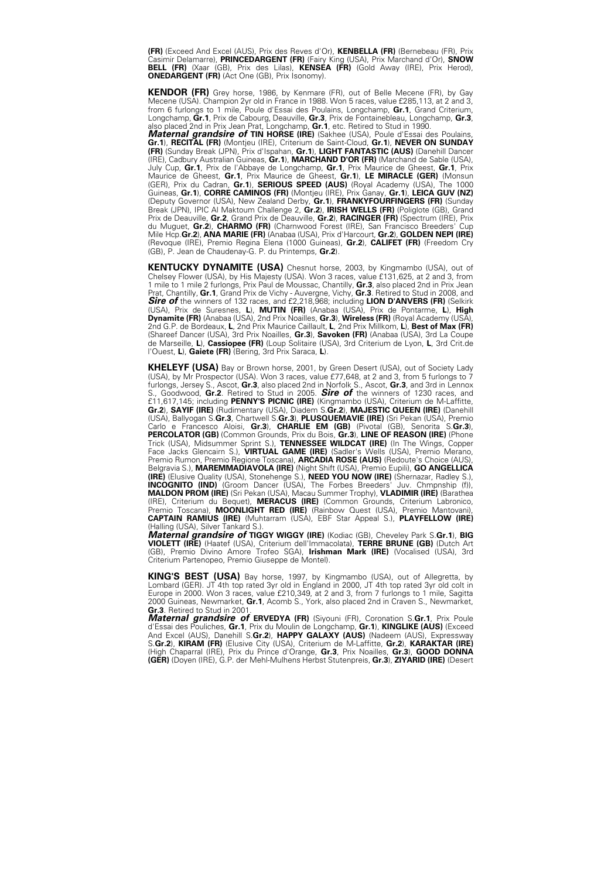**(FR)** (Exceed And Excel (AUS), Prix des Reves d'Or), **KENBELLA (FR)** (Bernebeau (FR), Prix Casimir Delamarre), **PRINCEDARGENT (FR)** (Fairy King (USA), Prix Marchand d'Or), **SNOW BELL (FR)** (Xaar (GB), Prix des Lilas), **KENSEA (FR)** (Gold Away (IRE), Prix Herod), **ONEDARGENT (FR)** (Act One (GB), Prix Isonomy).

**KENDOR (FR)** Grey horse, 1986, by Kenmare (FR), out of Belle Mecene (FR), by Gay Mecene (USA). Champion 2yr old in France in 1988. Won 5 races, value £285,113, at 2 and 3, from 6 furlongs to 1 mile, Poule d'Essai des Poulains, Longchamp, **Gr.1**, Grand Criterium, Longchamp, **Gr.1**, Prix de Cabourg, Deauville, **Gr.3**, Prix de Fontainebleau, Longchamp, **Gr.3**, also placed 2nd in Prix Jean Prat, Longchamp, **Gr.1**, etc. Retired to Stud in 1990.

*Maternal grandsire of* **TIN HORSE (IRE)** (Sakhee (USA), Poule d'Essai des Poulains, **Gr.1**), **RECITAL (FR)** (Montjeu (IRE), Criterium de Saint-Cloud, **Gr.1**), **NEVER ON SUNDAY (FR)** (Sunday Break (JPN), Prix d'Ispahan, **Gr.1**), **LIGHT FANTASTIC (AUS)** (Danehill Dancer (IRE), Cadbury Australian Guineas, **Gr.1**), **MARCHAND D'OR (FR)** (Marchand de Sable (USA), July Cup, **Gr.1**, Prix de l'Abbaye de Longchamp, **Gr.1**, Prix Maurice de Gheest, **Gr.1**, Prix Maurice de Gheest, **Gr.1**, Prix Maurice de Gheest, **Gr.1**), **LE MIRACLE (GER)** (Monsun (GER), Prix du Cadran, **Gr.1**), **SERIOUS SPEED (AUS)** (Royal Academy (USA), The 1000 Guineas, **Gr.1**), **CORRE CAMINOS (FR)** (Montjeu (IRE), Prix Ganay, **Gr.1**), **LEICA GUV (NZ)** (Deputy Governor (USA), New Zealand Derby, **Gr.1**), **FRANKYFOURFINGERS (FR)** (Sunday Break (JPN), IPIC Al Maktoum Challenge 2, **Gr.2**), **IRISH WELLS (FR)** (Poliglote (GB), Grand Prix de Deauville, **Gr.2**, Grand Prix de Deauville, **Gr.2**), **RACINGER (FR)** (Spectrum (IRE), Prix du Muguet, **Gr.2**), **CHARMO (FR)** (Charnwood Forest (IRE), San Francisco Breeders' Cup Mile Hcp.**Gr.2**), **ANA MARIE (FR)** (Anabaa (USA), Prix d'Harcourt, **Gr.2**), **GOLDEN NEPI (IRE)** (Revoque (IRE), Premio Regina Elena (1000 Guineas), **Gr.2**), **CALIFET (FR)** (Freedom Cry (GB), P. Jean de Chaudenay-G. P. du Printemps, **Gr.2**).

**KENTUCKY DYNAMITE (USA)** Chesnut horse, 2003, by Kingmambo (USA), out of Chelsey Flower (USA), by His Majesty (USA). Won 3 races, value £131,625, at 2 and 3, from 1 mile to 1 mile 2 furlongs, Prix Paul de Moussac, Chantilly, **Gr.3**, also placed 2nd in Prix Jean<br>Prat, Chantilly, **Gr.1**, Grand Prix de Vichy - Auvergne, Vichy, **Gr.3**. Retired to Stud in 2008, and<br>*Sire of* the winner (USA), Prix de Suresnes, **L**), **MUTIN (FR)** (Anabaa (USA), Prix de Pontarme, **L**), **High Dynamite (FR)** (Anabaa (USA), 2nd Prix Noailles, **Gr.3**), **Wireless (FR)** (Royal Academy (USA), 2nd G.P. de Bordeaux, **L**, 2nd Prix Maurice Caillault, **L**, 2nd Prix Millkom, **L**), **Best of Max (FR)** (Shareef Dancer (USA), 3rd Prix Noailles, **Gr.3**), **Savoken (FR)** (Anabaa (USA), 3rd La Coupe de Marseille, **L**), **Cassiopee (FR)** (Loup Solitaire (USA), 3rd Criterium de Lyon, **L**, 3rd Crit.de l'Ouest, **L**), **Gaiete (FR)** (Bering, 3rd Prix Saraca, **L**).

**KHELEYF (USA)** Bay or Brown horse, 2001, by Green Desert (USA), out of Society Lady (USA), by Mr Prospector (USA). Won 3 races, value £77,648, at 2 and 3, from 5 furlongs to 7 furlongs, Jersey S., Ascot, **Gr.3**, also placed 2nd in Norfolk S., Ascot, **Gr.3**, and 3rd in Lennox<br>S., Goodwood, **Gr.2**. Retired to Stud in 2005. *Sire of the winners of 1230 races, and*<br>£11,617,145; including **PENNY'S Gr.2), SAYIF (IRE)** (Rudimentary (USA), Diadem S.**Gr.2), MAJESTIC QUEEN (IRE)** (Danehill<br>(USA), Ballyogan S.**Gr.3**, Chartwell S.**Gr.3), PLUSQUEMAVIE (IRE)** (Sri Pekan (USA), Premio Carlo e Francesco Aloisi, **Gr.3**), **CHARLIE EM (GB)** (Pivotal (GB), Senorita S.**Gr.3**), **PERCOLATOR (GB)** (Common Grounds, Prix du Bois, **Gr.3**), **LINE OF REASON (IRE)** (Phone Trick (USA), Midsummer Sprint S.), **TENNESSEE WILDCAT (IRE)** (In The Wings, Copper Face Jacks Glencairn S.), **VIRTUAL GAME (IRE)** (Sadler's Wells (USA), Premio Merano, Premio Rumon, Premio Regione Toscana), **ARCADIA ROSE (AUS)** (Redoute's Choice (AUS), Belgravia S.), **MAREMMADIAVOLA (IRE)** (Night Shift (USA), Premio Eupili), **GO ANGELLICA (IRE)** (Elusive Quality (USA), Stonehenge S.), **NEED YOU NOW (IRE)** (Shernazar, Radley S.), **INCOGNITO (IND)** (Groom Dancer (USA), The Forbes Breeders' Juv. Chmpnship (f)), **MALDON PROM (IRE)** (Sri Pekan (USA), Macau Summer Trophy), **VLADIMIR (IRE)** (Barathea (IRE), Criterium du Bequet), **MERACUS (IRE)** (Common Grounds, Criterium Labronico, Premio Toscana), **MOONLIGHT RED (IRE)** (Rainbow Quest (USA), Premio Mantovani), **CAPTAIN RAMIUS (IRE)** (Muhtarram (USA), EBF Star Appeal S.), **PLAYFELLOW (IRE)** (Halling (USA), Silver Tankard S.).

*Maternal grandsire of* **TIGGY WIGGY (IRE)** (Kodiac (GB), Cheveley Park S.**Gr.1**), **BIG VIOLETT (IRE)** (Haatef (USA), Criterium dell'Immacolata), **TERRE BRUNE (GB)** (Dutch Art (GB), Premio Divino Amore Trofeo SGA), **Irishman Mark (IRE)** (Vocalised (USA), 3rd Criterium Partenopeo, Premio Giuseppe de Montel).

**KING'S BEST (USA)** Bay horse, 1997, by Kingmambo (USA), out of Allegretta, by Lombard (GER). JT 4th top rated 3yr old in England in 2000, JT 4th top rated 3yr old colt in Europe in 2000. Won 3 races, value £210,349, at 2 and 3, from 7 furlongs to 1 mile, Sagitta 2000 Guineas, Newmarket, **Gr.1**, Acomb S., York, also placed 2nd in Craven S., Newmarket, **Gr.3**. Retired to Stud in 2001.

*Maternal grandsire of* **ERVEDYA (FR)** (Siyouni (FR), Coronation S.**Gr.1**, Prix Poule d'Essai des Pouliches, **Gr.1**, Prix du Moulin de Longchamp, **Gr.1**), **KINGLIKE (AUS)** (Exceed And Excel (AUS), Danehill S.**Gr.2**), **HAPPY GALAXY (AUS)** (Nadeem (AUS), Expressway S.**Gr.2**), **KIRAM (FR)** (Elusive City (USA), Criterium de M-Laffitte, **Gr.2**), **KARAKTAR (IRE)** (High Chaparral (IRE), Prix du Prince d'Orange, **Gr.3**, Prix Noailles, **Gr.3**), **GOOD DONNA (GER)** (Doyen (IRE), G.P. der Mehl-Mulhens Herbst Stutenpreis, **Gr.3**), **ZIYARID (IRE)** (Desert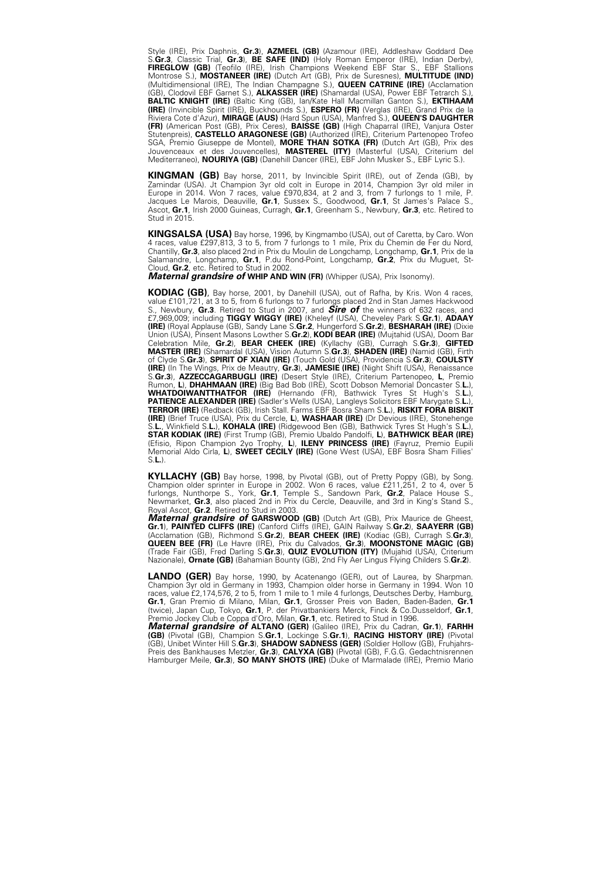Style (IRE), Prix Daphnis, **Gr.3**), **AZMEEL (GB)** (Azamour (IRE), Addleshaw Goddard Dee S.**Gr.3**, Classic Trial, **Gr.3**), **BE SAFE (IND)** (Holy Roman Emperor (IRE), Indian Derby), **FIREGLOW (GB)** (Teofilo (IRE), Irish Champions Weekend EBF Star S., EBF Stallions **FIREGLOW (GB)** (Teofilo (IRE), Irish Champions Weekend EBF Star S., EBF Stallions<br>Montrose S.), **MOSTANEER (IRE)** (Dutch Art (GB), Prix de Suresnes), **MULTITUDE (IND)** (Multidimensional (IRE), The Indian Champagne S.), **QUEEN CATRINE (IRE)** (Acclamation (GB), Clodovil EBF Garnet S.), **ALKASSER (IRE)** (Shamardal (USA), Power EBF Tetrarch S.), **BALTIC KNIGHT (IRE)** (Baltic King (GB), Ian/Kate Hall Macmillan Ganton S.), **EKTIHAAM (IRE)** (Invincible Spirit (IRE), Buckhounds S.), **ESPERO (FR)** (Verglas (IRE), Grand Prix de la Riviera Cote d'Azur), **MIRAGE (AUS)** (Hard Spun (USA), Manfred S.), **QUEEN'S DAUGHTER (FR)** (American Post (GB), Prix Ceres), **BAISSE (GB)** (High Chaparral (IRE), Vanjura Oster Stutenpreis), **CASTELLO ARAGONESE (GB)** (Authorized (IRE), Criterium Partenopeo Trofeo SGA, Premio Giuseppe de Montel), **MORE THAN SOTKA (FR)** (Dutch Art (GB), Prix des Jouvenceaux et des Jouvencelles), **MASTEREL (ITY)** (Masterful (USA), Criterium del Mediterraneo), **NOURIYA (GB)** (Danehill Dancer (IRE), EBF John Musker S., EBF Lyric S.).

**KINGMAN (GB)** Bay horse, 2011, by Invincible Spirit (IRE), out of Zenda (GB), by Zamindar (USA). Jt Champion 3yr old colt in Europe in 2014, Champion 3yr old miler in Europe in 2014. Won 7 races, value £970,834, at 2 and 3, from 7 furlongs to 1 mile, P. Jacques Le Marois, Deauville, **Gr.1**, Sussex S., Goodwood, **Gr.1**, St James's Palace S., Ascot, **Gr.1**, Irish 2000 Guineas, Curragh, **Gr.1**, Greenham S., Newbury, **Gr.3**, etc. Retired to Stud in 2015.

**KINGSALSA (USA)** Bay horse, 1996, by Kingmambo (USA), out of Caretta, by Caro. Won 4 races, value £297,813, 3 to 5, from 7 furlongs to 1 mile, Prix du Chemin de Fer du Nord, Chantilly, **Gr.3**, also placed 2nd in Prix du Moulin de Longchamp, Longchamp, **Gr.1**, Prix de la Salamandre, Longchamp, **Gr.1**, P.du Rond-Point, Longchamp, **Gr.2**, Prix du Muguet, St-Cloud, **Gr.2**, etc. Retired to Stud in 2002.

*Maternal grandsire of* **WHIP AND WIN (FR)** (Whipper (USA), Prix Isonomy).

**KODIAC (GB)**, Bay horse, 2001, by Danehill (USA), out of Rafha, by Kris. Won 4 races, value £101,721, at 3 to 5, from 6 furlongs to 7 furlongs placed 2nd in Stan James Hackwood<br>S., Newbury, **Gr.3**. Retired to Stud in 2007, and *Sire of the winners of 632 races, and*<br>£7,969,009; including **TIGGY WIGGY (IRE (IRE)** (Royal Applause (GB), Sandy Lane S.**Gr.2**, Hungerford S.**Gr.2**), **BESHARAH (IRE)** (Dixie Union (USA), Pinsent Masons Lowther S.**Gr.2**), **KODI BEAR (IRE)** (Mujtahid (USA), Doom Bar Celebration Mile, **Gr.2**), **BEAR CHEEK (IRE)** (Kyllachy (GB), Curragh S.**Gr.3**), **GIFTED MASTER (IRE)** (Shamardal (USA), Vision Autumn S.**Gr.3**), **SHADEN (IRE)** (Namid (GB), Firth of Clyde S.**Gr.3**), **SPIRIT OF XIAN (IRE)** (Touch Gold (USA), Providencia S.**Gr.3**), **COULSTY (IRE)** (In The Wings, Prix de Meautry, **Gr.3**), **JAMESIE (IRE)** (Night Shift (USA), Renaissance S.**Gr.3**), **AZZECCAGARBUGLI (IRE)** (Desert Style (IRE), Criterium Partenopeo, **L**, Premio Rumon, **L**), **DHAHMAAN (IRE)** (Big Bad Bob (IRE), Scott Dobson Memorial Doncaster S.**L.**), **WHATDOIWANTTHATFOR (IRE)** (Hernando (FR), Bathwick Tyres St Hugh's S.**L.**), **PATIENCE ALEXANDER (IRE)** (Sadler's Wells (USA), Langleys Solicitors EBF Marygate S.**L.**), **TERROR (IRE)** (Redback (GB), Irish Stall. Farms EBF Bosra Sham S.**L.**), **RISKIT FORA BISKIT (IRE)** (Brief Truce (USA), Prix du Cercle, **L**), **WASHAAR (IRE)** (Dr Devious (IRE), Stonehenge S.**L.**, Winkfield S.**L.**), **KOHALA (IRE)** (Ridgewood Ben (GB), Bathwick Tyres St Hugh's S.**L.**), **STAR KODIAK (IRE)** (First Trump (GB), Premio Ubaldo Pandolfi, **L**), **BATHWICK BEAR (IRE)** (Efisio, Ripon Champion 2yo Trophy, **L**), **ILENY PRINCESS (IRE)** (Fayruz, Premio Eupili Memorial Aldo Cirla, **L**), **SWEET CECILY (IRE)** (Gone West (USA), EBF Bosra Sham Fillies' S.**L.**).

**KYLLACHY (GB)** Bay horse, 1998, by Pivotal (GB), out of Pretty Poppy (GB), by Song. Champion older sprinter in Europe in 2002. Won 6 races, value £211,251, 2 to 4, over 5 furlongs, Nunthorpe S., York, **Gr.1**, Temple S., Sandown Park, **Gr.2**, Palace House S., Newmarket, **Gr.3**, also placed 2nd in Prix du Cercle, Deauville, and 3rd in King's Stand S., Royal Ascot, **Gr.2**. Retired to Stud in 2003.

*Maternal grandsire of* **GARSWOOD (GB)** (Dutch Art (GB), Prix Maurice de Gheest, **Gr.1**), **PAINTED CLIFFS (IRE)** (Canford Cliffs (IRE), GAIN Railway S.**Gr.2**), **SAAYERR (GB)** (Acclamation (GB), Richmond S.**Gr.2**), **BEAR CHEEK (IRE)** (Kodiac (GB), Curragh S.**Gr.3**), **QUEEN BEE (FR)** (Le Havre (IRE), Prix du Calvados, **Gr.3**), **MOONSTONE MAGIC (GB)** (Trade Fair (GB), Fred Darling S.**Gr.3**), **QUIZ EVOLUTION (ITY)** (Mujahid (USA), Criterium Nazionale), **Ornate (GB)** (Bahamian Bounty (GB), 2nd Fly Aer Lingus Flying Childers S.**Gr.2**).

**LANDO (GER)** Bay horse, 1990, by Acatenango (GER), out of Laurea, by Sharpman. Champion 3yr old in Germany in 1993, Champion older horse in Germany in 1994. Won 10 races, value £2,174,576, 2 to 5, from 1 mile to 1 mile 4 furlongs, Deutsches Derby, Hamburg, **Gr.1**, Gran Premio di Milano, Milan, **Gr.1**, Grosser Preis von Baden, Baden-Baden, **Gr.1** (twice), Japan Cup, Tokyo, **Gr.1**, P. der Privatbankiers Merck, Finck & Co.Dusseldorf, **Gr.1**,<br>Premio Jockey Club e Coppa d'Oro, Milan, **Gr.1**, etc. Retired to Stud in 1996.<br>*Maternal grandsire of* **ALTANO (GER)** (Galileo

**(GB)** (Pivotal (GB), Champion S.**Gr.1**, Lockinge S.**Gr.1**), **RACING HISTORY (IRE)** (Pivotal (GB), Unibet Winter Hill S.**Gr.3**), **SHADOW SADNESS (GER)** (Soldier Hollow (GB), Fruhjahrs-Preis des Bankhauses Metzler, **Gr.3**), **CALYXA (GB)** (Pivotal (GB), F.G.G. Gedachtnisrennen Hamburger Meile, **Gr.3**), **SO MANY SHOTS (IRE)** (Duke of Marmalade (IRE), Premio Mario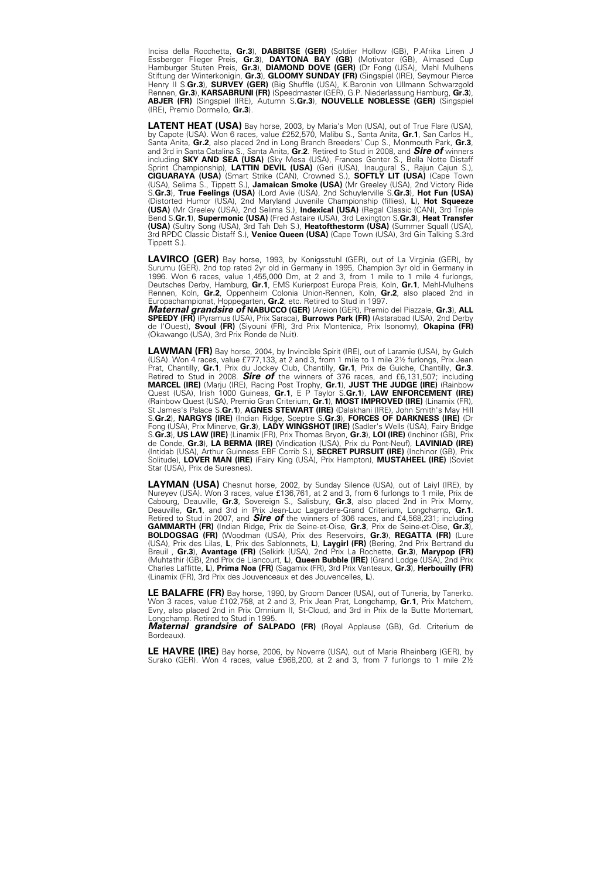Incisa della Rocchetta, **Gr.3**), **DABBITSE (GER)** (Soldier Hollow (GB), P.Afrika Linen J Essberger Flieger Preis, **Gr.3**), **DAYTONA BAY (GB)** (Motivator (GB), Almased Cup Hamburger Stuten Preis, **Gr.3**), **DIAMOND DOVE (GER)** (Dr Fong (USA), Mehl Mulhens Stiftung der Winterkonigin, **Gr.3**), **GLOOMY SUNDAY (FR)** (Singspiel (IRE), Seymour Pierce Henry II S.**Gr.3**), **SURVEY (GER)** (Big Shuffle (USA), K.Baronin von Ullmann Schwarzgold Rennen, **Gr.3**), **KARSABRUNI (FR)** (Speedmaster (GER), G.P. Niederlassung Hamburg, **Gr.3**), **ABJER (FR)** (Singspiel (IRE), Autumn S.**Gr.3**), **NOUVELLE NOBLESSE (GER)** (Singspiel (IRE), Premio Dormello, **Gr.3**).

**LATENT HEAT (USA)** Bay horse, 2003, by Maria's Mon (USA), out of True Flare (USA), by Capote (USA). Won 6 races, value £252,570, Malibu S., Santa Anita, **Gr.1**, San Carlos H., Santa Anita, **Gr.2**, also placed 2nd in Long Branch Breeders' Cup S., Monmouth Park, **Gr.3**, and 3rd in Santa Catalina S., Santa Anita, **Gr.2**. Retired to Stud in 2008, and *Sire of* winners<br>including SKY AND SEA (USA) (Sky Mesa (USA), Frances Genter S., Bella Notte Distaff<br>Sprint Championship), LATTIN DEVIL (USA) **CIGUARAYA (USA)** (Smart Strike (CAN), Crowned S.), **SOFTLY LIT (USA)** (Cape Town (USA), Selima S., Tippett S.), **Jamaican Smoke (USA)** (Mr Greeley (USA), 2nd Victory Ride S.**Gr.3**), **True Feelings (USA)** (Lord Avie (USA), 2nd Schuylerville S.**Gr.3**), **Hot Fun (USA)** (Distorted Humor (USA), 2nd Maryland Juvenile Championship (fillies), **L**), **Hot Squeeze (USA)** (Mr Greeley (USA), 2nd Selima S.), **Indexical (USA)** (Regal Classic (CAN), 3rd Triple Bend S.**Gr.1**), **Supermonic (USA)** (Fred Astaire (USA), 3rd Lexington S.**Gr.3**), **Heat Transfer (USA)** (Sultry Song (USA), 3rd Tah Dah S.), **Heatofthestorm (USA)** (Summer Squall (USA), 3rd RPDC Classic Distaff S.), **Venice Queen (USA)** (Cape Town (USA), 3rd Gin Talking S.3rd Tippett S.).

**LAVIRCO (GER)** Bay horse, 1993, by Konigsstuhl (GER), out of La Virginia (GER), by Surumu (GER). 2nd top rated 2yr old in Germany in 1995, Champion 3yr old in Germany in 1996. Won 6 races, value 1,455,000 Dm, at 2 and 3, from 1 mile to 1 mile 4 furlongs, Deutsches Derby, Hamburg, **Gr.1**, EMS Kurierpost Europa Preis, Koln, **Gr.1**, Mehl-Mulhens Rennen, Koln, **Gr.2**, Oppenheim Colonia Union-Rennen, Koln, **Gr.2**, also placed 2nd in Europachampionat, Hoppegarten, **Gr.2**, etc. Retired to Stud in 1997.

*Maternal grandsire of* **NABUCCO (GER)** (Areion (GER), Premio del Piazzale, **Gr.3**), **ALL SPEEDY (FR)** (Pyramus (USA), Prix Saraca), **Burrows Park (FR)** (Astarabad (USA), 2nd Derby de l'Ouest), **Svoul (FR)** (Siyouni (FR), 3rd Prix Montenica, Prix Isonomy), **Okapina (FR)** (Okawango (USA), 3rd Prix Ronde de Nuit).

**LAWMAN (FR)** Bay horse, 2004, by Invincible Spirit (IRE), out of Laramie (USA), by Gulch (USA). Won 4 races, value £777,133, at 2 and 3, from 1 mile to 1 mile 2½ furlongs, Prix Jean Prat, Chantilly, **Gr.1**, Prix de Guickey Club, Chantilly, **Gr.1**, Prix de Guickey Club, The Prat, Chantilly, **Gr.3**, Retired to S (Rainbow Quest (USA), Premio Gran Criterium, **Gr.1**), **MOST IMPROVED (IRE)** (Linamix (FR), St James's Palace S.**Gr.1**), **AGNES STEWART (IRE)** (Dalakhani (IRE), John Smith's May Hill S.**Gr.2**), **NARGYS (IRE)** (Indian Ridge, Sceptre S.**Gr.3**), **FORCES OF DARKNESS (IRE)** (Dr Fong (USA), Prix Minerve, **Gr.3**), **LADY WINGSHOT (IRE)** (Sadler's Wells (USA), Fairy Bridge S.**Gr.3), US LAW (IRE)** (Linamix (FR), Prix Thomas Bryon**, Gr.3), LOI (IRE)** (Inchinor (GB), Prix<br>de Conde, **Gr.3), LA BERMA (IRE)** (Vindication (USA), Prix du Pont-Neuf)**, LAVINIAD (IRE)** (Intidab (USA), Arthur Guinness EBF Corrib S.), **SECRET PURSUIT (IRE)** (Inchinor (GB), Prix Solitude), **LOVER MAN (IRE)** (Fairy King (USA), Prix Hampton), **MUSTAHEEL (IRE)** (Soviet Star (USA), Prix de Suresnes).

**LAYMAN (USA)** Chesnut horse, 2002, by Sunday Silence (USA), out of Laiyl (IRE), by Nureyev (USA). Won 3 races, value £136,761, at 2 and 3, from 6 furlongs to 1 mile, Prix de Cabourg, Deauville, **Gr.3**, Sovereign S., Salisbury, **Gr.3**, also placed 2nd in Prix Morny, Deauville, **Gr.1**, and 3rd in Prix Jean-Luc Lagardere-Grand Criterium, Longchamp, **Gr.1**. Retired to Stud in 2007, and *Sire of* the winners of 306 races, and £4,568,231; including **GAMMARTH (FR)** (Indian Ridge, Prix de Seine-et-Oise, **Gr.3**, Prix de Seine-et-Oise, **Gr.3**), **BOLDOGSAG (FR)** (Woodman (USA), Prix des Reservoirs, **Gr.3**), **REGATTA (FR)** (Lure (USA), Prix des Lilas, **L**, Prix des Sablonnets, **L**), **Laygirl (FR)** (Bering, 2nd Prix Bertrand du Breuil , **Gr.3**), **Avantage (FR)** (Selkirk (USA), 2nd Prix La Rochette, **Gr.3**), **Marypop (FR)** (Muhtathir (GB), 2nd Prix de Liancourt, **L**), **Queen Bubble (IRE)** (Grand Lodge (USA), 2nd Prix Charles Laffitte, **L**), **Prima Noa (FR)** (Sagamix (FR), 3rd Prix Vanteaux, **Gr.3**), **Herbouilly (FR)** (Linamix (FR), 3rd Prix des Jouvenceaux et des Jouvencelles, **L**).

**LE BALAFRE (FR)** Bay horse, 1990, by Groom Dancer (USA), out of Tuneria, by Tanerko. Won 3 races, value £102,758, at 2 and 3, Prix Jean Prat, Longchamp, **Gr.1**, Prix Matchem, Evry, also placed 2nd in Prix Omnium II, St-Cloud, and 3rd in Prix de la Butte Mortemart,

Longchamp. Retired to Stud in 1995. *Maternal grandsire of* **SALPADO (FR)** (Royal Applause (GB), Gd. Criterium de Bordeaux).

**LE HAVRE (IRE)** Bay horse, 2006, by Noverre (USA), out of Marie Rheinberg (GER), by Surako (GER). Won 4 races, value £968,200, at 2 and 3, from 7 furlongs to 1 mile  $2\frac{1}{2}$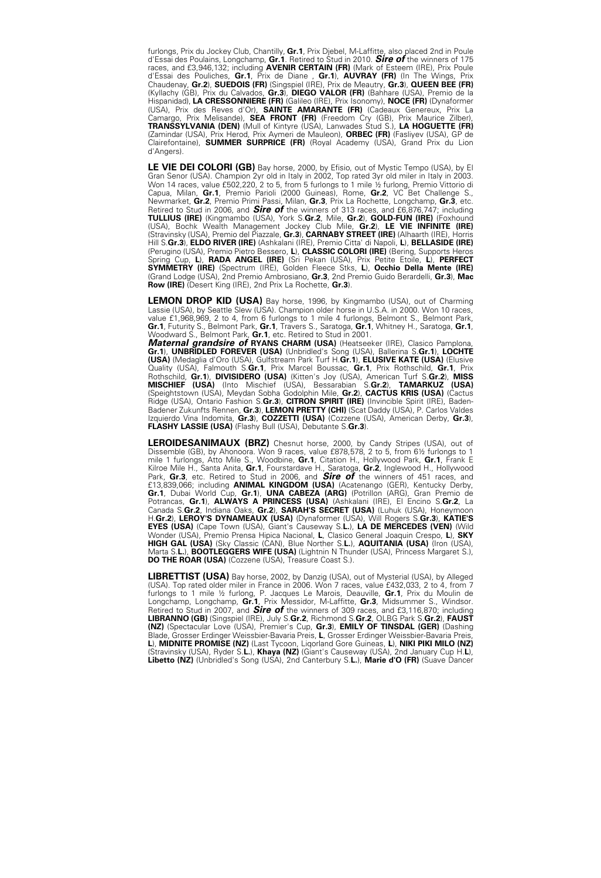furlongs, Prix du Jockey Club, Chantilly, **Gr.1**, Prix Djebel, M-Laffitte, also placed 2nd in Poule<br>d'Essai des Poulains, Longchamp, **Gr.1**. Retired to Stud in 2010. *Sire of the winners of 175*<br>races, and £3,946,132; in d'Essai des Pouliches, **Gr.1**, Prix de Diane , **Gr.1**), **AUVRAY (FR)** (In The Wings, Prix Chaudenay, **Gr.2**), **SUEDOIS (FR)** (Singspiel (IRE), Prix de Meautry, **Gr.3**), **QUEEN BEE (FR)** (Kyllachy (GB), Prix du Calvados, **Gr.3**), **DIEGO VALOR (FR)** (Bahhare (USA), Premio de la Hispanidad), **LA CRESSONNIERE (FR)** (Galileo (IRE), Prix Isonomy), **NOCE (FR)** (Dynaformer (USA), Prix des Reves d'Or), **SAINTE AMARANTE (FR)** (Cadeaux Genereux, Prix La Camargo, Prix Melisande), **SEA FRONT (FR)** (Freedom Cry (GB), Prix Maurice Zilber), **TRANSSYLVANIA (DEN)** (Mull of Kintyre (USA), Lanwades Stud S.), **LA HOGUETTE (FR)** (Zamindar (USA), Prix Herod, Prix Aymeri de Mauleon), **ORBEC (FR)** (Fasliyev (USA), GP de Clairefontaine), **SUMMER SURPRICE (FR)** (Royal Academy (USA), Grand Prix du Lion d'Angers).

**LE VIE DEI COLORI (GB)** Bay horse, 2000, by Efisio, out of Mystic Tempo (USA), by El Gran Senor (USA). Champion 2yr old in Italy in 2002, Top rated 3yr old miler in Italy in 2003. Won 14 races, value £502,220, 2 to 5, from 5 furlongs to 1 mile ½ furlong, Premio Vittorio di Capua, Milan, **Gr.1**, Premio Parioli (2000 Guineas), Rome, **Gr.2**, VC Bet Challenge S., Newmarket, **Gr.2**, Premio Primi Passi, Milan, **Gr.3**, Prix La Rochette, Longchamp, **Gr.3**, etc.<br>Retired to Stud in 2006, and *Sire of* the winners of 313 races, and £6,876,747; including<br>TULLIUS (IRE) (Kingmambo (USA), Yor (USA), Bochk Wealth Management Jockey Club Mile, **Gr.2**), **LE VIE INFINITE (IRE)** (Stravinsky (USA), Premio del Piazzale, **Gr.3), CARNABY STREET (IRE)** (Alhaarth (IRE), Horris<br>Hill S.**Gr.3), ELDO RIVER (IRE)** (Ashkalani (IRE), Premio Citta' di Napoli, **L), BELLASIDE (IRE)** (Perugino (USA), Premio Pietro Bessero, **L**), **CLASSIC COLORI (IRE)** (Bering, Supports Heros Spring Cup, **L**), **RADA ANGEL (IRE)** (Sri Pekan (USA), Prix Petite Etoile, **L**), **PERFECT SYMMETRY (IRE)** (Spectrum (IRE), Golden Fleece Stks, **L**), **Occhio Della Mente (IRE)** (Grand Lodge (USA), 2nd Premio Ambrosiano, **Gr.3**, 2nd Premio Guido Berardelli, **Gr.3**), **Mac Row (IRE)** (Desert King (IRE), 2nd Prix La Rochette, **Gr.3**).

**LEMON DROP KID (USA)** Bay horse, 1996, by Kingmambo (USA), out of Charming Lassie (USA), by Seattle Slew (USA). Champion older horse in U.S.A. in 2000. Won 10 races, value £1,968,969, 2 to 4, from 6 furlongs to 1 mile 4 furlongs, Belmont S., Belmont Park, **Gr.1**, Futurity S., Belmont Park, **Gr.1**, Travers S., Saratoga, **Gr.1**, Whitney H., Saratoga, **Gr.1**,

Woodward S., Belmont Park, **Gr.1**, etc. Retired to Stud in 2001. *Maternal grandsire of* **RYANS CHARM (USA)** (Heatseeker (IRE), Clasico Pamplona, **Gr.1**), **UNBRIDLED FOREVER (USA)** (Unbridled's Song (USA), Ballerina S.**Gr.1**), **LOCHTE (USA)** (Medaglia d'Oro (USA), Gulfstream Park Turf H.**Gr.1**), **ELUSIVE KATE (USA)** (Elusive Quality (USA), Falmouth S.**Gr.1**, Prix Marcel Boussac, **Gr.1**, Prix Rothschild, **Gr.1**, Prix Rothschild, **Gr.1**), **DIVISIDERO (USA)** (Kitten's Joy (USA), American Turf S.**Gr.2**), **MISS MISCHIEF (USA)** (Into Mischief (USA), Bessarabian S.**Gr.2**), **TAMARKUZ (USA)** (Speightstown (USA), Meydan Sobha Godolphin Mile, **Gr.2**), **CACTUS KRIS (USA)** (Cactus Ridge (USA), Ontario Fashion S.**Gr.3**), **CITRON SPIRIT (IRE)** (Invincible Spirit (IRE), Baden-Badener Zukunfts Rennen, **Gr.3**), **LEMON PRETTY (CHI)** (Scat Daddy (USA), P. Carlos Valdes Izquierdo Vina Indomita, **Gr.3**), **COZZETTI (USA)** (Cozzene (USA), American Derby, **Gr.3**), **FLASHY LASSIE (USA)** (Flashy Bull (USA), Debutante S.**Gr.3**).

**LEROIDESANIMAUX (BRZ)** Chesnut horse, 2000, by Candy Stripes (USA), out of Dissemble (GB), by Ahonoora. Won 9 races, value £878,578, 2 to 5, from 6½ furlongs to 1 mile 1 furlongs, Atto Mile S., Woodbine, **Gr.1**, Citation H., Hollywood Park, **Gr.1**, Frank E Kilroe Mile H., Santa Anita, **Gr.1**, Fourstardave H., Saratoga, **Gr.2**, Inglewood H., Hollywood Park, **Gr.3**, etc. Retired to Stud in 2006, and *Sire of* the winners of 451 races, and £13,839,066; including **ANIMAL KINGDOM (USA)** (Acatenango (GER), Kentucky Derby, **Gr.1**, Dubai World Cup, **Gr.1**), **UNA CABEZA (ARG)** (Potrillon (ARG), Gran Premio de Potrancas, **Gr.1**), **ALWAYS A PRINCESS (USA)** (Ashkalani (IRE), El Encino S.**Gr.2**, La Canada S.**Gr.2**, Indiana Oaks, **Gr.2**), **SARAH'S SECRET (USA)** (Luhuk (USA), Honeymoon H.**Gr.2**), **LEROY'S DYNAMEAUX (USA)** (Dynaformer (USA), Will Rogers S.**Gr.3**), **KATIE'S EYES (USA)** (Cape Town (USA), Giant's Causeway S.**L.**), **LA DE MERCEDES (VEN)** (Wild Wonder (USA), Premio Prensa Hipica Nacional, **L**, Clasico General Joaquin Crespo, **L**), **SKY HIGH GAL (USA)** (Sky Classic (CAN), Blue Norther S.**L.**), **AQUITANIA (USA)** (Iron (USA), Marta S.**L.**), **BOOTLEGGERS WIFE (USA)** (Lightnin N Thunder (USA), Princess Margaret S.), **DO THE ROAR (USA)** (Cozzene (USA), Treasure Coast S.).

**LIBRETTIST (USA)** Bay horse, 2002, by Danzig (USA), out of Mysterial (USA), by Alleged (USA). Top rated older miler in France in 2006. Won 7 races, value £432,033, 2 to 4, from 7 furlongs to 1 mile ½ furlong, P. Jacques Le Marois, Deauville, **Gr.1**, Prix du Moulin de Longchamp, Longchamp, **Gr.1**, Prix Messidor, M-Laffitte, **Gr.3**, Midsummer S., Windsor.<br>Retired to Stud in 2007, and *Sire of the winners of 309 races, and £3,116,870; including*<br>**LIBRANNO (GB)** (Singspiel (IRE), July S. **(NZ)** (Spectacular Love (USA), Premier's Cup, **Gr.3**), **EMILY OF TINSDAL (GER)** (Dashing Blade, Grosser Erdinger Weissbier-Bavaria Preis, **L**, Grosser Erdinger Weissbier-Bavaria Preis, **L**), **MIDNITE PROMISE (NZ)** (Last Tycoon, Liqorland Gore Guineas, **L**), **NIKI PIKI MILO (NZ)** (Stravinsky (USA), Ryder S.**L.**), **Khaya (NZ)** (Giant's Causeway (USA), 2nd January Cup H.**L**), **Libetto (NZ)** (Unbridled's Song (USA), 2nd Canterbury S.**L.**), **Marie d'O (FR)** (Suave Dancer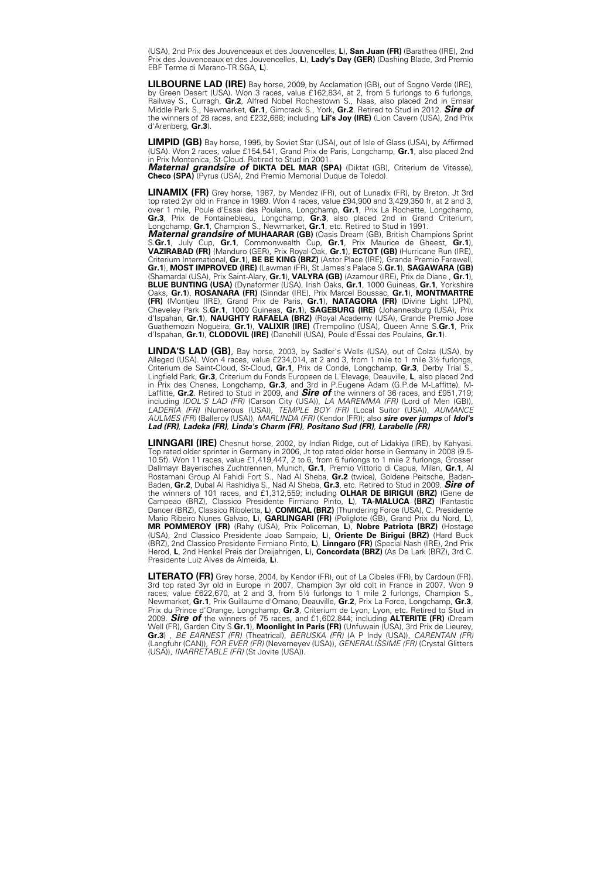(USA), 2nd Prix des Jouvenceaux et des Jouvencelles, **L**), **San Juan (FR)** (Barathea (IRE), 2nd Prix des Jouvenceaux et des Jouvencelles, **L**), **Lady's Day (GER)** (Dashing Blade, 3rd Premio EBF Terme di Merano-TR.SGA, **L**).

**LILBOURNE LAD (IRE)** Bay horse, 2009, by Acclamation (GB), out of Sogno Verde (IRE), by Green Desert (USA). Won 3 races, value £162,834, at 2, from 5 furlongs to 6 furlongs, Railway S., Curragh, **Gr.2**, Alfred Nobel Rochestown S., Naas, also placed 2nd in Emaar<br>Middle Park S., Newmarket, **Gr.1**, Gimcrack S., York, **Gr.2**. Retired to Stud in 2012. *Sire of*<br>the winners of 28 races, and £232,6 d'Arenberg, **Gr.3**).

**LIMPID (GB)** Bay horse, 1995, by Soviet Star (USA), out of Isle of Glass (USA), by Affirmed (USA). Won 2 races, value £154,541, Grand Prix de Paris, Longchamp, **Gr.1**, also placed 2nd in Prix Montenica, St-Cloud. Retired to Stud in 2001. *Maternal grandsire of* **DIKTA DEL MAR (SPA)** (Diktat (GB), Criterium de Vitesse),

**Checo (SPA)** (Pyrus (USA), 2nd Premio Memorial Duque de Toledo).

**LINAMIX (FR)** Grey horse, 1987, by Mendez (FR), out of Lunadix (FR), by Breton. Jt 3rd top rated 2yr old in France in 1989. Won 4 races, value £94,900 and 3,429,350 fr, at 2 and 3, over 1 mile, Poule d'Essai des Poulains, Longchamp, **Gr.1**, Prix La Rochette, Longchamp, **Gr.3**, Prix de Fontainebleau, Longchamp, **Gr.3**, also placed 2nd in Grand Criterium, Longchamp, **Gr.1**, Champion S., Newmarket, **Gr.1**, etc. Retired to Stud in 1991.

*Maternal grandsire of* **MUHAARAR (GB)** (Oasis Dream (GB), British Champions Sprint S.**Gr.1**, July Cup, **Gr.1**, Commonwealth Cup, **Gr.1**, Prix Maurice de Gheest, **Gr.1**), **VAZIRABAD (FR)** (Manduro (GER), Prix Royal-Oak, **Gr.1**), **ECTOT (GB)** (Hurricane Run (IRE), Criterium International, **Gr.1**), **BE BE KING (BRZ)** (Astor Place (IRE), Grande Premio Farewell, **Gr.1**), **MOST IMPROVED (IRE)** (Lawman (FR), St James's Palace S.**Gr.1**), **SAGAWARA (GB)** (Shamardal (USA), Prix Saint-Alary, **Gr.1**), **VALYRA (GB)** (Azamour (IRE), Prix de Diane , **Gr.1**), **BLUE BUNTING (USA)** (Dynaformer (USA), Irish Oaks, **Gr.1**, 1000 Guineas, **Gr.1**, Yorkshire Oaks, **Gr.1**), **ROSANARA (FR)** (Sinndar (IRE), Prix Marcel Boussac, **Gr.1**), **MONTMARTRE (FR)** (Montjeu (IRE), Grand Prix de Paris, **Gr.1**), **NATAGORA (FR)** (Divine Light (JPN), Cheveley Park S.**Gr.1**, 1000 Guineas, **Gr.1**), **SAGEBURG (IRE)** (Johannesburg (USA), Prix d'Ispahan, **Gr.1**), **NAUGHTY RAFAELA (BRZ)** (Royal Academy (USA), Grande Premio Jose Guathemozin Nogueira, **Gr.1**), **VALIXIR (IRE)** (Trempolino (USA), Queen Anne S.**Gr.1**, Prix d'Ispahan, **Gr.1**), **CLODOVIL (IRE)** (Danehill (USA), Poule d'Essai des Poulains, **Gr.1**).

**LINDA'S LAD (GB)**, Bay horse, 2003, by Sadler's Wells (USA), out of Colza (USA), by Alleged (USA). Won 4 races, value £234,014, at 2 and 3, from 1 mile to 1 mile 3½ furlongs, Criterium de Saint-Cloud, St-Cloud, **Gr.1**, Prix de Conde, Longchamp, **Gr.3**, Derby Trial S., Lingfield Park, **Gr.3**, Criterium du Fonds Europeen de L'Elevage, Deauville, **L**, also placed 2nd in Prix des Chenes, Longchamp, **Gr.3**, and 3rd in P.Eugene Adam (G.P.de M-Laffitte), M-Laffitte, **Gr.2**. Retired to Stud in 2009, and *Sire of* the winners of 36 races, and £951,719; including *IDOL'S LAD (FR)* (Carson City (USA)), *LA MAREMMA (FR)* (Lord of Men (GB)), *LADERIA (FR)* (Numerous (USA)), *TEMPLE BOY (FR)* (Local Suitor (USA)), *AUMANCE AULMES (FR)* (Balleroy (USA)), *MARLINDA (FR)* (Kendor (FR)); also *sire over jumps* of *Idol's Lad (FR), Ladeka (FR), Linda's Charm (FR), Positano Sud (FR), Larabelle (FR)*

**LINNGARI (IRE)** Chesnut horse, 2002, by Indian Ridge, out of Lidakiya (IRE), by Kahyasi. Top rated older sprinter in Germany in 2006, Jt top rated older horse in Germany in 2008 (9.5- 10.5f). Won 11 races, value £1,419,447, 2 to 6, from 6 furlongs to 1 mile 2 furlongs, Grosser Dallmayr Bayerisches Zuchtrennen, Munich, **Gr.1**, Premio Vittorio di Capua, Milan, **Gr.1**, Al Rostamani Group Al Fahidi Fort S., Nad Al Sheba, **Gr.2** (twice), Goldene Peitsche, Baden-Baden, **Gr.2**, Dubal Al Rashidiya S., Nad Al Sheba, **Gr.3**, etc. Retired to Stud in 2009. *Sire of*  the winners of 101 races, and £1,312,559; including **OLHAR DE BIRIGUI (BRZ)** (Gene de Campeao (BRZ), Classico Presidente Firmiano Pinto, **L**), **TA-MALUCA (BRZ)** (Fantastic Dancer (BRZ), Classico Riboletta, **L**), **COMICAL (BRZ)** (Thundering Force (USA), C. Presidente Mario Ribeiro Nunes Galvao, **L**), **GARLINGARI (FR)** (Poliglote (GB), Grand Prix du Nord, **L**), **MR POMMEROY (FR)** (Rahy (USA), Prix Policeman, **L**), **Nobre Patriota (BRZ)** (Hostage (USA), 2nd Classico Presidente Joao Sampaio, **L**), **Oriente De Birigui (BRZ)** (Hard Buck (BRZ), 2nd Classico Presidente Firmiano Pinto, **L**), **Linngaro (FR)** (Special Nash (IRE), 2nd Prix Herod, **L**, 2nd Henkel Preis der Dreijahrigen, **L**), **Concordata (BRZ)** (As De Lark (BRZ), 3rd C. Presidente Luiz Alves de Almeida, **L**).

**LITERATO (FR)** Grey horse, 2004, by Kendor (FR), out of La Cibeles (FR), by Cardoun (FR). 3rd top rated 3yr old in Europe in 2007, Champion 3yr old colt in France in 2007. Won 9 races, value £622,670, at 2 and 3, from 5½ furlongs to 1 mile 2 furlongs, Champion S., Newmarket, **Gr.1**, Prix Guillaume d'Ornano, Deauville, **Gr.2**, Prix La Force, Longchamp, **Gr.3**, Prix du Prince d'Orange, Longchamp, **Gr.3**, Criterium de Lyon, Lyon, etc. Retired to Stud in<br>2009. *Sire of* the winners of 75 races, and £1,602,844; including **ALTERITE (FR)** (Dream<br>Well (FR), Garden City S.**Gr.1), Moon Gr.3**) , *BE EARNEST (FR)* (Theatrical), *BERUSKA (FR)* (A P Indy (USA)), *CARENTAN (FR)* (Langfuhr (CAN)), *FOR EVER (FR)* (Neverneyev (USA)), *GENERALISSIME (FR)* (Crystal Glitters (USA)), *INARRETABLE (FR)* (St Jovite (USA)).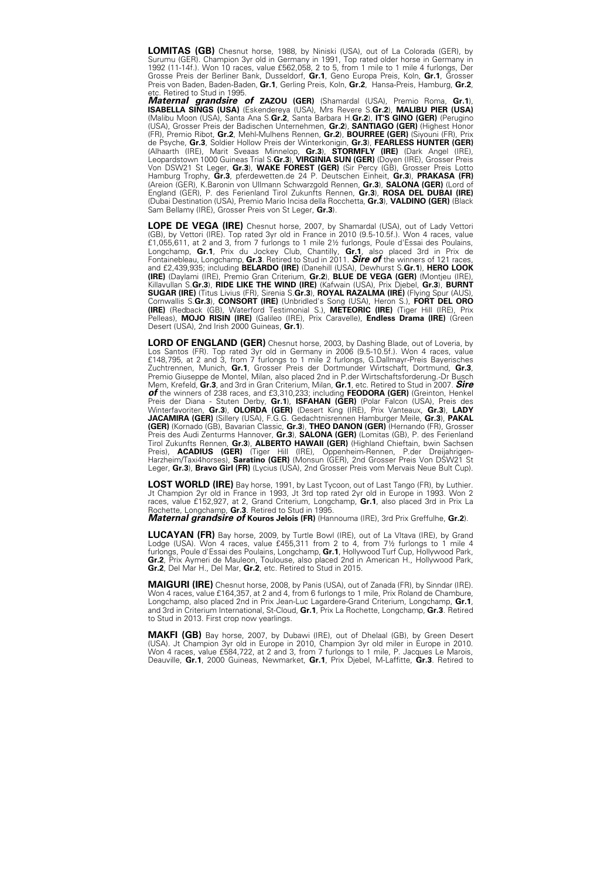**LOMITAS (GB)** Chesnut horse, 1988, by Niniski (USA), out of La Colorada (GER), by Surumu (GER). Champion 3yr old in Germany in 1991, Top rated older horse in Germany in 1992 (11-14f.). Won 10 races, value £562,058, 2 to 5, from 1 mile to 1 mile 4 furlongs, Der Grosse Preis der Berliner Bank, Dusseldorf, **Gr.1**, Geno Europa Preis, Koln, **Gr.1**, Grosser Preis von Baden, Baden-Baden, **Gr.1**, Gerling Preis, Koln, **Gr.2**, Hansa-Preis, Hamburg, **Gr.2**, etc. Retired to Stud in 1995.

*Maternal grandsire of* **ZAZOU (GER)** (Shamardal (USA), Premio Roma, **Gr.1**), **ISABELLA SINGS (USA)** (Eskendereya (USA), Mrs Revere S.**Gr.2**), **MALIBU PIER (USA)** (Malibu Moon (USA), Santa Ana S.**Gr.2**, Santa Barbara H.**Gr.2**), **IT'S GINO (GER)** (Perugino (USA), Grosser Preis der Badischen Unternehmen, **Gr.2**), **SANTIAGO (GER)** (Highest Honor (FR), Premio Ribot, **Gr.2**, Mehl-Mulhens Rennen, **Gr.2**), **BOURREE (GER)** (Siyouni (FR), Prix de Psyche, **Gr.3**, Soldier Hollow Preis der Winterkonigin, **Gr.3**), **FEARLESS HUNTER (GER)** (Alhaarth (IRE), Marit Sveaas Minnelop, **Gr.3**), **STORMFLY (IRE)** (Dark Angel (IRE), Leopardstown 1000 Guineas Trial S.**Gr.3**), **VIRGINIA SUN (GER)** (Doyen (IRE), Grosser Preis Von DSW21 St Leger, **Gr.3**), **WAKE FOREST (GER)** (Sir Percy (GB), Grosser Preis Lotto Hamburg Trophy, **Gr.3**, pferdewetten.de 24 P. Deutschen Einheit, **Gr.3**), **PRAKASA (FR)** (Areion (GER), K.Baronin von Ullmann Schwarzgold Rennen, **Gr.3**), **SALONA (GER)** (Lord of England (GER), P. des Ferienland Tirol Zukunfts Rennen, **Gr.3**), **ROSA DEL DUBAI (IRE)** (Dubai Destination (USA), Premio Mario Incisa della Rocchetta, **Gr.3**), **VALDINO (GER)** (Black Sam Bellamy (IRE), Grosser Preis von St Leger, **Gr.3**).

**LOPE DE VEGA (IRE)** Chesnut horse, 2007, by Shamardal (USA), out of Lady Vettori<br>(GB), by Vettori (IRE). Top rated 3yr old in France in 2010 (9.5-10.5f.). Won 4 races, value<br>£1,055,611, at 2 and 3, from 7 furlongs to 1 mi Longchamp, **Gr.1**, Prix du Jockey Club, Chantilly, **Gr.1**, also placed 3rd in Prix de<br>Fontainebleau, Longchamp, **Gr.3**. Retired to Stud in 2011. *Sire of* the winners of 121 races,<br>and £2,439,935; including **BELARDO (IRE (IRE)** (Daylami (IRE), Premio Gran Criterium, **Gr.2**), **BLUE DE VEGA (GER)** (Montjeu (IRE), Killavullan S.**Gr.3), RIDE LIKE THE WIND (IRE)** (Kafwain (USA), Prix Djebel, **Gr.3), BURNT**<br>**SUGAR (IRE)** (Titus Livius (FR), Sirenia S.**Gr.3), ROYAL RAZALMA (IRE)** (Flying Spur (AUS), Cornwallis S.**Gr.3**), **CONSORT (IRE)** (Unbridled's Song (USA), Heron S.), **FORT DEL ORO (IRE)** (Redback (GB), Waterford Testimonial S.), **METEORIC (IRE)** (Tiger Hill (IRE), Prix Pelleas), **MOJO RISIN (IRE)** (Galileo (IRE), Prix Caravelle), **Endless Drama (IRE)** (Green Desert (USA), 2nd Irish 2000 Guineas, **Gr.1**).

**LORD OF ENGLAND (GER)** Chesnut horse, 2003, by Dashing Blade, out of Loveria, by Los Santos (FR). Top rated 3yr old in Germany in 2006 (9.5-10.5f.). Won 4 races, value £148,795, at 2 and 3, from 7 furlongs to 1 mile 2 furlongs, G.Dallmayr-Preis Bayerisches Zuchtrennen, Munich, **Gr.1**, Grosser Preis der Dortmunder Wirtschaft, Dortmund, **Gr.3**, Premio Giuseppe de Montel, Milan, also placed 2nd in P.der Wirtschaftsforderung.-Dr Busch Mem, Krefeld, **Gr.3**, and 3rd in Gran Criterium, Milan, **Gr.1**, etc. Retired to Stud in 2007. *Sire of* the winners of 238 races, and £3,310,233; including **FEODORA (GER)** (Greinton, Henkel Preis der Diana - Stuten Derby, **Gr.1**), **ISFAHAN (GER)** (Polar Falcon (USA), Preis des Winterfavoriten, **Gr.3**), **OLORDA (GER)** (Desert King (IRE), Prix Vanteaux, **Gr.3**), **LADY JACAMIRA (GER)** (Sillery (USA), F.G.G. Gedachtnisrennen Hamburger Meile, **Gr.3**), **PAKAL (GER)** (Kornado (GB), Bavarian Classic, **Gr.3**), **THEO DANON (GER)** (Hernando (FR), Grosser Preis des Audi Zenturms Hannover, **Gr.3**), **SALONA (GER)** (Lomitas (GB), P. des Ferienland Tirol Zukunfts Rennen, **Gr.3**), **ALBERTO HAWAII (GER)** (Highland Chieftain, bwin Sachsen Preis), **ACADIUS (GER)** (Tiger Hill (IRE), Oppenheim-Rennen, P.der Dreijahrigen-Harzheim/Taxi4horses), **Saratino (GER)** (Monsun (GER), 2nd Grosser Preis Von DSW21 St Leger, **Gr.3**), **Bravo Girl (FR)** (Lycius (USA), 2nd Grosser Preis vom Mervais Neue Bult Cup).

**LOST WORLD (IRE)** Bay horse, 1991, by Last Tycoon, out of Last Tango (FR), by Luthier. Jt Champion 2yr old in France in 1993, Jt 3rd top rated 2yr old in Europe in 1993. Won 2 races, value £152,927, at 2, Grand Criterium, Longchamp, **Gr.1**, also placed 3rd in Prix La Rochette, Longchamp, **Gr.3**. Retired to Stud in 1995.

*Maternal grandsire of* **Kouros Jelois (FR)** (Hannouma (IRE), 3rd Prix Greffulhe, **Gr.2**).

**LUCAYAN (FR)** Bay horse, 2009, by Turtle Bowl (IRE), out of La Vltava (IRE), by Grand Lodge (USA). Won 4 races, value £455,311 from 2 to 4, from 7½ furlongs to 1 mile 4 furlongs, Poule d'Essai des Poulains, Longchamp, **Gr.1**, Hollywood Turf Cup, Hollywood Park, **Gr.2**, Prix Aymeri de Mauleon, Toulouse, also placed 2nd in American H., Hollywood Park, **Gr.2**, Del Mar H., Del Mar, **Gr.2**, etc. Retired to Stud in 2015.

**MAIGURI (IRE)** Chesnut horse, 2008, by Panis (USA), out of Zanada (FR), by Sinndar (IRE). Won 4 races, value £164,357, at 2 and 4, from 6 furlongs to 1 mile, Prix Roland de Chambure, Longchamp, also placed 2nd in Prix Jean-Luc Lagardere-Grand Criterium, Longchamp, **Gr.1**, and 3rd in Criterium International, St-Cloud, **Gr.1**, Prix La Rochette, Longchamp, **Gr.3**. Retired to Stud in 2013. First crop now yearlings.

**MAKFI (GB)** Bay horse, 2007, by Dubawi (IRE), out of Dhelaal (GB), by Green Desert (USA). Jt Champion 3yr old in Europe in 2010, Champion 3yr old miler in Europe in 2010. Won 4 races, value £584,722, at 2 and 3, from 7 furlongs to 1 mile, P. Jacques Le Marois, Deauville, **Gr.1**, 2000 Guineas, Newmarket, **Gr.1**, Prix Djebel, M-Laffitte, **Gr.3**. Retired to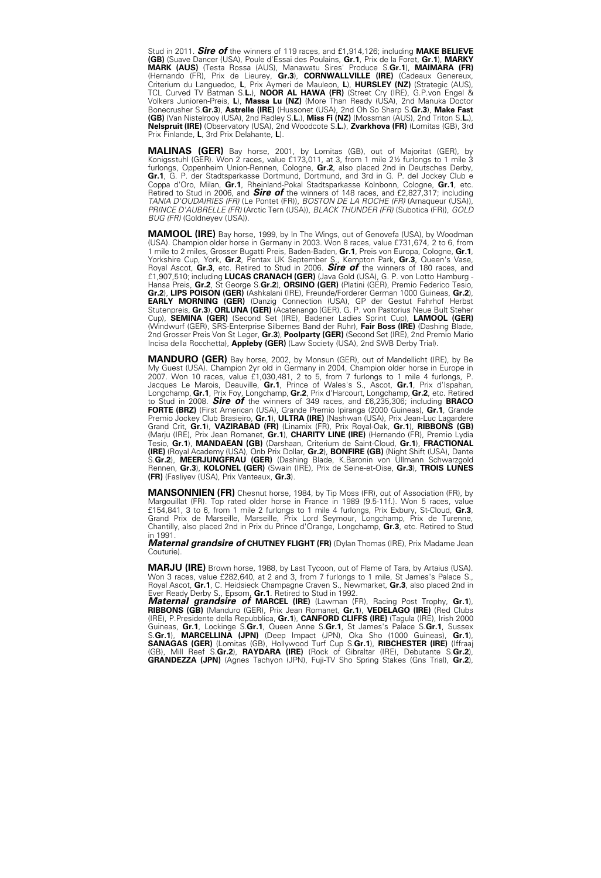Stud in 2011. *Sire of* the winners of 119 races, and £1,914,126; including **MAKE BELIEVE (GB)** (Suave Dancer (USA), Poule d'Essai des Poulains, **Gr.1**, Prix de la Foret, **Gr.1**), **MARKY MARK (AUS)** (Testa Rossa (AUS), Manawatu Sires' Produce S.**Gr.1**), **MAIMARA (FR)** (Hernando (FR), Prix de Lieurey, **Gr.3**), **CORNWALLVILLE (IRE)** (Cadeaux Genereux, Criterium du Languedoc, **L**, Prix Aymeri de Mauleon, **L**), **HURSLEY (NZ)** (Strategic (AUS), TCL Curved TV Batman S.**L.**), **NOOR AL HAWA (FR)** (Street Cry (IRE), G.P.von Engel & Volkers Junioren-Preis, **L**), **Massa Lu (NZ)** (More Than Ready (USA), 2nd Manuka Doctor Bonecrusher S.**Gr.3**), **Astrelle (IRE)** (Hussonet (USA), 2nd Oh So Sharp S.**Gr.3**), **Make Fast**<br>**(GB)** (Van Nistelrooy (USA), 2nd Radley S.L.), **Miss Fi (NZ)** (Mossman (AUS), 2nd Triton S.L.), **Nelspruit (IRE)** (Observatory (USA), 2nd Woodcote S.**L.**), **Zvarkhova (FR)** (Lomitas (GB), 3rd Prix Finlande, **L**, 3rd Prix Delahante, **L**).

**MALINAS (GER)** Bay horse, 2001, by Lomitas (GB), out of Majoritat (GER), by<br>Konigsstuhl (GER). Won 2 races, value £173,011, at 3, from 1 mile 2½ furlongs to 1 mile 3<br>furlongs, Oppenheim Union-Rennen, Cologne, **Gr.2**, also **Gr.1**, G. P. der Stadtsparkasse Dortmund, Dortmund, and 3rd in G. P. del Jockey Club e Coppa d'Oro, Milan, **Gr.1**, Rheinland-Pokal Stadtsparkasse Kolnbonn, Cologne, **Gr.1**, etc. Retired to Stud in 2006, and *Sire of* the winners of 148 races, and £2,827,317; including *TANIA D'OUDAIRIES (FR)* (Le Pontet (FR)), *BOSTON DE LA ROCHE (FR)* (Arnaqueur (USA)), *PRINCE D'AUBRELLE (FR)* (Arctic Tern (USA)), *BLACK THUNDER (FR)* (Subotica (FR)), *GOLD BUG (FR)* (Goldneyev (USA)).

**MAMOOL (IRE)** Bay horse, 1999, by In The Wings, out of Genovefa (USA), by Woodman (USA). Champion older horse in Germany in 2003. Won 8 races, value £731,674, 2 to 6, from 1 mile to 2 miles, Grosser Bugatti Preis, Baden-Baden, **Gr.1**, Preis von Europa, Cologne, **Gr.1**, Yorkshire Cup, York, **Gr.2**, Pentax UK September S., Kempton Park, **Gr.3**, Queen's Vase, Royal Ascot, **Gr.3**, etc. Retired to Stud in 2006. *Sire of* the winners of 180 races, and £1,907,510; including **LUCAS CRANACH (GER)** (Java Gold (USA), G. P. von Lotto Hamburg - Hansa Preis, **Gr.2**, St George S.**Gr.2**), **ORSINO (GER)** (Platini (GER), Premio Federico Tesio, **Gr.2**), **LIPS POISON (GER)** (Ashkalani (IRE), Freunde/Forderer German 1000 Guineas, **Gr.2**), **EARLY MORNING (GER)** (Danzig Connection (USA), GP der Gestut Fahrhof Herbst Stutenpreis, **Gr.3**), **ORLUNA (GER)** (Acatenango (GER), G. P. von Pastorius Neue Bult Steher Cup), **SEMINA (GER)** (Second Set (IRE), Badener Ladies Sprint Cup), **LAMOOL (GER)** (Windwurf (GER), SRS-Enterprise Silbernes Band der Ruhr), **Fair Boss (IRE)** (Dashing Blade, 2nd Grosser Preis Von St Leger, **Gr.3**), **Poolparty (GER)** (Second Set (IRE), 2nd Premio Mario Incisa della Rocchetta), **Appleby (GER)** (Law Society (USA), 2nd SWB Derby Trial).

**MANDURO (GER)** Bay horse, 2002, by Monsun (GER), out of Mandellicht (IRE), by Be My Guest (USA). Champion 2yr old in Germany in 2004, Champion older horse in Europe in 2007. Won 10 races, value £1,030,481, 2 to 5, from 7 furlongs to 1 mile 4 furlongs, P. Jacques Le Marois, Deauville, **Gr.1**, Prince of Wales's S., Ascot, **Gr.1**, Prix d'Ispahan, Longchamp, **Gr.1**, Prix Foy, Longchamp, **Gr.2**, Prix d'Harcourt, Longchamp, **Gr.2**, etc. Retired to Stud in 2008. *Sire of* the winners of 349 races, and £6,235,306; including **BRACO FORTE (BRZ)** (First American (USA), Grande Premio Ipiranga (2000 Guineas), **Gr.1**, Grande Premio Jockey Club Brasieiro, **Gr.1**), **ULTRA (IRE)** (Nashwan (USA), Prix Jean-Luc Lagardere Grand Crit, **Gr.1**), **VAZIRABAD (FR)** (Linamix (FR), Prix Royal-Oak, **Gr.1**), **RIBBONS (GB)** (Marju (IRE), Prix Jean Romanet, **Gr.1**), **CHARITY LINE (IRE)** (Hernando (FR), Premio Lydia Tesio, **Gr.1**), **MANDAEAN (GB)** (Darshaan, Criterium de Saint-Cloud, **Gr.1**), **FRACTIONAL (IRE)** (Royal Academy (USA), Qnb Prix Dollar, **Gr.2**), **BONFIRE (GB)** (Night Shift (USA), Dante S.**Gr.2**), **MEERJUNGFRAU (GER)** (Dashing Blade, K.Baronin von Ullmann Schwarzgold Rennen, **Gr.3**), **KOLONEL (GER)** (Swain (IRE), Prix de Seine-et-Oise, **Gr.3**), **TROIS LUNES (FR)** (Fasliyev (USA), Prix Vanteaux, **Gr.3**).

**MANSONNIEN (FR)** Chesnut horse, 1984, by Tip Moss (FR), out of Association (FR), by Margouillat (FR). Top rated older horse in France in 1989 (9.5-11f.). Won 5 races, value £154,841, 3 to 6, from 1 mile 2 furlongs to 1 mile 4 furlongs, Prix Exbury, St-Cloud, **Gr.3**, Grand Prix de Marseille, Marseille, Prix Lord Seymour, Longchamp, Prix de Turenne, Chantilly, also placed 2nd in Prix du Prince d'Orange, Longchamp, **Gr.3**, etc. Retired to Stud in 1991.

*Maternal grandsire of* **CHUTNEY FLIGHT (FR)** (Dylan Thomas (IRE), Prix Madame Jean Couturie).

**MARJU (IRE)** Brown horse, 1988, by Last Tycoon, out of Flame of Tara, by Artaius (USA). Won 3 races, value £282,640, at 2 and 3, from 7 furlongs to 1 mile, St James's Palace S., Royal Ascot, **Gr.1**, C. Heidsieck Champagne Craven S., Newmarket, **Gr.3**, also placed 2nd in

Ever Ready Derby S., Epsom, **Gr.1**. Retired to Stud in 1992.<br>**Maternal grandsire of MARCEL (IRE)** (Lawman (FR), Racing Post Trophy, **Gr.1**),<br>RIBBONS (GB) (Manduro (GER), Prix Jean Romanet, **Gr.1), VEDELAGO (IRE)** (Red Club Guineas, **Gr.1**, Lockinge S.**Gr.1**, Queen Anne S.**Gr.1**, St James's Palace S.**Gr.1**, Sussex S.**Gr.1**), **MARCELLINA (JPN)** (Deep Impact (JPN), Oka Sho (1000 Guineas), **Gr.1**), **SANAGAS (GER)** (Lomitas (GB), Hollywood Turf Cup S.**Gr.1**), **RIBCHESTER (IRE)** (Iffraaj (GB), Mill Reef S.**Gr.2**), **RAYDARA (IRE)** (Rock of Gibraltar (IRE), Debutante S.**Gr.2**), **GRANDEZZA (JPN)** (Agnes Tachyon (JPN), Fuji-TV Sho Spring Stakes (Gns Trial), **Gr.2**),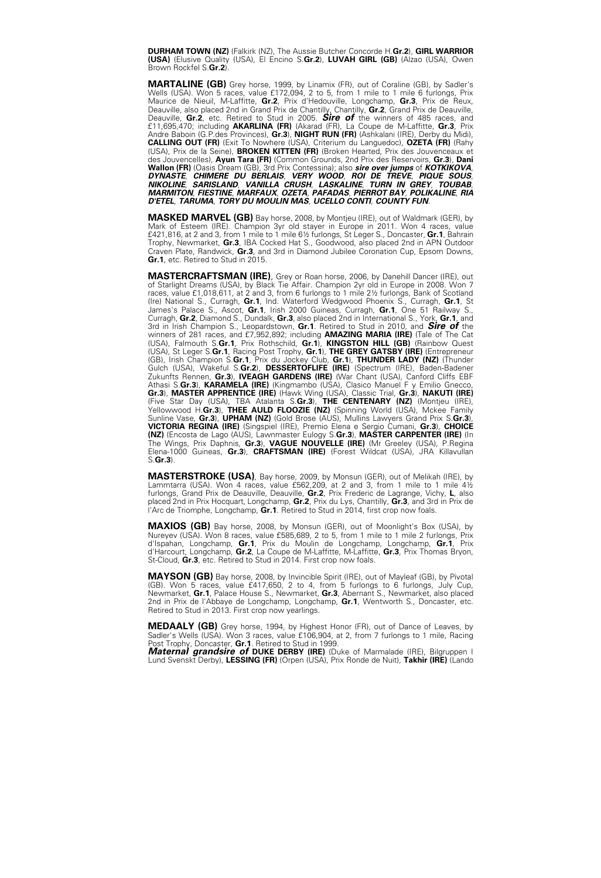**DURHAM TOWN (NZ)** (Falkirk (NZ), The Aussie Butcher Concorde H.**Gr.2**), **GIRL WARRIOR (USA)** (Elusive Quality (USA), El Encino S.**Gr.2**), **LUVAH GIRL (GB)** (Alzao (USA), Owen Brown Rockfel S.**Gr.2**).

**MARTALINE (GB)** Grey horse, 1999, by Linamix (FR), out of Coraline (GB), by Sadler's Wells (USA). Won 5 races, value £172,094, 2 to 5, from 1 mile to 1 mile 6 furlongs, Prix Maurice de Nieuil, M-Laffitte, **Gr.2**, Prix d'Hedouville, Longchamp, **Gr.3**, Prix de Reux, Deauville, also placed 2nd in Grand Prix de Chantilly, Chantilly, **Gr.2**, Grand Prix de Deauville,<br>Deauville, **Gr.2**, etc. Retired to Stud in 2005. **Sire of** the winners of 485 races, and<br>£11,695,470; including **AKARLINA (** Andre Baboin (G.P.des Provinces), **Gr.3**), **NIGHT RUN (FR)** (Ashkalani (IRE), Derby du Midi), **CALLING OUT (FR)** (Exit To Nowhere (USA), Criterium du Languedoc), **OZETA (FR)** (Rahy (USA), Prix de la Seine), **BROKEN KITTEN (FR)** (Broken Hearted, Prix des Jouvenceaux et des Jouvencelles), **Ayun Tara (FR)** (Common Grounds, 2nd Prix des Reservoirs, **Gr.3**), **Dani Wallon (FR)** (Oasis Dream (GB), 3rd Prix Contessina); also *sire over jumps* of *KOTKIKOVA*, *DYNASTE*, *CHIMERE DU BERLAIS*, *VERY WOOD*, *ROI DE TREVE*, *PIQUE SOUS*, NIKOLINE, SARISLAND, VANILLA CRUSH, LASKALINE, TURN IN GREY, TOUBAB,<br>MARMITON,FIESTINE,MARFAUX,OZETA,PAFADAS,PIERROTBAY,POLIKALINE,RIA *D'ETEL*, *TARUMA*, *TORY DU MOULIN MAS*, *UCELLO CONTI*, *COUNTY FUN*.

**MASKED MARVEL (GB)** Bay horse, 2008, by Montjeu (IRE), out of Waldmark (GER), by Mark of Esteem (IRE). Champion 3yr old stayer in Europe in 2011. Won 4 races, value £421,816, at 2 and 3, from 1 mile to 1 mile 6½ furlongs, St Leger S., Doncaster, **Gr.1**, Bahrain Trophy, Newmarket, **Gr.3**, IBA Cocked Hat S., Goodwood, also placed 2nd in APN Outdoor Craven Plate, Randwick, **Gr.3**, and 3rd in Diamond Jubilee Coronation Cup, Epsom Downs, **Gr.1**, etc. Retired to Stud in 2015.

**MASTERCRAFTSMAN (IRE)**, Grey or Roan horse, 2006, by Danehill Dancer (IRE), out<br>of Starlight Dreams (USA), by Black Tie Affair. Champion 2yr old in Europe in 2008. Won 7<br>races, value £1,018,611, at 2 and 3, from 6 furlong (Ire) National S., Curragh, **Gr.1**, Ind. Waterford Wedgwood Phoenix S., Curragh, **Gr.1**, St James's Palace S., Ascot, **Gr.1**, Irish 2000 Guineas, Curragh, **Gr.1**, One 51 Railway S., Curragh, **Gr.2**, Diamond S., Dundalk, **Gr.3**, also placed 2nd in International S., York, **Gr.1**, and<br>3rd in Irish Champion S., Leopardstown, **Gr.1**. Retired to Stud in 2010, and *Sire of* the<br>winners of 281 races, and £7,9 (USA), St Leger S.**Gr.1**, Racing Post Trophy, **Gr.1**), **THE GREY GATSBY (IRE)** (Entrepreneur (GB), Irish Champion S.**Gr.1**, Prix du Jockey Club, **Gr.1**), **THUNDER LADY (NZ)** (Thunder Gulch (USA), Wakeful S.**Gr.2**), **DESSERTOFLIFE (IRE)** (Spectrum (IRE), Baden-Badener Zukunfts Rennen, **Gr.3**), **IVEAGH GARDENS (IRE)** (War Chant (USA), Canford Cliffs EBF Athasi S.**Gr.3**), **KARAMELA (IRE)** (Kingmambo (USA), Clasico Manuel F y Emilio Gnecco, **Gr.3**), **MASTER APPRENTICE (IRE)** (Hawk Wing (USA), Classic Trial, **Gr.3**), **NAKUTI (IRE)** (Five Star Day (USA), TBA Atalanta S.**Gr.3**), **THE CENTENARY (NZ)** (Montjeu (IRE), Yellowwood H.**Gr.3**), **THEE AULD FLOOZIE (NZ)** (Spinning World (USA), Mckee Family Sunline Vase, **Gr.3**), **UPHAM (NZ)** (Gold Brose (AUS), Mullins Lawyers Grand Prix S.**Gr.3**), **VICTORIA REGINA (IRE)** (Singspiel (IRE), Premio Elena e Sergio Cumani, **Gr.3**), **CHOICE (NZ)** (Encosta de Lago (AUS), Lawnmaster Eulogy S.**Gr.3**), **MASTER CARPENTER (IRE)** (In The Wings, Prix Daphnis, **Gr.3**), **VAGUE NOUVELLE (IRE)** (Mr Greeley (USA), P.Regina Elena-1000 Guineas, **Gr.3**), **CRAFTSMAN (IRE)** (Forest Wildcat (USA), JRA Killavullan S.**Gr.3**).

**MASTERSTROKE (USA)**, Bay horse, 2009, by Monsun (GER), out of Melikah (IRE), by Lammtarra (USA). Won 4 races, value £562,209, at 2 and 3, from 1 mile to 1 mile 4½ furlongs, Grand Prix de Deauville, Deauville, **Gr.2**, Prix Frederic de Lagrange, Vichy, **L**, also placed 2nd in Prix Hocquart, Longchamp, **Gr.2**, Prix du Lys, Chantilly, **Gr.3**, and 3rd in Prix de l'Arc de Triomphe, Longchamp, **Gr.1**. Retired to Stud in 2014, first crop now foals.

**MAXIOS (GB)** Bay horse, 2008, by Monsun (GER), out of Moonlight's Box (USA), by Nureyev (USA). Won 8 races, value £585,689, 2 to 5, from 1 mile to 1 mile 2 furlongs, Prix d'Ispahan, Longchamp, **Gr.1**, Prix du Moulin de Longchamp, Longchamp, **Gr.1**, Prix d'Harcourt, Longchamp, **Gr.2**, La Coupe de M-Laffitte, M-Laffitte, **Gr.3**, Prix Thomas Bryon, St-Cloud, **Gr.3**, etc. Retired to Stud in 2014. First crop now foals.

**MAYSON (GB)** Bay horse, 2008, by Invincible Spirit (IRE), out of Mayleaf (GB), by Pivotal (GB). Won 5 races, value £417,650, 2 to 4, from 5 furlongs to 6 furlongs, July Cup, Newmarket, **Gr.1**, Palace House S., Newmarket, **Gr.3**, Abernant S., Newmarket, also placed 2nd in Prix de l'Abbaye de Longchamp, Longchamp, **Gr.1**, Wentworth S., Doncaster, etc. Retired to Stud in 2013. First crop now yearlings.

**MEDAALY (GB)** Grey horse, 1994, by Highest Honor (FR), out of Dance of Leaves, by Sadler's Wells (USA). Won 3 races, value £106,904, at 2, from 7 furlongs to 1 mile, Racing

Post Trophy, Doncaster, **Gr.1**. Retired to Stud in 1999. *Maternal grandsire of* **DUKE DERBY (IRE)** (Duke of Marmalade (IRE), Bilgruppen I Lund Svenskt Derby), **LESSING (FR)** (Orpen (USA), Prix Ronde de Nuit), **Takhir (IRE)** (Lando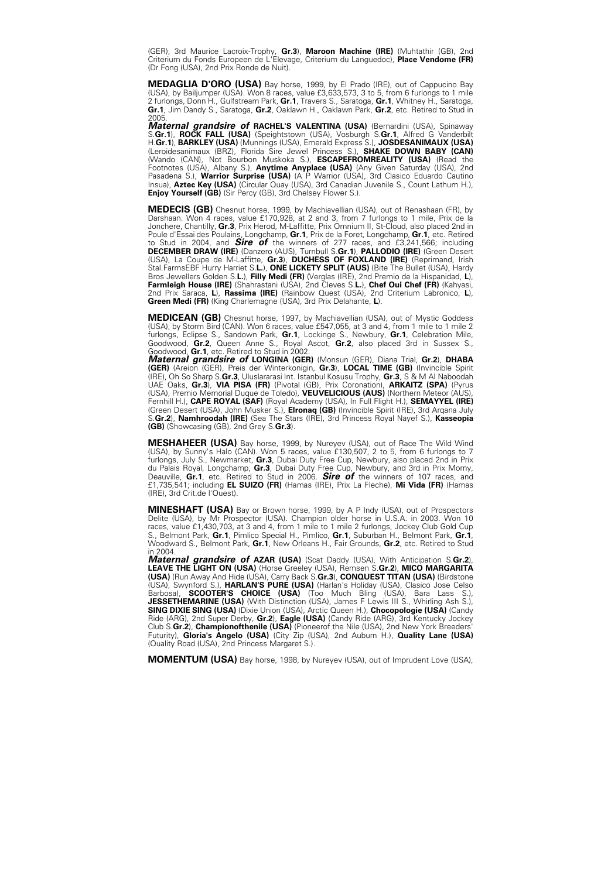(GER), 3rd Maurice Lacroix-Trophy, **Gr.3**), **Maroon Machine (IRE)** (Muhtathir (GB), 2nd Criterium du Fonds Europeen de L'Elevage, Criterium du Languedoc), **Place Vendome (FR)** (Dr Fong (USA), 2nd Prix Ronde de Nuit).

**MEDAGLIA D'ORO (USA)** Bay horse, 1999, by El Prado (IRE), out of Cappucino Bay (USA), by Bailjumper (USA). Won 8 races, value £3,633,573, 3 to 5, from 6 furlongs to 1 mile 2 furlongs, Donn H., Gulfstream Park, **Gr.1**, Travers S., Saratoga, **Gr.1**, Whitney H., Saratoga, **Gr.1**, Jim Dandy S., Saratoga, **Gr.2**, Oaklawn H., Oaklawn Park, **Gr.2**, etc. Retired to Stud in

2005. *Maternal grandsire of* **RACHEL'S VALENTINA (USA)** (Bernardini (USA), Spinaway S.**Gr.1**), **ROCK FALL (USA)** (Speightstown (USA), Vosburgh S.**Gr.1**, Alfred G Vanderbilt H.**Gr.1**), **BARKLEY (USA)** (Munnings (USA), Emerald Express S.), **JOSDESANIMAUX (USA)** (Leroidesanimaux (BRZ), Florida Sire Jewel Princess S.), **SHAKE DOWN BABY (CAN)** (Wando (CAN), Not Bourbon Muskoka S.), **ESCAPEFROMREALITY (USA)** (Read the Footnotes (USA), Albany S.), **Anytime Anyplace (USA)** (Any Given Saturday (USA), 2nd Pasadena S.), **Warrior Surprise (USA)** (A P Warrior (USA), 3rd Clasico Eduardo Cautino Insua), **Aztec Key (USA)** (Circular Quay (USA), 3rd Canadian Juvenile S., Count Lathum H.), **Enjoy Yourself (GB)** (Sir Percy (GB), 3rd Chelsey Flower S.).

**MEDECIS (GB)** Chesnut horse, 1999, by Machiavellian (USA), out of Renashaan (FR), by Darshaan. Won 4 races, value £170,928, at 2 and 3, from 7 furlongs to 1 mile, Prix de la Jonchere, Chantilly, **Gr.3**, Prix Herod, M-Laffitte, Prix Omnium II, St-Cloud, also placed 2nd in Poule d'Essai des Poulains, Longchamp, **Gr.1**, Prix de la Foret, Longchamp, **Gr.1**, etc. Retired to Stud in 2004, and *Sire of* the winners of 277 races, and £3,241,566; including **DECEMBER DRAW (IRE)** (Danzero (AUS), Turnbull S.**Gr.1**), **PALLODIO (IRE)** (Green Desert (USA), La Coupe de M-Laffitte, **Gr.3**), **DUCHESS OF FOXLAND (IRE)** (Reprimand, Irish Stal.FarmsEBF Hurry Harriet S.**L.**), **ONE LICKETY SPLIT (AUS)** (Bite The Bullet (USA), Hardy Bros Jewellers Golden S.**L.**), **Filly Medi (FR)** (Verglas (IRE), 2nd Premio de la Hispanidad, **L**), **Farmleigh House (IRE)** (Shahrastani (USA), 2nd Cleves S.**L.**), **Chef Oui Chef (FR)** (Kahyasi, 2nd Prix Saraca, **L**), **Rassima (IRE)** (Rainbow Quest (USA), 2nd Criterium Labronico, **L**), **Green Medi (FR)** (King Charlemagne (USA), 3rd Prix Delahante, **L**).

**MEDICEAN (GB)** Chesnut horse, 1997, by Machiavellian (USA), out of Mystic Goddess (USA), by Storm Bird (CAN). Won 6 races, value £547,055, at 3 and 4, from 1 mile to 1 mile 2 furlongs, Eclipse S., Sandown Park, **Gr.1**, Lockinge S., Newbury, **Gr.1**, Celebration Mile, Goodwood, **Gr.2**, Queen Anne S., Royal Ascot, **Gr.2**, also placed 3rd in Sussex S., Goodwood, **Gr.1**, etc. Retired to Stud in 2002.

*Maternal grandsire of* **LONGINA (GER)** (Monsun (GER), Diana Trial, **Gr.2**), **DHABA (GER)** (Areion (GER), Preis der Winterkonigin, **Gr.3**), **LOCAL TIME (GB)** (Invincible Spirit (IRE), Oh So Sharp S.**Gr.3**, Uluslararasi Int. Istanbul Kosusu Trophy, **Gr.3**, S & M Al Naboodah UAE Oaks, **Gr.3**), **VIA PISA (FR)** (Pivotal (GB), Prix Coronation), **ARKAITZ (SPA)** (Pyrus (USA), Premio Memorial Duque de Toledo), **VEUVELICIOUS (AUS)** (Northern Meteor (AUS), Fernhill H.), **CAPE ROYAL (SAF)** (Royal Academy (USA), In Full Flight H.), **SEMAYYEL (IRE)** (Green Desert (USA), John Musker S.), **Elronaq (GB)** (Invincible Spirit (IRE), 3rd Arqana July S.**Gr.2**), **Namhroodah (IRE)** (Sea The Stars (IRE), 3rd Princess Royal Nayef S.), **Kasseopia (GB)** (Showcasing (GB), 2nd Grey S.**Gr.3**).

**MESHAHEER (USA)** Bay horse, 1999, by Nureyev (USA), out of Race The Wild Wind (USA), by Sunny's Halo (CAN). Won 5 races, value £130,507, 2 to 5, from 6 furlongs to 7 furlongs, July S., Newmarket, **Gr.3**, Dubai Duty Free Cup, Newbury, also placed 2nd in Prix<br>du Palais Royal, Longchamp, **Gr.3**, Dubai Duty Free Cup, Newbury, and 3rd in Prix Morny,<br>Deauville, **Gr.1**, etc. Retired to Stud i £1,735,541; including **EL SUIZO (FR)** (Hamas (IRE), Prix La Fleche), **Mi Vida (FR)** (Hamas (IRE), 3rd Crit.de l'Ouest).

**MINESHAFT (USA)** Bay or Brown horse, 1999, by A P Indy (USA), out of Prospectors Delite (USA), by Mr Prospector (USA). Champion older horse in U.S.A. in 2003. Won 10 races, value £1,430,703, at 3 and 4, from 1 mile to 1 mile 2 furlongs, Jockey Club Gold Cup S., Belmont Park, **Gr.1**, Pimlico Special H., Pimlico, **Gr.1**, Suburban H., Belmont Park, **Gr.1**, Woodward S., Belmont Park, **Gr.1**, New Orleans H., Fair Grounds, **Gr.2**, etc. Retired to Stud in 2004.

*Maternal grandsire of* **AZAR (USA)** (Scat Daddy (USA), With Anticipation S.**Gr.2**), **LEAVE THE LIGHT ON (USA)** (Horse Greeley (USA), Remsen S.**Gr.2**), **MICO MARGARITA (USA)** (Run Away And Hide (USA), Carry Back S.**Gr.3**), **CONQUEST TITAN (USA)** (Birdstone (USA), Swynford S.), **HARLAN'S PURE (USA)** (Harlan's Holiday (USA), Clasico Jose Celso Barbosa), **SCOOTER'S CHOICE (USA)** (Too Much Bling (USA), Bara Lass S.), **JESSETHEMARINE (USA)** (With Distinction (USA), James F Lewis III S., Whirling Ash S.), **SING DIXIE SING (USA)** (Dixie Union (USA), Arctic Queen H.), **Chocopologie (USA)** (Candy Ride (ARG), 2nd Super Derby, **Gr.2**), **Eagle (USA)** (Candy Ride (ARG), 3rd Kentucky Jockey Club S.**Gr.2**), **Championofthenile (USA)** (Pioneerof the Nile (USA), 2nd New York Breeders' Futurity), **Gloria's Angelo (USA)** (City Zip (USA), 2nd Auburn H.), **Quality Lane (USA)** (Quality Road (USA), 2nd Princess Margaret S.).

**MOMENTUM (USA)** Bay horse, 1998, by Nureyev (USA), out of Imprudent Love (USA),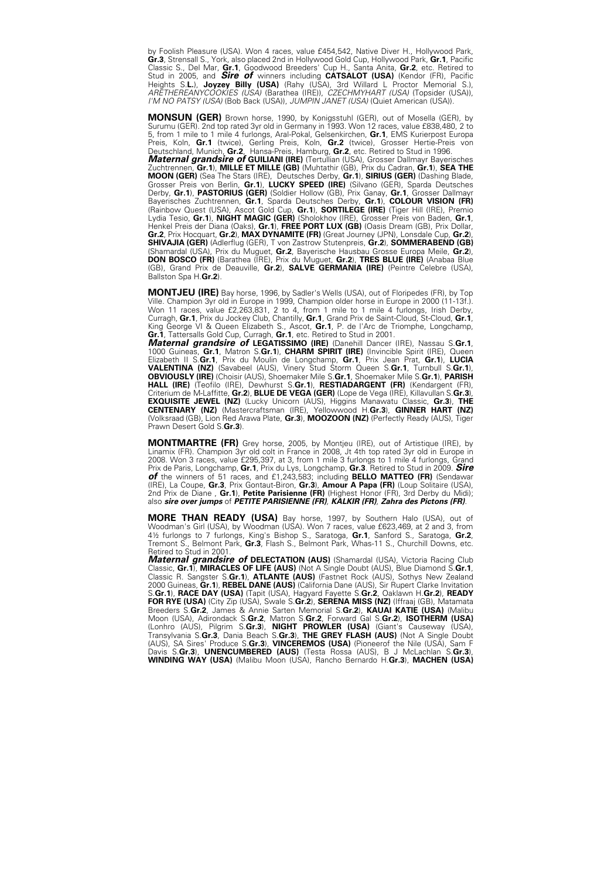by Foolish Pleasure (USA). Won 4 races, value £454,542, Native Diver H., Hollywood Park, **Gr.3**, Strensall S., York, also placed 2nd in Hollywood Gold Cup, Hollywood Park, **Gr.1**, Pacific<br>Classic S., Del Mar, **Gr.1**, Goodwood Breeders' Cup H., Santa Anita, **Gr.2**, etc. Retired to<br>Stud in 2005, and *Sire of w* Heights S.**L.**), **Joyzey Billy (USA)** (Rahy (USA), 3rd Willard L Proctor Memorial S.), *ARETHEREANYCOOKIES (USA)* (Barathea (IRE)), *CZECHMYHART (USA)* (Topsider (USA)), *I'M NO PATSY (USA)* (Bob Back (USA)), *JUMPIN JANET (USA)* (Quiet American (USA)).

**MONSUN (GER)** Brown horse, 1990, by Konigsstuhl (GER), out of Mosella (GER), by Surumu (GER). 2nd top rated 3yr old in Germany in 1993. Won 12 races, value £838,480, 2 to 5, from 1 mile to 1 mile 4 furlongs, Aral-Pokal, Gelsenkirchen, **Gr.1**, EMS Kurierpost Europa Preis, Koln, **Gr.1** (twice), Gerling Preis, Koln, **Gr.2** (twice), Grosser Hertie-Preis von

Deutschland, Munich, **Gr.2**, Hansa-Preis, Hamburg, **Gr.2**, etc. Retired to Stud in 1996.<br>**Maternal grandsire of GUILIANI (IRE)** (Tertullian (USA), Grosser Dallmayr Bayerisches<br>Zuchtrennen, **Gr.1), MILLE ET MILLE (GB)** (Muh **MOON (GER)** (Sea The Stars (IRE), Deutsches Derby, **Gr.1**), **SIRIUS (GER)** (Dashing Blade, Grosser Preis von Berlin, **Gr.1**), **LUCKY SPEED (IRE)** (Silvano (GER), Sparda Deutsches Derby, **Gr.1**), **PASTORIUS (GER)** (Soldier Hollow (GB), Prix Ganay, **Gr.1**, Grosser Dallmayr Bayerisches Zuchtrennen, **Gr.1**, Sparda Deutsches Derby, **Gr.1**), **COLOUR VISION (FR)** (Rainbow Quest (USA), Ascot Gold Cup, **Gr.1**), **SORTILEGE (IRE)** (Tiger Hill (IRE), Premio Lydia Tesio, **Gr.1**), **NIGHT MAGIC (GER)** (Sholokhov (IRE), Grosser Preis von Baden, **Gr.1**, Henkel Preis der Diana (Oaks), **Gr.1**), **FREE PORT LUX (GB)** (Oasis Dream (GB), Prix Dollar, **Gr.2**, Prix Hocquart, **Gr.2**), **MAX DYNAMITE (FR)** (Great Journey (JPN), Lonsdale Cup, **Gr.2**), **SHIVAJIA (GER)** (Adlerflug (GER), T von Zastrow Stutenpreis, **Gr.2**), **SOMMERABEND (GB)** (Shamardal (USA), Prix du Muguet, **Gr.2**, Bayerische Hausbau Grosse Europa Meile, **Gr.2**), **DON BOSCO (FR)** (Barathea (IRE), Prix du Muguet, **Gr.2**), **TRES BLUE (IRE)** (Anabaa Blue (GB), Grand Prix de Deauville, **Gr.2**), **SALVE GERMANIA (IRE)** (Peintre Celebre (USA), Ballston Spa H.**Gr.2**).

**MONTJEU (IRE)** Bay horse, 1996, by Sadler's Wells (USA), out of Floripedes (FR), by Top Ville. Champion 3yr old in Europe in 1999, Champion older horse in Europe in 2000 (11-13f.). Won 11 races, value £2,263,831, 2 to 4, from 1 mile to 1 mile 4 furlongs, Irish Derby, Curragh, **Gr.1**, Prix du Jockey Club, Chantilly, **Gr.1**, Grand Prix de Saint-Cloud, St-Cloud, **Gr.1**, King George VI & Queen Elizabeth S., Ascot, **Gr.1**, P. de l'Arc de Triomphe, Longchamp,

**Gr.1**, Tattersalls Gold Cup, Curragh, **Gr.1**, etc. Retired to Stud in 2001. *Maternal grandsire of* **LEGATISSIMO (IRE)** (Danehill Dancer (IRE), Nassau S.**Gr.1**, 1000 Guineas, **Gr.1**, Matron S.**Gr.1**), **CHARM SPIRIT (IRE)** (Invincible Spirit (IRE), Queen Elizabeth II S.**Gr.1**, Prix du Moulin de Longchamp, **Gr.1**, Prix Jean Prat, **Gr.1**), **LUCIA VALENTINA (NZ)** (Savabeel (AUS), Vinery Stud Storm Queen S.**Gr.1**, Turnbull S.**Gr.1**), **OBVIOUSLY (IRE)** (Choisir (AUS), Shoemaker Mile S.**Gr.1**, Shoemaker Mile S.**Gr.1**), **PARISH HALL (IRE)** (Teofilo (IRE), Dewhurst S.**Gr.1**), **RESTIADARGENT (FR)** (Kendargent (FR), Criterium de M-Laffitte, **Gr.2**), **BLUE DE VEGA (GER)** (Lope de Vega (IRE), Killavullan S.**Gr.3**), **EXQUISITE JEWEL (NZ)** (Lucky Unicorn (AUS), Higgins Manawatu Classic, **Gr.3**), **THE CENTENARY (NZ)** (Mastercraftsman (IRE), Yellowwood H.**Gr.3**), **GINNER HART (NZ)** (Volksraad (GB), Lion Red Arawa Plate, **Gr.3**), **MOOZOON (NZ)** (Perfectly Ready (AUS), Tiger Prawn Desert Gold S.**Gr.3**).

**MONTMARTRE (FR)** Grey horse, 2005, by Montjeu (IRE), out of Artistique (IRE), by Linamix (FR). Champion 3yr old colt in France in 2008, Jt 4th top rated 3yr old in Europe in 2008. Won 3 races, value £295,397, at 3, from 1 mile 3 furlongs to 1 mile 4 furlongs, Grand Prix de Paris, Longchamp, **Gr.1**, Prix du Lys, Longchamp, **Gr.3**. Retired to Stud in 2009. *Sire of* the winners of 51 races, and £1,243,583; including **BELLO MATTEO (FR)** (Sendawar (IRE), La Coupe, **Gr.3**, Prix Gontaut-Biron, **Gr.3**), **Amour A Papa (FR)** (Loup Solitaire (USA), 2nd Prix de Diane , **Gr.1**), **Petite Parisienne (FR)** (Highest Honor (FR), 3rd Derby du Midi); also *sire over jumps* of *PETITE PARISIENNE (FR), KALKIR (FR), Zahra des Pictons (FR)*.

**MORE THAN READY (USA)** Bay horse, 1997, by Southern Halo (USA), out of Woodman's Girl (USA), by Woodman (USA). Won 7 races, value £623,469, at 2 and 3, from 4½ furlongs to 7 furlongs, King's Bishop S., Saratoga, **Gr.1**, Sanford S., Saratoga, **Gr.2**, Tremont S., Belmont Park, **Gr.3**, Flash S., Belmont Park, Whas-11 S., Churchill Downs, etc. Retired to Stud in 2001.

*Maternal grandsire of DELECTATION (AUS) (Shamardal (USA), Victoria Racing Club* Classic, **Gr.1**), **MIRACLES OF LIFE (AUS)** (Not A Single Doubt (AUS), Blue Diamond S.**Gr.1**, Classic R. Sangster S.**Gr.1**), **ATLANTE (AUS)** (Fastnet Rock (AUS), Sothys New Zealand 2000 Guineas, **Gr.1**), **REBEL DANE (AUS)** (California Dane (AUS), Sir Rupert Clarke Invitation S.**Gr.1**), **RACE DAY (USA)** (Tapit (USA), Hagyard Fayette S.**Gr.2**, Oaklawn H.**Gr.2**), **READY FOR RYE (USA)** (City Zip (USA), Swale S.**Gr.2**), **SERENA MISS (NZ)** (Iffraaj (GB), Matamata Breeders S.**Gr.2**, James & Annie Sarten Memorial S.**Gr.2**), **KAUAI KATIE (USA)** (Malibu Moon (USA), Adirondack S.**Gr.2**, Matron S.**Gr.2**, Forward Gal S.**Gr.2**), **ISOTHERM (USA)** (Lonhro (AUS), Pilgrim S.**Gr.3**), **NIGHT PROWLER (USA)** (Giant's Causeway (USA), Transylvania S.**Gr.3**, Dania Beach S.**Gr.3**), **THE GREY FLASH (AUS)** (Not A Single Doubt (AUS), SA Sires' Produce S.**Gr.3**), **VINCEREMOS (USA)** (Pioneerof the Nile (USA), Sam F Davis S.**Gr.3**), **UNENCUMBERED (AUS)** (Testa Rossa (AUS), B J McLachlan S.**Gr.3**), **WINDING WAY (USA)** (Malibu Moon (USA), Rancho Bernardo H.**Gr.3**), **MACHEN (USA)**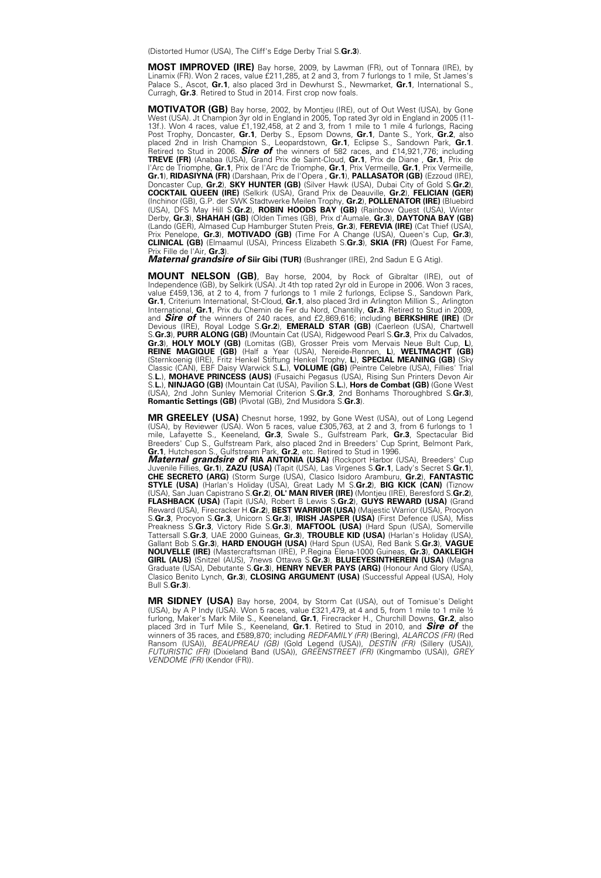(Distorted Humor (USA), The Cliff's Edge Derby Trial S.**Gr.3**).

**MOST IMPROVED (IRE)** Bay horse, 2009, by Lawman (FR), out of Tonnara (IRE), by Linamix (FR). Won 2 races, value £211,285, at 2 and 3, from 7 furlongs to 1 mile, St James's Palace S., Ascot, **Gr.1**, also placed 3rd in Dewhurst S., Newmarket, **Gr.1**, International S., Curragh, **Gr.3**. Retired to Stud in 2014. First crop now foals.

**MOTIVATOR (GB)** Bay horse, 2002, by Montjeu (IRE), out of Out West (USA), by Gone West (USA). Jt Champion 3yr old in England in 2005, Top rated 3yr old in England in 2005 (11- 13f.). Won 4 races, value £1,192,458, at 2 and 3, from 1 mile to 1 mile 4 furlongs, Racing Post Trophy, Doncaster, **Gr.1**, Derby S., Epsom Downs, **Gr.1**, Dante S., York, **Gr.2**, also<br>placed 2nd in Irish Champion S., Leopardstown, **Gr.1**, Eclipse S., Sandown Park, **Gr.1**.<br>Retired to Stud in 2006. *Sire of* the **TREVE (FR)** (Anabaa (USA), Grand Prix de Saint-Cloud, **Gr.1**, Prix de Diane , **Gr.1**, Prix de<br>l'Arc de Triomphe, **Gr.1**, Prix de l'Arc de Triomphe, **Gr.1**, Prix Vermeille, **Gr.1**, Prix Vermeille, **Gr.1**), **RIDASIYNA (FR)** (Darshaan, Prix de l'Opera , **Gr.1**), **PALLASATOR (GB)** (Ezzoud (IRE), Doncaster Cup, **Gr.2**), **SKY HUNTER (GB)** (Silver Hawk (USA), Dubai City of Gold S.**Gr.2**), **COCKTAIL QUEEN (IRE)** (Selkirk (USA), Grand Prix de Deauville, **Gr.2**), **FELICIAN (GER)** (Inchinor (GB), G.P. der SWK Stadtwerke Meilen Trophy, **Gr.2**), **POLLENATOR (IRE)** (Bluebird (USA), DFS May Hill S.**Gr.2**), **ROBIN HOODS BAY (GB)** (Rainbow Quest (USA), Winter Derby, **Gr.3**), **SHAHAH (GB)** (Olden Times (GB), Prix d'Aumale, **Gr.3**), **DAYTONA BAY (GB)** (Lando (GER), Almased Cup Hamburger Stuten Preis, **Gr.3**), **FEREVIA (IRE)** (Cat Thief (USA), Prix Penelope, **Gr.3**), **MOTIVADO (GB)** (Time For A Change (USA), Queen's Cup, **Gr.3**), **CLINICAL (GB)** (Elmaamul (USA), Princess Elizabeth S.**Gr.3**), **SKIA (FR)** (Quest For Fame, Prix Fille de l'Air, **Gr.3**).

*Maternal grandsire of* **Siir Gibi (TUR)** (Bushranger (IRE), 2nd Sadun E G Atig).

**MOUNT NELSON (GB)**, Bay horse, 2004, by Rock of Gibraltar (IRE), out of<br>Independence (GB), by Selkirk (USA). Jt 4th top rated 2yr old in Europe in 2006. Won 3 races,<br>value £459,136, at 2 to 4, from 7 furlongs to 1 mile 2 **Gr.1**, Criterium International, St-Cloud, **Gr.1**, also placed 3rd in Arlington Million S., Arlington International, **Gr.1**, Prix du Chemin de Fer du Nord, Chantilly, **Gr.3**. Retired to Stud in 2009, and *Sire of* the winners of 240 races, and £2,869,616; including **BERKSHIRE (IRE)** (Dr Devious (IRE), Royal Lodge S.**Gr.2**), **EMERALD STAR (GB)** (Caerleon (USA), Chartwell S.**Gr.3**), **PURR ALONG (GB)** (Mountain Cat (USA), Ridgewood Pearl S.**Gr.3**, Prix du Calvados, **Gr.3**), **HOLY MOLY (GB)** (Lomitas (GB), Grosser Preis vom Mervais Neue Bult Cup, **L**), **REINE MAGIQUE (GB)** (Half a Year (USA), Nereide-Rennen, **L**), **WELTMACHT (GB)** (Sternkoenig (IRE), Fritz Henkel Stiftung Henkel Trophy, **L**), **SPECIAL MEANING (GB)** (Sky Classic (CAN), EBF Daisy Warwick S.**L.**), **VOLUME (GB)** (Peintre Celebre (USA), Fillies' Trial S.**L.**), **MOHAVE PRINCESS (AUS)** (Fusaichi Pegasus (USA), Rising Sun Printers Devon Air S.**L.**), **NINJAGO (GB)** (Mountain Cat (USA), Pavilion S.**L.**), **Hors de Combat (GB)** (Gone West (USA), 2nd John Sunley Memorial Criterion S.**Gr.3**, 2nd Bonhams Thoroughbred S.**Gr.3**), **Romantic Settings (GB)** (Pivotal (GB), 2nd Musidora S.**Gr.3**).

**MR GREELEY (USA)** Chesnut horse, 1992, by Gone West (USA), out of Long Legend (USA), by Reviewer (USA). Won 5 races, value £305,763, at 2 and 3, from 6 furlongs to 1 mile, Lafayette S., Keeneland, **Gr.3**, Swale S., Gulfstream Park, **Gr.3**, Spectacular Bid Breeders' Cup S., Gulfstream Park, also placed 2nd in Breeders' Cup Sprint, Belmont Park,

**Gr.1**, Hutcheson S., Gulfstream Park, **Gr.2**, etc. Retired to Stud in 1996. *Maternal grandsire of* **RIA ANTONIA (USA)** (Rockport Harbor (USA), Breeders' Cup Juvenile Fillies, **Gr.1**), **ZAZU (USA)** (Tapit (USA), Las Virgenes S.**Gr.1**, Lady's Secret S.**Gr.1**), **CHE SECRETO (ARG)** (Storm Surge (USA), Clasico Isidoro Aramburu, **Gr.2**), **FANTASTIC STYLE (USA)** (Harlan's Holiday (USA), Great Lady M S.**Gr.2**), **BIG KICK (CAN)** (Tiznow (USA), San Juan Capistrano S.**Gr.2**), **OL' MAN RIVER (IRE)** (Montjeu (IRE), Beresford S.**Gr.2**), **FLASHBACK (USA)** (Tapit (USA), Robert B Lewis S.**Gr.2**), **GUYS REWARD (USA)** (Grand Reward (USA), Firecracker H.**Gr.2**), **BEST WARRIOR (USA)** (Majestic Warrior (USA), Procyon S.**Gr.3**, Procyon S.**Gr.3**, Unicorn S.**Gr.3**), **IRISH JASPER (USA)** (First Defence (USA), Miss Preakness S.**Gr.3**, Victory Ride S.**Gr.3**), **MAFTOOL (USA)** (Hard Spun (USA), Somerville Tattersall S.**Gr.3**, UAE 2000 Guineas, **Gr.3**), **TROUBLE KID (USA)** (Harlan's Holiday (USA), Gallant Bob S.**Gr.3**), **HARD ENOUGH (USA)** (Hard Spun (USA), Red Bank S.**Gr.3**), **VAGUE NOUVELLE (IRE)** (Mastercraftsman (IRE), P.Regina Elena-1000 Guineas, **Gr.3**), **OAKLEIGH GIRL (AUS)** (Snitzel (AUS), 7news Ottawa S.**Gr.3**), **BLUEEYESINTHEREIN (USA)** (Magna Graduate (USA), Debutante S.**Gr.3**), **HENRY NEVER PAYS (ARG)** (Honour And Glory (USA), Clasico Benito Lynch, **Gr.3**), **CLOSING ARGUMENT (USA)** (Successful Appeal (USA), Holy Bull S.**Gr.3**).

**MR SIDNEY (USA)** Bay horse, 2004, by Storm Cat (USA), out of Tomisue's Delight (USA), by A P Indy (USA). Won 5 races, value £321,479, at 4 and 5, from 1 mile to 1 mile ½ furlong, Maker's Mark Mile S., Keeneland, **Gr.1**, Firecracker H., Churchill Downs, **Gr.2**, also<br>placed 3rd in Turf Mile S., Keeneland**, Gr.1**. Retired to Stud in 2010, and **Sire of t**he<br>winners of 35 races, and £589,870; i *FUTURISTIC (FR)* (Dixieland Band (USA)), *GREENSTREET (FR)* (Kingmambo (USA)), *GREY VENDOME (FR)* (Kendor (FR)).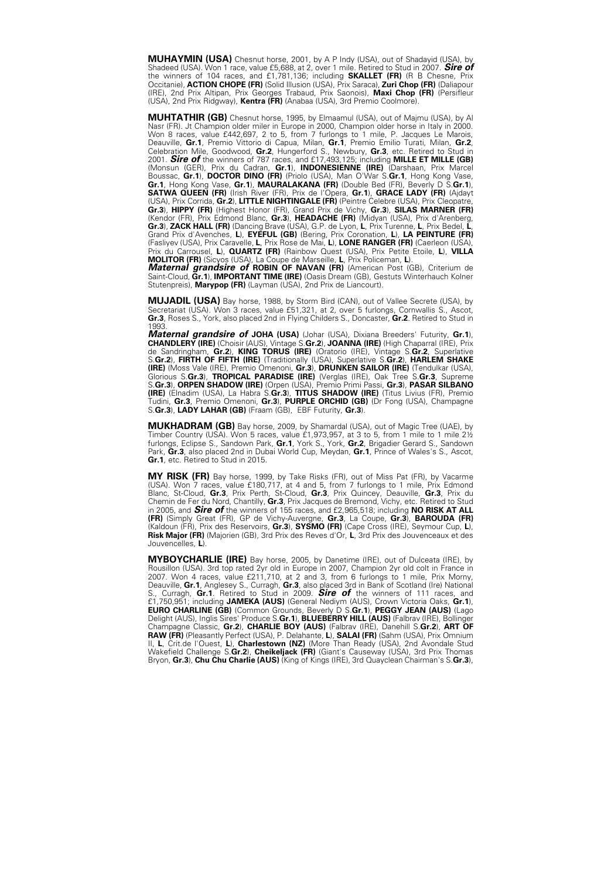**MUHAYMIN (USA)** Chesnut horse, 2001, by A P Indy (USA), out of Shadayid (USA), by<br>Shadeed (USA). Won 1 race, value £5,688, at 2, over 1 mile. Retired to Stud in 2007. *Sire of*<br>the winners of 104 races, and £1,781,136; in Occitanie), **ACTION CHOPE (FR)** (Solid Illusion (USA), Prix Saraca), **Zuri Chop (FR)** (Daliapour (IRE), 2nd Prix Altipan, Prix Georges Trabaud, Prix Saonois), **Maxi Chop (FR)** (Persifleur (USA), 2nd Prix Ridgway), **Kentra (FR)** (Anabaa (USA), 3rd Premio Coolmore).

**MUHTATHIR (GB)** Chesnut horse, 1995, by Elmaamul (USA), out of Majmu (USA), by Al Nasr (FR). Jt Champion older miler in Europe in 2000, Champion older horse in Italy in 2000. Won 8 races, value £442,697, 2 to 5, from 7 furlongs to 1 mile, P. Jacques Le Marois, Deauville, **Gr.1**, Premio Vittorio di Capua, Milan, **Gr.1**, Premio Emilio Turati, Milan, **Gr.2**, Celebration Mile, Goodwood, **Gr.2**, Hungerford S., Newbury, **Gr.3**, etc. Retired to Stud in<br>2001. *Sire of* the winners of 787 races, and £17,493,125; including **MILLE ET MILLE (GB)**<br>(Monsun (GER), Prix du Cadran, **Gr.1** Boussac, **Gr.1**), **DOCTOR DINO (FR)** (Priolo (USA), Man O'War S.**Gr.1**, Hong Kong Vase, **Gr.1**, Hong Kong Vase, **Gr.1**), **MAURALAKANA (FR)** (Double Bed (FR), Beverly D S.**Gr.1**), **SATWA QUEEN (FR)** (Irish River (FR), Prix de l'Opera, **Gr.1**), **GRACE LADY (FR)** (Ajdayt (USA), Prix Corrida, **Gr.2**), **LITTLE NIGHTINGALE (FR)** (Peintre Celebre (USA), Prix Cleopatre, **Gr.3**), **HIPPY (FR)** (Highest Honor (FR), Grand Prix de Vichy, **Gr.3**), **SILAS MARNER (FR)** (Kendor (FR), Prix Edmond Blanc, **Gr.3**), **HEADACHE (FR)** (Midyan (USA), Prix d'Arenberg, **Gr.3**), **ZACK HALL (FR)** (Dancing Brave (USA), G.P. de Lyon, **L**, Prix Turenne, **L**, Prix Bedel, **L**, Grand Prix d'Avenches, **L), EYEFUL (GB)** (Bering, Prix Coronation, **L), LA PEINTURE (FR)**<br>(Fasliyev (USA), Prix Caravelle, **L**, Prix Rose de Mai, **L), LONE RANGER (FR)** (Caerleon (USA), Prix du Carrousel, **L**), **QUARTZ (FR)** (Rainbow Quest (USA), Prix Petite Etoile, **L**), **VILLA** 

**MOLITOR (FR)** (Sicyos (USA), La Coupe de Marseille, **L**, Prix Policeman, **L**). *Maternal grandsire of* **ROBIN OF NAVAN (FR)** (American Post (GB), Criterium de Saint-Cloud, **Gr.1**), **IMPORTANT TIME (IRE)** (Oasis Dream (GB), Gestuts Winterhauch Kolner Stutenpreis), **Marypop (FR)** (Layman (USA), 2nd Prix de Liancourt).

**MUJADIL (USA)** Bay horse, 1988, by Storm Bird (CAN), out of Vallee Secrete (USA), by Secretariat (USA). Won 3 races, value £51,321, at 2, over 5 furlongs, Cornwallis S., Ascot, **Gr.3**, Roses S., York, also placed 2nd in Flying Childers S., Doncaster, **Gr.2**. Retired to Stud in

1993. *Maternal grandsire of* **JOHA (USA)** (Johar (USA), Dixiana Breeders' Futurity, **Gr.1**), **CHANDLERY (IRE)** (Choisir (AUS), Vintage S.**Gr.2**), **JOANNA (IRE)** (High Chaparral (IRE), Prix de Sandringham, **Gr.2**), **KING TORUS (IRE)** (Oratorio (IRE), Vintage S.**Gr.2**, Superlative S.**Gr.2**), **FIRTH OF FIFTH (IRE)** (Traditionally (USA), Superlative S.**Gr.2**), **HARLEM SHAKE (IRE)** (Moss Vale (IRE), Premio Omenoni, **Gr.3**), **DRUNKEN SAILOR (IRE)** (Tendulkar (USA), Glorious S.**Gr.3**), **TROPICAL PARADISE (IRE)** (Verglas (IRE), Oak Tree S.**Gr.3**, Supreme S.**Gr.3**), **ORPEN SHADOW (IRE)** (Orpen (USA), Premio Primi Passi, **Gr.3**), **PASAR SILBANO (IRE)** (Elnadim (USA), La Habra S.**Gr.3**), **TITUS SHADOW (IRE)** (Titus Livius (FR), Premio Tudini, **Gr.3**, Premio Omenoni, **Gr.3**), **PURPLE ORCHID (GB)** (Dr Fong (USA), Champagne S.**Gr.3**), **LADY LAHAR (GB)** (Fraam (GB), EBF Futurity, **Gr.3**).

**MUKHADRAM (GB)** Bay horse, 2009, by Shamardal (USA), out of Magic Tree (UAE), by Timber Country (USA). Won 5 races, value £1,973,957, at 3 to 5, from 1 mile to 1 mile 2½ furlongs, Eclipse S., Sandown Park, **Gr.1**, York S., York, **Gr.2**, Brigadier Gerard S., Sandown Park, **Gr.3**, also placed 2nd in Dubai World Cup, Meydan, **Gr.1**, Prince of Wales's S., Ascot, **Gr.1**, etc. Retired to Stud in 2015.

**MY RISK (FR)** Bay horse, 1999, by Take Risks (FR), out of Miss Pat (FR), by Vacarme (USA). Won 7 races, value £180,717, at 4 and 5, from 7 furlongs to 1 mile, Prix Edmond Blanc, St-Cloud, **Gr.3**, Prix Perth, St-Cloud, **Gr.3**, Prix Quincey, Deauville, **Gr.3**, Prix du Chemin de Fer du Nord, Chantilly, **Gr.3**, Prix Jacques de Bremond, Vichy, etc. Retired to Stud in 2005, and *Sire of* the winners of 155 races, and £2,965,518; including **NO RISK AT ALL (FR)** (Simply Great (FR), GP de Vichy-Auvergne, **Gr.3**, La Coupe, **Gr.3**), **BAROUDA (FR)** (Kaldoun (FR), Prix des Reservoirs, **Gr.3**), **SYSMO (FR)** (Cape Cross (IRE), Seymour Cup, **L**), **Risk Major (FR)** (Majorien (GB), 3rd Prix des Reves d'Or, **L**, 3rd Prix des Jouvenceaux et des Jouvencelles, **L**).

**MYBOYCHARLIE (IRE)** Bay horse, 2005, by Danetime (IRE), out of Dulceata (IRE), by Rousillon (USA). 3rd top rated 2yr old in Europe in 2007, Champion 2yr old colt in France in 2007. Won 4 races, value £211,710, at 2 and 3, from 6 furlongs to 1 mile, Prix Morny, Deauville, **Gr.1**, Anglesey S., Curragh, **Gr.3**, also placed 3rd in Bank of Scotland (Ire) National<br>S., Curragh, **Gr.1**. Retired to Stud in 2009. *Sire of* the winners of 111 races, and<br>£1,750,951; including **JAMEKA (AUS) EURO CHARLINE (GB)** (Common Grounds, Beverly D S.**Gr.1**), **PEGGY JEAN (AUS)** (Lago Delight (AUS), Inglis Sires' Produce S.**Gr.1**), **BLUEBERRY HILL (AUS)** (Falbrav (IRE), Bollinger Champagne Classic, **Gr.2**), **CHARLIE BOY (AUS)** (Falbrav (IRE), Danehill S.**Gr.2**), **ART OF RAW (FR)** (Pleasantly Perfect (USA), P. Delahante, **L**), **SALAI (FR)** (Sahm (USA), Prix Omnium II, **L**, Crit.de l'Ouest, **L**), **Charlestown (NZ)** (More Than Ready (USA), 2nd Avondale Stud Wakefield Challenge S.**Gr.2**), **Cheikeljack (FR)** (Giant's Causeway (USA), 3rd Prix Thomas Bryon, **Gr.3**), **Chu Chu Charlie (AUS)** (King of Kings (IRE), 3rd Quayclean Chairman's S.**Gr.3**),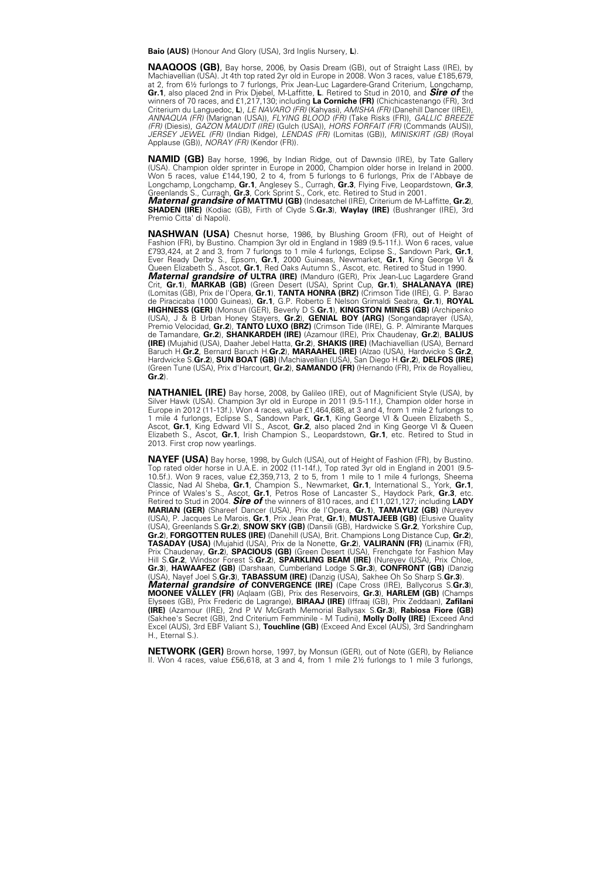**Baio (AUS)** (Honour And Glory (USA), 3rd Inglis Nursery, **L**).

**NAAQOOS (GB)**, Bay horse, 2006, by Oasis Dream (GB), out of Straight Lass (IRE), by Machiavellian (USA). Jt 4th top rated 2yr old in Europe in 2008. Won 3 races, value £185,679, at 2, from 6½ furlongs to 7 furlongs, Prix Jean-Luc Lagardere-Grand Criterium, Longchamp, **Gr.1**, also placed 2nd in Prix Djebel, M-Laffitte, **L**. Retired to Stud in 2010, and *Sire of* the winners of 70 races, and £1,217,130; including **La Corniche (FR)** (Chichicastenango (FR), 3rd Criterium du Languedoc, **L**), *LE NAVARO (FR)* (Kahyasi), *AMISHA (FR)* (Danehill Dancer (IRE)), *ANNAQUA (FR)* (Marignan (USA)), *FLYING BLOOD (FR)* (Take Risks (FR)), *GALLIC BREEZE (FR)* (Diesis), *GAZON MAUDIT (IRE)* (Gulch (USA)), *HORS FORFAIT (FR)* (Commands (AUS)), *JERSEY JEWEL (FR)* (Indian Ridge), *LENDAS (FR)* (Lomitas (GB)), *MINISKIRT (GB)* (Royal Applause (GB)), *NORAY (FR)* (Kendor (FR)).

**NAMID (GB)** Bay horse, 1996, by Indian Ridge, out of Dawnsio (IRE), by Tate Gallery (USA). Champion older sprinter in Europe in 2000, Champion older horse in Ireland in 2000. Won 5 races, value £144,190, 2 to 4, from 5 furlongs to 6 furlongs, Prix de l'Abbaye de Longchamp, Longchamp, **Gr.1**, Anglesey S., Curragh, **Gr.3**, Flying Five, Leopardstown, **Gr.3**, Greenlands S., Curragh, **Gr.3**, Cork Sprint S., Cork, etc. Retired to Stud in 2001.

*Maternal grandsire of* **MATTMU (GB)** (Indesatchel (IRE), Criterium de M-Laffitte, **Gr.2**), **SHADEN (IRE)** (Kodiac (GB), Firth of Clyde S.**Gr.3**), **Waylay (IRE)** (Bushranger (IRE), 3rd Premio Citta' di Napoli).

**NASHWAN (USA)** Chesnut horse, 1986, by Blushing Groom (FR), out of Height of Fashion (FR), by Bustino. Champion 3yr old in England in 1989 (9.5-11f.). Won 6 races, value £793,424, at 2 and 3, from 7 furlongs to 1 mile 4 furlongs, Eclipse S., Sandown Park, **Gr.1**, Ever Ready Derby S., Epsom, **Gr.1**, 2000 Guineas, Newmarket, **Gr.1**, King George VI & Queen Elizabeth S., Ascot, **Gr.1**, Red Oaks Autumn S., Ascot, Br. 1, Red Oaks Autumn S., Ascot, Pr. 1, Red Oaks Autumn S., Ascot, Pr. 1, de Piracicaba (1000 Guineas), **Gr.1**, G.P. Roberto E Nelson Grimaldi Seabra, **Gr.1**), **ROYAL HIGHNESS (GER)** (Monsun (GER), Beverly D S.**Gr.1**), **KINGSTON MINES (GB)** (Archipenko (USA), J & B Urban Honey Stayers, **Gr.2**), **GENIAL BOY (ARG)** (Songandaprayer (USA), Premio Velocidad, **Gr.2**), **TANTO LUXO (BRZ)** (Crimson Tide (IRE), G. P. Almirante Marques de Tamandare, **Gr.2), SHANKARDEH (IRE)** (Azamour (IRE), Prix Chaudenay, **Gr.2), BALIUS**<br>**(IRE)** (Mujahid (USA), Daaher Jebel Hatta, **Gr.2), SHAKIS (IRE)** (Machiavellian (USA), Bernard Baruch H.**Gr.2**, Bernard Baruch H.**Gr.2**), **MARAAHEL (IRE)** (Alzao (USA), Hardwicke S.**Gr.2**, Hardwicke S.**Gr.2**), **SUN BOAT (GB)** (Machiavellian (USA), San Diego H.**Gr.2**), **DELFOS (IRE)** (Green Tune (USA), Prix d'Harcourt, **Gr.2**), **SAMANDO (FR)** (Hernando (FR), Prix de Royallieu, **Gr.2**).

**NATHANIEL (IRE)** Bay horse, 2008, by Galileo (IRE), out of Magnificient Style (USA), by Silver Hawk (USA). Champion 3yr old in Europe in 2011 (9.5-11f.), Champion older horse in Europe in 2012 (11-13f.). Won 4 races, value £1,464,688, at 3 and 4, from 1 mile 2 furlongs to 1 mile 4 furlongs, Eclipse S., Sandown Park, **Gr.1**, King George VI & Queen Elizabeth S., Ascot, **Gr.1**, King Edward VII S., Ascot, **Gr.2**, also placed 2nd in King George VI & Queen Elizabeth S., Ascot, **Gr.1**, Irish Champion S., Leopardstown, **Gr.1**, etc. Retired to Stud in 2013. First crop now yearlings.

**NAYEF (USA)** Bay horse, 1998, by Gulch (USA), out of Height of Fashion (FR), by Bustino. Top rated older horse in U.A.E. in 2002 (11-14f.), Top rated 3yr old in England in 2001 (9.5- 10.5f.). Won 9 races, value £2,359,713, 2 to 5, from 1 mile to 1 mile 4 furlongs, Sheema Classic, Nad Al Sheba, **Gr.1**, Champion S., Newmarket, **Gr.1**, International S., York, **Gr.1**, Prince of Wales's S., Ascot, **Gr.1**, Petros Rose of Lancaster S., Haydock Park, **Gr.3**, etc.<br>Retired to Stud in 2004. *Sire of* the winners of 810 races, and £11,021,127; including **LADY**<br>MARIAN (GER) (Shareef Dancer (USA) (USA), Greenlands S.**Gr.2**), **SNOW SKY (GB)** (Dansili (GB), Hardwicke S.**Gr.2**, Yorkshire Cup, **Gr.2**), **FORGOTTEN RULES (IRE)** (Danehill (USA), Brit. Champions Long Distance Cup, **Gr.2**), **TASADAY (USA)** (Mujahid (USA), Prix de la Nonette, **Gr.2**), **VALIRANN (FR)** (Linamix (FR), Prix Chaudenay, **Gr.2**), **SPACIOUS (GB)** (Green Desert (USA), Frenchgate for Fashion May Hill S.**Gr.2**, Windsor Forest S.**Gr.2**), **SPARKLING BEAM (IRE)** (Nureyev (USA), Prix Chloe, **Gr.3**), **HAWAAFEZ (GB)** (Darshaan, Cumberland Lodge S.**Gr.3**), **CONFRONT (GB)** (Danzig (USA), Nayef Joel S.**Gr.3**), **TABASSUM (IRE)** (Danzig (USA), Sakhee Oh So Sharp S.**Gr.3**). *Maternal grandsire of* **CONVERGENCE (IRE)** (Cape Cross (IRE), Ballycorus S.**Gr.3**), **MOONEE VALLEY (FR)** (Aqlaam (GB), Prix des Reservoirs, **Gr.3**), **HARLEM (GB)** (Champs Elysees (GB), Prix Frederic de Lagrange), **BIRAAJ (IRE)** (Iffraaj (GB), Prix Zeddaan), **Zafilani (IRE)** (Azamour (IRE), 2nd P W McGrath Memorial Ballysax S.**Gr.3**), **Rabiosa Fiore (GB)** (Sakhee's Secret (GB), 2nd Criterium Femminile - M Tudini), **Molly Dolly (IRE)** (Exceed And Excel (AUS), 3rd EBF Valiant S.), **Touchline (GB)** (Exceed And Excel (AUS), 3rd Sandringham H., Eternal S.).

**NETWORK (GER)** Brown horse, 1997, by Monsun (GER), out of Note (GER), by Reliance II. Won 4 races, value £56,618, at 3 and 4, from 1 mile 2½ furlongs to 1 mile 3 furlongs,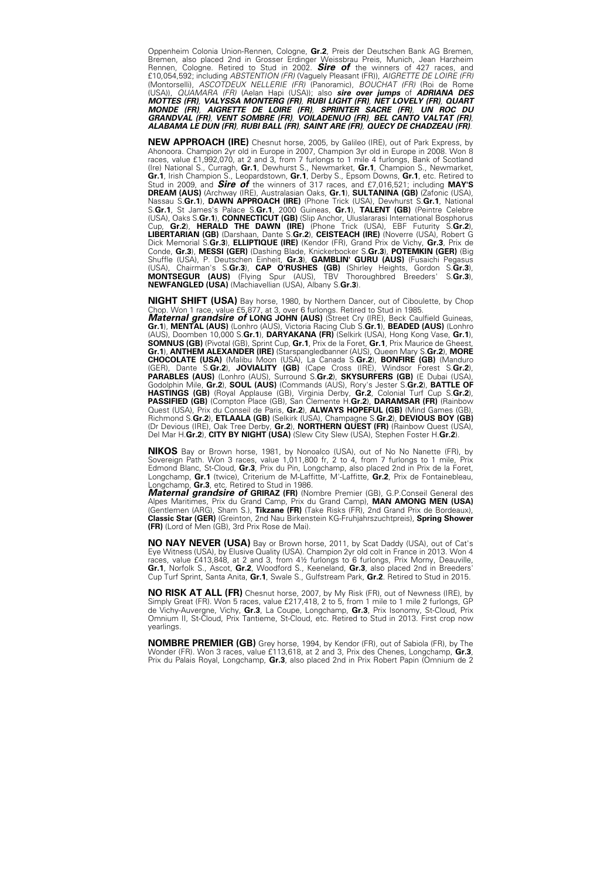Oppenheim Colonia Union-Rennen, Cologne, **Gr.2**, Preis der Deutschen Bank AG Bremen, Bremen, also placed 2nd in Grosser Erdinger Weissbrau Preis, Munich, Jean Harzheim Rennen, Cologne. Retired to Stud in 2002. *Sire of* the winners of 427 races, and £10,054,592; including *ABSTENTION (FR)* (Vaguely Pleasant (FR)), *AIGRETTE DE LOIRE (FR)* (Montorselli), *ASCOTDEUX NELLERIE (FR)* (Panoramic), *BOUCHAT (FR)* (Roi de Rome (USA)), *QUAMARA (FR)* (Aelan Hapi (USA)); also *sire over jumps* of *ADRIANA DES MOTTES (FR), VALYSSA MONTERG (FR), RUBI LIGHT (FR), NET LOVELY (FR), QUART*  MONDE (FR), AIGRETTE DE LOIRE (FR), SPRINTER SACRE (FR), UN ROC DU<br>GRANDVAL (FR), VENT SOMBRE (FR), VOILADENUO (FR), BEL CANTO VALTAT (FR), *ALABAMA LE DUN (FR), RUBI BALL (FR), SAINT ARE (FR), QUECY DE CHADZEAU (FR)*.

**NEW APPROACH (IRE)** Chesnut horse, 2005, by Galileo (IRE), out of Park Express, by Ahonoora. Champion 2yr old in Europe in 2007, Champion 3yr old in Europe in 2008. Won 8 races, value £1,992,070, at 2 and 3, from 7 furlongs to 1 mile 4 furlongs, Bank of Scotland (Ire) National S., Curragh, **Gr.1**, Dewhurst S., Newmarket, **Gr.1**, Champion S., Newmarket, **Gr.1**, Irish Champion S., Leopardstown, **Gr.1**, Derby S., Epsom Downs, **Gr.1**, etc. Retired to<br>Stud in 2009, and *Sire of* the winners of 317 races, and £7,016,521; including **MAY'S**<br>DREAM (AUS) (Archway (IRE), Australasi Nassau S.**Gr.1**), **DAWN APPROACH (IRE)** (Phone Trick (USA), Dewhurst S.**Gr.1**, National S.**Gr.1**, St James's Palace S.**Gr.1**, 2000 Guineas, **Gr.1**), **TALENT (GB)** (Peintre Celebre (USA), Oaks S.**Gr.1**), **CONNECTICUT (GB)** (Slip Anchor, Uluslararasi International Bosphorus Cup, **Gr.2**), **HERALD THE DAWN (IRE)** (Phone Trick (USA), EBF Futurity S.**Gr.2**), **LIBERTARIAN (GB)** (Darshaan, Dante S.**Gr.2**), **CEISTEACH (IRE)** (Noverre (USA), Robert G Dick Memorial S.**Gr.3**), **ELLIPTIQUE (IRE)** (Kendor (FR), Grand Prix de Vichy, **Gr.3**, Prix de Conde, **Gr.3**), **MESSI (GER)** (Dashing Blade, Knickerbocker S.**Gr.3**), **POTEMKIN (GER)** (Big Shuffle (USA), P. Deutschen Einheit, **Gr.3**), **GAMBLIN' GURU (AUS)** (Fusaichi Pegasus (USA), Chairman's S.**Gr.3**), **CAP O'RUSHES (GB)** (Shirley Heights, Gordon S.**Gr.3**), **MONTSEGUR (AUS)** (Flying Spur (AUS), TBV Thoroughbred Breeders' S.**Gr.3**), **NEWFANGLED (USA)** (Machiavellian (USA), Albany S.**Gr.3**).

**NIGHT SHIFT (USA)** Bay horse, 1980, by Northern Dancer, out of Ciboulette, by Chop

Chop. Won 1 race, value £5,877, at 3, over 6 furlongs. Retired to Stud in 1985. *Maternal grandsire of* **LONG JOHN (AUS)** (Street Cry (IRE), Beck Caulfield Guineas, **Gr.1**), **MENTAL (AUS)** (Lonhro (AUS), Victoria Racing Club S.**Gr.1**), **BEADED (AUS)** (Lonhro (AUS), Doomben 10,000 S.**Gr.1**), **DARYAKANA (FR)** (Selkirk (USA), Hong Kong Vase, **Gr.1**), **SOMNUS (GB)** (Pivotal (GB), Sprint Cup, **Gr.1**, Prix de la Foret, **Gr.1**, Prix Maurice de Gheest, **Gr.1**), **ANTHEM ALEXANDER (IRE)** (Starspangledbanner (AUS), Queen Mary S.**Gr.2**), **MORE CHOCOLATE (USA)** (Malibu Moon (USA), La Canada S.**Gr.2**), **BONFIRE (GB)** (Manduro (GER), Dante S.**Gr.2**), **JOVIALITY (GB)** (Cape Cross (IRE), Windsor Forest S.**Gr.2**), **PARABLES (AUS)** (Lonhro (AUS), Surround S.**Gr.2**), **SKYSURFERS (GB)** (E Dubai (USA), Godolphin Mile, **Gr.2**), **SOUL (AUS)** (Commands (AUS), Rory's Jester S.**Gr.2**), **BATTLE OF HASTINGS (GB)** (Royal Applause (GB), Virginia Derby, **Gr.2**, Colonial Turf Cup S.**Gr.2**), **PASSIFIED (GB)** (Compton Place (GB), San Clemente H.**Gr.2**), **DARAMSAR (FR)** (Rainbow Quest (USA), Prix du Conseil de Paris, **Gr.2**), **ALWAYS HOPEFUL (GB)** (Mind Games (GB), Richmond S.**Gr.2**), **ETLAALA (GB)** (Selkirk (USA), Champagne S.**Gr.2**), **DEVIOUS BOY (GB)** (Dr Devious (IRE), Oak Tree Derby, **Gr.2**), **NORTHERN QUEST (FR)** (Rainbow Quest (USA), Del Mar H.**Gr.2**), **CITY BY NIGHT (USA)** (Slew City Slew (USA), Stephen Foster H.**Gr.2**).

**NIKOS** Bay or Brown horse, 1981, by Nonoalco (USA), out of No No Nanette (FR), by Sovereign Path. Won 3 races, value 1,011,800 fr, 2 to 4, from 7 furlongs to 1 mile, Prix Edmond Blanc, St-Cloud, **Gr.3**, Prix du Pin, Longchamp, also placed 2nd in Prix de la Foret, Longchamp, **Gr.1** (twice), Criterium de M-Laffitte, M'-Laffitte, **Gr.2**, Prix de Fontainebleau, Longchamp, **Gr.3**, etc. Retired to Stud in 1986.

*Maternal grandsire of* **GRIRAZ (FR)** (Nombre Premier (GB), G.P.Conseil General des Alpes Maritimes, Prix du Grand Camp, Prix du Grand Camp), **MAN AMONG MEN (USA)** (Gentlemen (ARG), Sham S.), **Tikzane (FR)** (Take Risks (FR), 2nd Grand Prix de Bordeaux), **Classic Star (GER)** (Greinton, 2nd Nau Birkenstein KG-Fruhjahrszuchtpreis), **Spring Shower (FR)** (Lord of Men (GB), 3rd Prix Rose de Mai).

**NO NAY NEVER (USA)** Bay or Brown horse, 2011, by Scat Daddy (USA), out of Cat's Eye Witness (USA), by Elusive Quality (USA). Champion 2yr old colt in France in 2013. Won 4 races, value £413,848, at 2 and 3, from 4½ furlongs to 6 furlongs, Prix Morny, Deauville, **Gr.1**, Norfolk S., Ascot, **Gr.2**, Woodford S., Keeneland, **Gr.3**, also placed 2nd in Breeders' Cup Turf Sprint, Santa Anita, **Gr.1**, Swale S., Gulfstream Park, **Gr.2**. Retired to Stud in 2015.

**NO RISK AT ALL (FR)** Chesnut horse, 2007, by My Risk (FR), out of Newness (IRE), by Simply Great (FR). Won 5 races, value £217,418, 2 to 5, from 1 mile to 1 mile 2 furlongs, GP de Vichy-Auvergne, Vichy, **Gr.3**, La Coupe, Longchamp, **Gr.3**, Prix Isonomy, St-Cloud, Prix Omnium II, St-Cloud, Prix Tantieme, St-Cloud, etc. Retired to Stud in 2013. First crop now yearlings.

**NOMBRE PREMIER (GB)** Grey horse, 1994, by Kendor (FR), out of Sabiola (FR), by The Wonder (FR). Won 3 races, value £113,618, at 2 and 3, Prix des Chenes, Longchamp, **Gr.3**, Prix du Palais Royal, Longchamp, **Gr.3**, also placed 2nd in Prix Robert Papin (Omnium de 2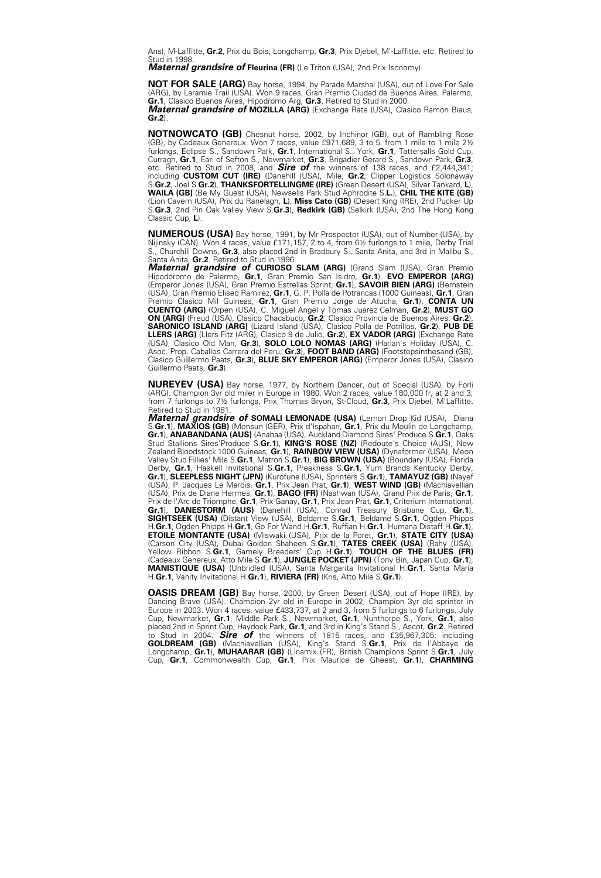Ans), M-Laffitte, **Gr.2**, Prix du Bois, Longchamp, **Gr.3**, Prix Djebel, M'-Laffitte, etc. Retired to Stud in 1998.

*Maternal grandsire of* **Fleurina (FR)** (Le Triton (USA), 2nd Prix Isonomy).

**NOT FOR SALE (ARG)** Bay horse, 1994, by Parade Marshal (USA), out of Love For Sale (ARG), by Laramie Trail (USA). Won 9 races, Gran Premio Ciudad de Buenos Aires, Palermo, **Gr.1**, Clasico Buenos Aires, Hipodromo Arg, **Gr.3**. Retired to Stud in 2000.

*Maternal grandsire of* **MOZILLA (ARG)** (Exchange Rate (USA), Clasico Ramon Biaus, **Gr.2**).

**NOTNOWCATO (GB)** Chesnut horse, 2002, by Inchinor (GB), out of Rambling Rose (GB), by Cadeaux Genereux. Won 7 races, value £971,689, 3 to 5, from 1 mile to 1 mile 2½ furlongs, Eclipse S., Sandown Park, **Gr.1**, International S., York, **Gr.1**, Tattersalls Gold Cup, Curragh, **Gr.1**, Earl of Sefton S., Newmarket, **Gr.3**, Brigadier Gerard S., Sandown Park, **Gr.3**,<br>etc. Retired to Stud in 2008, and Sire of the winners of 138 races, and £2,444,341;<br>including CUSTOM CUT (IRE) (Danehill (US S.**Gr.2**, Joel S.**Gr.2**), **THANKSFORTELLINGME (IRE)** (Green Desert (USA), Silver Tankard, **L**), **WAILA (GB)** (Be My Guest (USA), Newsells Park Stud Aphrodite S.**L.**), **CHIL THE KITE (GB)** (Lion Cavern (USA), Prix du Ranelagh, **L**), **Miss Cato (GB)** (Desert King (IRE), 2nd Pucker Up S.**Gr.3**, 2nd Pin Oak Valley View S.**Gr.3**), **Redkirk (GB)** (Selkirk (USA), 2nd The Hong Kong Classic Cup, **L**).

**NUMEROUS (USA)** Bay horse, 1991, by Mr Prospector (USA), out of Number (USA), by Nijinsky (CAN). Won 4 races, value £171,157, 2 to 4, from 6½ furlongs to 1 mile, Derby Trial S., Churchill Downs, **Gr.3**, also placed 2nd in Bradbury S., Santa Anita, and 3rd in Malibu S.,

Santa Anita, **Gr.2**. Retired to Stud in 1996. *Maternal grandsire of* **CURIOSO SLAM (ARG)** (Grand Slam (USA), Gran Premio Hipodoromo de Palermo, **Gr.1**, Gran Premio San Isidro, **Gr.1**), **EVO EMPEROR (ARG)** (Emperor Jones (USA), Gran Premio Estrellas Sprint, **Gr.1**), **SAVOIR BIEN (ARG)** (Bernstein (USA), Gran Premio Eliseo Ramirez, **Gr.1**, G. P. Polla de Potrancas (1000 Guineas), **Gr.1**, Gran Premio Clasico Mil Guineas, **Gr.1**, Gran Premio Jorge de Atucha, **Gr.1**), **CONTA UN CUENTO (ARG)** (Orpen (USA), C. Miguel Angel y Tomas Juarez Celman, **Gr.2**), **MUST GO ON (ARG)** (Freud (USA), Clasico Chacabuco, **Gr.2**, Clasico Provincia de Buenos Aires, **Gr.2**), **SARONICO ISLAND (ARG)** (Lizard Island (USA), Clasico Polla de Potrillos, **Gr.2**), **PUB DE LLERS (ARG)** (Llers Fitz (ARG), Clasico 9 de Julio, **Gr.2**), **EX VADOR (ARG)** (Exchange Rate (USA), Clasico Old Man, **Gr.3**), **SOLO LOLO NOMAS (ARG)** (Harlan's Holiday (USA), C. Asoc. Prop. Caballos Carrera del Peru, **Gr.3**), **FOOT BAND (ARG)** (Footstepsinthesand (GB), Clasico Guillermo Paats, **Gr.3**), **BLUE SKY EMPEROR (ARG)** (Emperor Jones (USA), Clasico Guillermo Paats, **Gr.3**).

**NUREYEV (USA)** Bay horse, 1977, by Northern Dancer, out of Special (USA), by Forli (ARG). Champion 3yr old miler in Europe in 1980. Won 2 races, value 180,000 fr, at 2 and 3, from 7 furlongs to 7½ furlongs, Prix Thomas Bryon, St-Cloud, **Gr.3**, Prix Djebel, M'Laffitte. Retired to Stud in 1981.

*Maternal grandsire of* **SOMALI LEMONADE (USA)** (Lemon Drop Kid (USA), Diana S.**Gr.1**), **MAXIOS (GB)** (Monsun (GER), Prix d'Ispahan, **Gr.1**, Prix du Moulin de Longchamp, **Gr.1**), **ANABANDANA (AUS)** (Anabaa (USA), Auckland Diamond Sires' Produce S.**Gr.1**, Oaks Stud Stallions Sires'Produce S.**Gr.1**), **KING'S ROSE (NZ)** (Redoute's Choice (AUS), New Zealand Bloodstock 1000 Guineas, **Gr.1**), **RAINBOW VIEW (USA)** (Dynaformer (USA), Meon Valley Stud Fillies' Mile S.**Gr.1**, Matron S.**Gr.1**), **BIG BROWN (USA)** (Boundary (USA), Florida Derby, **Gr.1**, Haskell Invitational S.**Gr.1**, Preakness S.**Gr.1**, Yum Brands Kentucky Derby, **Gr.1**), **SLEEPLESS NIGHT (JPN)** (Kurofune (USA), Sprinters S.**Gr.1**), **TAMAYUZ (GB)** (Nayef (USA), P. Jacques Le Marois, **Gr.1**, Prix Jean Prat, **Gr.1**), **WEST WIND (GB)** (Machiavellian (USA), Prix de Diane Hermes, **Gr.1**), **BAGO (FR)** (Nashwan (USA), Grand Prix de Paris, **Gr.1**, Prix de l'Arc de Triomphe, **Gr.1**, Prix Ganay, **Gr.1**, Prix Jean Prat, **Gr.1**, Criterium International, **Gr.1**), **DANESTORM (AUS)** (Danehill (USA), Conrad Treasury Brisbane Cup, **Gr.1**), **SIGHTSEEK (USA)** (Distant View (USA), Beldame S.**Gr.1**, Beldame S.**Gr.1**, Ogden Phipps H.**Gr.1**, Ogden Phipps H.**Gr.1**, Go For Wand H.**Gr.1**, Ruffian H.**Gr.1**, Humana Distaff H.**Gr.1**), **ETOILE MONTANTE (USA)** (Miswaki (USA), Prix de la Foret, **Gr.1**), **STATE CITY (USA)** (Carson City (USA), Dubai Golden Shaheen S.**Gr.1**), **TATES CREEK (USA)** (Rahy (USA), Yellow Ribbon S.**Gr.1**, Gamely Breeders' Cup H.**Gr.1**), **TOUCH OF THE BLUES (FR)** (Cadeaux Genereux, Atto Mile S.**Gr.1**), **JUNGLE POCKET (JPN)** (Tony Bin, Japan Cup, **Gr.1**), **MANISTIQUE (USA)** (Unbridled (USA), Santa Margarita Invitational H.**Gr.1**, Santa Maria H.**Gr.1**, Vanity Invitational H.**Gr.1**), **RIVIERA (FR)** (Kris, Atto Mile S.**Gr.1**).

**OASIS DREAM (GB)** Bay horse, 2000, by Green Desert (USA), out of Hope (IRE), by Dancing Brave (USA). Champion 2yr old in Europe in 2002, Champion 3yr old sprinter in Europe in 2003. Won 4 races, value £433,737, at 2 and 3, from 5 furlongs to 6 furlongs, July Cup, Newmarket, **Gr.1**, Middle Park S., Newmarket, **Gr.1**, Nunthorpe S., York, **Gr.1**, also placed 2nd in Sprint Cup, Haydock Park, **Gr.1**, and 3rd in King's Stand S., Ascot, **Gr.2**. Retired<br>to Stud in 2004. Sire of the winners of 1815 races, and £35,967,305; including<br>GOLDREAM (GB) (Machiavellian (USA), King's S Longchamp, **Gr.1**), **MUHAARAR (GB)** (Linamix (FR), British Champions Sprint S.**Gr.1**, July Cup, **Gr.1**, Commonwealth Cup, **Gr.1**, Prix Maurice de Gheest, **Gr.1**), **CHARMING**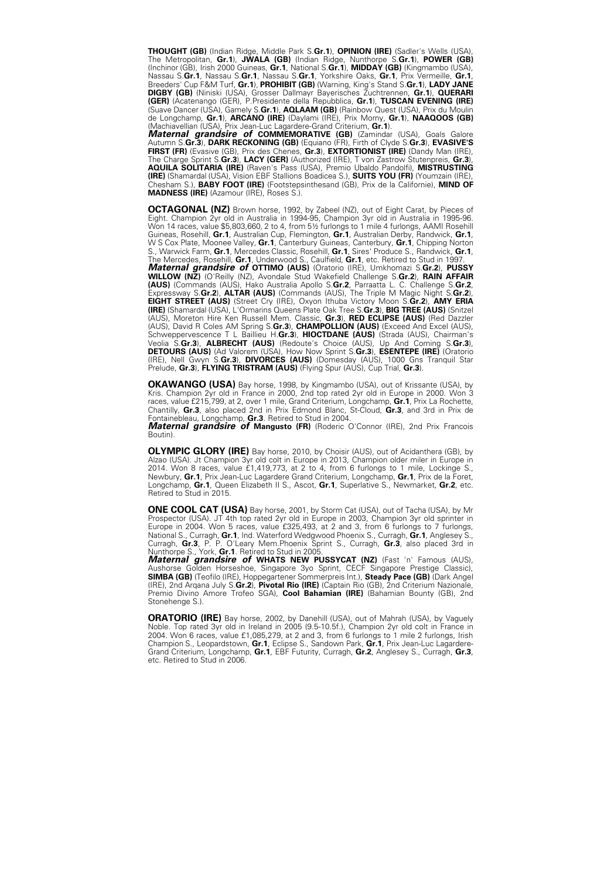**THOUGHT (GB)** (Indian Ridge, Middle Park S.**Gr.1**), **OPINION (IRE)** (Sadler's Wells (USA), The Metropolitan, **Gr.1**), **JWALA (GB)** (Indian Ridge, Nunthorpe S.**Gr.1**), **POWER (GB)** (Inchinor (GB), Irish 2000 Guineas, **Gr.1**, National S.**Gr.1**), **MIDDAY (GB)** (Kingmambo (USA), Nassau S.**Gr.1**, Nassau S.**Gr.1**, Nassau S.**Gr.1**, Yorkshire Oaks, **Gr.1**, Prix Vermeille, **Gr.1**, Breeders' Cup F&M Turf, **Gr.1**), **PROHIBIT (GB)** (Warning, King's Stand S.**Gr.1**), **LADY JANE DIGBY (GB)** (Niniski (USA), Grosser Dallmayr Bayerisches Zuchtrennen, **Gr.1**), **QUERARI (GER)** (Acatenango (GER), P.Presidente della Repubblica, **Gr.1**), **TUSCAN EVENING (IRE)** (Suave Dancer (USA), Gamely S.**Gr.1**), **AQLAAM (GB)** (Rainbow Quest (USA), Prix du Moulin de Longchamp, **Gr.1**), **ARCANO (IRE)** (Daylami (IRE), Prix Morny, **Gr.1**), **NAAQOOS (GB)**

(Machiavellian (USA), Prix Jean-Luc Lagardere-Grand Criterium, **Gr.1**).<br>*Maternal grandsire of COMMEMORATIVE (GB) (Zamindar (USA), Goals Galore<br>Autumn S.Gr.3), DARK RECKONING (GB) (Equiano (FR), Firth of Clyde S.Gr.3),* **FIRST (FR)** (Evasive (GB), Prix des Chenes, **Gr.3**), **EXTORTIONIST (IRE)** (Dandy Man (IRE), The Charge Sprint S.**Gr.3**), **LACY (GER)** (Authorized (IRE), T von Zastrow Stutenpreis, **Gr.3**), **AQUILA SOLITARIA (IRE)** (Raven's Pass (USA), Premio Ubaldo Pandolfi), **MISTRUSTING (IRE)** (Shamardal (USA), Vision EBF Stallions Boadicea S.), **SUITS YOU (FR)** (Youmzain (IRE), Chesham S.), **BABY FOOT (IRE)** (Footstepsinthesand (GB), Prix de la Californie), **MIND OF MADNESS (IRE)** (Azamour (IRE), Roses S.).

**OCTAGONAL (NZ)** Brown horse, 1992, by Zabeel (NZ), out of Eight Carat, by Pieces of Eight. Champion 2yr old in Australia in 1994-95, Champion 3yr old in Australia in 1995-96. Won 14 races, value \$5,803,660, 2 to 4, from 5½ furlongs to 1 mile 4 furlongs, AAMI Rosehill Guineas, Rosehill, **Gr.1**, Australian Cup, Flemington, **Gr.1**, Australian Derby, Randwick, **Gr.1**, W S Cox Plate, Moonee Valley, **Gr.1**, Canterbury Guineas, Canterbury, **Gr.1**, Chipping Norton S., Warwick Farm, **Gr.1**, Mercedes Classic, Rosehill, **Gr.1**, Sires' Produce S., Randwick, **Gr.1**,

The Mercedes, Rosehill, **Gr.1**, Underwood S., Caulfield, **Gr.1**, etc. Retired to Stud in 1997. *Maternal grandsire of* **OTTIMO (AUS)** (Oratorio (IRE), Umkhomazi S.**Gr.2**), **PUSSY WILLOW (NZ)** (O'Reilly (NZ), Avondale Stud Wakefield Challenge S.**Gr.2**), **RAIN AFFAIR (AUS)** (Commands (AUS), Hako Australia Apollo S.**Gr.2**, Parraatta L. C. Challenge S.**Gr.2**, Expressway S.**Gr.2**), **ALTAR (AUS)** (Commands (AUS), The Triple M Magic Night S.**Gr.2**), **EIGHT STREET (AUS)** (Street Cry (IRE), Oxyon Ithuba Victory Moon S.**Gr.2**), **AMY ERIA (IRE)** (Shamardal (USA), L'Ormarins Queens Plate Oak Tree S.**Gr.3**), **BIG TREE (AUS)** (Snitzel (AUS), Moreton Hire Ken Russell Mem. Classic, **Gr.3**), **RED ECLIPSE (AUS)** (Red Dazzler (AUS), David R Coles AM Spring S.**Gr.3**), **CHAMPOLLION (AUS)** (Exceed And Excel (AUS), Schweppervescence T L Baillieu H.**Gr.3**), **HIOCTDANE (AUS)** (Strada (AUS), Chairman's Veolia S.**Gr.3**), **ALBRECHT (AUS)** (Redoute's Choice (AUS), Up And Coming S.**Gr.3**), **DETOURS (AUS)** (Ad Valorem (USA), How Now Sprint S.**Gr.3**), **ESENTEPE (IRE)** (Oratorio (IRE), Nell Gwyn S.**Gr.3**), **DIVORCES (AUS)** (Domesday (AUS), 1000 Gns Tranquil Star Prelude, **Gr.3**), **FLYING TRISTRAM (AUS)** (Flying Spur (AUS), Cup Trial, **Gr.3**).

**OKAWANGO (USA)** Bay horse, 1998, by Kingmambo (USA), out of Krissante (USA), by Kris. Champion 2yr old in France in 2000, 2nd top rated 2yr old in Europe in 2000. Won 3 races, value £215,799, at 2, over 1 mile, Grand Criterium, Longchamp, **Gr.1**, Prix La Rochette, Chantilly, **Gr.3**, also placed 2nd in Prix Edmond Blanc, St-Cloud, **Gr.3**, and 3rd in Prix de Fontainebleau, Longchamp, **Gr.3**. Retired to Stud in 2004. *Maternal grandsire of* **Mangusto (FR)** (Roderic O'Connor (IRE), 2nd Prix Francois

Boutin).

**OLYMPIC GLORY (IRE)** Bay horse, 2010, by Choisir (AUS), out of Acidanthera (GB), by Alzao (USA). Jt Champion 3yr old colt in Europe in 2013, Champion older miler in Europe in 2014. Won 8 races, value £1,419,773, at 2 to 4, from 6 furlongs to 1 mile, Lockinge S., Newbury, **Gr.1**, Prix Jean-Luc Lagardere Grand Criterium, Longchamp, **Gr.1**, Prix de la Foret, Longchamp, **Gr.1**, Queen Elizabeth II S., Ascot, **Gr.1**, Superlative S., Newmarket, **Gr.2**, etc. Retired to Stud in 2015.

**ONE COOL CAT (USA)** Bay horse, 2001, by Storm Cat (USA), out of Tacha (USA), by Mr Prospector (USA). JT 4th top rated 2yr old in Europe in 2003, Champion 3yr old sprinter in Europe in 2004. Won 5 races, value £325,493, at 2 and 3, from 6 furlongs to 7 furlongs, National S., Curragh, **Gr.1**, Ind. Waterford Wedgwood Phoenix S., Curragh, **Gr.1**, Anglesey S., Curragh, **Gr.3**, P. P. O'Leary Mem.Phoenix Sprint S., Curragh, **Gr.3**, also placed 3rd in

Nunthorpe S., York, **Gr.1**. Retired to Stud in 2005. *Maternal grandsire of* **WHATS NEW PUSSYCAT (NZ)** (Fast 'n' Famous (AUS), Aushorse Golden Horseshoe, Singapore 3yo Sprint, CECF Singapore Prestige Classic), **SIMBA (GB)** (Teofilo (IRE), Hoppegartener Sommerpreis Int.), **Steady Pace (GB)** (Dark Angel (IRE), 2nd Arqana July S.**Gr.2**), **Pivotal Rio (IRE)** (Captain Rio (GB), 2nd Criterium Nazionale, Premio Divino Amore Trofeo SGA), **Cool Bahamian (IRE)** (Bahamian Bounty (GB), 2nd Stonehenge S.).

**ORATORIO (IRE)** Bay horse, 2002, by Danehill (USA), out of Mahrah (USA), by Vaguely Noble. Top rated 3yr old in Ireland in 2005 (9.5-10.5f.), Champion 2yr old colt in France in 2004. Won 6 races, value £1,085,279, at 2 and 3, from 6 furlongs to 1 mile 2 furlongs, Irish Champion S., Leopardstown, **Gr.1**, Eclipse S., Sandown Park, **Gr.1**, Prix Jean-Luc Lagardere-Grand Criterium, Longchamp, **Gr.1**, EBF Futurity, Curragh, **Gr.2**, Anglesey S., Curragh, **Gr.3**, etc. Retired to Stud in 2006.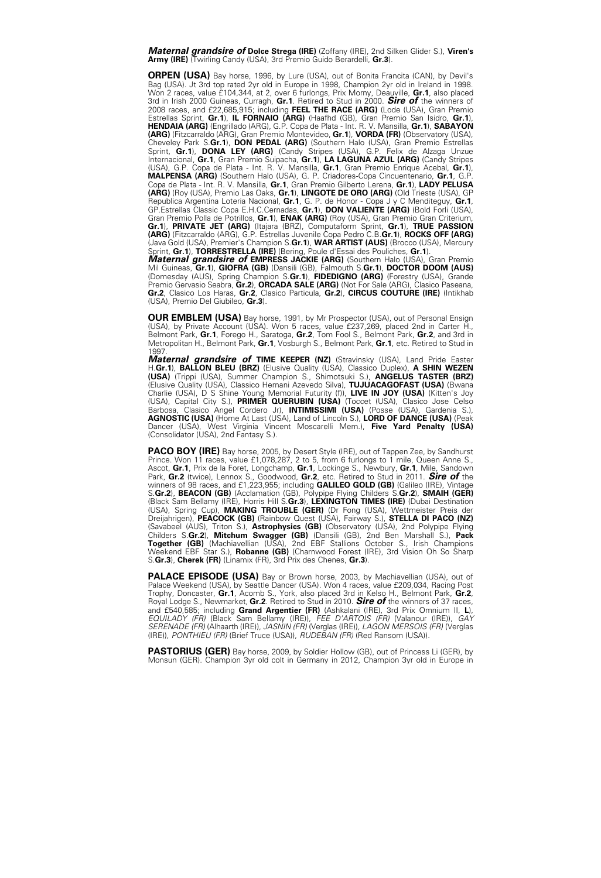*Maternal grandsire of* **Dolce Strega (IRE)** (Zoffany (IRE), 2nd Silken Glider S.), **Viren's Army (IRE)** (Twirling Candy (USA), 3rd Premio Guido Berardelli, **Gr.3**).

**ORPEN (USA)** Bay horse, 1996, by Lure (USA), out of Bonita Francita (CAN), by Devil's Bag (USA). Jt 3rd top rated 2yr old in Europe in 1998, Champion 2yr old in Ireland in 1998. Won 2 races, value £104,344, at 2, over 6 furlongs, Prix Morny, Deauville, **Gr.1**, also placed 3rd in Irish 2000 Guineas, Curragh, **Gr.1**. Retired to Stud in 2000. *Sire of the winners of*<br>2008 races, and £22,685,915; including **FEEL THE RACE (ARG)** (Lode (USA), Gran Premio<br>Estrellas Sprint, **Gr.1), IL FORNAIO (AR HENDAIA (ARG)** (Engrillado (ARG), G.P. Copa de Plata - Int. R. V. Mansilla, **Gr.1**), **SABAYON (ARG)** (Fitzcarraldo (ARG), Gran Premio Montevideo, **Gr.1**), **VORDA (FR)** (Observatory (USA), Cheveley Park S.**Gr.1**), **DON PEDAL (ARG)** (Southern Halo (USA), Gran Premio Estrellas Sprint, **Gr.1**), **DONA LEY (ARG)** (Candy Stripes (USA), G.P. Felix de Alzaga Unzue Internacional, **Gr.1**, Gran Premio Suipacha, **Gr.1**), **LA LAGUNA AZUL (ARG)** (Candy Stripes (USA), G.P. Copa de Plata - Int. R. V. Mansilla, **Gr.1**, Gran Premio Enrique Acebal, **Gr.1**), **MALPENSA (ARG)** (Southern Halo (USA), G. P. Criadores-Copa Cincuentenario, **Gr.1**, G.P. Copa de Plata - Int. R. V. Mansilla, **Gr.1**, Gran Premio Gilberto Lerena, **Gr.1**), **LADY PELUSA (ARG)** (Roy (USA), Premio Las Oaks, **Gr.1**), **LINGOTE DE ORO (ARG)** (Old Trieste (USA), GP Republica Argentina Loteria Nacional, **Gr.1**, G. P. de Honor - Copa J y C Menditeguy, **Gr.1**, GP.Estrellas Classic Copa E.H.C.Cernadas, **Gr.1**), **DON VALIENTE (ARG)** (Bold Forli (USA), Gran Premio Polla de Potrillos, **Gr.1**), **ENAK (ARG)** (Roy (USA), Gran Premio Gran Criterium, **Gr.1**), **PRIVATE JET (ARG)** (Itajara (BRZ), Computaform Sprint, **Gr.1**), **TRUE PASSION (ARG)** (Fitzcarraldo (ARG), G.P. Estrellas Juvenile Copa Pedro C.B.**Gr.1**), **ROCKS OFF (ARG)** (Java Gold (USA), Premier's Champion S.**Gr.1**), **WAR ARTIST (AUS)** (Brocco (USA), Mercury print, **Gr.1**), **TORRESTRELLA (IRE)** (Bering, Poule d'Essai des Pouliches, **Gr.1**).

*Maternal grandsire of* **EMPRESS JACKIE (ARG)** (Southern Halo (USA), Gran Premio Mil Guineas, **Gr.1**), **GIOFRA (GB)** (Dansili (GB), Falmouth S.**Gr.1**), **DOCTOR DOOM (AUS)** (Domesday (AUS), Spring Champion S.**Gr.1**), **FIDEDIGNO (ARG)** (Forestry (USA), Grande Premio Gervasio Seabra, **Gr.2**), **ORCADA SALE (ARG)** (Not For Sale (ARG), Clasico Paseana, **Gr.2**, Clasico Los Haras, **Gr.2**, Clasico Particula, **Gr.2**), **CIRCUS COUTURE (IRE)** (Intikhab (USA), Premio Del Giubileo, **Gr.3**).

**OUR EMBLEM (USA)** Bay horse, 1991, by Mr Prospector (USA), out of Personal Ensign (USA), by Private Account (USA). Won 5 races, value £237,269, placed 2nd in Carter H., Belmont Park, **Gr.1**, Forego H., Saratoga, **Gr.2**, Tom Fool S., Belmont Park, **Gr.2**, and 3rd in Metropolitan H., Belmont Park, **Gr.1**, Vosburgh S., Belmont Park, **Gr.1**, etc. Retired to Stud in

1997. *Maternal grandsire of* **TIME KEEPER (NZ)** (Stravinsky (USA), Land Pride Easter H.**Gr.1**), **BALLON BLEU (BRZ)** (Elusive Quality (USA), Classico Duplex), **A SHIN WEZEN (USA)** (Trippi (USA), Summer Champion S., Shimotsuki S.), **ANGELUS TASTER (BRZ)** (Elusive Quality (USA), Classico Hernani Azevedo Silva), **TUJUACAGOFAST (USA)** (Bwana Charlie (USA), D S Shine Young Memorial Futurity (f)), **LIVE IN JOY (USA)** (Kitten's Joy (USA), Capital City S.), **PRIMER QUERUBIN (USA)** (Toccet (USA), Clasico Jose Celso Barbosa, Clasico Angel Cordero Jr), **INTIMISSIMI (USA)** (Posse (USA), Gardenia S.), **AGNOSTIC (USA)** (Home At Last (USA), Land of Lincoln S.), **LORD OF DANCE (USA)** (Peak Dancer (USA), West Virginia Vincent Moscarelli Mem.), **Five Yard Penalty (USA)** (Consolidator (USA), 2nd Fantasy S.).

**PACO BOY (IRE)** Bay horse, 2005, by Desert Style (IRE), out of Tappen Zee, by Sandhurst Prince. Won 11 races, value £1,078,287, 2 to 5, from 6 furlongs to 1 mile, Queen Anne S., Ascot, **Gr.1**, Prix de la Foret, Longchamp, **Gr.1**, Lockinge S., Newbury, **Gr.1**, Mile, Sandown Park, **Gr.2** (twice), Lennox S., Goodwood, **Gr.2**, etc. Retired to Stud in 2011. *Sire of* the winners of 98 races, and £1,223,955; including **GALILEO GOLD (GB)** (Galileo (IRE), Vintage S.**Gr.2**), **BEACON (GB)** (Acclamation (GB), Polypipe Flying Childers S.**Gr.2**), **SMAIH (GER)** (Black Sam Bellamy (IRE), Horris Hill S.**Gr.3**), **LEXINGTON TIMES (IRE)** (Dubai Destination (USA), Spring Cup), **MAKING TROUBLE (GER)** (Dr Fong (USA), Wettmeister Preis der Dreijahrigen), **PEACOCK (GB)** (Rainbow Quest (USA), Fairway S.), **STELLA DI PACO (NZ)** (Savabeel (AUS), Triton S.), **Astrophysics (GB)** (Observatory (USA), 2nd Polypipe Flying Childers S.**Gr.2**), **Mitchum Swagger (GB)** (Dansili (GB), 2nd Ben Marshall S.), **Pack Together (GB)** (Machiavellian (USA), 2nd EBF Stallions October S., Irish Champions Weekend EBF Star S.), **Robanne (GB)** (Charnwood Forest (IRE), 3rd Vision Oh So Sharp S.**Gr.3**), **Cherek (FR)** (Linamix (FR), 3rd Prix des Chenes, **Gr.3**).

PALACE EPISODE (USA) Bay or Brown horse, 2003, by Machiavellian (USA), out of Palace Weekend (USA), by Seattle Dancer (USA). Won 4 races, value £209,034, Racing Post Trophy, Doncaster, **Gr.1**, Acomb S., York, also placed 3rd in Kelso H., Belmont Park, **Gr.2**,<br>Royal Lodge S., Newmarket, **Gr.2**. Retired to Stud in 2010. *Sire of* the winners of 37 races,<br>and £540,585; including **Grand** *EQUILADY (FR)* (Black Sam Bellamy (IRE)), *FEE D'ARTOIS (FR)* (Valanour (IRE)), *GAY SERENADE (FR)* (Alhaarth (IRE)), *JASNIN (FR)* (Verglas (IRE)), *LAGON MERSOIS (FR)* (Verglas (IRE)), *PONTHIEU (FR)* (Brief Truce (USA)), *RUDEBAN (FR)* (Red Ransom (USA)).

PASTORIUS (GER) Bay horse, 2009, by Soldier Hollow (GB), out of Princess Li (GER), by Monsun (GER). Champion 3yr old colt in Germany in 2012, Champion 3yr old in Europe in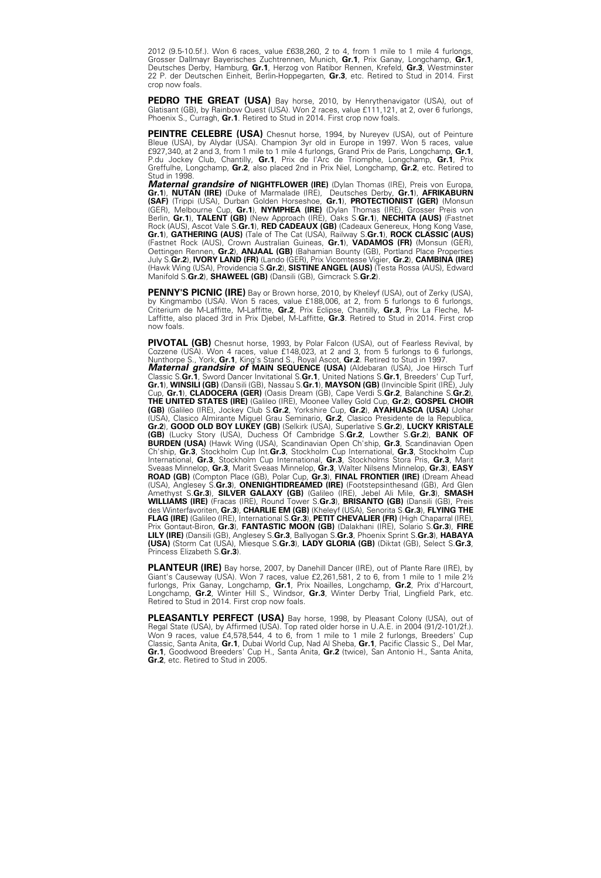2012 (9.5-10.5f.). Won 6 races, value £638,260, 2 to 4, from 1 mile to 1 mile 4 furlongs, Grosser Dallmayr Bayerisches Zuchtrennen, Munich, **Gr.1**, Prix Ganay, Longchamp, **Gr.1**, Deutsches Derby, Hamburg, **Gr.1**, Herzog von Ratibor Rennen, Krefeld, **Gr.3**, Westminster 22 P. der Deutschen Einheit, Berlin-Hoppegarten, **Gr.3**, etc. Retired to Stud in 2014. First crop now foals.

**PEDRO THE GREAT (USA)** Bay horse, 2010, by Henrythenavigator (USA), out of<br>Glatisant (GB), by Rainbow Quest (USA). Won 2 races, value £111,121, at 2, over 6 furlongs,<br>Phoenix S., Curragh, **Gr.1**. Retired to Stud in 2014.

**PEINTRE CELEBRE (USA)** Chesnut horse, 1994, by Nureyev (USA), out of Peinture Bleue (USA), by Alydar (USA). Champion 3yr old in Europe in 1997. Won 5 races, value £927,340, at 2 and 3, from 1 mile to 1 mile 4 furlongs, Grand Prix de Paris, Longchamp, **Gr.1**, P.du Jockey Club, Chantilly, **Gr.1**, Prix de l'Arc de Triomphe, Longchamp, **Gr.1**, Prix Greffulhe, Longchamp, **Gr.2**, also placed 2nd in Prix Niel, Longchamp, **Gr.2**, etc. Retired to Stud in 1998.

*Maternal grandsire of* **NIGHTFLOWER (IRE)** (Dylan Thomas (IRE), Preis von Europa, **Gr.1**), **NUTAN (IRE)** (Duke of Marmalade (IRE), Deutsches Derby, **Gr.1**), **AFRIKABURN (SAF)** (Trippi (USA), Durban Golden Horseshoe, **Gr.1**), **PROTECTIONIST (GER)** (Monsun (GER), Melbourne Cup, **Gr.1**), **NYMPHEA (IRE)** (Dylan Thomas (IRE), Grosser Preis von Berlin, **Gr.1**), **TALENT (GB)** (New Approach (IRE), Oaks S.**Gr.1**), **NECHITA (AUS)** (Fastnet Rock (AUS), Ascot Vale S.**Gr.1**), **RED CADEAUX (GB)** (Cadeaux Genereux, Hong Kong Vase, **Gr.1**), **GATHERING (AUS)** (Tale of The Cat (USA), Railway S.**Gr.1**), **ROCK CLASSIC (AUS)** (Fastnet Rock (AUS), Crown Australian Guineas, **Gr.1**), **VADAMOS (FR)** (Monsun (GER), Oettingen Rennen, **Gr.2**), **ANJAAL (GB)** (Bahamian Bounty (GB), Portland Place Properties July S.**Gr.2**), **IVORY LAND (FR)** (Lando (GER), Prix Vicomtesse Vigier, **Gr.2**), **CAMBINA (IRE)** (Hawk Wing (USA), Providencia S.**Gr.2**), **SISTINE ANGEL (AUS)** (Testa Rossa (AUS), Edward Manifold S.**Gr.2**), **SHAWEEL (GB)** (Dansili (GB), Gimcrack S.**Gr.2**).

**PENNY'S PICNIC (IRE)** Bay or Brown horse, 2010, by Kheleyf (USA), out of Zerky (USA), by Kingmambo (USA). Won 5 races, value £188,006, at 2, from 5 furlongs to 6 furlongs, Criterium de M-Laffitte, M-Laffitte, **Gr.2**, Prix Eclipse, Chantilly, **Gr.3**, Prix La Fleche, M-Laffitte, also placed 3rd in Prix Djebel, M-Laffitte, **Gr.3**. Retired to Stud in 2014. First crop now foals.

**PIVOTAL (GB)** Chesnut horse, 1993, by Polar Falcon (USA), out of Fearless Revival, by Cozzene (USA). Won 4 races, value £148,023, at 2 and 3, from 5 furlongs to 6 furlongs,

Nunthorpe S., York, **Gr.1**, King's Stand S., Royal Ascot, **Gr.2**. Retired to Stud in 1997.<br>*Maternal grandsire of MAIN SEQUENCE (USA) (Aldebaran (USA), Joe Hirsch Turf<br>Classic S.Gr.1, Sword Dancer Invitational S.Gr.1* **Gr.1**), **WINSILI (GB)** (Dansili (GB), Nassau S.**Gr.1**), **MAYSON (GB)** (Invincible Spirit (IRE), July Cup, **Gr.1**), **CLADOCERA (GER)** (Oasis Dream (GB), Cape Verdi S.**Gr.2**, Balanchine S.**Gr.2**), **THE UNITED STATES (IRE)** (Galileo (IRE), Moonee Valley Gold Cup, **Gr.2**), **GOSPEL CHOIR (GB)** (Galileo (IRE), Jockey Club S.**Gr.2**, Yorkshire Cup, **Gr.2**), **AYAHUASCA (USA)** (Johar (USA), Clasico Almirante Miguel Grau Seminario, **Gr.2**, Clasico Presidente de la Republica, **Gr.2**), **GOOD OLD BOY LUKEY (GB)** (Selkirk (USA), Superlative S.**Gr.2**), **LUCKY KRISTALE (GB)** (Lucky Story (USA), Duchess Of Cambridge S.**Gr.2**, Lowther S.**Gr.2**), **BANK OF BURDEN (USA)** (Hawk Wing (USA), Scandinavian Open Ch'ship, **Gr.3**, Scandinavian Open Ch'ship, **Gr.3**, Stockholm Cup Int.**Gr.3**, Stockholm Cup International, **Gr.3**, Stockholm Cup International, **Gr.3**, Stockholm Cup International, **Gr.3**, Stockholms Stora Pris, **Gr.3**, Marit Sveaas Minnelop, **Gr.3**, Marit Sveaas Minnelop, **Gr.3**, Walter Nilsens Minnelop, **Gr.3**), **EASY ROAD (GB)** (Compton Place (GB), Polar Cup, **Gr.3**), **FINAL FRONTIER (IRE)** (Dream Ahead (USA), Anglesey S.**Gr.3**), **ONENIGHTIDREAMED (IRE)** (Footstepsinthesand (GB), Ard Glen Amethyst S.**Gr.3**), **SILVER GALAXY (GB)** (Galileo (IRE), Jebel Ali Mile, **Gr.3**), **SMASH WILLIAMS (IRE)** (Fracas (IRE), Round Tower S.**Gr.3**), **BRISANTO (GB)** (Dansili (GB), Preis des Winterfavoriten, **Gr.3**), **CHARLIE EM (GB)** (Kheleyf (USA), Senorita S.**Gr.3**), **FLYING THE FLAG (IRE)** (Galileo (IRE), International S.**Gr.3**), **PETIT CHEVALIER (FR)** (High Chaparral (IRE), Prix Gontaut-Biron, **Gr.3**), **FANTASTIC MOON (GB)** (Dalakhani (IRE), Solario S.**Gr.3**), **FIRE LILY (IRE)** (Dansili (GB), Anglesey S.**Gr.3**, Ballyogan S.**Gr.3**, Phoenix Sprint S.**Gr.3**), **HABAYA (USA)** (Storm Cat (USA), Miesque S.**Gr.3**), **LADY GLORIA (GB)** (Diktat (GB), Select S.**Gr.3**, Princess Elizabeth S.**Gr.3**).

**PLANTEUR (IRE)** Bay horse, 2007, by Danehill Dancer (IRE), out of Plante Rare (IRE), by Giant's Causeway (USA). Won 7 races, value £2,261,581, 2 to 6, from 1 mile to 1 mile 2½ furlongs, Prix Ganay, Longchamp, **Gr.1**, Prix Noailles, Longchamp, **Gr.2**, Prix d'Harcourt, Longchamp, **Gr.2**, Winter Hill S., Windsor, **Gr.3**, Winter Derby Trial, Lingfield Park, etc. Retired to Stud in 2014. First crop now foals.

**PLEASANTLY PERFECT (USA)** Bay horse, 1998, by Pleasant Colony (USA), out of Regal State (USA), by Affirmed (USA). Top rated older horse in U.A.E. in 2004 (91/2-101/2f.). Won 9 races, value £4,578,544, 4 to 6, from 1 mile to 1 mile 2 furlongs, Breeders' Cup Classic, Santa Anita, **Gr.1**, Dubai World Cup, Nad Al Sheba, **Gr.1**, Pacific Classic S., Del Mar, **Gr.1**, Goodwood Breeders' Cup H., Santa Anita, **Gr.2** (twice), San Antonio H., Santa Anita, **Gr.2**, etc. Retired to Stud in 2005.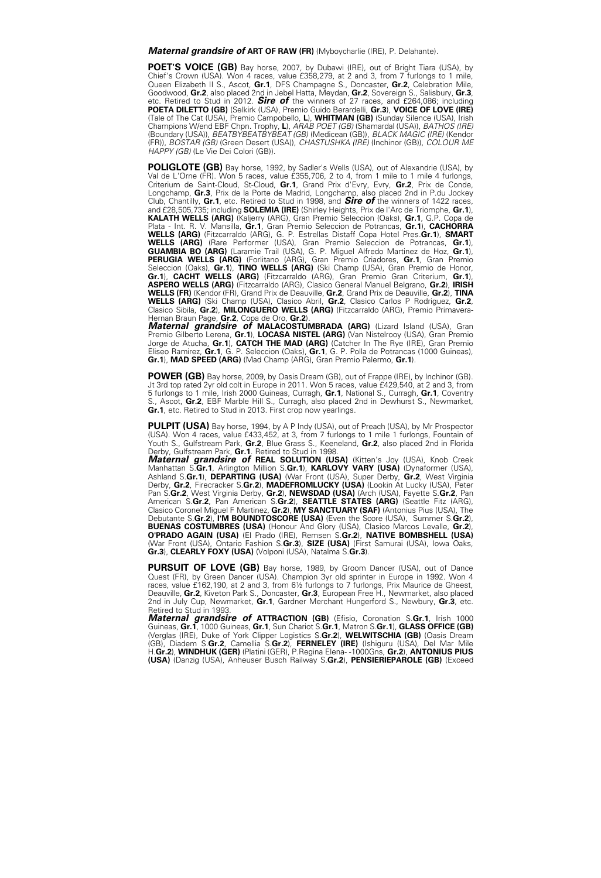## *Maternal grandsire of* **ART OF RAW (FR)** (Myboycharlie (IRE), P. Delahante).

**POET'S VOICE (GB)** Bay horse, 2007, by Dubawi (IRE), out of Bright Tiara (USA), by Chief's Crown (USA). Won 4 races, value £358,279, at 2 and 3, from 7 furlongs to 1 mile, Queen Elizabeth II S., Ascot, **Gr.1**, DFS Champagne S., Doncaster, **Gr.2**, Celebration Mile, Goodwood, **Gr.2**, also placed 2nd in Jebel Hatta, Meydan, **Gr.2**, Sovereign S., Salisbury, **Gr.3**, etc. Retired to Stud in 2012. Sire of the winners of 27 races, and £264,086; including<br>POETA DILETTO (GB) (Selkirk (USA), Premio Guido Berardelli, Gr.3), VOICE OF LOVE (IRE)<br>(Tale of The Cat (USA), Premio Campobello, L), W Champions W/end EBF Chpn. Trophy, **L**), *ARAB POET (GB)* (Shamardal (USA)), *BATHOS (IRE)* (Boundary (USA)), *BEATBYBEATBYBEAT (GB)* (Medicean (GB)), *BLACK MAGIC (IRE)* (Kendor (FR)), *BOSTAR (GB)* (Green Desert (USA)), *CHASTUSHKA (IRE)* (Inchinor (GB)), *COLOUR ME HAPPY (GB)* (Le Vie Dei Colori (GB)).

**POLIGLOTE (GB)** Bay horse, 1992, by Sadler's Wells (USA), out of Alexandrie (USA), by Val de L'Orne (FR). Won 5 races, value £355,706, 2 to 4, from 1 mile to 1 mile 4 furlongs, Criterium de Saint-Cloud, St-Cloud, **Gr.1**, Grand Prix d'Evry, Evry, **Gr.2**, Prix de Conde, Longchamp, **Gr.3**, Prix de la Porte de Madrid, Longchamp, also placed 2nd in P.du Jockey Club, Chantilly, **Gr.1**, etc. Retired to Stud in 1998, and *Sire of* the winners of 1422 races, and £28,505,735; including **SOLEMIA (IRE)** (Shirley Heights, Prix de l'Arc de Triomphe, **Gr.1**), **KALATH WELLS (ARG)** (Kaljerry (ARG), Gran Premio Seleccion (Oaks), **Gr.1**, G.P. Copa de Plata - Int. R. V. Mansilla, **Gr.1**, Gran Premio Seleccion de Potrancas, **Gr.1**), **CACHORRA WELLS (ARG)** (Fitzcarraldo (ARG), G. P. Estrellas Distaff Copa Hotel Pres.**Gr.1**), **SMART WELLS (ARG)** (Rare Performer (USA), Gran Premio Seleccion de Potrancas, **Gr.1**), **GUAMBIA BO (ARG)** (Laramie Trail (USA), G. P. Miguel Alfredo Martinez de Hoz, **Gr.1**), **PERUGIA WELLS (ARG)** (Forlitano (ARG), Gran Premio Criadores, **Gr.1**, Gran Premio Seleccion (Oaks), **Gr.1**), **TINO WELLS (ARG)** (Ski Champ (USA), Gran Premio de Honor, **Gr.1**), **CACHT WELLS (ARG)** (Fitzcarraldo (ARG), Gran Premio Gran Criterium, **Gr.1**), **ASPERO WELLS (ARG)** (Fitzcarraldo (ARG), Clasico General Manuel Belgrano, **Gr.2), IRISH**<br>**WELLS (FR)** (Kendor (FR), Grand Prix de Deauville, **Gr.2**, Grand Prix de Deauville, **Gr.2), TINA WELLS (ARG)** (Ski Champ (USA), Clasico Abril, **Gr.2**, Clasico Carlos P Rodriguez, **Gr.2**, Clasico Sibila, **Gr.2**), **MILONGUERO WELLS (ARG)** (Fitzcarraldo (ARG), Premio Primavera-

Hernan Braun Page, **Gr.2**, Copa de Oro, **Gr.2**).<br>*Maternal grandsire of M*ALACOSTUMBRADA (ARG) (Lizard Island (USA), Gran<br>Premio Gilberto Lerena, **Gr.1), LOCASA NISTEL (ARG)** (Van Nistelrooy (USA), Gran Premio<br>Jorge de Atu Eliseo Ramirez, **Gr.1**, G. P. Seleccion (Oaks), **Gr.1**, G. P. Polla de Potrancas (1000 Guineas), **Gr.1**), **MAD SPEED (ARG)** (Mad Champ (ARG), Gran Premio Palermo, **Gr.1**).

**POWER (GB)** Bay horse, 2009, by Oasis Dream (GB), out of Frappe (IRE), by Inchinor (GB). Jt 3rd top rated 2yr old colt in Europe in 2011. Won 5 races, value £429,540, at 2 and 3, from 5 furlongs to 1 mile, Irish 2000 Guineas, Curragh, **Gr.1**, National S., Curragh, **Gr.1**, Coventry S., Ascot, **Gr.2**, EBF Marble Hill S., Curragh, also placed 2nd in Dewhurst S., Newmarket, **Gr.1**, etc. Retired to Stud in 2013. First crop now yearlings.

**PULPIT (USA)** Bay horse, 1994, by A P Indy (USA), out of Preach (USA), by Mr Prospector (USA). Won 4 races, value £433,452, at 3, from 7 furlongs to 1 mile 1 furlongs, Fountain of Youth S., Gulfstream Park, **Gr.2**, Blue Grass S., Keeneland, **Gr.2**, also placed 2nd in Florida

Derby, Gulfstream Park, **Gr.1**. Retired to Stud in 1998.<br>**Maternal grandsire of REAL SOLUTION (USA)** (Kitten's Joy (USA), Knob Creek<br>Manhattan S.**Gr.1**, Arlington Million S.**Gr.1), KARLOVY VARY (USA)** (Dynaformer (USA), Ashland S.**Gr.1**), **DEPARTING (USA)** (War Front (USA), Super Derby, **Gr.2**, West Virginia Derby, **Gr.2**, Firecracker S.**Gr.2**), **MADEFROMLUCKY (USA)** (Lookin At Lucky (USA), Peter Pan S.**Gr.2**, West Virginia Derby, **Gr.2**), **NEWSDAD (USA)** (Arch (USA), Fayette S.**Gr.2**, Pan American S.**Gr.2**, Pan American S.**Gr.2**), **SEATTLE STATES (ARG)** (Seattle Fitz (ARG), Clasico Coronel Miguel F Martinez, **Gr.2**), **MY SANCTUARY (SAF)** (Antonius Pius (USA), The Debutante S.**Gr.2**), **I'M BOUNDTOSCORE (USA)** (Even the Score (USA), Summer S.**Gr.2**), **BUENAS COSTUMBRES (USA)** (Honour And Glory (USA), Clasico Marcos Levalle, **Gr.2**), **O'PRADO AGAIN (USA)** (El Prado (IRE), Remsen S.**Gr.2**), **NATIVE BOMBSHELL (USA)** (War Front (USA), Ontario Fashion S.**Gr.3**), **SIZE (USA)** (First Samurai (USA), Iowa Oaks, **Gr.3**), **CLEARLY FOXY (USA)** (Volponi (USA), Natalma S.**Gr.3**).

**PURSUIT OF LOVE (GB)** Bay horse, 1989, by Groom Dancer (USA), out of Dance Quest (FR), by Green Dancer (USA). Champion 3yr old sprinter in Europe in 1992. Won 4 races, value £162,190, at 2 and 3, from 6½ furlongs to 7 furlongs, Prix Maurice de Gheest, Deauville, **Gr.2**, Kiveton Park S., Doncaster, **Gr.3**, European Free H., Newmarket, also placed 2nd in July Cup, Newmarket, **Gr.1**, Gardner Merchant Hungerford S., Newbury, **Gr.3**, etc. Retired to Stud in 1993.

*Maternal grandsire of* **ATTRACTION (GB)** (Efisio, Coronation S.**Gr.1**, Irish 1000 Guineas, **Gr.1**, 1000 Guineas, **Gr.1**, Sun Chariot S.**Gr.1**, Matron S.**Gr.1**), **GLASS OFFICE (GB)** (Verglas (IRE), Duke of York Clipper Logistics S.**Gr.2**), **WELWITSCHIA (GB)** (Oasis Dream (GB), Diadem S.**Gr.2**, Camellia S.**Gr.2**), **FERNELEY (IRE)** (Ishiguru (USA), Del Mar Mile H.**Gr.2**), **WINDHUK (GER)** (Platini (GER), P.Regina Elena- -1000Gns, **Gr.2**), **ANTONIUS PIUS (USA)** (Danzig (USA), Anheuser Busch Railway S.**Gr.2**), **PENSIERIEPAROLE (GB)** (Exceed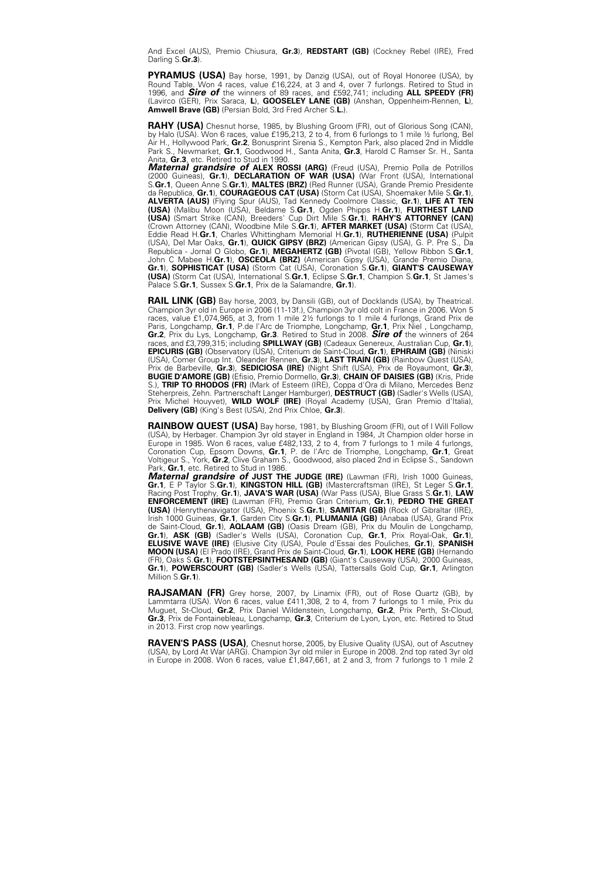And Excel (AUS), Premio Chiusura, **Gr.3**), **REDSTART (GB)** (Cockney Rebel (IRE), Fred Darling S.**Gr.3**).

**PYRAMUS (USA)** Bay horse, 1991, by Danzig (USA), out of Royal Honoree (USA), by Round Table. Won 4 races, value £16,224, at 3 and 4, over 7 furlongs. Retired to Stud in 1996, and *Sire of* the winners of 89 races, and £592,741; including **ALL SPEEDY (FR)** (Lavirco (GER), Prix Saraca, **L**), **GOOSELEY LANE (GB)** (Anshan, Oppenheim-Rennen, **L**), **Amwell Brave (GB)** (Persian Bold, 3rd Fred Archer S.**L.**).

**RAHY (USA)** Chesnut horse, 1985, by Blushing Groom (FR), out of Glorious Song (CAN),<br>by Halo (USA). Won 6 races, value £195,213, 2 to 4, from 6 furlongs to 1 mile ½ furlong, Bel<br>Air H., Hollywood Park, **Gr.2**, Bonusprint Park S., Newmarket, **Gr.1**, Goodwood H., Santa Anita, **Gr.3**, Harold C Ramser Sr. H., Santa

Anita, **Gr.3**, etc. Retired to Stud in 1990.<br>**Maternal grandsire of ALEX ROSSI (ARG)** (Freud (USA), Premio Polla de Potrillos<br>(2000 Guineas), **Gr.1), DECLARATION OF WAR (USA)** (War Front (USA), International S.**Gr.1**, Queen Anne S.**Gr.1**), **MALTES (BRZ)** (Red Runner (USA), Grande Premio Presidente da Republica, **Gr.1**), **COURAGEOUS CAT (USA)** (Storm Cat (USA), Shoemaker Mile S.**Gr.1**), **ALVERTA (AUS)** (Flying Spur (AUS), Tad Kennedy Coolmore Classic, **Gr.1**), **LIFE AT TEN (USA)** (Malibu Moon (USA), Beldame S.**Gr.1**, Ogden Phipps H.**Gr.1**), **FURTHEST LAND (USA)** (Smart Strike (CAN), Breeders' Cup Dirt Mile S.**Gr.1**), **RAHY'S ATTORNEY (CAN)** (Crown Attorney (CAN), Woodbine Mile S.**Gr.1**), **AFTER MARKET (USA)** (Storm Cat (USA), Eddie Read H.**Gr.1**, Charles Whittingham Memorial H.**Gr.1**), **RUTHERIENNE (USA)** (Pulpit (USA), Del Mar Oaks, **Gr.1**), **QUICK GIPSY (BRZ)** (American Gipsy (USA), G. P. Pre S., Da Republica - Jornal O Globo, **Gr.1**), **MEGAHERTZ (GB)** (Pivotal (GB), Yellow Ribbon S.**Gr.1**, John C Mabee H.**Gr.1**), **OSCEOLA (BRZ)** (American Gipsy (USA), Grande Premio Diana, **Gr.1**), **SOPHISTICAT (USA)** (Storm Cat (USA), Coronation S.**Gr.1**), **GIANT'S CAUSEWAY (USA)** (Storm Cat (USA), International S.**Gr.1**, Eclipse S.**Gr.1**, Champion S.**Gr.1**, St James's Palace S.**Gr.1**, Sussex S.**Gr.1**, Prix de la Salamandre, **Gr.1**).

**RAIL LINK (GB)** Bay horse, 2003, by Dansili (GB), out of Docklands (USA), by Theatrical. Champion 3yr old in Europe in 2006 (11-13f.), Champion 3yr old colt in France in 2006. Won 5 races, value £1,074,965, at 3, from 1 mile 2½ furlongs to 1 mile 4 furlongs, Grand Prix de Paris, Longchamp, **Gr.1**, P.de l'Arc de Triomphe, Longchamp, **Gr.1**, Prix Niel , Longchamp,<br>**Gr.2**, Prix du Lys, Longchamp, **Gr.3**. Retired to Stud in 2008. *Sire of the winners of 264*<br>races, and £3,799,315; including **EPICURIS (GB)** (Observatory (USA), Criterium de Saint-Cloud, **Gr.1**), **EPHRAIM (GB)** (Niniski (USA), Comer Group Int. Oleander Rennen, **Gr.3**), **LAST TRAIN (GB)** (Rainbow Quest (USA), Prix de Barbeville, **Gr.3**), **SEDICIOSA (IRE)** (Night Shift (USA), Prix de Royaumont, **Gr.3**), **BUGIE D'AMORE (GB)** (Efisio, Premio Dormello, **Gr.3**), **CHAIN OF DAISIES (GB)** (Kris, Pride S.), **TRIP TO RHODOS (FR)** (Mark of Esteem (IRE), Coppa d'Ora di Milano, Mercedes Benz Steherpreis, Zehn. Partnerschaft Langer Hamburger), **DESTRUCT (GB)** (Sadler's Wells (USA), Prix Michel Houyvet), **WILD WOLF (IRE)** (Royal Academy (USA), Gran Premio d'Italia), **Delivery (GB)** (King's Best (USA), 2nd Prix Chloe, **Gr.3**).

**RAINBOW QUEST (USA)** Bay horse, 1981, by Blushing Groom (FR), out of I Will Follow (USA), by Herbager. Champion 3yr old stayer in England in 1984, Jt Champion older horse in Europe in 1985. Won 6 races, value £482,133, 2 to 4, from 7 furlongs to 1 mile 4 furlongs, Coronation Cup, Epsom Downs, **Gr.1**, P. de l'Arc de Triomphe, Longchamp, **Gr.1**, Great Voltigeur S., York, **Gr.2**, Clive Graham S., Goodwood, also placed 2nd in Eclipse S., Sandown

Park, **Gr.1**, etc. Retired to Stud in 1986. *Maternal grandsire of* **JUST THE JUDGE (IRE)** (Lawman (FR), Irish 1000 Guineas, **Gr.1**, E P Taylor S.**Gr.1**), **KINGSTON HILL (GB)** (Mastercraftsman (IRE), St Leger S.**Gr.1**, Racing Post Trophy, **Gr.1**), **JAVA'S WAR (USA)** (War Pass (USA), Blue Grass S.**Gr.1**), **LAW ENFORCEMENT (IRE)** (Lawman (FR), Premio Gran Criterium, **Gr.1**), **PEDRO THE GREAT (USA)** (Henrythenavigator (USA), Phoenix S.**Gr.1**), **SAMITAR (GB)** (Rock of Gibraltar (IRE), Irish 1000 Guineas, **Gr.1**, Garden City S.**Gr.1**), **PLUMANIA (GB)** (Anabaa (USA), Grand Prix de Saint-Cloud, **Gr.1**), **AQLAAM (GB)** (Oasis Dream (GB), Prix du Moulin de Longchamp, **Gr.1**), **ASK (GB)** (Sadler's Wells (USA), Coronation Cup, **Gr.1**, Prix Royal-Oak, **Gr.1**), **ELUSIVE WAVE (IRE)** (Elusive City (USA), Poule d'Essai des Pouliches, **Gr.1**), **SPANISH MOON (USA)** (El Prado (IRE), Grand Prix de Saint-Cloud, **Gr.1**), **LOOK HERE (GB)** (Hernando (FR), Oaks S.**Gr.1**), **FOOTSTEPSINTHESAND (GB)** (Giant's Causeway (USA), 2000 Guineas, **Gr.1**), **POWERSCOURT (GB)** (Sadler's Wells (USA), Tattersalls Gold Cup, **Gr.1**, Arlington Million S.**Gr.1**).

**RAJSAMAN (FR)** Grey horse, 2007, by Linamix (FR), out of Rose Quartz (GB), by Lammtarra (USA). Won 6 races, value £411,308, 2 to 4, from 7 furlongs to 1 mile, Prix du Muguet, St-Cloud, **Gr.2**, Prix Daniel Wildenstein, Longchamp, **Gr.2**, Prix Perth, St-Cloud, **Gr.3**, Prix de Fontainebleau, Longchamp, **Gr.3**, Criterium de Lyon, Lyon, etc. Retired to Stud in 2013. First crop now yearlings.

**RAVEN'S PASS (USA)**, Chesnut horse, 2005, by Elusive Quality (USA), out of Ascutney (USA), by Lord At War (ARG). Champion 3yr old miler in Europe in 2008. 2nd top rated 3yr old in Europe in 2008. Won 6 races, value £1,847,661, at 2 and 3, from 7 furlongs to 1 mile 2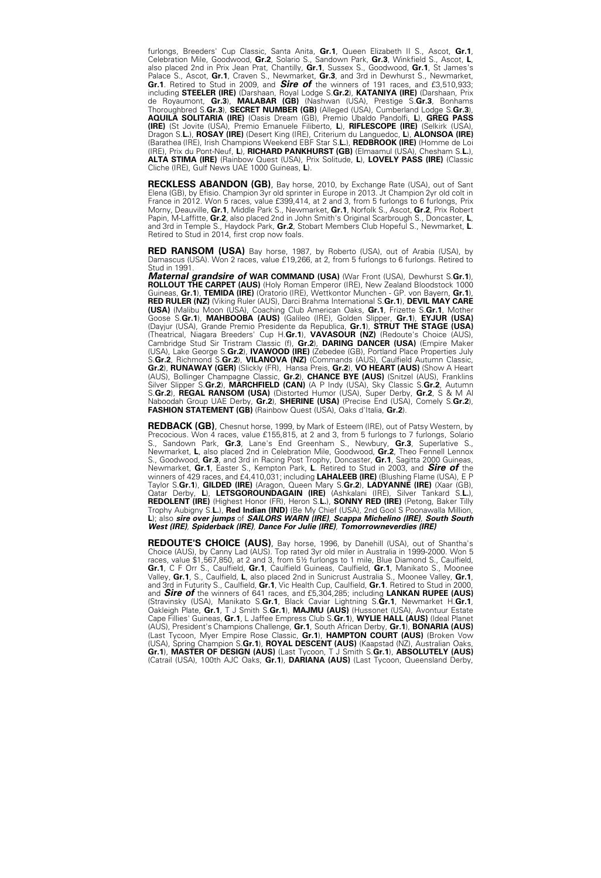furlongs, Breeders' Cup Classic, Santa Anita, **Gr.1**, Queen Elizabeth II S., Ascot, **Gr.1**, Celebration Mile, Goodwood, **Gr.2**, Solario S., Sandown Park, **Gr.3**, Winkfield S., Ascot, **L**, also placed 2nd in Prix Jean Prat, Chantilly, **Gr.1**, Sussex S., Goodwood, **Gr.1**, St James's Palace S., Ascot, **Gr.1**, Craven S., Newmarket, **Gr.3**, and 3rd in Dewhurst S., Newmarket, **Gr.1**. Retired to Stud in 2009, and *Sire of* the winners of 191 races, and £3,510,933; including **STEELER (IRE)** (Darshaan, Royal Lodge S.**Gr.2**), **KATANIYA (IRE)** (Darshaan, Prix de Royaumont, **Gr.3**), **MALABAR (GB)** (Nashwan (USA), Prestige S.**Gr.3**, Bonhams Thoroughbred S.**Gr.3**), **SECRET NUMBER (GB)** (Alleged (USA), Cumberland Lodge S.**Gr.3**), **AQUILA SOLITARIA (IRE)** (Oasis Dream (GB), Premio Ubaldo Pandolfi, **L**), **GREG PASS (IRE)** (St Jovite (USA), Premio Emanuele Filiberto, **L**), **RIFLESCOPE (IRE)** (Selkirk (USA), Dragon S.**L.**), **ROSAY (IRE)** (Desert King (IRE), Criterium du Languedoc, **L**), **ALONSOA (IRE)** (Barathea (IRE), Irish Champions Weekend EBF Star S.**L.**), **REDBROOK (IRE)** (Homme de Loi (IRE), Prix du Pont-Neuf, **L**), **RICHARD PANKHURST (GB)** (Elmaamul (USA), Chesham S.**L.**), **ALTA STIMA (IRE)** (Rainbow Quest (USA), Prix Solitude, **L**), **LOVELY PASS (IRE)** (Classic Cliche (IRE), Gulf News UAE 1000 Guineas, **L**).

**RECKLESS ABANDON (GB)**, Bay horse, 2010, by Exchange Rate (USA), out of Sant Elena (GB), by Efisio. Champion 3yr old sprinter in Europe in 2013. Jt Champion 2yr old colt in France in 2012. Won 5 races, value £399,414, at 2 and 3, from 5 furlongs to 6 furlongs, Prix Morny, Deauville, **Gr.1**, Middle Park S., Newmarket, **Gr.1**, Norfolk S., Ascot, **Gr.2**, Prix Robert Papin, M-Laffitte, **Gr.2**, also placed 2nd in John Smith's Original Scarbrough S., Doncaster, **L**, and 3rd in Temple S., Haydock Park, **Gr.2**, Stobart Members Club Hopeful S., Newmarket, **L**. Retired to Stud in 2014, first crop now foals.

**RED RANSOM (USA)** Bay horse, 1987, by Roberto (USA), out of Arabia (USA), by Damascus (USA). Won 2 races, value £19,266, at 2, from 5 furlongs to 6 furlongs. Retired to Stud in 1991.

*Maternal grandsire of* **WAR COMMAND (USA)** (War Front (USA), Dewhurst S.**Gr.1**), **ROLLOUT THE CARPET (AUS)** (Holy Roman Emperor (IRE), New Zealand Bloodstock 1000 Guineas, **Gr.1**), **TEMIDA (IRE)** (Oratorio (IRE), Wettkontor Munchen - GP. von Bayern, **Gr.1**), **RED RULER (NZ)** (Viking Ruler (AUS), Darci Brahma International S.**Gr.1**), **DEVIL MAY CARE (USA)** (Malibu Moon (USA), Coaching Club American Oaks, **Gr.1**, Frizette S.**Gr.1**, Mother Goose S.**Gr.1**), **MAHBOOBA (AUS)** (Galileo (IRE), Golden Slipper, **Gr.1**), **EYJUR (USA)** (Dayjur (USA), Grande Premio Presidente da Republica, **Gr.1**), **STRUT THE STAGE (USA)** (Theatrical, Niagara Breeders' Cup H.**Gr.1**), **VAVASOUR (NZ)** (Redoute's Choice (AUS), Cambridge Stud Sir Tristram Classic (f), **Gr.2**), **DARING DANCER (USA)** (Empire Maker (USA), Lake George S.**Gr.2**), **IVAWOOD (IRE)** (Zebedee (GB), Portland Place Properties July S.**Gr.2**, Richmond S.**Gr.2**), **VILANOVA (NZ)** (Commands (AUS), Caulfield Autumn Classic, **Gr.2**), **RUNAWAY (GER)** (Slickly (FR), Hansa Preis, **Gr.2**), **VO HEART (AUS)** (Show A Heart (AUS), Bollinger Champagne Classic, **Gr.2**), **CHANCE BYE (AUS)** (Snitzel (AUS), Franklins Silver Slipper S.**Gr.2**), **MARCHFIELD (CAN)** (A P Indy (USA), Sky Classic S.**Gr.2**, Autumn S.**Gr.2**), **REGAL RANSOM (USA)** (Distorted Humor (USA), Super Derby, **Gr.2**, S & M Al Naboodah Group UAE Derby, **Gr.2**), **SHERINE (USA)** (Precise End (USA), Comely S.**Gr.2**), **FASHION STATEMENT (GB)** (Rainbow Quest (USA), Oaks d'Italia, **Gr.2**).

**REDBACK (GB)**, Chesnut horse, 1999, by Mark of Esteem (IRE), out of Patsy Western, by Precocious. Won 4 races, value £155,815, at 2 and 3, from 5 furlongs to 7 furlongs, Solario S., Sandown Park, **Gr.3**, Lane's End Greenham S., Newbury, **Gr.3**, Superlative S., Newmarket, **L**, also placed 2nd in Celebration Mile, Goodwood, **Gr.2**, Theo Fennell Lennox S., Goodwood, **Gr.3**, and 3rd in Racing Post Trophy, Doncaster, **Gr.1**, Sagitta 2000 Guineas, Newmarket, **Gr.1**, Easter S., Kempton Park, **L**. Retired to Stud in 2003, and *Sire of* the winners of 429 races, and £4,410,031; including **LAHALEEB (IRE)** (Blushing Flame (USA), E P Taylor S.**Gr.1**), **GILDED (IRE)** (Aragon, Queen Mary S.**Gr.2**), **LADYANNE (IRE)** (Xaar (GB), Qatar Derby, **L**), **LETSGOROUNDAGAIN (IRE)** (Ashkalani (IRE), Silver Tankard S.**L.**), **REDOLENT (IRE)** (Highest Honor (FR), Heron S.**L.**), **SONNY RED (IRE)** (Petong, Baker Tilly Trophy Aubigny S.**L.), Red Indian (IND)** (Be My Chief (USA), 2nd Gool S Poonawalla Million,<br>**L**); also *sire over jumps* **of** *SAILORS WARN (IRE), Scappa Michelino (IRE), South South West (IRE), Spiderback (IRE), Dance For Julie (IRE), Tomorrowneverdies (IRE)*

**REDOUTE'S CHOICE (AUS)**, Bay horse, 1996, by Danehill (USA), out of Shantha's Choice (AUS), by Canny Lad (AUS). Top rated 3yr old miler in Australia in 1999-2000. Won 5 races, value \$1,567,850, at 2 and 3, from 5½ furlongs to 1 mile, Blue Diamond S., Caulfield, **Gr.1**, C F Orr S., Caulfield, **Gr.1**, Caulfield Guineas, Caulfield, **Gr.1**, Manikato S., Moonee Valley, **Gr.1**, S., Caulfield, **L**, also placed 2nd in Sunicrust Australia S., Moonee Valley, **Gr.1**, and 3rd in Futurity S., Caulfield, **Gr.1**, Vic Health Cup, Caulfield, **Gr.1**. Retired to Stud in 2000, and *Sire of* the winners of 641 races, and £5,304,285; including **LANKAN RUPEE (AUS)** (Stravinsky (USA), Manikato S.**Gr.1**, Black Caviar Lightning S.**Gr.1**, Newmarket H.**Gr.1**, Oakleigh Plate, **Gr.1**, T J Smith S.**Gr.1**), **MAJMU (AUS)** (Hussonet (USA), Avontuur Estate Cape Fillies' Guineas, **Gr.1**, L Jaffee Empress Club S.**Gr.1**), **WYLIE HALL (AUS)** (Ideal Planet (AUS), President's Champions Challenge, **Gr.1**, South African Derby, **Gr.1**), **BONARIA (AUS)** (Last Tycoon, Myer Empire Rose Classic, **Gr.1**), **HAMPTON COURT (AUS)** (Broken Vow (USA), Spring Champion S.**Gr.1**), **ROYAL DESCENT (AUS)** (Kaapstad (NZ), Australian Oaks, **Gr.1**), **MASTER OF DESIGN (AUS)** (Last Tycoon, T J Smith S.**Gr.1**), **ABSOLUTELY (AUS)** (Catrail (USA), 100th AJC Oaks, **Gr.1**), **DARIANA (AUS)** (Last Tycoon, Queensland Derby,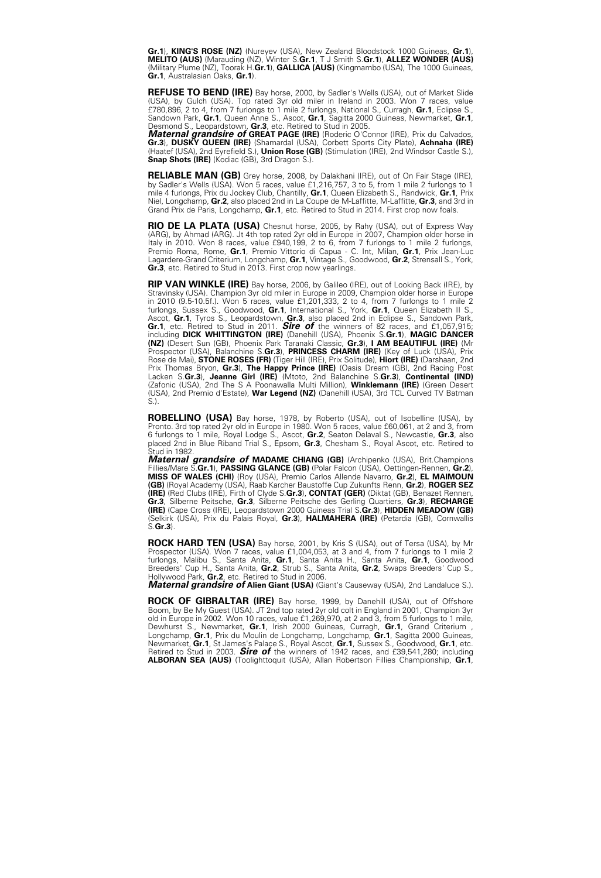**Gr.1**), **KING'S ROSE (NZ)** (Nureyev (USA), New Zealand Bloodstock 1000 Guineas, **Gr.1**), **MELITO (AUS)** (Marauding (NZ), Winter S.**Gr.1**, T J Smith S.**Gr.1**), **ALLEZ WONDER (AUS)** (Military Plume (NZ), Toorak H.**Gr.1**), **GALLICA (AUS)** (Kingmambo (USA), The 1000 Guineas, **Gr.1**, Australasian Oaks, **Gr.1**).

**REFUSE TO BEND (IRE)** Bay horse, 2000, by Sadler's Wells (USA), out of Market Slide (USA), by Gulch (USA). Top rated 3yr old miler in Ireland in 2003. Won 7 races, value £780,896, 2 to 4, from 7 furlongs to 1 mile 2 furlongs, National S., Curragh, **Gr.1**, Eclipse S., Sandown Park, **Gr.1**, Queen Anne S., Ascot, **Gr.1**, Sagitta 2000 Guineas, Newmarket, **Gr.1**, Desmond S., Leopardstown, **Gr.3**, etc. Retired to Stud in 2005.

*Maternal grandsire of* **GREAT PAGE (IRE)** (Roderic O'Connor (IRE), Prix du Calvados, **Gr.3**), **DUSKY QUEEN (IRE)** (Shamardal (USA), Corbett Sports City Plate), **Achnaha (IRE)** (Haatef (USA), 2nd Eyrefield S.), **Union Rose (GB)** (Stimulation (IRE), 2nd Windsor Castle S.), **Snap Shots (IRE)** (Kodiac (GB), 3rd Dragon S.).

**RELIABLE MAN (GB)** Grey horse, 2008, by Dalakhani (IRE), out of On Fair Stage (IRE), by Sadler's Wells (USA). Won 5 races, value £1,216,757, 3 to 5, from 1 mile 2 furlongs to 1 mile 4 furlongs, Prix du Jockey Club, Chantilly, **Gr.1**, Queen Elizabeth S., Randwick, **Gr.1**, Prix Niel, Longchamp, **Gr.2**, also placed 2nd in La Coupe de M-Laffitte, M-Laffitte, **Gr.3**, and 3rd in Grand Prix de Paris, Longchamp, **Gr.1**, etc. Retired to Stud in 2014. First crop now foals.

**RIO DE LA PLATA (USA)** Chesnut horse, 2005, by Rahy (USA), out of Express Way (ARG), by Ahmad (ARG). Jt 4th top rated 2yr old in Europe in 2007, Champion older horse in Italy in 2010. Won 8 races, value £940,199, 2 to 6, from 7 furlongs to 1 mile 2 furlongs, Premio Roma, Rome, **Gr.1**, Premio Vittorio di Capua - C. Int, Milan, **Gr.1**, Prix Jean-Luc Lagardere-Grand Criterium, Longchamp, **Gr.1**, Vintage S., Goodwood, **Gr.2**, Strensall S., York, **Gr.3**, etc. Retired to Stud in 2013. First crop now yearlings.

**RIP VAN WINKLE (IRE)** Bay horse, 2006, by Galileo (IRE), out of Looking Back (IRE), by Stravinsky (USA). Champion 3yr old miler in Europe in 2009, Champion older horse in Europe in 2010 (9.5-10.5f.). Won 5 races, value £1,201,333, 2 to 4, from 7 furlongs to 1 mile 2 furlongs, Sussex S., Goodwood, **Gr.1**, International S., York, **Gr.1**, Queen Elizabeth II S., Ascot, **Gr.1**, Tyros S., Leopardstown, **Gr.3**, also placed 2nd in Eclipse S., Sandown Park, Gr.1, etc. Retried to Stud in 2011. Prospector (USA), Balanchine S.**Gr.3**), **PRINCESS CHARM (IRE)** (Key of Luck (USA), Prix Rose de Mai), **STONE ROSES (FR)** (Tiger Hill (IRE), Prix Solitude), **Hiort (IRE)** (Darshaan, 2nd Prix Thomas Bryon, **Gr.3**), **The Happy Prince (IRE)** (Oasis Dream (GB), 2nd Racing Post Lacken S.**Gr.3**), **Jeanne Girl (IRE)** (Mtoto, 2nd Balanchine S.**Gr.3**), **Continental (IND)** (Zafonic (USA), 2nd The S A Poonawalla Multi Million), **Winklemann (IRE)** (Green Desert (USA), 2nd Premio d'Estate), **War Legend (NZ)** (Danehill (USA), 3rd TCL Curved TV Batman  $\overline{S}$ .).

**ROBELLINO (USA)** Bay horse, 1978, by Roberto (USA), out of Isobelline (USA), by Pronto. 3rd top rated 2yr old in Europe in 1980. Won 5 races, value £60,061, at 2 and 3, from 6 furlongs to 1 mile, Royal Lodge S., Ascot, **Gr.2**, Seaton Delaval S., Newcastle, **Gr.3**, also placed 2nd in Blue Riband Trial S., Epsom, **Gr.3**, Chesham S., Royal Ascot, etc. Retired to Stud in 1982.

*Maternal grandsire of* **MADAME CHIANG (GB)** (Archipenko (USA), Brit.Champions Fillies/Mare S.**Gr.1**), **PASSING GLANCE (GB)** (Polar Falcon (USA), Oettingen-Rennen, **Gr.2**), **MISS OF WALES (CHI)** (Roy (USA), Premio Carlos Allende Navarro, **Gr.2**), **EL MAIMOUN (GB)** (Royal Academy (USA), Raab Karcher Baustoffe Cup Zukunfts Renn, **Gr.2**), **ROGER SEZ (IRE)** (Red Clubs (IRE), Firth of Clyde S.**Gr.3**), **CONTAT (GER)** (Diktat (GB), Benazet Rennen, **Gr.3**, Silberne Peitsche, **Gr.3**, Silberne Peitsche des Gerling Quartiers, **Gr.3**), **RECHARGE (IRE)** (Cape Cross (IRE), Leopardstown 2000 Guineas Trial S.**Gr.3**), **HIDDEN MEADOW (GB)** (Selkirk (USA), Prix du Palais Royal, **Gr.3**), **HALMAHERA (IRE)** (Petardia (GB), Cornwallis S.**Gr.3**).

**ROCK HARD TEN (USA)** Bay horse, 2001, by Kris S (USA), out of Tersa (USA), by Mr Prospector (USA). Won 7 races, value £1,004,053, at 3 and 4, from 7 furlongs to 1 mile 2 furlongs, Malibu S., Santa Anita, **Gr.1**, Santa Anita H., Santa Anita, **Gr.1**, Goodwood Breeders' Cup H., Santa Anita, **Gr.2**, Strub S., Santa Anita, **Gr.2**, Swaps Breeders' Cup S., Hollywood Park, **Gr.2**, etc. Retired to Stud in 2006.

*Maternal grandsire of Alien Giant (USA)* (Giant's Causeway (USA), 2nd Landaluce S.).

**ROCK OF GIBRALTAR (IRE)** Bay horse, 1999, by Danehill (USA), out of Offshore Boom, by Be My Guest (USA). JT 2nd top rated 2yr old colt in England in 2001, Champion 3yr old in Europe in 2002. Won 10 races, value £1,269,970, at 2 and 3, from 5 furlongs to 1 mile, Dewhurst S., Newmarket, **Gr.1**, Irish 2000 Guineas, Curragh, **Gr.1**, Grand Criterium , Longchamp, **Gr.1**, Prix du Moulin de Longchamp, Longchamp, **Gr.1**, Sagitta 2000 Guineas, Newmarket, **Gr.1**, St James's Palace S., Royal Ascot, **Gr.1**, Sussex S., Goodwood, **Gr.1**, etc. Retired to Stud in 2003. *Sire of* the winners of 1942 races, and £39,541,280; including **ALBORAN SEA (AUS)** (Toolighttoquit (USA), Allan Robertson Fillies Championship, **Gr.1**,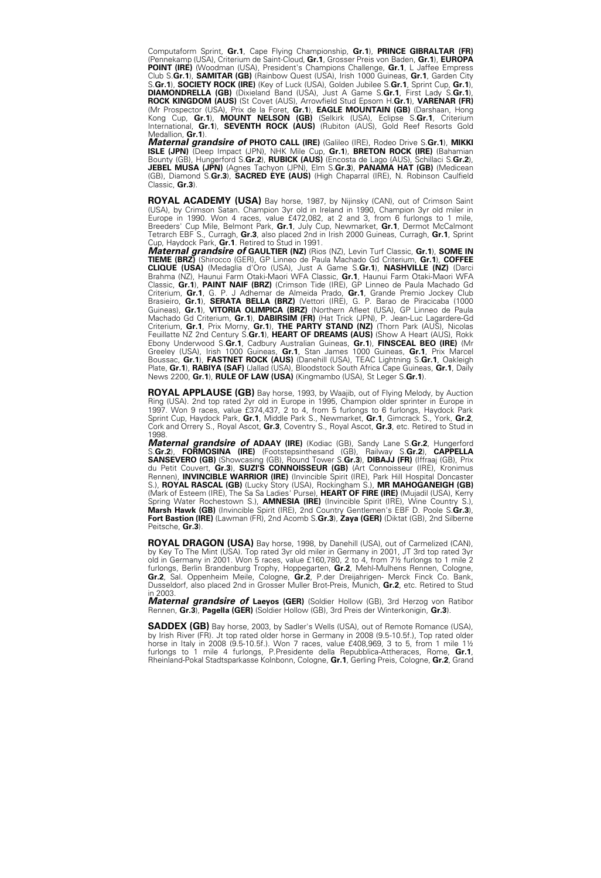Computaform Sprint, **Gr.1**, Cape Flying Championship, **Gr.1**), **PRINCE GIBRALTAR (FR)** (Pennekamp (USA), Criterium de Saint-Cloud, **Gr.1**, Grosser Preis von Baden, **Gr.1**), **EUROPA POINT (IRE)** (Woodman (USA), President's Champions Challenge, **Gr.1**, L Jaffee Empress Club S.**Gr.1**), **SAMITAR (GB)** (Rainbow Quest (USA), Irish 1000 Guineas, **Gr.1**, Garden City S.**Gr.1**), **SOCIETY ROCK (IRE)** (Key of Luck (USA), Golden Jubilee S.**Gr.1**, Sprint Cup, **Gr.1**), **DIAMONDRELLA (GB)** (Dixieland Band (USA), Just A Game S.**Gr.1**, First Lady S.**Gr.1**), **ROCK KINGDOM (AUS)** (St Covet (AUS), Arrowfield Stud Epsom H.**Gr.1**), **VARENAR (FR)** (Mr Prospector (USA), Prix de la Foret, **Gr.1**), **EAGLE MOUNTAIN (GB)** (Darshaan, Hong Kong Cup, **Gr.1**), **MOUNT NELSON (GB)** (Selkirk (USA), Eclipse S.**Gr.1**, Criterium International, **Gr.1**), **SEVENTH ROCK (AUS)** (Rubiton (AUS), Gold Reef Resorts Gold Medallion, **Gr.1**).

*Maternal grandsire of* **PHOTO CALL (IRE)** (Galileo (IRE), Rodeo Drive S.**Gr.1**), **MIKKI ISLE (JPN)** (Deep Impact (JPN), NHK Mile Cup, **Gr.1**), **BRETON ROCK (IRE)** (Bahamian Bounty (GB), Hungerford S.**Gr.2**), **RUBICK (AUS)** (Encosta de Lago (AUS), Schillaci S.**Gr.2**), **JEBEL MUSA (JPN)** (Agnes Tachyon (JPN), Elm S.**Gr.3**), **PANAMA HAT (GB)** (Medicean (GB), Diamond S.**Gr.3**), **SACRED EYE (AUS)** (High Chaparral (IRE), N. Robinson Caulfield Classic, **Gr.3**).

**ROYAL ACADEMY (USA)** Bay horse, 1987, by Nijinsky (CAN), out of Crimson Saint (USA), by Crimson Satan. Champion 3yr old in Ireland in 1990, Champion 3yr old miler in Europe in 1990. Won 4 races, value £472,082, at 2 and 3, from 6 furlongs to 1 mile, Breeders' Cup Mile, Belmont Park, **Gr.1**, July Cup, Newmarket, **Gr.1**, Dermot McCalmont Tetrarch EBF S., Curragh, **Gr.3**, also placed 2nd in Irish 2000 Guineas, Curragh, **Gr.1**, Sprint Cup, Haydock Park, **Gr.1**. Retired to Stud in 1991.

*Maternal grandsire of* **GAULTIER (NZ)** (Rios (NZ), Levin Turf Classic, **Gr.1**), **SOME IN TIEME (BRZ)** (Shirocco (GER), GP Linneo de Paula Machado Gd Criterium, **Gr.1**), **COFFEE CLIQUE (USA)** (Medaglia d'Oro (USA), Just A Game S.**Gr.1**), **NASHVILLE (NZ)** (Darci Brahma (NZ), Haunui Farm Otaki-Maori WFA Classic, **Gr.1**, Haunui Farm Otaki-Maori WFA Classic, **Gr.1**), **PAINT NAIF (BRZ)** (Crimson Tide (IRE), GP Linneo de Paula Machado Gd Criterium, **Gr.1**, G. P. J Adhemar de Almeida Prado, **Gr.1**, Grande Premio Jockey Club Brasieiro, **Gr.1**), **SERATA BELLA (BRZ)** (Vettori (IRE), G. P. Barao de Piracicaba (1000 Guineas), **Gr.1**), **VITORIA OLIMPICA (BRZ)** (Northern Afleet (USA), GP Linneo de Paula Machado Gd Criterium, **Gr.1**), **DABIRSIM (FR)** (Hat Trick (JPN), P. Jean-Luc Lagardere-Gd Criterium, **Gr.1**, Prix Morny, **Gr.1**), **THE PARTY STAND (NZ)** (Thorn Park (AUS), Nicolas Feuillatte NZ 2nd Century S.**Gr.1**), **HEART OF DREAMS (AUS)** (Show A Heart (AUS), Rokk Ebony Underwood S.**Gr.1**, Cadbury Australian Guineas, **Gr.1**), **FINSCEAL BEO (IRE)** (Mr Greeley (USA), Irish 1000 Guineas, **Gr.1**, Stan James 1000 Guineas, **Gr.1**, Prix Marcel Boussac, **Gr.1**), **FASTNET ROCK (AUS)** (Danehill (USA), TEAC Lightning S.**Gr.1**, Oakleigh Plate, **Gr.1**), **RABIYA (SAF)** (Jallad (USA), Bloodstock South Africa Cape Guineas, **Gr.1**, Daily News 2200, **Gr.1**), **RULE OF LAW (USA)** (Kingmambo (USA), St Leger S.**Gr.1**).

**ROYAL APPLAUSE (GB)** Bay horse, 1993, by Waajib, out of Flying Melody, by Auction Ring (USA). 2nd top rated 2yr old in Europe in 1995, Champion older sprinter in Europe in 1997. Won 9 races, value £374,437, 2 to 4, from 5 furlongs to 6 furlongs, Haydock Park Sprint Cup, Haydock Park, **Gr.1**, Middle Park S., Newmarket, **Gr.1**, Gimcrack S., York, **Gr.2**, Cork and Orrery S., Royal Ascot, **Gr.3**, Coventry S., Royal Ascot, **Gr.3**, etc. Retired to Stud in

1998. *Maternal grandsire of* **ADAAY (IRE)** (Kodiac (GB), Sandy Lane S.**Gr.2**, Hungerford S.**Gr.2**), **FORMOSINA (IRE)** (Footstepsinthesand (GB), Railway S.**Gr.2**), **CAPPELLA SANSEVERO (GB)** (Showcasing (GB), Round Tower S.**Gr.3**), **DIBAJJ (FR)** (Iffraaj (GB), Prix du Petit Couvert, **Gr.3**), **SUZI'S CONNOISSEUR (GB)** (Art Connoisseur (IRE), Kronimus Rennen), **INVINCIBLE WARRIOR (IRE)** (Invincible Spirit (IRE), Park Hill Hospital Doncaster S.), **ROYAL RASCAL (GB)** (Lucky Story (USA), Rockingham S.), **MR MAHOGANEIGH (GB)** (Mark of Esteem (IRE), The Sa Sa Ladies' Purse), **HEART OF FIRE (IRE)** (Mujadil (USA), Kerry Spring Water Rochestown S.), **AMNESIA (IRE)** (Invincible Spirit (IRE), Wine Country S.), **Marsh Hawk (GB)** (Invincible Spirit (IRE), 2nd Country Gentlemen's EBF D. Poole S.**Gr.3**), **Fort Bastion (IRE)** (Lawman (FR), 2nd Acomb S.**Gr.3**), **Zaya (GER)** (Diktat (GB), 2nd Silberne Peitsche, **Gr.3**).

**ROYAL DRAGON (USA)** Bay horse, 1998, by Danehill (USA), out of Carmelized (CAN), by Key To The Mint (USA). Top rated 3yr old miler in Germany in 2001, JT 3rd top rated 3yr old in Germany in 2001. Won 5 races, value £160,780, 2 to 4, from 7½ furlongs to 1 mile 2 furlongs, Berlin Brandenburg Trophy, Hoppegarten, **Gr.2**, Mehl-Mulhens Rennen, Cologne, **Gr.2**, Sal. Oppenheim Meile, Cologne, **Gr.2**, P.der Dreijahrigen- Merck Finck Co. Bank, Dusseldorf, also placed 2nd in Grosser Muller Brot-Preis, Munich, **Gr.2**, etc. Retired to Stud 2003

*Maternal grandsire of* **Laeyos (GER)** (Soldier Hollow (GB), 3rd Herzog von Ratibor Rennen, **Gr.3**), **Pagella (GER)** (Soldier Hollow (GB), 3rd Preis der Winterkonigin, **Gr.3**).

**SADDEX (GB)** Bay horse, 2003, by Sadler's Wells (USA), out of Remote Romance (USA), by Irish River (FR). Jt top rated older horse in Germany in 2008 (9.5-10.5f.), Top rated older horse in Italy in 2008 (9.5-10.5f.). Won 7 races, value £408,969, 3 to 5, from 1 mile 1½ furlongs to 1 mile 4 furlongs, P.Presidente della Repubblica-Attheraces, Rome, **Gr.1**, Rheinland-Pokal Stadtsparkasse Kolnbonn, Cologne, **Gr.1**, Gerling Preis, Cologne, **Gr.2**, Grand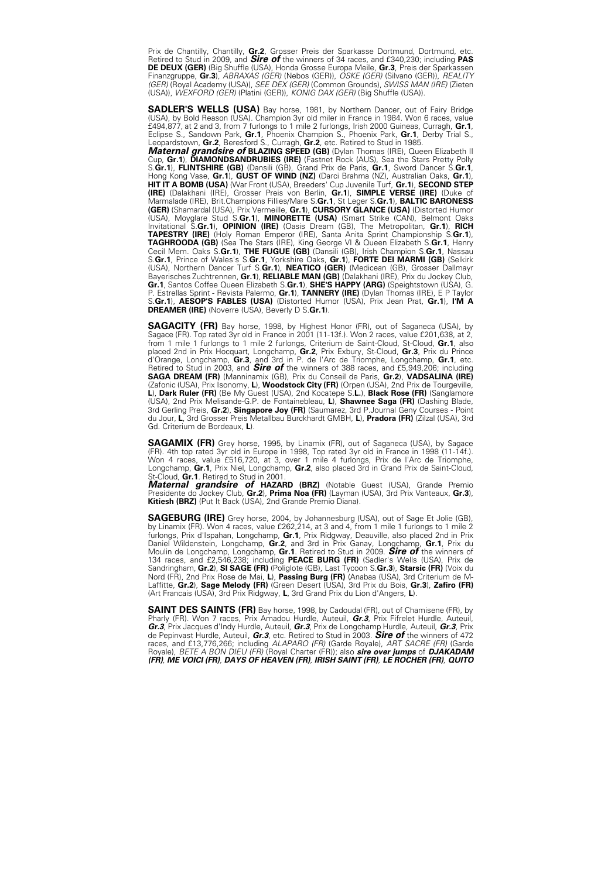Prix de Chantilly, Chantilly, **Gr.2**, Grosser Preis der Sparkasse Dortmund, Dortmund, etc.<br>Retired to Stud in 2009, and *Sire of* the winners of 34 races, and £340,230; including **PAS**<br>**DE DEUX (GER)** (Big Shuffle (USA), Finanzgruppe, **Gr.3**), *ABRAXAS (GER)* (Nebos (GER)), *OSKE (GER)* (Silvano (GER)), *REALITY (GER)* (Royal Academy (USA)), *SEE DEX (GER)* (Common Grounds), *SWISS MAN (IRE)* (Zieten (USA)), *WEXFORD (GER)* (Platini (GER)), *KONIG DAX (GER)* (Big Shuffle (USA)).

**SADLER'S WELLS (USA)** Bay horse, 1981, by Northern Dancer, out of Fairy Bridge (USA), by Bold Reason (USA). Champion 3yr old miler in France in 1984. Won 6 races, value £494,877, at 2 and 3, from 7 furlongs to 1 mile 2 furlongs, Irish 2000 Guineas, Curragh, **Gr.1**, Eclipse S., Sandown Park, **Gr.1**, Phoenix Champion S., Phoenix Park, **Gr.1**, Derby Trial S., Leopardstown, **Gr.2**, Beresford S., Curragh, **Gr.2**, etc. Retired to Stud in 1985.

*Maternal grandsire of BLAZING SPEED (GB)* (Dylan Thomas (IRE), Queen Elizabeth II Cup, **Gr.1**), **DIAMONDSANDRUBIES (IRE)** (Fastnet Rock (AUS), Sea the Stars Pretty Polly S.**Gr.1**), **FLINTSHIRE (GB)** (Dansili (GB), Grand Prix de Paris, **Gr.1**, Sword Dancer S.**Gr.1**, Hong Kong Vase, **Gr.1**), **GUST OF WIND (NZ)** (Darci Brahma (NZ), Australian Oaks, **Gr.1**), **HIT IT A BOMB (USA)** (War Front (USA), Breeders' Cup Juvenile Turf, **Gr.1**), **SECOND STEP (IRE)** (Dalakhani (IRE), Grosser Preis von Berlin, **Gr.1**), **SIMPLE VERSE (IRE)** (Duke of Marmalade (IRE), Brit.Champions Fillies/Mare S.**Gr.1**, St Leger S.**Gr.1**), **BALTIC BARONESS (GER)** (Shamardal (USA), Prix Vermeille, **Gr.1**), **CURSORY GLANCE (USA)** (Distorted Humor (USA), Moyglare Stud S.**Gr.1**), **MINORETTE (USA)** (Smart Strike (CAN), Belmont Oaks Invitational S.**Gr.1**), **OPINION (IRE)** (Oasis Dream (GB), The Metropolitan, **Gr.1**), **RICH TAPESTRY (IRE)** (Holy Roman Emperor (IRE), Santa Anita Sprint Championship S.**Gr.1**), **TAGHROODA (GB)** (Sea The Stars (IRE), King George VI & Queen Elizabeth S.**Gr.1**, Henry Cecil Mem. Oaks S.**Gr.1**), **THE FUGUE (GB)** (Dansili (GB), Irish Champion S.**Gr.1**, Nassau S.**Gr.1**, Prince of Wales's S.**Gr.1**, Yorkshire Oaks, **Gr.1**), **FORTE DEI MARMI (GB)** (Selkirk (USA), Northern Dancer Turf S.**Gr.1**), **NEATICO (GER)** (Medicean (GB), Grosser Dallmayr Bayerisches Zuchtrennen, **Gr.1**), **RELIABLE MAN (GB)** (Dalakhani (IRE), Prix du Jockey Club, **Gr.1**, Santos Coffee Queen Elizabeth S.**Gr.1**), **SHE'S HAPPY (ARG)** (Speightstown (USA), G. P. Estrellas Sprint - Revista Palermo, **Gr.1**), **TANNERY (IRE)** (Dylan Thomas (IRE), E P Taylor S.**Gr.1**), **AESOP'S FABLES (USA)** (Distorted Humor (USA), Prix Jean Prat, **Gr.1**), **I'M A DREAMER (IRE)** (Noverre (USA), Beverly D S.**Gr.1**).

**SAGACITY (FR)** Bay horse, 1998, by Highest Honor (FR), out of Saganeca (USA), by Sagace (FR). Top rated 3yr old in France in 2001 (11-13f.). Won 2 races, value £201,638, at 2, from 1 mile 1 furlongs to 1 mile 2 furlongs, Criterium de Saint-Cloud, St-Cloud, **Gr.1**, also placed 2nd in Prix Hocquart, Longchamp, **Gr.2**, Prix Exbury, St-Cloud, **Gr.3**, Prix du Prince d'Orange, Longchamp, **Gr.3**, and 3rd in P. de l'Arc de Triomphe, Longchamp, **Gr.1**, etc.<br>Retired to Stud in 2003, and *Sire of* the winners of 388 races, and £5,949,206; including<br>SAGA DREAM (FR) (Manninamix (GB), Prix du (Zafonic (USA), Prix Isonomy, **L**), **Woodstock City (FR)** (Orpen (USA), 2nd Prix de Tourgeville, **L**), **Dark Ruler (FR)** (Be My Guest (USA), 2nd Kocatepe S.**L.**), **Black Rose (FR)** (Sanglamore (USA), 2nd Prix Melisande-G.P. de Fontainebleau, **L**), **Shawnee Saga (FR)** (Dashing Blade, 3rd Gerling Preis, **Gr.2**), **Singapore Joy (FR)** (Saumarez, 3rd P.Journal Geny Courses - Point du Jour, **L**, 3rd Grosser Preis Metallbau Burckhardt GMBH, **L**), **Pradora (FR)** (Zilzal (USA), 3rd Gd. Criterium de Bordeaux, **L**).

**SAGAMIX (FR)** Grey horse, 1995, by Linamix (FR), out of Saganeca (USA), by Sagace (FR). 4th top rated 3yr old in Europe in 1998, Top rated 3yr old in France in 1998 (11-14f.). Won 4 races, value £516,720, at 3, over 1 mile 4 furlongs, Prix de l'Arc de Triomphe, Longchamp, **Gr.1**, Prix Niel, Longchamp, **Gr.2**, also placed 3rd in Grand Prix de Saint-Cloud, St-Cloud, **Gr.1**. Retired to Stud in 2001.

*Maternal grandsire of* **HAZARD (BRZ)** (Notable Guest (USA), Grande Premio Presidente do Jockey Club, **Gr.2**), **Prima Noa (FR)** (Layman (USA), 3rd Prix Vanteaux, **Gr.3**), **Kitiesh (BRZ)** (Put It Back (USA), 2nd Grande Premio Diana).

**SAGEBURG (IRE)** Grey horse, 2004, by Johannesburg (USA), out of Sage Et Jolie (GB), by Linamix (FR). Won 4 races, value £262,214, at 3 and 4, from 1 mile 1 furlongs to 1 mile 2 furlongs, Prix d'Ispahan, Longchamp, **Gr.1**, Prix Ridgway, Deauville, also placed 2nd in Prix Daniel Wildenstein, Longchamp, **Gr.2**, and 3rd in Prix Ganay, Longchamp, **Gr.1**, Prix du<br>Moulin de Longchamp, Longchamp, **Gr.1**. Retired to Stud in 2009. **Sire of** the winners of<br>134 races, and £2,546,238; including **PEACE** Sandringham, **Gr.2**), **SI SAGE (FR)** (Poliglote (GB), Last Tycoon S.**Gr.3**), **Starsic (FR)** (Voix du Nord (FR), 2nd Prix Rose de Mai, **L**), **Passing Burg (FR)** (Anabaa (USA), 3rd Criterium de M-Laffitte, **Gr.2**), **Sage Melody (FR)** (Green Desert (USA), 3rd Prix du Bois, **Gr.3**), **Zafiro (FR)** (Art Francais (USA), 3rd Prix Ridgway, **L**, 3rd Grand Prix du Lion d'Angers, **L**).

**SAINT DES SAINTS (FR)** Bay horse, 1998, by Cadoudal (FR), out of Chamisene (FR), by Pharly (FR). Won 7 races, Prix Amadou Hurdle, Auteuil, *Gr.3*, Prix Fifrelet Hurdle, Auteuil, *Gr.3*, Prix Jacques d'Indy Hurdle, Auteuil, *Gr.3*, Prix de Longchamp Hurdle, Auteuil, *Gr.3*, Prix de Pepinvast Hurdle, Auteuil, *Gr.3*, etc. Retired to Stud in 2003. *Sire of* the winners of 472 races, and £13,776,266; including *ALAPARO (FR)* (Garde Royale), *ART SACRE (FR)* (Garde Royale), *BETE A BON DIEU (FR)* (Royal Charter (FR)); also *sire over jumps* of *DJAKADAM (FR), ME VOICI (FR), DAYS OF HEAVEN (FR), IRISH SAINT (FR), LE ROCHER (FR), QUITO*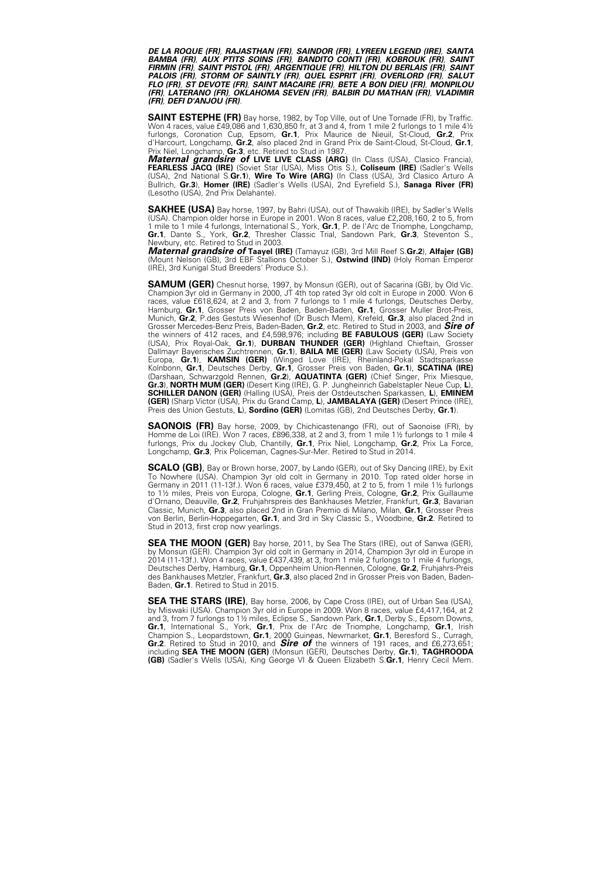*DE LA ROQUE (FR), RAJASTHAN (FR), SAINDOR (FR), LYREEN LEGEND (IRE), SANTA*  BAMBA (FR), AUX PTITS SOINS (FR), BANDITO CONTI (FR), KOBROUK (FR), SAINT<br>FIRMIN (FR), SAINT PISTOL (FR), ARGENTIQUE (FR), HILTON DU BERLAIS (FR), SAINT *PALOIS (FR), STORM OF SAINTLY (FR), QUEL ESPRIT (FR), OVERLORD (FR), SALUT*  FLO (FR), ST DEVOTE (FR), SAINT MACAIRE (FR), BETE A BON DIEU (FR), MONPILOU<br>(FR), LATERANO (FR), OKLAHOMA SEVEN (FR), BALBIR DU MATHAN (FR), VLADIMIR *(FR), DEFI D'ANJOU (FR)*.

**SAINT ESTEPHE (FR)** Bay horse, 1982, by Top Ville, out of Une Tornade (FR), by Traffic. Won 4 races, value £49,086 and 1,630,850 fr, at 3 and 4, from 1 mile 2 furlongs to 1 mile 4½  $\,$ furlongs, Coronation Cup, Epsom, **Gr.1**, Prix Maurice de Nieuil, St-Cloud, **Gr.2**, Prix d'Harcourt, Longchamp, **Gr.2**, also placed 2nd in Grand Prix de Saint-Cloud, St-Cloud, **Gr.1**,

Prix Niel, Longchamp, **Gr.3**, etc. Retired to Stud in 1987.<br>*Maternal grandsire of LIVE LIVE CLASS (ARG) (In Class (USA), Clasico Francia),<br>FEARLESS JACQ (IRE) (Soviet Star (USA), Miss Otis S.), Coliseum (IRE) (Sadler'* (USA), 2nd National S.**Gr.1**), **Wire To Wire (ARG)** (In Class (USA), 3rd Clasico Arturo A Bullrich, **Gr.3**), **Homer (IRE)** (Sadler's Wells (USA), 2nd Eyrefield S.), **Sanaga River (FR)** (Lesotho (USA), 2nd Prix Delahante).

**SAKHEE (USA)** Bay horse, 1997, by Bahri (USA), out of Thawakib (IRE), by Sadler's Wells (USA). Champion older horse in Europe in 2001. Won 8 races, value £2,208,160, 2 to 5, from 1 mile to 1 mile 4 furlongs, International S., York, **Gr.1**, P. de l'Arc de Triomphe, Longchamp, **Gr.1**, Dante S., York, **Gr.2**, Thresher Classic Trial, Sandown Park, **Gr.3**, Steventon S., Newbury, etc. Retired to Stud in 2003.

*Maternal grandsire of* **Taayel (IRE)** (Tamayuz (GB), 3rd Mill Reef S.**Gr.2**), **Alfajer (GB)** (Mount Nelson (GB), 3rd EBF Stallions October S.), **Ostwind (IND)** (Holy Roman Emperor (IRE), 3rd Kunigal Stud Breeders' Produce S.).

**SAMUM (GER)** Chesnut horse, 1997, by Monsun (GER), out of Sacarina (GB), by Old Vic. Champion 3yr old in Germany in 2000, JT 4th top rated 3yr old colt in Europe in 2000. Won 6 races, value £618,624, at 2 and 3, from 7 furlongs to 1 mile 4 furlongs, Deutsches Derby, Hamburg, **Gr.1**, Grosser Preis von Baden, Baden-Baden, **Gr.1**, Grosser Muller Brot-Preis, Munich, **Gr.2**, P.des Gestuts Wiesenhof (Dr Busch Mem), Krefeld, **Gr.3**, also placed 2nd in Grosser Mercedes-Benz Preis, Baden-Baden, **Gr.2**, etc. Retired to Stud in 2003, and *Sire of*<br>the winners of 412 races, and £4,598,976; including BE FABULOUS (GER) (Law Society<br>(USA), Prix Royal-Oak, **Gr.1**), DURBAN THUNDE Dallmayr Bayerisches Zuchtrennen, **Gr.1**), **BAILA ME (GER)** (Law Society (USA), Preis von Europa, **Gr.1**), **KAMSIN (GER)** (Winged Love (IRE), Rheinland-Pokal Stadtsparkasse Kolnbonn, **Gr.1**, Deutsches Derby, **Gr.1**, Grosser Preis von Baden, **Gr.1**), **SCATINA (IRE)** (Darshaan, Schwarzgold Rennen, **Gr.2**), **AQUATINTA (GER)** (Chief Singer, Prix Miesque, **Gr.3**), **NORTH MUM (GER)** (Desert King (IRE), G. P. Jungheinrich Gabelstapler Neue Cup, **L**), **SCHILLER DANON (GER)** (Halling (USA), Preis der Ostdeutschen Sparkassen, **L**), **EMINEM (GER)** (Sharp Victor (USA), Prix du Grand Camp, **L**), **JAMBALAYA (GER)** (Desert Prince (IRE), Preis des Union Gestuts, **L**), **Sordino (GER)** (Lomitas (GB), 2nd Deutsches Derby, **Gr.1**).

**SAONOIS (FR)** Bay horse, 2009, by Chichicastenango (FR), out of Saonoise (FR), by<br>Homme de Loi (IRE). Won 7 races, £896,338, at 2 and 3, from 1 mile 1½ furlongs to 1 mile 4<br>furlongs, Prix du Jockey Club, Chantilly, **Gr.1** Longchamp, **Gr.3**, Prix Policeman, Cagnes-Sur-Mer. Retired to Stud in 2014.

**SCALO (GB)**, Bay or Brown horse, 2007, by Lando (GER), out of Sky Dancing (IRE), by Exit To Nowhere (USA). Champion 3yr old colt in Germany in 2010. Top rated older horse in Germany in 2011 (11-13f.). Won 6 races, value £379,450, at 2 to 5, from 1 mile 1½ furlongs to 1½ miles, Preis von Europa, Cologne, **Gr.1**, Gerling Preis, Cologne, **Gr.2**, Prix Guillaume d'Ornano, Deauville, **Gr.2**, Fruhjahrspreis des Bankhauses Metzler, Frankfurt, **Gr.3**, Bavarian Classic, Munich, **Gr.3**, also placed 2nd in Gran Premio di Milano, Milan, **Gr.1**, Grosser Preis von Berlin, Berlin-Hoppegarten, **Gr.1**, and 3rd in Sky Classic S., Woodbine, **Gr.2**. Retired to Stud in 2013, first crop now yearlings.

**SEA THE MOON (GER)** Bay horse, 2011, by Sea The Stars (IRE), out of Sanwa (GER), by Monsun (GER). Champion 3yr old colt in Germany in 2014, Champion 3yr old in Europe in 2014 (11-13f.). Won 4 races, value £437,439, at 3, from 1 mile 2 furlongs to 1 mile 4 furlongs, Deutsches Derby, Hamburg, **Gr.1**, Oppenheim Union-Rennen, Cologne, **Gr.2**, Fruhjahrs-Preis des Bankhauses Metzler, Frankfurt, **Gr.3**, also placed 2nd in Grosser Preis von Baden, Baden-Baden, **Gr.1**. Retired to Stud in 2015.

**SEA THE STARS (IRE)**, Bay horse, 2006, by Cape Cross (IRE), out of Urban Sea (USA), by Miswaki (USA). Champion 3yr old in Europe in 2009. Won 8 races, value £4,417,164, at 2 and 3, from 7 furlongs to 1½ miles, Eclipse S., Sandown Park, **Gr.1**, Derby S., Epsom Downs, **Gr.1**, International S., York, **Gr.1**, Prix de l'Arc de Triomphe, Longchamp, **Gr.1**, Irish Champion S., Leopardstown, **Gr.1**, 2000 Guineas, Newmarket, **Gr.1**, Beresford S., Curragh, **Gr.2**. Retired to Stud in 2010, and *Sire of* the winners of 191 races, and £6,273,651; including **SEA THE MOON (GER)** (Monsun (GER), Deutsches Derby, **Gr.1**), **TAGHROODA (GB)** (Sadler's Wells (USA), King George VI & Queen Elizabeth S.**Gr.1**, Henry Cecil Mem.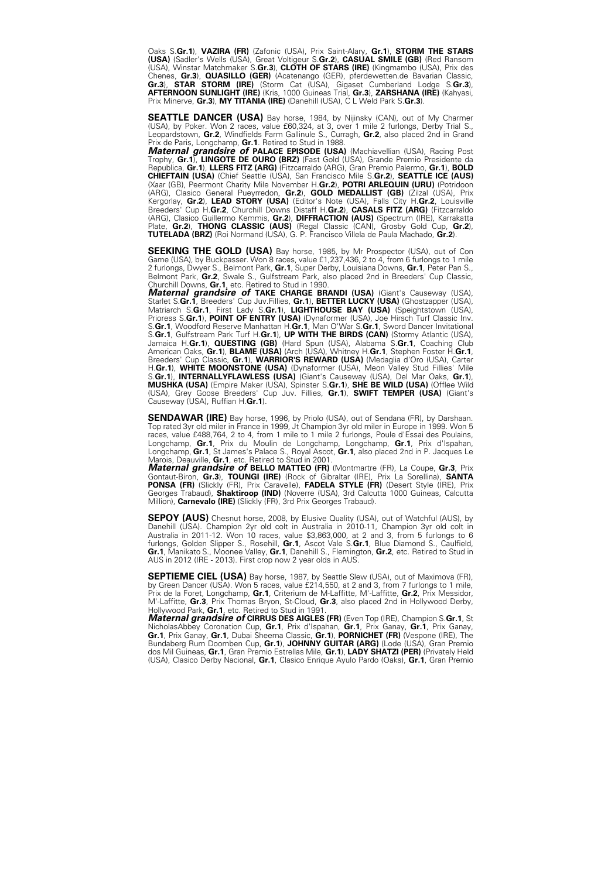Oaks S.**Gr.1**), **VAZIRA (FR)** (Zafonic (USA), Prix Saint-Alary, **Gr.1**), **STORM THE STARS (USA)** (Sadler's Wells (USA), Great Voltigeur S.**Gr.2**), **CASUAL SMILE (GB)** (Red Ransom (USA), Winstar Matchmaker S.**Gr.3**), **CLOTH OF STARS (IRE)** (Kingmambo (USA), Prix des Chenes, **Gr.3**), **QUASILLO (GER)** (Acatenango (GER), pferdewetten.de Bavarian Classic, **Gr.3**), **STAR STORM (IRE)** (Storm Cat (USA), Gigaset Cumberland Lodge S.**Gr.3**), **AFTERNOON SUNLIGHT (IRE)** (Kris, 1000 Guineas Trial, **Gr.3**), **ZARSHANA (IRE)** (Kahyasi, Prix Minerve, **Gr.3**), **MY TITANIA (IRE)** (Danehill (USA), C L Weld Park S.**Gr.3**).

**SEATTLE DANCER (USA)** Bay horse, 1984, by Nijinsky (CAN), out of My Charmer (USA), by Poker. Won 2 races, value £60,324, at 3, over 1 mile 2 furlongs, Derby Trial S., Leopardstown, **Gr.2**, Windfields Farm Gallinule S., Curragh, **Gr.2**, also placed 2nd in Grand<br>Prix de Paris, Longchamp, **Gr.1**. Retired to Stud in 1988.<br>**Maternal grandsire of PALACE EPISODE (USA)** (Machiavellian (USA), Ra

Trophy, **Gr.1**), **LINGOTE DE OURO (BRZ)** (Fast Gold (USA), Grande Premio Presidente da Republica, **Gr.1**), **LLERS FITZ (ARG)** (Fitzcarraldo (ARG), Gran Premio Palermo, **Gr.1**), **BOLD CHIEFTAIN (USA)** (Chief Seattle (USA), San Francisco Mile S.**Gr.2**), **SEATTLE ICE (AUS)** (Xaar (GB), Peermont Charity Mile November H.**Gr.2**), **POTRI ARLEQUIN (URU)** (Potridoon (ARG), Clasico General Pueyrredon, **Gr.2**), **GOLD MEDALLIST (GB)** (Zilzal (USA), Prix Kergorlay, **Gr.2**), **LEAD STORY (USA)** (Editor's Note (USA), Falls City H.**Gr.2**, Louisville Breeders' Cup H.**Gr.2**, Churchill Downs Distaff H.**Gr.2**), **CASALS FITZ (ARG)** (Fitzcarraldo (ARG), Clasico Guillermo Kemmis, **Gr.2**), **DIFFRACTION (AUS)** (Spectrum (IRE), Karrakatta Plate, **Gr.2**), **THONG CLASSIC (AUS)** (Regal Classic (CAN), Grosby Gold Cup, **Gr.2**), **TUTELADA (BRZ)** (Roi Normand (USA), G. P. Francisco Villela de Paula Machado, **Gr.2**).

**SEEKING THE GOLD (USA)** Bay horse, 1985, by Mr Prospector (USA), out of Con Game (USA), by Buckpasser. Won 8 races, value £1,237,436, 2 to 4, from 6 furlongs to 1 mile 2 furlongs, Dwyer S., Belmont Park, **Gr.1**, Super Derby, Louisiana Downs, **Gr.1**, Peter Pan S., Belmont Park, **Gr.2**, Swale S., Gulfstream Park, also placed 2nd in Breeders' Cup Classic,

Churchill Downs, **Gr.1**, etc. Retired to Stud in 1990.<br>**Maternal grandsire of TAKE CHARGE BRANDI (USA)** (Giant's Causeway (USA),<br>Starlet S.**Gr.1**, Breeders' Cup Juv.Fillies, **Gr.1**), **BETTER LUCKY (USA)** (Ghostzapper (USA) Matriarch S.**Gr.1**, First Lady S.**Gr.1**), **LIGHTHOUSE BAY (USA)** (Speightstown (USA), Prioress S.**Gr.1**), **POINT OF ENTRY (USA)** (Dynaformer (USA), Joe Hirsch Turf Classic Inv. S.**Gr.1**, Woodford Reserve Manhattan H.**Gr.1**, Man O'War S.**Gr.1**, Sword Dancer Invitational S.**Gr.1**, Gulfstream Park Turf H.**Gr.1**), **UP WITH THE BIRDS (CAN)** (Stormy Atlantic (USA), Jamaica H.**Gr.1**), **QUESTING (GB)** (Hard Spun (USA), Alabama S.**Gr.1**, Coaching Club American Oaks, **Gr.1**), **BLAME (USA)** (Arch (USA), Whitney H.**Gr.1**, Stephen Foster H.**Gr.1**, Breeders' Cup Classic, **Gr.1**), **WARRIOR'S REWARD (USA)** (Medaglia d'Oro (USA), Carter H.**Gr.1**), **WHITE MOONSTONE (USA)** (Dynaformer (USA), Meon Valley Stud Fillies' Mile S.**Gr.1**), **INTERNALLYFLAWLESS (USA)** (Giant's Causeway (USA), Del Mar Oaks, **Gr.1**), **MUSHKA (USA)** (Empire Maker (USA), Spinster S.**Gr.1**), **SHE BE WILD (USA)** (Offlee Wild (USA), Grey Goose Breeders' Cup Juv. Fillies, **Gr.1**), **SWIFT TEMPER (USA)** (Giant's Causeway (USA), Ruffian H.**Gr.1**).

**SENDAWAR (IRE)** Bay horse, 1996, by Priolo (USA), out of Sendana (FR), by Darshaan. Top rated 3yr old miler in France in 1999, Jt Champion 3yr old miler in Europe in 1999. Won 5 races, value £488,764, 2 to 4, from 1 mile to 1 mile 2 furlongs, Poule d'Essai des Poulains, Longchamp, **Gr.1**, Prix du Moulin de Longchamp, Longchamp, **Gr.1**, Prix d'Ispahan, Longchamp, **Gr.1**, St James's Palace S., Royal Ascot, **Gr.1**, also placed 2nd in P. Jacques Le Marois, Deauville, **Gr.1**, etc. Retired to Stud in 2001.

*Maternal grandsire of* **BELLO MATTEO (FR)** (Montmartre (FR), La Coupe, **Gr.3**, Prix Gontaut-Biron, **Gr.3**), **TOUNGI (IRE)** (Rock of Gibraltar (IRE), Prix La Sorellina), **SANTA PONSA (FR)** (Slickly (FR), Prix Caravelle), **FADELA STYLE (FR)** (Desert Style (IRE), Prix Georges Trabaud), **Shaktiroop (IND)** (Noverre (USA), 3rd Calcutta 1000 Guineas, Calcutta Million), **Carnevalo (IRE)** (Slickly (FR), 3rd Prix Georges Trabaud).

**SEPOY (AUS)** Chesnut horse, 2008, by Elusive Quality (USA), out of Watchful (AUS), by Danehill (USA). Champion 2yr old colt in Australia in 2010-11, Champion 3yr old colt in Australia in 2011-12. Won 10 races, value \$3,863,000, at 2 and 3, from 5 furlongs to 6 furlongs, Golden Slipper S., Rosehill, **Gr.1**, Ascot Vale S.**Gr.1**, Blue Diamond S., Caulfield, **Gr.1**, Manikato S., Moonee Valley, **Gr.1**, Danehill S., Flemington, **Gr.2**, etc. Retired to Stud in AUS in 2012 (IRE - 2013). First crop now 2 year olds in AUS.

**SEPTIEME CIEL (USA)** Bay horse, 1987, by Seattle Slew (USA), out of Maximova (FR), by Green Dancer (USA). Won 5 races, value £214,550, at 2 and 3, from 7 furlongs to 1 mile, Prix de la Foret, Longchamp, **Gr.1**, Criterium de M-Laffitte, M'-Laffitte, **Gr.2**, Prix Messidor, M'-Laffitte, **Gr.3**, Prix Thomas Bryon, St-Cloud, **Gr.3**, also placed 2nd in Hollywood Derby,

Hollywood Park, **Gr.1,** etc. Retired to Stud in 1991.<br>**Maternal grandsire of CIRRUS DES AIGLES (FR)** (Even Top (IRE), Champion S.**Gr.1**, St<br>NicholasAbbey Coronation Cup, **Gr.1**, Prix d'Ispahan, **Gr.1**, Prix Ganay, **Gr.1**, **Gr.1**, Prix Ganay, **Gr.1**, Dubai Sheema Classic, **Gr.1**), **PORNICHET (FR)** (Vespone (IRE), The Bundaberg Rum Doomben Cup, **Gr.1**), **JOHNNY GUITAR (ARG)** (Lode (USA), Gran Premio dos Mil Guineas, **Gr.1**, Gran Premio Estrellas Mile, **Gr.1**), **LADY SHATZI (PER)** (Privately Held (USA), Clasico Derby Nacional, **Gr.1**, Clasico Enrique Ayulo Pardo (Oaks), **Gr.1**, Gran Premio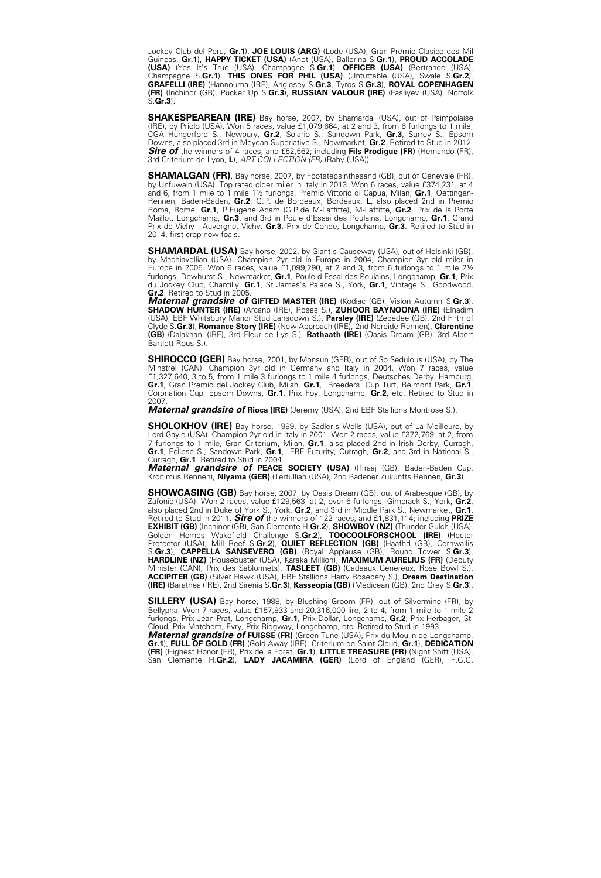Jockey Club del Peru, **Gr.1**), **JOE LOUIS (ARG)** (Lode (USA), Gran Premio Clasico dos Mil Guineas, **Gr.1**), **HAPPY TICKET (USA)** (Anet (USA), Ballerina S.**Gr.1**), **PROUD ACCOLADE (USA)** (Yes It's True (USA), Champagne S.**Gr.1**), **OFFICER (USA)** (Bertrando (USA), Champagne S.**Gr.1**), **THIS ONES FOR PHIL (USA)** (Untuttable (USA), Swale S.**Gr.2**), **GRAFELLI (IRE)** (Hannouma (IRE), Anglesey S.**Gr.3**, Tyros S.**Gr.3**), **ROYAL COPENHAGEN (FR)** (Inchinor (GB), Pucker Up S.**Gr.3**), **RUSSIAN VALOUR (IRE)** (Fasliyev (USA), Norfolk S.**Gr.3**).

**SHAKESPEAREAN (IRE)** Bay horse, 2007, by Shamardal (USA), out of Paimpolaise (IRE), by Priolo (USA). Won 5 races, value £1,079,664, at 2 and 3, from 6 furlongs to 1 mile, CGA Hungerford S., Newbury, **Gr.2**, Solario S., Sandown Park, **Gr.3**, Surrey S., Epsom Downs, also placed 3rd in Meydan Superlative S., Newmarket, **Gr.2**. Retired to Stud in 2012. *Sire of* the winners of 4 races, and £52,562; including **Fils Prodigue (FR)** (Hernando (FR), 3rd Criterium de Lyon, **L**), *ART COLLECTION (FR)* (Rahy (USA)).

**SHAMALGAN (FR)**, Bay horse, 2007, by Footstepsinthesand (GB), out of Genevale (FR), by Unfuwain (USA). Top rated older miler in Italy in 2013. Won 6 races, value £374,231, at 4 and 6, from 1 mile to 1 mile 1½ furlongs, Premio Vittorio di Capua, Milan, **Gr.1**, Oettingen-Rennen, Baden-Baden, **Gr.2**, G.P. de Bordeaux, Bordeaux, **L**, also placed 2nd in Premio Roma, Rome, **Gr.1**, P.Eugene Adam (G.P.de M-Laffitte), M-Laffitte, **Gr.2**, Prix de la Porte Maillot, Longchamp, **Gr.3**, and 3rd in Poule d'Essai des Poulains, Longchamp, **Gr.1**, Grand Prix de Vichy - Auvergne, Vichy, **Gr.3**, Prix de Conde, Longchamp, **Gr.3**. Retired to Stud in 2014, first crop now foals.

**SHAMARDAL (USA)** Bay horse, 2002, by Giant's Causeway (USA), out of Helsinki (GB), by Machiavellian (USA). Champion 2yr old in Europe in 2004, Champion 3yr old miler in Europe in 2005. Won 6 races, value £1,099,290, at 2 and 3, from 6 furlongs to 1 mile 2½ furlongs, Dewhurst S., Newmarket, **Gr.1**, Poule d'Essai des Poulains, Longchamp, **Gr.1**, Prix du Jockey Club, Chantilly, **Gr.1**, St James's Palace S., York, **Gr.1**, Vintage S., Goodwood, **Gr.2**. Retired to Stud in 2005.

*Maternal grandsire of* **GIFTED MASTER (IRE)** (Kodiac (GB), Vision Autumn S.**Gr.3**), **SHADOW HUNTER (IRE)** (Arcano (IRE), Roses S.), **ZUHOOR BAYNOONA (IRE)** (Elnadim (USA), EBF Whitsbury Manor Stud Lansdown S.), **Parsley (IRE)** (Zebedee (GB), 2nd Firth of Clyde S.**Gr.3**), **Romance Story (IRE)** (New Approach (IRE), 2nd Nereide-Rennen), **Clarentine (GB)** (Dalakhani (IRE), 3rd Fleur de Lys S.), **Rathaath (IRE)** (Oasis Dream (GB), 3rd Albert Bartlett Rous S.).

**SHIROCCO (GER)** Bay horse, 2001, by Monsun (GER), out of So Sedulous (USA), by The Minstrel (CAN), Champion, 3yr, old in Germany and Italy in 2004. Won 7 races, value Minstrel (CAN). Champion 3yr old in Germany and Italy in 2004. Won 7 races, £1,327,640, 3 to 5, from 1 mile 3 furlongs to 1 mile 4 furlongs, Deutsches Derby, Hamburg, **Gr.1**, Gran Premio del Jockey Club, Milan, **Gr.1**, Breeders' Cup Turf, Belmont Park, **Gr.1**, Coronation Cup, Epsom Downs, **Gr.1**, Prix Foy, Longchamp, **Gr.2**, etc. Retired to Stud in 2007.

*Maternal grandsire of Rioca (IRE)* (Jeremy (USA), 2nd EBF Stallions Montrose S.).

**SHOLOKHOV (IRE)** Bay horse, 1999, by Sadler's Wells (USA), out of La Meilleure, by Lord Gayle (USA). Champion 2yr old in Italy in 2001. Won 2 races, value £372,769, at 2, from 7 furlongs to 1 mile, Gran Criterium, Milan, **Gr.1**, also placed 2nd in Irish Derby, Curragh, **Gr.1**, Eclipse S., Sandown Park, **Gr.1**, EBF Futurity, Curragh, **Gr.2**, and 3rd in National S., Curragh, **Gr.1**. Retired to Stud in 2004.

*Maternal grandsire of* **PEACE SOCIETY (USA)** (Iffraaj (GB), Baden-Baden Cup, Kronimus Rennen), **Niyama (GER)** (Tertullian (USA), 2nd Badener Zukunfts Rennen, **Gr.3**).

**SHOWCASING (GB)** Bay horse, 2007, by Oasis Dream (GB), out of Arabesque (GB), by Zafonic (USA). Won 2 races, value £129,563, at 2, over 6 furlongs, Gimcrack S., York, **Gr.2**, also placed 2nd in Duke of York S., York, **Gr.2**, and 3rd in Middle Park S., Newmarket, **Gr.1**.<br>Retired to Stud in 2011. *Sire of* the winners of 122 races, and £1,831,114; including **PRIZE**<br>EXHIBIT (GB) (Inchinor (GB), Golden Homes Wakefield Challenge S.**Gr.2**), **TOOCOOLFORSCHOOL (IRE)** (Hector Protector (USA), Mill Reef S.**Gr.2**), **QUIET REFLECTION (GB)** (Haafhd (GB), Cornwallis S.**Gr.3**), **CAPPELLA SANSEVERO (GB)** (Royal Applause (GB), Round Tower S.**Gr.3**), **HARDLINE (NZ)** (Housebuster (USA), Karaka Million), **MAXIMUM AURELIUS (FR)** (Deputy Minister (CAN), Prix des Sablonnets), **TASLEET (GB)** (Cadeaux Genereux, Rose Bowl S.), **ACCIPITER (GB)** (Silver Hawk (USA), EBF Stallions Harry Rosebery S.), **Dream Destination (IRE)** (Barathea (IRE), 2nd Sirenia S.**Gr.3**), **Kasseopia (GB)** (Medicean (GB), 2nd Grey S.**Gr.3**).

**SILLERY (USA)** Bay horse, 1988, by Blushing Groom (FR), out of Silvermine (FR), by Bellypha. Won 7 races, value £157,933 and 20,316,000 lire, 2 to 4, from 1 mile to 1 mile 2 furlongs, Prix Jean Prat, Longchamp, **Gr.1**, Prix Dollar, Longchamp, **Gr.2**, Prix Herbager, St-

Cloud, Prix Matchem, Evry, Prix Ridgway, Longchamp, etc. Retired to Stud in 1993. *Maternal grandsire of* **FUISSE (FR)** (Green Tune (USA), Prix du Moulin de Longchamp, **Gr.1**), **FULL OF GOLD (FR)** (Gold Away (IRE), Criterium de Saint-Cloud, **Gr.1**), **DEDICATION (FR)** (Highest Honor (FR), Prix de la Foret, **Gr.1**), **LITTLE TREASURE (FR)** (Night Shift (USA), San Clemente H.**Gr.2**), **LADY JACAMIRA (GER)** (Lord of England (GER), F.G.G.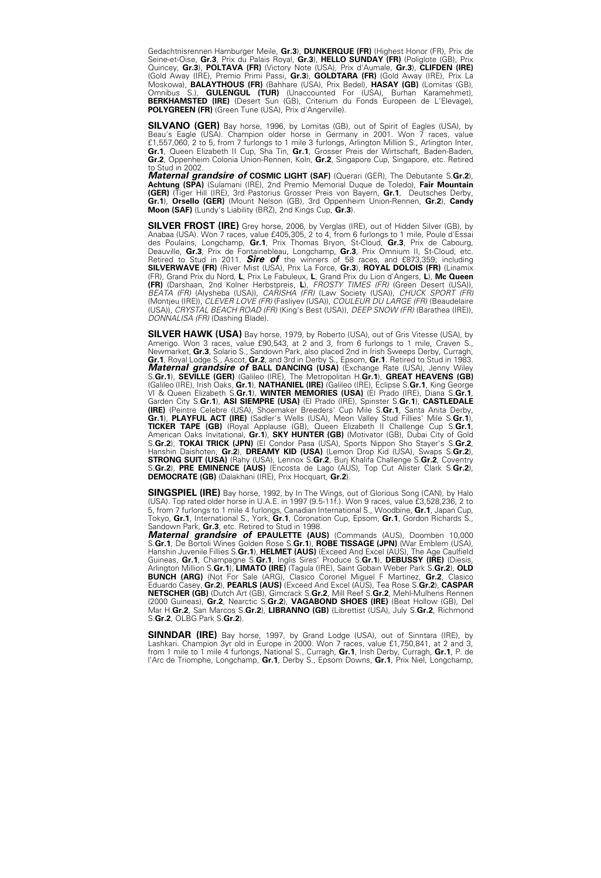Gedachtnisrennen Hamburger Meile, **Gr.3**), **DUNKERQUE (FR)** (Highest Honor (FR), Prix de Seine-et-Oise, **Gr.3**, Prix du Palais Royal, **Gr.3**), **HELLO SUNDAY (FR)** (Poliglote (GB), Prix<br>Quincey, **Gr.3**), POLTAVA (FR) (Victory Note (USA), Prix d'Aumale, **Gr.3**), **CLIFDEN (IRE)** (Gold Away (IRE), Premio Primi Passi, **Gr.3**), **GOLDTARA (FR)** (Gold Away (IRE), Prix La Moskowa), **BALAYTHOUS (FR)** (Bahhare (USA), Prix Bedel), **HASAY (GB)** (Lomitas (GB), Omnibus S.), **GULENGUL (TUR)** (Unaccounted For (USA), Burhan Karamehmet), **BERKHAMSTED (IRE)** (Desert Sun (GB), Criterium du Fonds Europeen de L'Elevage), **POLYGREEN (FR)** (Green Tune (USA), Prix d'Angerville).

**SILVANO (GER)** Bay horse, 1996, by Lomitas (GB), out of Spirit of Eagles (USA), by Beau's Eagle (USA). Champion older horse in Germany in 2001. Won 7 races, value £1,557,060, 2 to 5, from 7 furlongs to 1 mile 3 furlongs, Arlington Million S., Arlington Inter, **Gr.1**, Queen Elizabeth II Cup, Sha Tin, **Gr.1**, Grosser Preis der Wirtschaft, Baden-Baden, **Gr.2**, Oppenheim Colonia Union-Rennen, Koln, **Gr.2**, Singapore Cup, Singapore, etc. Retired to Stud in 2002.

*Maternal grandsire of* **COSMIC LIGHT (SAF)** (Querari (GER), The Debutante S.**Gr.2**), **Achtung (SPA)** (Sulamani (IRE), 2nd Premio Memorial Duque de Toledo), **Fair Mountain (GER)** (Tiger Hill (IRE), 3rd Pastorius Grosser Preis von Bayern, **Gr.1**, Deutsches Derby, **Gr.1**), **Orsello (GER)** (Mount Nelson (GB), 3rd Oppenheim Union-Rennen, **Gr.2**), **Candy Moon (SAF)** (Lundy's Liability (BRZ), 2nd Kings Cup, **Gr.3**).

**SILVER FROST (IRE)** Grey horse, 2006, by Verglas (IRE), out of Hidden Silver (GB), by<br>Anabaa (USA). Won 7 races, value £405,305, 2 to 4, from 6 furlongs to 1 mile, Poule d'Essai<br>des Poulains, Longchamp, **Gr.1**, Prix Thoma Deauville, **Gr.3**, Prix de Fontainebleau, Longchamp, **Gr.3**, Prix Omnium II, St-Cloud, etc. Retired to Stud in 2011. *Sire of* the winners of 58 races, and £873,359; including **SILVERWAVE (FR)** (River Mist (USA), Prix La Force, **Gr.3**), **ROYAL DOLOIS (FR)** (Linamix (FR), Grand Prix du Nord, **L**, Prix Le Fabuleux, **L**, Grand Prix du Lion d'Angers, **L**), **Mc Queen (FR)** (Darshaan, 2nd Kolner Herbstpreis, **L**), *FROSTY TIMES (FR)* (Green Desert (USA)), *BEATA (FR)* (Alysheba (USA)), *CARISHA (FR)* (Law Society (USA)), *CHUCK SPORT (FR)* (Montjeu (IRE)), *CLEVER LOVE (FR)* (Fasliyev (USA)), *COULEUR DU LARGE (FR)* (Beaudelaire (USA)), *CRYSTAL BEACH ROAD (FR)* (King's Best (USA)), *DEEP SNOW (FR)* (Barathea (IRE)), *DONNALISA (FR)* (Dashing Blade).

**SILVER HAWK (USA)** Bay horse, 1979, by Roberto (USA), out of Gris Vitesse (USA), by Amerigo. Won 3 races, value £90,543, at 2 and 3, from 6 furlongs to 1 mile, Craven S., Newmarket, **Gr.3**, Solario S., Sandown Park, also placed 2nd in Irish Sweeps Derby, Curragh, **Gr.1**, Royal Lodge S., Ascot, **Gr.2**, and 3rd in Derby S., Epsom, **Gr.1**. Retired to Stud in 1983. *Maternal grandsire of* **BALL DANCING (USA)** (Exchange Rate (USA), Jenny Wiley S.**Gr.1**), **SEVILLE (GER)** (Galileo (IRE), The Metropolitan H.**Gr.1**), **GREAT HEAVENS (GB)** (Galileo (IRE), Irish Oaks, **Gr.1**), **NATHANIEL (IRE)** (Galileo (IRE), Eclipse S.**Gr.1**, King George VI & Queen Elizabeth S.**Gr.1**), **WINTER MEMORIES (USA)** (El Prado (IRE), Diana S.**Gr.1**, Garden City S.**Gr.1**), **ASI SIEMPRE (USA)** (El Prado (IRE), Spinster S.**Gr.1**), **CASTLEDALE (IRE)** (Peintre Celebre (USA), Shoemaker Breeders' Cup Mile S.**Gr.1**, Santa Anita Derby, **Gr.1**), **PLAYFUL ACT (IRE)** (Sadler's Wells (USA), Meon Valley Stud Fillies' Mile S.**Gr.1**), **TICKER TAPE (GB)** (Royal Applause (GB), Queen Elizabeth II Challenge Cup S.**Gr.1**, American Oaks Invitational, **Gr.1**), **SKY HUNTER (GB)** (Motivator (GB), Dubai City of Gold S.**Gr.2**), **TOKAI TRICK (JPN)** (El Condor Pasa (USA), Sports Nippon Sho Stayer's S.**Gr.2**, Hanshin Daishoten, **Gr.2**), **DREAMY KID (USA)** (Lemon Drop Kid (USA), Swaps S.**Gr.2**), **STRONG SUIT (USA)** (Rahy (USA), Lennox S.**Gr.2**, Burj Khalifa Challenge S.**Gr.2**, Coventry S.**Gr.2**), **PRE EMINENCE (AUS)** (Encosta de Lago (AUS), Top Cut Alister Clark S.**Gr.2**), **DEMOCRATE (GB)** (Dalakhani (IRE), Prix Hocquart, **Gr.2**).

**SINGSPIEL (IRE)** Bay horse, 1992, by In The Wings, out of Glorious Song (CAN), by Halo (USA). Top rated older horse in U.A.E. in 1997 (9.5-11f.). Won 9 races, value £3,528,236, 2 to 5, from 7 furlongs to 1 mile 4 furlongs, Canadian International S., Woodbine, **Gr.1**, Japan Cup, Tokyo, **Gr.1**, International S., York, **Gr.1**, Coronation Cup, Epsom, **Gr.1**, Gordon Richards S., andown Park, Gr.3, etc. Retired to Stud in 1998.

*Maternal grandsire of* **EPAULETTE (AUS)** (Commands (AUS), Doomben 10,000 S.**Gr.1**, De Bortoli Wines Golden Rose S.**Gr.1**), **ROBE TISSAGE (JPN)** (War Emblem (USA), Hanshin Juvenile Fillies S.**Gr.1**), **HELMET (AUS)** (Exceed And Excel (AUS), The Age Caulfield Guineas, **Gr.1**, Champagne S.**Gr.1**, Inglis Sires' Produce S.**Gr.1**), **DEBUSSY (IRE)** (Diesis, Arlington Million S.**Gr.1**), **LIMATO (IRE)** (Tagula (IRE), Saint Gobain Weber Park S.**Gr.2**), **OLD BUNCH (ARG)** (Not For Sale (ARG), Clasico Coronel Miguel F Martinez, **Gr.2**, Clasico Eduardo Casey, **Gr.2**), **PEARLS (AUS)** (Exceed And Excel (AUS), Tea Rose S.**Gr.2**), **CASPAR NETSCHER (GB)** (Dutch Art (GB), Gimcrack S.**Gr.2**, Mill Reef S.**Gr.2**, Mehl-Mulhens Rennen (2000 Guineas), **Gr.2**, Nearctic S.**Gr.2**), **VAGABOND SHOES (IRE)** (Beat Hollow (GB), Del Mar H.**Gr.2**, San Marcos S.**Gr.2**), **LIBRANNO (GB)** (Librettist (USA), July S.**Gr.2**, Richmond S.**Gr.2**, OLBG Park S.**Gr.2**).

**SINNDAR (IRE)** Bay horse, 1997, by Grand Lodge (USA), out of Sinntara (IRE), by Lashkari. Champion 3yr old in Europe in 2000. Won 7 races, value £1,750,841, at 2 and 3, from 1 mile to 1 mile 4 furlongs, National S., Curragh, **Gr.1**, Irish Derby, Curragh, **Gr.1**, P. de l'Arc de Triomphe, Longchamp, **Gr.1**, Derby S., Epsom Downs, **Gr.1**, Prix Niel, Longchamp,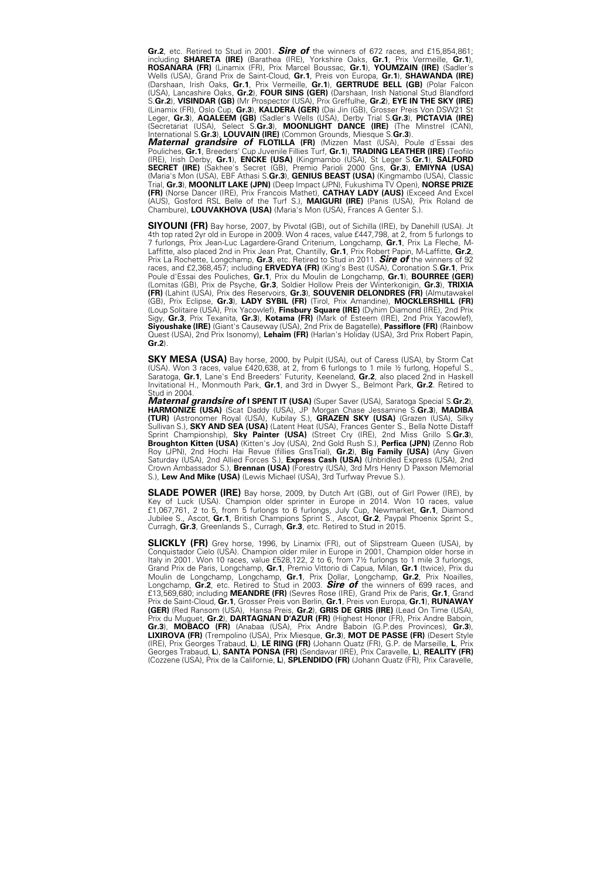**Gr.2**, etc. Retired to Stud in 2001. *Sire of* the winners of 672 races, and £15,854,861; including **SHARETA (IRE)** (Barathea (IRE), Yorkshire Oaks, **Gr.1**, Prix Vermeille, **Gr.1**), **ROSANARA (FR)** (Linamix (FR), Prix Marcel Boussac, **Gr.1**), **YOUMZAIN (IRE)** (Sadler's Wells (USA), Grand Prix de Saint-Cloud, **Gr.1**, Preis von Europa, **Gr.1**), **SHAWANDA (IRE)** (Darshaan, Irish Oaks, **Gr.1**, Prix Vermeille, **Gr.1**), **GERTRUDE BELL (GB)** (Polar Falcon (USA), Lancashire Oaks, **Gr.2**), **FOUR SINS (GER)** (Darshaan, Irish National Stud Blandford S.**Gr.2**), **VISINDAR (GB)** (Mr Prospector (USA), Prix Greffulhe, **Gr.2**), **EYE IN THE SKY (IRE)** (Linamix (FR), Oslo Cup, **Gr.3**), **KALDERA (GER)** (Dai Jin (GB), Grosser Preis Von DSW21 St Leger, **Gr.3**), **AQALEEM (GB)** (Sadler's Wells (USA), Derby Trial S.**Gr.3**), **PICTAVIA (IRE)** (Secretariat (USA), Select S.**Gr.3**), **MOONLIGHT DANCE (IRE)** (The Minstrel (CAN),

International S.**Gr.3), LOUVAIN (IRE)** (Common Grounds, Miesque S.**Gr.3).**<br>*Maternal grandsire of F*LOTILLA (FR) (Mizzen Mast (USA), Poule d'Essai des<br>Pouliches, **Gr.1,** Breeders' Cup Juvenile Fillies Turf, **Gr.1), TRADING** (IRE), Irish Derby, **Gr.1**), **ENCKE (USA)** (Kingmambo (USA), St Leger S.**Gr.1**), **SALFORD SECRET (IRE)** (Sakhee's Secret (GB), Premio Parioli 2000 Gns, **Gr.3**), **EMIYNA (USA)** (Maria's Mon (USA), EBF Athasi S.**Gr.3**), **GENIUS BEAST (USA)** (Kingmambo (USA), Classic Trial, **Gr.3**), **MOONLIT LAKE (JPN)** (Deep Impact (JPN), Fukushima TV Open), **NORSE PRIZE (FR)** (Norse Dancer (IRE), Prix Francois Mathet), **CATHAY LADY (AUS)** (Exceed And Excel (AUS), Gosford RSL Belle of the Turf S.), **MAIGURI (IRE)** (Panis (USA), Prix Roland de Chambure), **LOUVAKHOVA (USA)** (Maria's Mon (USA), Frances A Genter S.).

**SIYOUNI (FR)** Bay horse, 2007, by Pivotal (GB), out of Sichilla (IRE), by Danehill (USA). Jt 4th top rated 2yr old in Europe in 2009. Won 4 races, value £447,798, at 2, from 5 furlongs to 7 furlongs, Prix Jean-Luc Lagardere-Grand Criterium, Longchamp, **Gr.1**, Prix La Fleche, M-Laffitte, also placed 2nd in Prix Jean Prat, Chantilly, **Gr.1**, Prix Robert Papin, M-Laffitte, **Gr.2**, Prix La Rochette, Longchamp, **Gr.3**, etc. Retired to Stud in 2011. *Sire of* the winners of 92 races, and £2,368,457; including **ERVEDYA (FR)** (King's Best (USA), Coronation S.**Gr.1**, Prix Poule d'Essai des Pouliches, **Gr.1**, Prix du Moulin de Longchamp, **Gr.1**), **BOURREE (GER)** (Lomitas (GB), Prix de Psyche, **Gr.3**, Soldier Hollow Preis der Winterkonigin, **Gr.3**), **TRIXIA (FR)** (Lahint (USA), Prix des Reservoirs, **Gr.3**), **SOUVENIR DELONDRES (FR)** (Almutawakel (GB), Prix Eclipse, **Gr.3**), **LADY SYBIL (FR)** (Tirol, Prix Amandine), **MOCKLERSHILL (FR)** (Loup Solitaire (USA), Prix Yacowlef), **Finsbury Square (IRE)** (Dyhim Diamond (IRE), 2nd Prix Sigy, **Gr.3**, Prix Texanita, **Gr.3**), **Kotama (FR)** (Mark of Esteem (IRE), 2nd Prix Yacowlef), **Siyoushake (IRE)** (Giant's Causeway (USA), 2nd Prix de Bagatelle), **Passiflore (FR)** (Rainbow Quest (USA), 2nd Prix Isonomy), **Lehaim (FR)** (Harlan's Holiday (USA), 3rd Prix Robert Papin, **Gr.2**).

**SKY MESA (USA)** Bay horse, 2000, by Pulpit (USA), out of Caress (USA), by Storm Cat (USA). Won 3 races, value £420,638, at 2, from 6 furlongs to 1 mile ½ furlong, Hopeful S., Saratoga, **Gr.1**, Lane's End Breeders' Futurity, Keeneland, **Gr.2**, also placed 2nd in Haskell Invitational H., Monmouth Park, **Gr.1**, and 3rd in Dwyer S., Belmont Park, **Gr.2**. Retired to Stud in 2004.

*Maternal grandsire of* **I SPENT IT (USA)** (Super Saver (USA), Saratoga Special S.**Gr.2**), **HARMONIZE (USA)** (Scat Daddy (USA), JP Morgan Chase Jessamine S.**Gr.3**), **MADIBA (TUR)** (Astronomer Royal (USA), Kubilay S.), **GRAZEN SKY (USA)** (Grazen (USA), Silky Sullivan S.), **SKY AND SEA (USA)** (Latent Heat (USA), Frances Genter S., Bella Notte Distaff Sprint Championship), **Sky Painter (USA)** (Street Cry (IRE), 2nd Miss Grillo S.**Gr.3**), **Broughton Kitten (USA)** (Kitten's Joy (USA), 2nd Gold Rush S.), **Perfica (JPN)** (Zenno Rob Roy (JPN), 2nd Hochi Hai Revue (fillies GnsTrial), **Gr.2**), **Big Family (USA)** (Any Given Saturday (USA), 2nd Allied Forces S.), **Express Cash (USA)** (Unbridled Express (USA), 2nd Crown Ambassador S.), **Brennan (USA)** (Forestry (USA), 3rd Mrs Henry D Paxson Memorial S.), **Lew And Mike (USA)** (Lewis Michael (USA), 3rd Turfway Prevue S.).

**SLADE POWER (IRE)** Bay horse, 2009, by Dutch Art (GB), out of Girl Power (IRE), by Key of Luck (USA). Champion older sprinter in Europe in 2014. Won 10 races, value £1,067,761, 2 to 5, from 5 furlongs to 6 furlongs, July Cup, Newmarket, **Gr.1**, Diamond Jubilee S., Ascot, **Gr.1**, British Champions Sprint S., Ascot, **Gr.2**, Paypal Phoenix Sprint S., Curragh, **Gr.3**, Greenlands S., Curragh, **Gr.3**, etc. Retired to Stud in 2015.

**SLICKLY (FR)** Grey horse, 1996, by Linamix (FR), out of Slipstream Queen (USA), by Conquistador Cielo (USA). Champion older miler in Europe in 2001, Champion older horse in Italy in 2001. Won 10 races, value £528,122, 2 to 6, from 7½ furlongs to 1 mile 3 furlongs, Grand Prix de Paris, Longchamp, **Gr.1**, Premio Vittorio di Capua, Milan, **Gr.1** (twice), Prix du Moulin de Longchamp, Longchamp, **Gr.1**, Prix Dollar, Longchamp, **Gr.2**, Prix Noailles, Longchamp, **Gr.2**, etc. Retired to Stud in 2003. *Sire of* the winners of 699 races, and £13,569,680; including **MEANDRE (FR)** (Sevres Rose (IRE), Grand Prix de Paris, **Gr.1**, Grand Prix de Saint-Cloud, **Gr.1**, Grosser Preis von Berlin, **Gr.1**, Preis von Europa, **Gr.1**), **RUNAWAY (GER)** (Red Ransom (USA), Hansa Preis, **Gr.2**), **GRIS DE GRIS (IRE)** (Lead On Time (USA), Prix du Muguet, **Gr.2**), **DARTAGNAN D'AZUR (FR)** (Highest Honor (FR), Prix Andre Baboin, **Gr.3**), **MOBACO (FR)** (Anabaa (USA), Prix Andre Baboin (G.P.des Provinces), **Gr.3**), **LIXIROVA (FR)** (Trempolino (USA), Prix Miesque, **Gr.3**), **MOT DE PASSE (FR)** (Desert Style (IRE), Prix Georges Trabaud, **L**), **LE RING (FR)** (Johann Quatz (FR), G.P. de Marseille, **L**, Prix Georges Trabaud, **L**), **SANTA PONSA (FR)** (Sendawar (IRE), Prix Caravelle, **L**), **REALITY (FR)** (Cozzene (USA), Prix de la Californie, **L**), **SPLENDIDO (FR)** (Johann Quatz (FR), Prix Caravelle,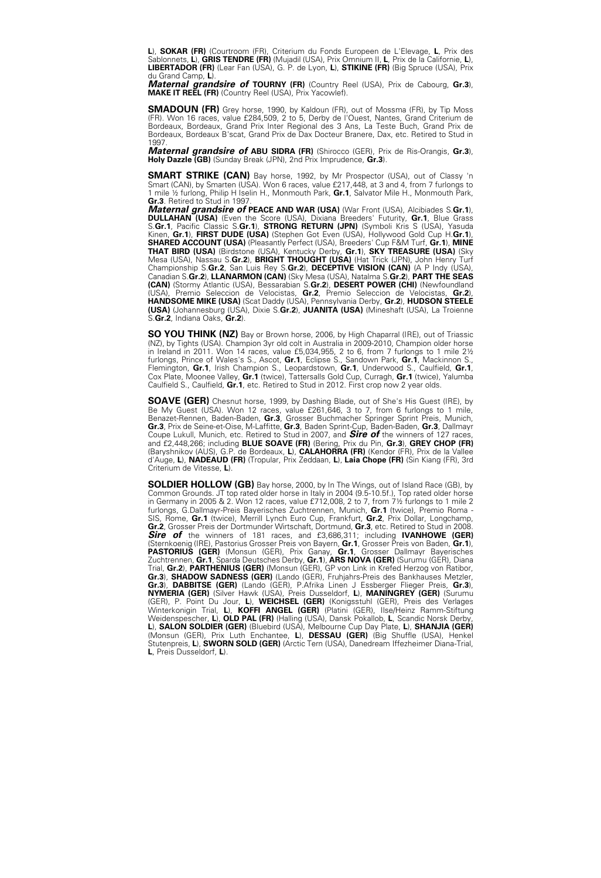**L**), **SOKAR (FR)** (Courtroom (FR), Criterium du Fonds Europeen de L'Elevage, **L**, Prix des Sablonnets, **L), GRIS TENDRE (FR)** (Mujadil (USA), Prix Omnium II, **L**, Prix de la Californie, **L),**<br>**LIBERTADOR (FR)** (Lear Fan (USA), G. P. de Lyon, **L), STIKINE (FR)** (Big Spruce (USA), Prix du Grand Camp, **L**).

*Maternal grandsire of* **TOURNY (FR)** (Country Reel (USA), Prix de Cabourg, **Gr.3**), **MAKE IT REEL (FR)** (Country Reel (USA), Prix Yacowlef).

**SMADOUN (FR)** Grey horse, 1990, by Kaldoun (FR), out of Mossma (FR), by Tip Moss (FR). Won 16 races, value £284,509, 2 to 5, Derby de l'Ouest, Nantes, Grand Criterium de Bordeaux, Bordeaux, Grand Prix Inter Regional des 3 Ans, La Teste Buch, Grand Prix de Bordeaux, Bordeaux B'scat, Grand Prix de Dax Docteur Branere, Dax, etc. Retired to Stud in 1997

*Maternal grandsire of* **ABU SIDRA (FR)** (Shirocco (GER), Prix de Ris-Orangis, **Gr.3**), **Holy Dazzle (GB)** (Sunday Break (JPN), 2nd Prix Imprudence, **Gr.3**).

**SMART STRIKE (CAN)** Bay horse, 1992, by Mr Prospector (USA), out of Classy 'n Smart (CAN), by Smarten (USA). Won 6 races, value £217,448, at 3 and 4, from 7 furlongs to 1 mile ½ furlong, Philip H Iselin H., Monmouth Park, **Gr.1**, Salvator Mile H., Monmouth Park, **Gr.3**. Retired to Stud in 1997.

*Maternal grandsire of* **PEACE AND WAR (USA)** (War Front (USA), Alcibiades S.**Gr.1**), **DULLAHAN (USA)** (Even the Score (USA), Dixiana Breeders' Futurity, **Gr.1**, Blue Grass S.**Gr.1**, Pacific Classic S.**Gr.1**), **STRONG RETURN (JPN)** (Symboli Kris S (USA), Yasuda Kinen, **Gr.1**), **FIRST DUDE (USA)** (Stephen Got Even (USA), Hollywood Gold Cup H.**Gr.1**), **SHARED ACCOUNT (USA)** (Pleasantly Perfect (USA), Breeders' Cup F&M Turf, **Gr.1**), **MINE THAT BIRD (USA)** (Birdstone (USA), Kentucky Derby, **Gr.1**), **SKY TREASURE (USA)** (Sky Mesa (USA), Nassau S.**Gr.2**), **BRIGHT THOUGHT (USA)** (Hat Trick (JPN), John Henry Turf Championship S.**Gr.2**, San Luis Rey S.**Gr.2**), **DECEPTIVE VISION (CAN)** (A P Indy (USA), Canadian S.**Gr.2**), **LLANARMON (CAN)** (Sky Mesa (USA), Natalma S.**Gr.2**), **PART THE SEAS (CAN)** (Stormy Atlantic (USA), Bessarabian S.**Gr.2**), **DESERT POWER (CHI)** (Newfoundland (USA), Premio Seleccion de Velocistas, **Gr.2**, Premio Seleccion de Velocistas, **Gr.2**), **HANDSOME MIKE (USA)** (Scat Daddy (USA), Pennsylvania Derby, **Gr.2**), **HUDSON STEELE (USA)** (Johannesburg (USA), Dixie S.**Gr.2**), **JUANITA (USA)** (Mineshaft (USA), La Troienne S.**Gr.2**, Indiana Oaks, **Gr.2**).

**SO YOU THINK (NZ)** Bay or Brown horse, 2006, by High Chaparral (IRE), out of Triassic (NZ), by Tights (USA). Champion 3yr old colt in Australia in 2009-2010, Champion older horse in Ireland in 2011. Won 14 races, value £5,034,955, 2 to 6, from 7 furlongs to 1 mile 2½ furlongs, Prince of Wales's S., Ascot, **Gr.1**, Eclipse S., Sandown Park, **Gr.1**, Mackinnon S., Flemington, **Gr.1**, Irish Champion S., Leopardstown, **Gr.1**, Underwood S., Caulfield, **Gr.1**, Cox Plate, Moonee Valley, **Gr.1** (twice), Tattersalls Gold Cup, Curragh, **Gr.1** (twice), Yalumba Caulfield S., Caulfield, **Gr.1**, etc. Retired to Stud in 2012. First crop now 2 year olds.

**SOAVE (GER)** Chesnut horse, 1999, by Dashing Blade, out of She's His Guest (IRE), by<br>Be My Guest (USA). Won 12 races, value £261,646, 3 to 7, from 6 furlongs to 1 mile,<br>Benazet-Rennen, Baden-Baden, **Gr.3**, Grosser Buchmac **Gr.3**, Prix de Seine-et-Oise, M-Laffitte, **Gr.3**, Baden Sprint-Cup, Baden-Baden, **Gr.3**, Dallmayr Coupe Lukull, Munich, etc. Retired to Stud in 2007, and *Sire of* the winners of 127 races, and £2,448,266; including **BLUE SOAVE (FR)** (Bering, Prix du Pin, **Gr.3**), **GREY CHOP (FR)** (Baryshnikov (AUS), G.P. de Bordeaux, **L**), **CALAHORRA (FR)** (Kendor (FR), Prix de la Vallee d'Auge, **L**), **NADEAUD (FR)** (Tropular, Prix Zeddaan, **L**), **Laia Chope (FR)** (Sin Kiang (FR), 3rd Criterium de Vitesse, **L**).

**SOLDIER HOLLOW (GB)** Bay horse, 2000, by In The Wings, out of Island Race (GB), by Common Grounds. JT top rated older horse in Italy in 2004 (9.5-10.5f.), Top rated older horse in Germany in 2005 & 2. Won 12 races, value £712,008, 2 to 7, from 7½ furlongs to 1 mile 2 furlongs, G.Dallmayr-Preis Bayerisches Zuchtrennen, Munich, **Gr.1** (twice), Premio Roma - SIS, Rome, **Gr.1** (twice), Merrill Lynch Euro Cup, Frankfurt, **Gr.2**, Prix Dollar, Longchamp, **Gr.2**, Grosser Preis der Dortmunder Wirtschaft, Dortmund, **Gr.3**, etc. Retired to Stud in 2008. *Sire of* the winners of 181 races, and £3,686,311; including **IVANHOWE (GER)** (Sternkoenig (IRE), Pastorius Grosser Preis von Bayern, **Gr.1**, Grosser Preis von Baden, **Gr.1**), **PASTORIUS (GER)** (Monsun (GER), Prix Ganay, **Gr.1**, Grosser Dallmayr Bayerisches Zuchtrennen, **Gr.1**, Sparda Deutsches Derby, **Gr.1**), **ARS NOVA (GER)** (Surumu (GER), Diana Trial, **Gr.2**), **PARTHENIUS (GER)** (Monsun (GER), GP von Link in Krefed Herzog von Ratibor, **Gr.3**), **SHADOW SADNESS (GER)** (Lando (GER), Fruhjahrs-Preis des Bankhauses Metzler, **Gr.3**), **DABBITSE (GER)** (Lando (GER), P.Afrika Linen J Essberger Flieger Preis, **Gr.3**), **NYMERIA (GER)** (Silver Hawk (USA), Preis Dusseldorf, **L**), **MANINGREY (GER)** (Surumu (GER), P. Point Du Jour, **L**), **WEICHSEL (GER)** (Konigsstuhl (GER), Preis des Verlages Winterkonigin Trial, **L**), **KOFFI ANGEL (GER)** (Platini (GER), Ilse/Heinz Ramm-Stiftung Weidenspescher, **L**), **OLD PAL (FR)** (Halling (USA), Dansk Pokallob, **L**, Scandic Norsk Derby, **L**), **SALON SOLDIER (GER)** (Bluebird (USA), Melbourne Cup Day Plate, **L**), **SHANJIA (GER)** (Monsun (GER), Prix Luth Enchantee, **L**), **DESSAU (GER)** (Big Shuffle (USA), Henkel Stutenpreis, **L**), **SWORN SOLD (GER)** (Arctic Tern (USA), Danedream Iffezheimer Diana-Trial, **L**, Preis Dusseldorf, **L**).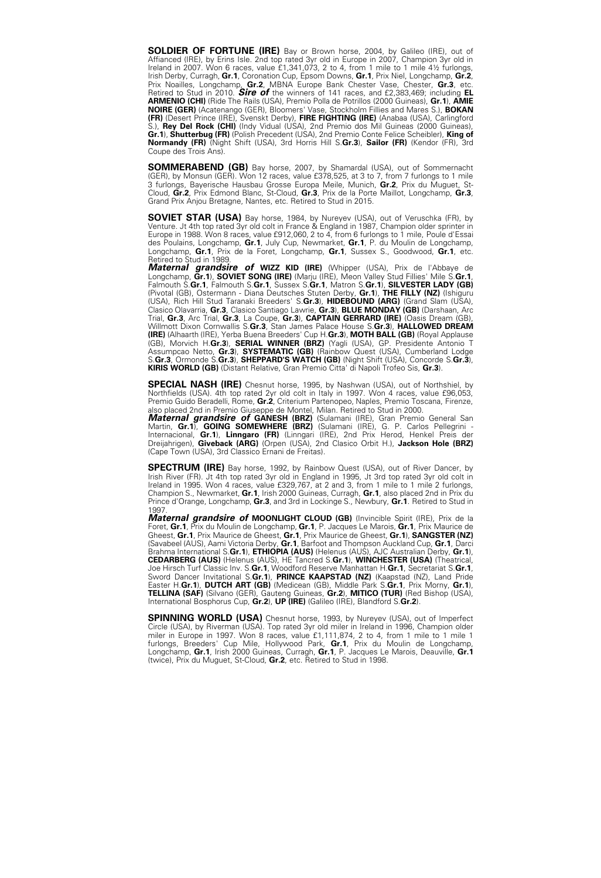**SOLDIER OF FORTUNE (IRE)** Bay or Brown horse, 2004, by Galileo (IRE), out of<br>Affianced (IRE), by Erins Isle. 2nd top rated 3yr old in Europe in 2007, Champion 3yr old in<br>Ireland in 2007. Won 6 races, value £1,341,073, 2 t Irish Derby, Curragh, **Gr.1**, Coronation Cup, Epsom Downs, **Gr.1**, Prix Niel, Longchamp, **Gr.2**, Prix Noailles, Longchamp, **Gr.2**, MBNA Europe Bank Chester Vase, Chester, **Gr.3**, etc.<br>Retired to Stud in 2010. *Sire of* the winners of 141 races, and £2,383,469; including **EL**<br>**ARMENIO (CHI)** (Ride The Rails (USA), Pr **NOIRE (GER)** (Acatenango (GER), Bloomers' Vase, Stockholm Fillies and Mares S.), **BOKAN (FR)** (Desert Prince (IRE), Svenskt Derby), **FIRE FIGHTING (IRE)** (Anabaa (USA), Carlingford S.), **Rey Del Rock (CHI)** (Indy Vidual (USA), 2nd Premio dos Mil Guineas (2000 Guineas), **Gr.1**), **Shutterbug (FR)** (Polish Precedent (USA), 2nd Premio Conte Felice Scheibler), **King of Normandy (FR)** (Night Shift (USA), 3rd Horris Hill S.**Gr.3**), **Sailor (FR)** (Kendor (FR), 3rd Coupe des Trois Ans).

**SOMMERABEND (GB)** Bay horse, 2007, by Shamardal (USA), out of Sommernacht (GER), by Monsun (GER). Won 12 races, value £378,525, at 3 to 7, from 7 furlongs to 1 mile 3 furlongs, Bayerische Hausbau Grosse Europa Meile, Munich, **Gr.2**, Prix du Muguet, St-Cloud, **Gr.2**, Prix Edmond Blanc, St-Cloud, **Gr.3**, Prix de la Porte Maillot, Longchamp, **Gr.3**, Grand Prix Anjou Bretagne, Nantes, etc. Retired to Stud in 2015.

**SOVIET STAR (USA)** Bay horse, 1984, by Nureyev (USA), out of Veruschka (FR), by Venture. Jt 4th top rated 3yr old colt in France & England in 1987, Champion older sprinter in Europe in 1988. Won 8 races, value £912,060, 2 to 4, from 6 furlongs to 1 mile, Poule d'Essai des Poulains, Longchamp, **Gr.1**, July Cup, Newmarket, **Gr.1**, P. du Moulin de Longchamp, Longchamp, **Gr.1**, Prix de la Foret, Longchamp, **Gr.1**, Sussex S., Goodwood, **Gr.1**, etc. Retired to Stud in 1989.

*Maternal grandsire of* **WIZZ KID (IRE)** (Whipper (USA), Prix de l'Abbaye de Longchamp, **Gr.1**), **SOVIET SONG (IRE)** (Marju (IRE), Meon Valley Stud Fillies' Mile S.**Gr.1**, Falmouth S.**Gr.1**, Falmouth S.**Gr.1**, Sussex S.**Gr.1**, Matron S.**Gr.1**), **SILVESTER LADY (GB)** (Pivotal (GB), Ostermann - Diana Deutsches Stuten Derby, **Gr.1**), **THE FILLY (NZ)** (Ishiguru (USA), Rich Hill Stud Taranaki Breeders' S.**Gr.3**), **HIDEBOUND (ARG)** (Grand Slam (USA), Clasico Olavarria, **Gr.3**, Clasico Santiago Lawrie, **Gr.3**), **BLUE MONDAY (GB)** (Darshaan, Arc<br>Trial, **Gr.3**, Arc Trial, **Gr.3**, La Coupe, **Gr.3**), **CAPTAIN GERRARD (IRE)** (Oasis Dream (GB), Willmott Dixon Cornwallis S.**Gr.3**, Stan James Palace House S.**Gr.3**), **HALLOWED DREAM (IRE)** (Alhaarth (IRE), Yerba Buena Breeders' Cup H.**Gr.3**), **MOTH BALL (GB)** (Royal Applause (GB), Morvich H.**Gr.3**), **SERIAL WINNER (BRZ)** (Yagli (USA), GP. Presidente Antonio T Assumpcao Netto, **Gr.3**), **SYSTEMATIC (GB)** (Rainbow Quest (USA), Cumberland Lodge S.**Gr.3**, Ormonde S.**Gr.3**), **SHEPPARD'S WATCH (GB)** (Night Shift (USA), Concorde S.**Gr.3**), **KIRIS WORLD (GB)** (Distant Relative, Gran Premio Citta' di Napoli Trofeo Sis, **Gr.3**).

**SPECIAL NASH (IRE)** Chesnut horse, 1995, by Nashwan (USA), out of Northshiel, by Northfields (USA). 4th top rated 2yr old colt in Italy in 1997. Won 4 races, value £96,053, Premio Guido Beradelli, Rome, **Gr.2**, Criterium Partenopeo, Naples, Premio Toscana, Firenze, also placed 2nd in Premio Giuseppe de Montel, Milan. Retired to Stud in 2000.

*Maternal grandsire of* **GANESH (BRZ)** (Sulamani (IRE), Gran Premio General San Martin, **Gr.1**), **GOING SOMEWHERE (BRZ)** (Sulamani (IRE), G. P. Carlos Pellegrini - Internacional, **Gr.1**), **Linngaro (FR)** (Linngari (IRE), 2nd Prix Herod, Henkel Preis der Dreijahrigen), **Giveback (ARG)** (Orpen (USA), 2nd Clasico Orbit H.), **Jackson Hole (BRZ)** (Cape Town (USA), 3rd Classico Ernani de Freitas).

**SPECTRUM (IRE)** Bay horse, 1992, by Rainbow Quest (USA), out of River Dancer, by Irish River (FR). Jt 4th top rated 3yr old in England in 1995, Jt 3rd top rated 3yr old colt in Ireland in 1995. Won 4 races, value £329,767, at 2 and 3, from 1 mile to 1 mile 2 furlongs, Champion S., Newmarket, **Gr.1**, Irish 2000 Guineas, Curragh, **Gr.1**, also placed 2nd in Prix du Prince d'Orange, Longchamp, **Gr.3**, and 3rd in Lockinge S., Newbury, **Gr.1**. Retired to Stud in 1997.

*Maternal grandsire of* **MOONLIGHT CLOUD (GB)** (Invincible Spirit (IRE), Prix de la Foret, **Gr.1**, Prix du Moulin de Longchamp, **Gr.1**, P. Jacques Le Marois, **Gr.1**, Prix Maurice de Gheest, **Gr.1**, Prix Maurice de Gheest, **Gr.1**, Prix Maurice de Gheest, **Gr.1**), **SANGSTER (NZ)** (Savabeel (AUS), Aami Victoria Derby, **Gr.1**, Barfoot and Thompson Auckland Cup, **Gr.1**, Darci Brahma International S.**Gr.1**), **ETHIOPIA (AUS)** (Helenus (AUS), AJC Australian Derby, **Gr.1**), **CEDARBERG (AUS)** (Helenus (AUS), HE Tancred S.**Gr.1**), **WINCHESTER (USA)** (Theatrical, Joe Hirsch Turf Classic Inv. S.**Gr.1**, Woodford Reserve Manhattan H.**Gr.1**, Secretariat S.**Gr.1**, Sword Dancer Invitational S.**Gr.1**), **PRINCE KAAPSTAD (NZ)** (Kaapstad (NZ), Land Pride Easter H.**Gr.1**), **DUTCH ART (GB)** (Medicean (GB), Middle Park S.**Gr.1**, Prix Morny, **Gr.1**), **TELLINA (SAF)** (Silvano (GER), Gauteng Guineas, **Gr.2**), **MITICO (TUR)** (Red Bishop (USA), International Bosphorus Cup, **Gr.2**), **UP (IRE)** (Galileo (IRE), Blandford S.**Gr.2**).

**SPINNING WORLD (USA)** Chesnut horse, 1993, by Nureyev (USA), out of Imperfect Circle (USA), by Riverman (USA). Top rated 3yr old miler in Ireland in 1996, Champion older miler in Europe in 1997. Won 8 races, value £1,111,874, 2 to 4, from 1 mile to 1 mile 1 furlongs, Breeders' Cup Mile, Hollywood Park, **Gr.1**, Prix du Moulin de Longchamp, Longchamp, **Gr.1**, Irish 2000 Guineas, Curragh, **Gr.1**, P. Jacques Le Marois, Deauville, **Gr.1** (twice), Prix du Muguet, St-Cloud, **Gr.2**, etc. Retired to Stud in 1998.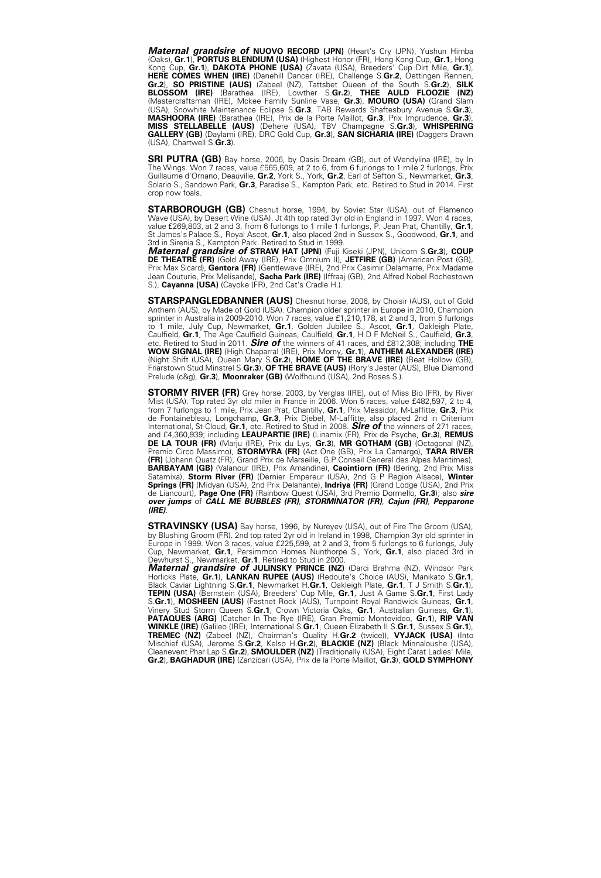*Maternal grandsire of* **NUOVO RECORD (JPN)** (Heart's Cry (JPN), Yushun Himba (Oaks), **Gr.1**), **PORTUS BLENDIUM (USA)** (Highest Honor (FR), Hong Kong Cup, **Gr.1**, Hong Kong Cup, **Gr.1**), **DAKOTA PHONE (USA)** (Zavata (USA), Breeders' Cup Dirt Mile, **Gr.1**), **HERE COMES WHEN (IRE)** (Danehill Dancer (IRE), Challenge S.**Gr.2**, Oettingen Rennen, **Gr.2**), **SO PRISTINE (AUS)** (Zabeel (NZ), Tattsbet Queen of the South S.**Gr.2**), **SILK BLOSSOM (IRE)** (Barathea (IRE), Lowther S.**Gr.2**), **THEE AULD FLOOZIE (NZ)** (Mastercraftsman (IRE), Mckee Family Sunline Vase, **Gr.3**), **MOURO (USA)** (Grand Slam (USA), Snowhite Maintenance Eclipse S.**Gr.3**, TAB Rewards Shaftesbury Avenue S.**Gr.3**), **MASHOORA (IRE)** (Barathea (IRE), Prix de la Porte Maillot, **Gr.3**, Prix Imprudence, **Gr.3**), **MISS STELLABELLE (AUS)** (Dehere (USA), TBV Champagne S.**Gr.3**), **WHISPERING GALLERY (GB)** (Daylami (IRE), DRC Gold Cup, **Gr.3**), **SAN SICHARIA (IRE)** (Daggers Drawn (USA), Chartwell S.**Gr.3**).

**SRI PUTRA (GB)** Bay horse, 2006, by Oasis Dream (GB), out of Wendylina (IRE), by In The Wings. Won 7 races, value £565,609, at 2 to 6, from 6 furlongs to 1 mile 2 furlongs, Prix Guillaume d'Ornano, Deauville, **Gr.2**, York S., York, **Gr.2**, Earl of Sefton S., Newmarket, **Gr.3**, Solario S., Sandown Park, **Gr.3**, Paradise S., Kempton Park, etc. Retired to Stud in 2014. First crop now foals.

**STARBOROUGH (GB)** Chesnut horse, 1994, by Soviet Star (USA), out of Flamenco Wave (USA), by Desert Wine (USA). Jt 4th top rated 3yr old in England in 1997. Won 4 races, value £269,803, at 2 and 3, from 6 furlongs to 1 mile 1 furlongs, P. Jean Prat, Chantilly, **Gr.1**, St James's Palace S., Royal Ascot, **Gr.1**, also placed 2nd in Sussex S., Goodwood, **Gr.1**, and 3rd in Sirenia S., Kempton Park. Retired to Stud in 1999.

*Maternal grandsire of* **STRAW HAT (JPN)** (Fuji Kiseki (JPN), Unicorn S.**Gr.3**), **COUP DE THEATRE (FR)** (Gold Away (IRE), Prix Omnium II), **JETFIRE (GB)** (American Post (GB), Prix Max Sicard), **Gentora (FR)** (Gentlewave (IRE), 2nd Prix Casimir Delamarre, Prix Madame Jean Couturie, Prix Melisande), **Sacha Park (IRE)** (Iffraaj (GB), 2nd Alfred Nobel Rochestown S.), **Cayanna (USA)** (Cayoke (FR), 2nd Cat's Cradle H.).

**STARSPANGLEDBANNER (AUS)** Chesnut horse, 2006, by Choisir (AUS), out of Gold Anthem (AUS), by Made of Gold (USA). Champion older sprinter in Europe in 2010, Champion sprinter in Australia in 2009-2010. Won 7 races, value £1,210,178, at 2 and 3, from 5 furlongs to 1 mile, July Cup, Newmarket, **Gr.1**, Golden Jubilee S., Ascot, **Gr.1**, Oakleigh Plate, Caulfield, **Gr.1**, The Age Caulfield Guineas, Caulfield, **Gr.1**, H D F McNeil S., Caulfield, **Gr.3**,<br>etc. Retired to Stud in 2011. *Sire of* the winners of 41 races, and £812,308; including THE<br>WOW SIGNAL (IRE) (High Chapa (Night Shift (USA), Queen Mary S.**Gr.2**), **HOME OF THE BRAVE (IRE)** (Beat Hollow (GB), Friarstown Stud Minstrel S.**Gr.3**), **OF THE BRAVE (AUS)** (Rory's Jester (AUS), Blue Diamond Prelude (c&g), **Gr.3**), **Moonraker (GB)** (Wolfhound (USA), 2nd Roses S.).

**STORMY RIVER (FR)** Grey horse, 2003, by Verglas (IRE), out of Miss Bio (FR), by River Mist (USA). Top rated 3yr old miler in France in 2006. Won 5 races, value £482,597, 2 to 4, from 7 furlongs to 1 mile, Prix Jean Prat, Chantilly, **Gr.1**, Prix Messidor, M-Laffitte, **Gr.3**, Prix de Fontainebleau, Longchamp, **Gr.3**, Prix Djebel, M-Laffitte, also placed 2nd in Criterium<br>International, St-Cloud, **Gr.1**, etc. Retired to Stud in 2008. *Sire of* the winners of 271 races,<br>and £4,360,939; including **LEA DE LA TOUR (FR)** (Marju (IRE), Prix du Lys, **Gr.3**), **MR GOTHAM (GB)** (Octagonal (NZ), Premio Circo Massimo), **STORMYRA (FR)** (Act One (GB), Prix La Camargo), **TARA RIVER (FR)** (Johann Quatz (FR), Grand Prix de Marseille, G.P.Conseil General des Alpes Maritimes), **BARBAYAM (GB)** (Valanour (IRE), Prix Amandine), **Caointiorn (FR)** (Bering, 2nd Prix Miss Satamixa), **Storm River (FR)** (Dernier Empereur (USA), 2nd G P Region Alsace), **Winter Springs (FR)** (Midyan (USA), 2nd Prix Delahante), **Indriya (FR)** (Grand Lodge (USA), 2nd Prix de Liancourt), **Page One (FR)** (Rainbow Quest (USA), 3rd Premio Dormello, **Gr.3**); also *sire over jumps* of *CALL ME BUBBLES (FR), STORMINATOR (FR), Cajun (FR), Pepparone (IRE)*.

**STRAVINSKY (USA)** Bay horse, 1996, by Nureyev (USA), out of Fire The Groom (USA), by Blushing Groom (FR). 2nd top rated 2yr old in Ireland in 1998, Champion 3yr old sprinter in Europe in 1999. Won 3 races, value £225,599, at 2 and 3, from 5 furlongs to 6 furlongs, July Cup, Newmarket, **Gr.1**, Persimmon Homes Nunthorpe S., York, **Gr.1**, also placed 3rd in

Dewhurst S., Newmarket, **Gr.1**. Retired to Stud in 2000.<br>*Maternal grandsire of JULINSKY PRINCE (NZ) (Darci Brahma (NZ), Windsor Park*<br>Horlicks Plate, **Gr.1**), LANKAN RUPEE (AUS) (Redoute's Choice (AUS), Manikato S.**Gr.1** Black Caviar Lightning S.**Gr.1**, Newmarket H.**Gr.1**, Oakleigh Plate, **Gr.1**, T J Smith S.**Gr.1**), **TEPIN (USA)** (Bernstein (USA), Breeders' Cup Mile, **Gr.1**, Just A Game S.**Gr.1**, First Lady S.**Gr.1**), **MOSHEEN (AUS)** (Fastnet Rock (AUS), Turnpoint Royal Randwick Guineas, **Gr.1**, Vinery Stud Storm Queen S.**Gr.1**, Crown Victoria Oaks, **Gr.1**, Australian Guineas, **Gr.1**), **PATAQUES (ARG)** (Catcher In The Rye (IRE), Gran Premio Montevideo, **Gr.1**), **RIP VAN WINKLE (IRE)** (Galileo (IRE), International S.**Gr.1**, Queen Elizabeth II S.**Gr.1**, Sussex S.**Gr.1**), **TREMEC (NZ)** (Zabeel (NZ), Chairman's Quality H.**Gr.2** (twice)), **VYJACK (USA)** (Into Mischief (USA), Jerome S.**Gr.2**, Kelso H.**Gr.2**), **BLACKIE (NZ)** (Black Minnaloushe (USA), Cleanevent Phar Lap S.**Gr.2**), **SMOULDER (NZ)** (Traditionally (USA), Eight Carat Ladies' Mile, **Gr.2**), **BAGHADUR (IRE)** (Zanzibari (USA), Prix de la Porte Maillot, **Gr.3**), **GOLD SYMPHONY**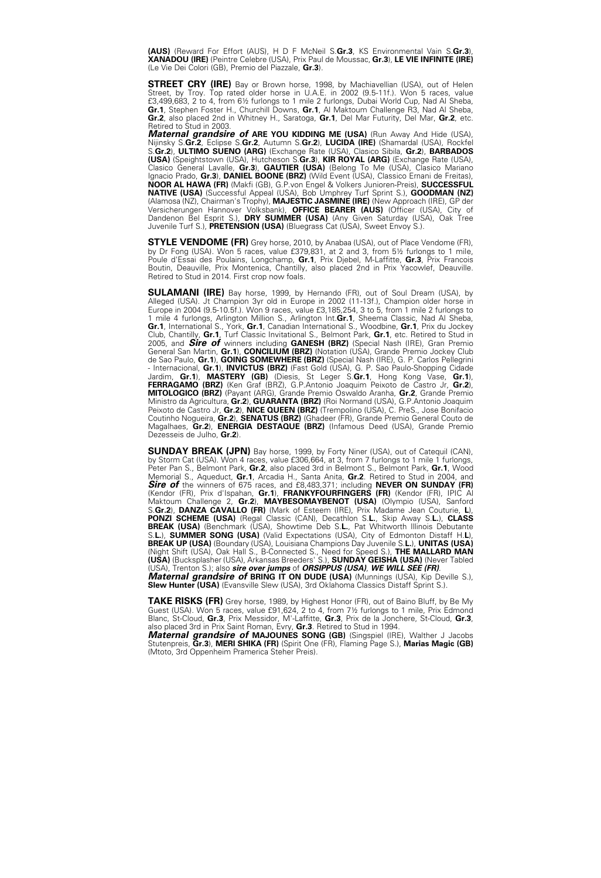**(AUS)** (Reward For Effort (AUS), H D F McNeil S.**Gr.3**, KS Environmental Vain S.**Gr.3**), **XANADOU (IRE)** (Peintre Celebre (USA), Prix Paul de Moussac, **Gr.3**), **LE VIE INFINITE (IRE)** (Le Vie Dei Colori (GB), Premio del Piazzale, **Gr.3**).

**STREET CRY (IRE)** Bay or Brown horse, 1998, by Machiavellian (USA), out of Helen Street, by Troy. Top rated older horse in U.A.E. in 2002 (9.5-11f.). Won 5 races, value £3,499,683, 2 to 4, from 6½ furlongs to 1 mile 2 furlongs, Dubai World Cup, Nad Al Sheba, **Gr.1**, Stephen Foster H., Churchill Downs, **Gr.1**, Al Maktoum Challenge R3, Nad Al Sheba, **Gr.2**, also placed 2nd in Whitney H., Saratoga, **Gr.1**, Del Mar Futurity, Del Mar, **Gr.2**, etc. Retired to Stud in 2003.

*Maternal grandsire of* **ARE YOU KIDDING ME (USA)** (Run Away And Hide (USA), Nijinsky S.**Gr.2**, Eclipse S.**Gr.2**, Autumn S.**Gr.2**), **LUCIDA (IRE)** (Shamardal (USA), Rockfel S.**Gr.2**), **ULTIMO SUENO (ARG)** (Exchange Rate (USA), Clasico Sibila, **Gr.2**), **BARBADOS (USA)** (Speightstown (USA), Hutcheson S.**Gr.3**), **KIR ROYAL (ARG)** (Exchange Rate (USA), Clasico General Lavalle, **Gr.3**), **GAUTIER (USA)** (Belong To Me (USA), Clasico Mariano Ignacio Prado, **Gr.3**), **DANIEL BOONE (BRZ)** (Wild Event (USA), Classico Ernani de Freitas), **NOOR AL HAWA (FR)** (Makfi (GB), G.P.von Engel & Volkers Junioren-Preis), **SUCCESSFUL NATIVE (USA)** (Successful Appeal (USA), Bob Umphrey Turf Sprint S.), **GOODMAN (NZ)** (Alamosa (NZ), Chairman's Trophy), **MAJESTIC JASMINE (IRE)** (New Approach (IRE), GP der Versicherungen Hannover Volksbank), **OFFICE BEARER (AUS)** (Officer (USA), City of Dandenon Bel Esprit S.), **DRY SUMMER (USA)** (Any Given Saturday (USA), Oak Tree Juvenile Turf S.), **PRETENSION (USA)** (Bluegrass Cat (USA), Sweet Envoy S.).

**STYLE VENDOME (FR)** Grey horse, 2010, by Anabaa (USA), out of Place Vendome (FR), by Dr Fong (USA). Won 5 races, value £379,831, at 2 and 3, from 5½ furlongs to 1 mile, Poule d'Essai des Poulains, Longchamp, **Gr.1**, Prix Djebel, M-Laffitte, **Gr.3**, Prix Francois Boutin, Deauville, Prix Montenica, Chantilly, also placed 2nd in Prix Yacowlef, Deauville. Retired to Stud in 2014. First crop now foals.

**SULAMANI (IRE)** Bay horse, 1999, by Hernando (FR), out of Soul Dream (USA), by Alleged (USA). Jt Champion 3yr old in Europe in 2002 (11-13f.), Champion older horse in Europe in 2004 (9.5-10.5f.). Won 9 races, value £3,185,254, 3 to 5, from 1 mile 2 furlongs to 1 mile 4 furlongs, Arlington Million S., Arlington Int.**Gr.1**, Sheema Classic, Nad Al Sheba, **Gr.1**, International S., York, **Gr.1**, Canadian International S., Woodbine, **Gr.1**, Prix du Jockey Club, Chantilly, **Gr.1**, Turf Classic Invitational S., Belmont Park, **Gr.1**, etc. Retired to Stud in 2005, and *Sire of* winners including **GANESH (BRZ)** (Special Nash (IRE), Gran Premio General San Martin, **Gr.1**), **CONCILIUM (BRZ)** (Notation (USA), Grande Premio Jockey Club de Sao Paulo, **Gr.1**), **GOING SOMEWHERE (BRZ)** (Special Nash (IRE), G. P. Carlos Pellegrini - Internacional, **Gr.1**), **INVICTUS (BRZ)** (Fast Gold (USA), G. P. Sao Paulo-Shopping Cidade Jardim, **Gr.1**), **MASTERY (GB)** (Diesis, St Leger S.**Gr.1**, Hong Kong Vase, **Gr.1**), **FERRAGAMO (BRZ)** (Ken Graf (BRZ), G.P.Antonio Joaquim Peixoto de Castro Jr, **Gr.2**), **MITOLOGICO (BRZ)** (Payant (ARG), Grande Premio Oswaldo Aranha, **Gr.2**, Grande Premio Ministro da Agricultura, **Gr.2**), **GUARANTA (BRZ)** (Roi Normand (USA), G.P.Antonio Joaquim Peixoto de Castro Jr, **Gr.2**), **NICE QUEEN (BRZ)** (Trempolino (USA), C. PreS., Jose Bonifacio Coutinho Nogueira, **Gr.2**), **SENATUS (BRZ)** (Ghadeer (FR), Grande Premio General Couto de Magalhaes, **Gr.2**), **ENERGIA DESTAQUE (BRZ)** (Infamous Deed (USA), Grande Premio Dezesseis de Julho, **Gr.2**).

**SUNDAY BREAK (JPN)** Bay horse, 1999, by Forty Niner (USA), out of Catequil (CAN),<br>by Storm Cat (USA). Won 4 races, value £306,664, at 3, from 7 furlongs to 1 mile 1 furlongs,<br>Peter Pan S., Belmont Park, **Gr.2**, also place Memorial S., Aqueduct, **Gr.1**, Arcadia H., Santa Anita, **Gr.2**. Retired to Stud in 2004, and **Sire of** the winners of 675 races, and £8,483,371; including **NEVER ON SUNDAY (FR)** (Kendor (FR), Prix d'Ispahan, **Gr.1**), **FRANKYFOURFINGERS (FR)** (Kendor (FR), IPIC Al Maktoum Challenge 2, **Gr.2**), **MAYBESOMAYBENOT (USA)** (Olympio (USA), Sanford S.**Gr.2**), **DANZA CAVALLO (FR)** (Mark of Esteem (IRE), Prix Madame Jean Couturie, **L**), **PONZI SCHEME (USA)** (Regal Classic (CAN), Decathlon S.**L.**, Skip Away S.**L.**), **CLASS BREAK (USA)** (Benchmark (USA), Showtime Deb S.**L.**, Pat Whitworth Illinois Debutante S.**L.**), **SUMMER SONG (USA)** (Valid Expectations (USA), City of Edmonton Distaff H.**L**), **BREAK UP (USA)** (Boundary (USA), Louisiana Champions Day Juvenile S.**L.**), **UNITAS (USA)** (Night Shift (USA), Oak Hall S., B-Connected S., Need for Speed S.), **THE MALLARD MAN (USA)** (Bucksplasher (USA), Arkansas Breeders' S.), **SUNDAY GEISHA (USA)** (Never Tabled (USA), Trenton S.); also *sire over jumps* of *ORSIPPUS (USA), WE WILL SEE (FR)*. *Maternal grandsire of* **BRING IT ON DUDE (USA)** (Munnings (USA), Kip Deville S.),

**Slew Hunter (USA)** (Evansville Slew (USA), 3rd Oklahoma Classics Distaff Sprint S.).

**TAKE RISKS (FR)** Grey horse, 1989, by Highest Honor (FR), out of Baino Bluff, by Be My<br>Guest (USA). Won 5 races, value £91,624, 2 to 4, from 7½ furlongs to 1 mile, Prix Edmond<br>Blanc, St-Cloud, **Gr.3**, Prix Messidor, M'-La

also placed 3rd in Prix Saint Roman, Evry, **Gr.3**. Retired to Stud in 1994. *Maternal grandsire of* **MAJOUNES SONG (GB)** (Singspiel (IRE), Walther J Jacobs Stutenpreis, **Gr.3**), **MERI SHIKA (FR)** (Spirit One (FR), Flaming Page S.), **Marias Magic (GB)** (Mtoto, 3rd Oppenheim Pramerica Steher Preis).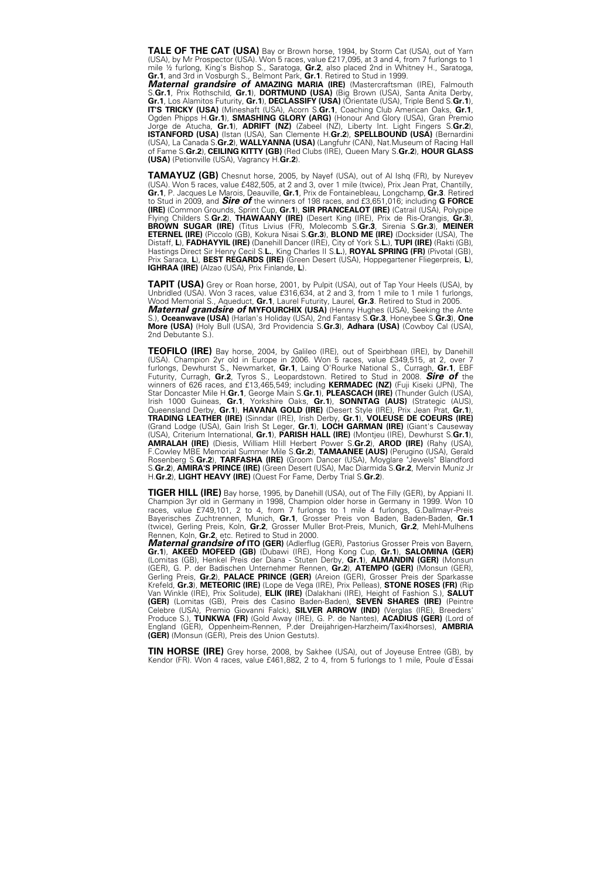**TALE OF THE CAT (USA)** Bay or Brown horse, 1994, by Storm Cat (USA), out of Yarn<br>(USA), by Mr Prospector (USA). Won 5 races, value £217,095, at 3 and 4, from 7 furlongs to 1<br>mile ½ furlong, King's Bishop S., Saratoga, **Gr** 

**Gr.1**, and 3rd in Vosburgh S., Belmont Park, **Gr.1**. Retired to Stud in 1999.<br>*Maternal grandsire of*  AMAZING MARIA (IRE) (Mastercraftsman (IRE), Falmouth<br>S.**Gr.1**, Prix Rothschild, **Gr.1**), DORTMUND (USA) (Big **Gr.1**, Los Alamitos Futurity, **Gr.1**), **DECLASSIFY (USA)** (Orientate (USA), Triple Bend S.**Gr.1**), **IT'S TRICKY (USA)** (Mineshaft (USA), Acorn S.**Gr.1**, Coaching Club American Oaks, **Gr.1**, Ogden Phipps H.**Gr.1**), **SMASHING GLORY (ARG)** (Honour And Glory (USA), Gran Premio Jorge de Atucha, **Gr.1**), **ADRIFT (NZ)** (Zabeel (NZ), Liberty Int. Light Fingers S.**Gr.2**), **ISTANFORD (USA)** (Istan (USA), San Clemente H.**Gr.2**), **SPELLBOUND (USA)** (Bernardini (USA), La Canada S.**Gr.2**), **WALLYANNA (USA)** (Langfuhr (CAN), Nat.Museum of Racing Hall of Fame S.**Gr.2**), **CEILING KITTY (GB)** (Red Clubs (IRE), Queen Mary S.**Gr.2**), **HOUR GLASS (USA)** (Petionville (USA), Vagrancy H.**Gr.2**).

**TAMAYUZ (GB)** Chesnut horse, 2005, by Nayef (USA), out of Al Ishq (FR), by Nureyev (USA). Won 5 races, value £482,505, at 2 and 3, over 1 mile (twice), Prix Jean Prat, Chantilly, **Gr.1**, P. Jacques Le Marois, Deauville, **Gr.1**, Prix de Fontainebleau, Longchamp, **Gr.3**. Retired to Stud in 2009, and *Sire of* the winners of 198 races, and £3,651,016; including **G FORCE (IRE)** (Common Grounds, Sprint Cup, **Gr.1**), **SIR PRANCEALOT (IRE)** (Catrail (USA), Polypipe Flying Childers S.**Gr.2**), **THAWAANY (IRE)** (Desert King (IRE), Prix de Ris-Orangis, **Gr.3**), **BROWN SUGAR (IRE)** (Titus Livius (FR), Molecomb S.**Gr.3**, Sirenia S.**Gr.3**), **MEINER ETERNEL (IRE)** (Piccolo (GB), Kokura Nisai S.**Gr.3**), **BLOND ME (IRE)** (Docksider (USA), The<br>Distaff, **L**), **FADHAYYIL (IRE)** (Danehill Dancer (IRE), City of York S.**L.), TUPI (IRE)** (Rakti (GB), Hastings Direct Sir Henry Cecil S.**L.**, King Charles II S.**L.**), **ROYAL SPRING (FR)** (Pivotal (GB), Prix Saraca, **L**), **BEST REGARDS (IRE)** (Green Desert (USA), Hoppegartener Fliegerpreis, **L**), **IGHRAA (IRE)** (Alzao (USA), Prix Finlande, **L**).

**TAPIT (USA)** Grey or Roan horse, 2001, by Pulpit (USA), out of Tap Your Heels (USA), by Unbridled (USA). Won 3 races, value £316,634, at 2 and 3, from 1 mile to 1 mile 1 furlongs, Wood Memorial S., Aqueduct, **Gr.1**, Laurel Futurity, Laurel, **Gr.3**. Retired to Stud in 2005. *Maternal grandsire of* **MYFOURCHIX (USA)** (Henny Hughes (USA), Seeking the Ante S.), **Oceanwave (USA)** (Harlan's Holiday (USA), 2nd Fantasy S.**Gr.3**, Honeybee S.**Gr.3**), **One More (USA)** (Holy Bull (USA), 3rd Providencia S.**Gr.3**), **Adhara (USA)** (Cowboy Cal (USA),

2nd Debutante S.).

**TEOFILO (IRE)** Bay horse, 2004, by Galileo (IRE), out of Speirbhean (IRE), by Danehill (USA). Champion 2yr old in Europe in 2006. Won 5 races, value f349,515, at 2, over 7 furlongs, Dewhurst S., Newmarket, Gr.1, Laing O'R Irish 1000 Guineas, **Gr.1**, Yorkshire Oaks, **Gr.1**), **SONNTAG (AUS)** (Strategic (AUS), Queensland Derby, **Gr.1**), **HAVANA GOLD (IRE)** (Desert Style (IRE), Prix Jean Prat, **Gr.1**), **TRADING LEATHER (IRE)** (Sinndar (IRE), Irish Derby, **Gr.1**), **VOLEUSE DE COEURS (IRE)** (Grand Lodge (USA), Gain Irish St Leger, **Gr.1**), **LOCH GARMAN (IRE)** (Giant's Causeway (USA), Criterium International, **Gr.1**), **PARISH HALL (IRE)** (Montjeu (IRE), Dewhurst S.**Gr.1**), **AMRALAH (IRE)** (Diesis, William HIill Herbert Power S.**Gr.2**), **AROD (IRE)** (Rahy (USA), F.Cowley MBE Memorial Summer Mile S.**Gr.2**), **TAMAANEE (AUS)** (Perugino (USA), Gerald Rosenberg S.**Gr.2**), **TARFASHA (IRE)** (Groom Dancer (USA), Moyglare "Jewels" Blandford S.**Gr.2**), **AMIRA'S PRINCE (IRE)** (Green Desert (USA), Mac Diarmida S.**Gr.2**, Mervin Muniz Jr H.**Gr.2**), **LIGHT HEAVY (IRE)** (Quest For Fame, Derby Trial S.**Gr.2**).

**TIGER HILL (IRE)** Bay horse, 1995, by Danehill (USA), out of The Filly (GER), by Appiani II. Champion 3yr old in Germany in 1998, Champion older horse in Germany in 1999. Won 10 races, value £749,101, 2 to 4, from 7 furlongs to 1 mile 4 furlongs, G.Dallmayr-Preis Bayerisches Zuchtrennen, Munich, **Gr.1**, Grosser Preis von Baden, Baden-Baden, **Gr.1** (twice), Gerling Preis, Koln, **Gr.2**, Grosser Muller Brot-Preis, Munich, **Gr.2**, Mehl-Mulhens Rennen, Koln, **Gr.2**, etc. Retired to Stud in 2000.

*Maternal grandsire of* **ITO (GER)** (Adlerflug (GER), Pastorius Grosser Preis von Bayern, **Gr.1**), **AKEED MOFEED (GB)** (Dubawi (IRE), Hong Kong Cup, **Gr.1**), **SALOMINA (GER)** (Lomitas (GB), Henkel Preis der Diana - Stuten Derby, **Gr.1**), **ALMANDIN (GER)** (Monsun (GER), G. P. der Badischen Unternehmer Rennen, **Gr.2**), **ATEMPO (GER)** (Monsun (GER), Gerling Preis, **Gr.2**), **PALACE PRINCE (GER)** (Areion (GER), Grosser Preis der Sparkasse Krefeld, **Gr.3**), **METEORIC (IRE)** (Lope de Vega (IRE), Prix Pelleas), **STONE ROSES (FR)** (Rip Van Winkle (IRE), Prix Solitude), **ELIK (IRE)** (Dalakhani (IRE), Height of Fashion S.), **SALUT (GER)** (Lomitas (GB), Preis des Casino Baden-Baden), **SEVEN SHARES (IRE)** (Peintre Celebre (USA), Premio Giovanni Falck), **SILVER ARROW (IND)** (Verglas (IRE), Breeders' Produce S.), **TUNKWA (FR)** (Gold Away (IRE), G. P. de Nantes), **ACADIUS (GER)** (Lord of England (GER), Oppenheim-Rennen, P.der Dreijahrigen-Harzheim/Taxi4horses), **AMBRIA (GER)** (Monsun (GER), Preis des Union Gestuts).

**TIN HORSE (IRE)** Grey horse, 2008, by Sakhee (USA), out of Joyeuse Entree (GB), by Kendor (FR). Won 4 races, value £461,882, 2 to 4, from 5 furlongs to 1 mile, Poule d'Essai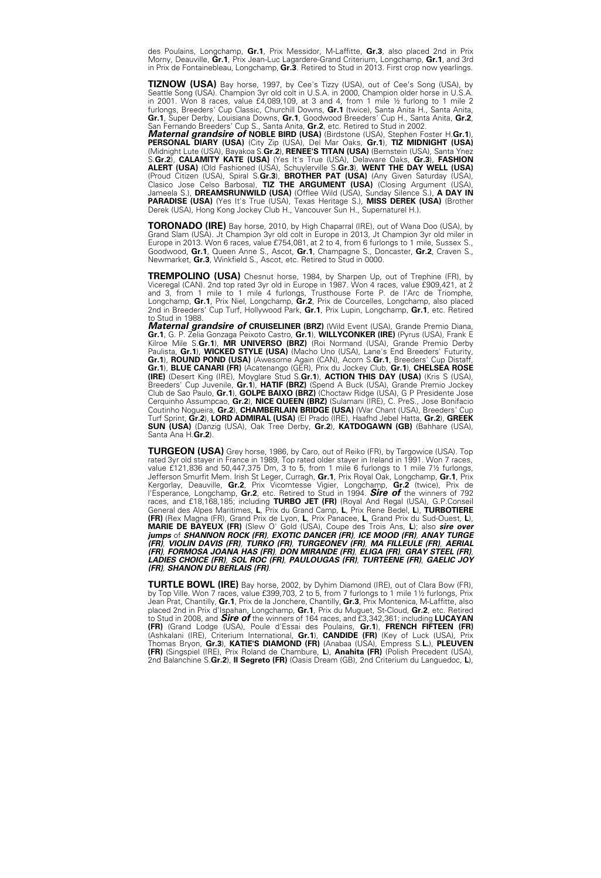des Poulains, Longchamp, **Gr.1**, Prix Messidor, M-Laffitte, **Gr.3**, also placed 2nd in Prix Morny, Deauville, **Gr.1**, Prix Jean-Luc Lagardere-Grand Criterium, Longchamp, **Gr.1**, and 3rd in Prix de Fontainebleau, Longchamp, **Gr.3**. Retired to Stud in 2013. First crop now yearlings.

**TIZNOW (USA)** Bay horse, 1997, by Cee's Tizzy (USA), out of Cee's Song (USA), by Seattle Song (USA). Champion 3yr old colt in U.S.A. in 2000, Champion older horse in U.S.A. in 2001. Won 8 races, value £4,089,109, at 3 and 4, from 1 mile 1/2 furlong to 1 mile 2 furlongs, Breeders' Cup Classic, Churchill Downs, **Gr.1** (twice), Santa Anita H., Santa Anita, **Gr.1**, Super Derby, Louisiana Downs, **Gr.1**, Goodwood Breeders' Cup H., Santa Anita, **Gr.2**, San Fernando Breeders' Cup S., Santa Anita, **Gr.2**, etc. Retired to Stud in 2002.

*Maternal grandsire of* **NOBLE BIRD (USA)** (Birdstone (USA), Stephen Foster H.**Gr.1**), **PERSONAL DIARY (USA)** (City Zip (USA), Del Mar Oaks, **Gr.1**), **TIZ MIDNIGHT (USA)** (Midnight Lute (USA), Bayakoa S.**Gr.2**), **RENEE'S TITAN (USA)** (Bernstein (USA), Santa Ynez S.**Gr.2**), **CALAMITY KATE (USA)** (Yes It's True (USA), Delaware Oaks, **Gr.3**), **FASHION ALERT (USA)** (Old Fashioned (USA), Schuylerville S.**Gr.3**), **WENT THE DAY WELL (USA)** (Proud Citizen (USA), Spiral S.**Gr.3**), **BROTHER PAT (USA)** (Any Given Saturday (USA), Clasico Jose Celso Barbosa), **TIZ THE ARGUMENT (USA)** (Closing Argument (USA), Jameela S.), **DREAMSRUNWILD (USA)** (Offlee Wild (USA), Sunday Silence S.), **A DAY IN PARADISE (USA)** (Yes It's True (USA), Texas Heritage S.), **MISS DEREK (USA)** (Brother Derek (USA), Hong Kong Jockey Club H., Vancouver Sun H., Supernaturel H.).

**TORONADO (IRE)** Bay horse, 2010, by High Chaparral (IRE), out of Wana Doo (USA), by Grand Slam (USA). Jt Champion 3yr old colt in Europe in 2013, Jt Champion 3yr old miler in Europe in 2013. Won 6 races, value £754,081, at 2 to 4, from 6 furlongs to 1 mile, Sussex S., Goodwood, **Gr.1**, Queen Anne S., Ascot, **Gr.1**, Champagne S., Doncaster, **Gr.2**, Craven S., Newmarket, **Gr.3**, Winkfield S., Ascot, etc. Retired to Stud in 0000.

**TREMPOLINO (USA)** Chesnut horse, 1984, by Sharpen Up, out of Trephine (FR), by Viceregal (CAN). 2nd top rated 3yr old in Europe in 1987. Won 4 races, value £909,421, at 2 and 3, from 1 mile to 1 mile 4 furlongs, Trusthouse Forte P. de l'Arc de Triomphe, Longchamp, **Gr.1**, Prix Niel, Longchamp, **Gr.2**, Prix de Courcelles, Longchamp, also placed 2nd in Breeders' Cup Turf, Hollywood Park, **Gr.1**, Prix Lupin, Longchamp, **Gr.1**, etc. Retired to Stud in 1988.

*Maternal grandsire of* **CRUISELINER (BRZ)** (Wild Event (USA), Grande Premio Diana, **Gr.1**, G. P. Zelia Gonzaga Peixoto Castro, **Gr.1**), **WILLYCONKER (IRE)** (Pyrus (USA), Frank E Kilroe Mile S.**Gr.1**), **MR UNIVERSO (BRZ)** (Roi Normand (USA), Grande Premio Derby Paulista, **Gr.1**), **WICKED STYLE (USA)** (Macho Uno (USA), Lane's End Breeders' Futurity, **Gr.1**), **ROUND POND (USA)** (Awesome Again (CAN), Acorn S.**Gr.1**, Breeders' Cup Distaff, **Gr.1**), **BLUE CANARI (FR)** (Acatenango (GER), Prix du Jockey Club, **Gr.1**), **CHELSEA ROSE (IRE)** (Desert King (IRE), Moyglare Stud S.**Gr.1**), **ACTION THIS DAY (USA)** (Kris S (USA), Breeders' Cup Juvenile, **Gr.1**), **HATIF (BRZ)** (Spend A Buck (USA), Grande Premio Jockey Club de Sao Paulo, **Gr.1**), **GOLPE BAIXO (BRZ)** (Choctaw Ridge (USA), G P Presidente Jose Cerquinho Assumpcao, **Gr.2**), **NICE QUEEN (BRZ)** (Sulamani (IRE), C. PreS., Jose Bonifacio Coutinho Nogueira, **Gr.2**), **CHAMBERLAIN BRIDGE (USA)** (War Chant (USA), Breeders' Cup Turf Sprint, **Gr.2**), **LORD ADMIRAL (USA)** (El Prado (IRE), Haafhd Jebel Hatta, **Gr.2**), **GREEK SUN (USA)** (Danzig (USA), Oak Tree Derby, **Gr.2**), **KATDOGAWN (GB)** (Bahhare (USA), Santa Ana H.**Gr.2**).

**TURGEON (USA)** Grey horse, 1986, by Caro, out of Reiko (FR), by Targowice (USA). Top rated 3yr old stayer in France in 1989, Top rated older stayer in Ireland in 1991. Won 7 races, value £121,836 and 50,447,375 Dm, 3 to 5, from 1 mile 6 furlongs to 1 mile 7½ furlongs, Jefferson Smurfit Mem. Irish St Leger, Curragh, **Gr.1**, Prix Royal Oak, Longchamp, **Gr.1**, Prix Kergorlay, Deauville, **Gr.2**, Prix Vicomtesse Vigier, Longchamp, **Gr.2** (twice), Prix de l'Esperance, Longchamp, **Gr.2**, etc. Retired to Stud in 1994. *Sire of* the winners of 792 races, and £18,168,185; including **TURBO JET (FR)** (Royal And Regal (USA), G.P.Conseil General des Alpes Maritimes, **L**, Prix du Grand Camp, **L**, Prix Rene Bedel, **L), TURBOTIERE**<br>**(FR)** (Rex Magna (FR), Grand Prix de Lyon, **L**, Prix Panacee, **L**, Grand Prix du Sud-Ouest, **L)**, **MARIE DE BAYEUX (FR)** (Slew O' Gold (USA), Coupe des Trois Ans, **L**); also *sire over jumps* of *SHANNON ROCK (FR), EXOTIC DANCER (FR), ICE MOOD (FR), ANAY TURGE (FR), VIOLIN DAVIS (FR), TURKO (FR), TURGEONEV (FR), MA FILLEULE (FR), AERIAL (FR), FORMOSA JOANA HAS (FR), DON MIRANDE (FR), ELIGA (FR), GRAY STEEL (FR), LADIES CHOICE (FR), SOL ROC (FR), PAULOUGAS (FR), TURTEENE (FR), GAELIC JOY (FR), SHANON DU BERLAIS (FR)*.

**TURTLE BOWL (IRE)** Bay horse, 2002, by Dyhim Diamond (IRE), out of Clara Bow (FR), by Top Ville. Won 7 races, value £399,703, 2 to 5, from 7 furlongs to 1 mile 1½ furlongs, Prix Jean Prat, Chantilly, **Gr.1**, Prix de la Jonchere, Chantilly, **Gr.3**, Prix Montenica, M-Laffitte, also placed 2nd in Prix d'Ispahan, Longchamp, **Gr.1**, Prix du Muguet, St-Cloud, **Gr.2**, etc. Retired<br>to Stud in 2008, and *Sire of* the winners of 164 races, and £3,342,361; including **LUCAYAN**<br>(FR) (Grand Lodge (USA), Poule (Ashkalani (IRE), Criterium International, **Gr.1**), **CANDIDE (FR)** (Key of Luck (USA), Prix Thomas Bryon, **Gr.3**), **KATIE'S DIAMOND (FR)** (Anabaa (USA), Empress S.**L.**), **PLEUVEN (FR)** (Singspiel (IRE), Prix Roland de Chambure, **L**), **Anahita (FR)** (Polish Precedent (USA), 2nd Balanchine S.**Gr.2**), **Il Segreto (FR)** (Oasis Dream (GB), 2nd Criterium du Languedoc, **L**),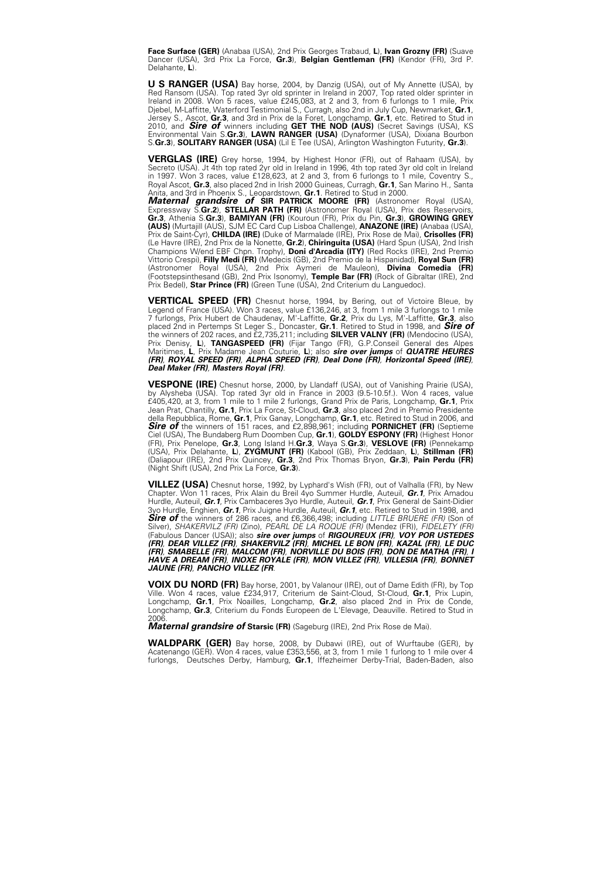**Face Surface (GER)** (Anabaa (USA), 2nd Prix Georges Trabaud, **L**), **Ivan Grozny (FR)** (Suave Dancer (USA), 3rd Prix La Force, **Gr.3**), **Belgian Gentleman (FR)** (Kendor (FR), 3rd P. Delahante, **L**).

**U S RANGER (USA)** Bay horse, 2004, by Danzig (USA), out of My Annette (USA), by Red Ransom (USA). Top rated 3yr old sprinter in Ireland in 2007, Top rated older sprinter in Ireland in 2008. Won 5 races, value £245,083, at 2 and 3, from 6 furlongs to 1 mile, Prix Djebel, M-Laffitte, Waterford Testimonial S., Curragh, also 2nd in July Cup, Newmarket, **Gr.1,**<br>Jersey S., Ascot, **Gr.3,** and 3rd in Prix de la Foret, Longchamp, **Gr.1,** etc. Retired to Stud in<br>2010, and *Sire of* winners S.**Gr.3**), **SOLITARY RANGER (USA)** (Lil E Tee (USA), Arlington Washington Futurity, **Gr.3**).

**VERGLAS (IRE)** Grey horse, 1994, by Highest Honor (FR), out of Rahaam (USA), by Secreto (USA). Jt 4th top rated 2yr old in Ireland in 1996, 4th top rated 3yr old colt in Ireland in 1997. Won 3 races, value £128,623, at 2 and 3, from 6 furlongs to 1 mile, Coventry S., Royal Ascot, **Gr.3**, also placed 2nd in Irish 2000 Guineas, Curragh, **Gr.1**, San Marino H., Santa

Anita, and 3rd in Phoenix S., Leopardstown, **Gr.1**. Retired to Stud in 2000.<br>*Maternal grandsire of S***IR PATRICK MOORE (FR)** (Astronomer Royal (USA),<br>Expressway S.**Gr.2), STELLAR PATH (FR)** (Astronomer Royal (USA), Prix d **(AUS)** (Murtajill (AUS), SJM EC Card Cup Lisboa Challenge), **ANAZONE (IRE)** (Anabaa (USA), Prix de Saint-Cyr), **CHILDA (IRE)** (Duke of Marmalade (IRE), Prix Rose de Mai), **Crisolles (FR)** (Le Havre (IRE), 2nd Prix de la Nonette, **Gr.2**), **Chiringuita (USA)** (Hard Spun (USA), 2nd Irish Champions W/end EBF Chpn. Trophy), **Doni d'Arcadia (ITY)** (Red Rocks (IRE), 2nd Premio Vittorio Crespi), **Filly Medi (FR)** (Medecis (GB), 2nd Premio de la Hispanidad), **Royal Sun (FR)** (Astronomer Royal (USA), 2nd Prix Aymeri de Mauleon), **Divina Comedia (FR)** (Footstepsinthesand (GB), 2nd Prix Isonomy), **Temple Bar (FR)** (Rock of Gibraltar (IRE), 2nd Prix Bedel), **Star Prince (FR)** (Green Tune (USA), 2nd Criterium du Languedoc).

**VERTICAL SPEED (FR)** Chesnut horse, 1994, by Bering, out of Victoire Bleue, by Legend of France (USA). Won 3 races, value £136,246, at 3, from 1 mile 3 furlongs to 1 mile 7 furlongs, Prix Hubert de Chaudenay, M'-Laffitte, **Gr.2**, Prix du Lys, M'-Laffitte, **Gr.3**, also placed 2nd in Pertemps St Leger S., Doncaster, **Gr.1**. Retired to Stud in 1998, and *Sire of*<br>the winners of 202 races, and £2,735,211; including SILVER VALNY (FR) (Mendocino (USA),<br>Prix Denisy, L), TANGASPEED (FR) (Fijar Maritimes, **L**, Prix Madame Jean Couturie, **L**); also *sire over jumps* of *QUATRE HEURES (FR), ROYAL SPEED (FR), ALPHA SPEED (FR), Deal Done (FR), Horizontal Speed (IRE), Deal Maker (FR), Masters Royal (FR)*.

**VESPONE (IRE)** Chesnut horse, 2000, by Llandaff (USA), out of Vanishing Prairie (USA), by Alysheba (USA). Top rated 3yr old in France in 2003 (9.5-10.5f.). Won 4 races, value £405,420, at 3, from 1 mile to 1 mile 2 furlongs, Grand Prix de Paris, Longchamp, **Gr.1**, Prix Jean Prat, Chantilly, **Gr.1**, Prix La Force, St-Cloud, **Gr.3**, also placed 2nd in Premio Presidente della Repubblica, Rome, **Gr.1**, Prix Ganay, Longchamp, **Gr.1**, etc. Retired to Stud in 2006, and *Sire of* the winners of 151 races, and £2,898,961; including **PORNICHET (FR)** (Septieme Ciel (USA), The Bundaberg Rum Doomben Cup, **Gr.1**), **GOLDY ESPONY (FR)** (Highest Honor (FR), Prix Penelope, **Gr.3**, Long Island H.**Gr.3**, Waya S.**Gr.3**), **VESLOVE (FR)** (Pennekamp (USA), Prix Delahante, **L**), **ZYGMUNT (FR)** (Kabool (GB), Prix Zeddaan, **L**), **Stillman (FR)** (Daliapour (IRE), 2nd Prix Quincey, **Gr.3**, 2nd Prix Thomas Bryon, **Gr.3**), **Pain Perdu (FR)** (Night Shift (USA), 2nd Prix La Force, **Gr.3**).

**VILLEZ (USA)** Chesnut horse, 1992, by Lyphard's Wish (FR), out of Valhalla (FR), by New Chapter. Won 11 races, Prix Alain du Breil 4yo Summer Hurdle, Auteuil, *Gr.1*, Prix Amadou Hurdle, Auteuil, *Gr.1*, Prix Cambaceres 3yo Hurdle, Auteuil, *Gr.1*, Prix General de Saint-Didier 3yo Hurdle, Enghien, *Gr.1*, Prix Juigne Hurdle, Auteuil, *Gr.1*, etc. Retired to Stud in 1998, and *Sire of* the winners of 286 races, and £6,366,498; including *LITTLE BRUERE (FR)* (Son of Silver), *SHAKERVILZ (FR)* (Zino), *PEARL DE LA ROQUE (FR)* (Mendez (FR)), *FIDELETY (FR)* (Fabulous Dancer (USA)); also *sire over jumps* **of** *RIGOUREUX (FR), VOY POR USTEDES***<br>(FR), DEAR VILLEZ (FR), SHAKERVILZ (FR), MICHEL LE BON (FR), KAZAL (FR), LE DUC** *(FR), SMABELLE (FR), MALCOM (FR), NORVILLE DU BOIS (FR), DON DE MATHA (FR), I HAVE A DREAM (FR), INOXE ROYALE (FR), MON VILLEZ (FR), VILLESIA (FR), BONNET JAUNE (FR), PANCHO VILLEZ (FR*.

**VOIX DU NORD (FR)** Bay horse, 2001, by Valanour (IRE), out of Dame Edith (FR), by Top Ville. Won 4 races, value £234,917, Criterium de Saint-Cloud, St-Cloud, **Gr.1**, Prix Lupin, Longchamp, **Gr.1**, Prix Noailles, Longchamp, **Gr.2**, also placed 2nd in Prix de Conde, Longchamp, **Gr.3**, Criterium du Fonds Europeen de L'Elevage, Deauville. Retired to Stud in วกกลิ

*Maternal grandsire of* **Starsic (FR)** (Sageburg (IRE), 2nd Prix Rose de Mai).

**WALDPARK (GER)** Bay horse, 2008, by Dubawi (IRE), out of Wurftaube (GER), by Acatenango (GER). Won 4 races, value £353,556, at 3, from 1 mile 1 furlong to 1 mile over 4 furlongs, Deutsches Derby, Hamburg, **Gr.1**, Iffezheimer Derby-Trial, Baden-Baden, also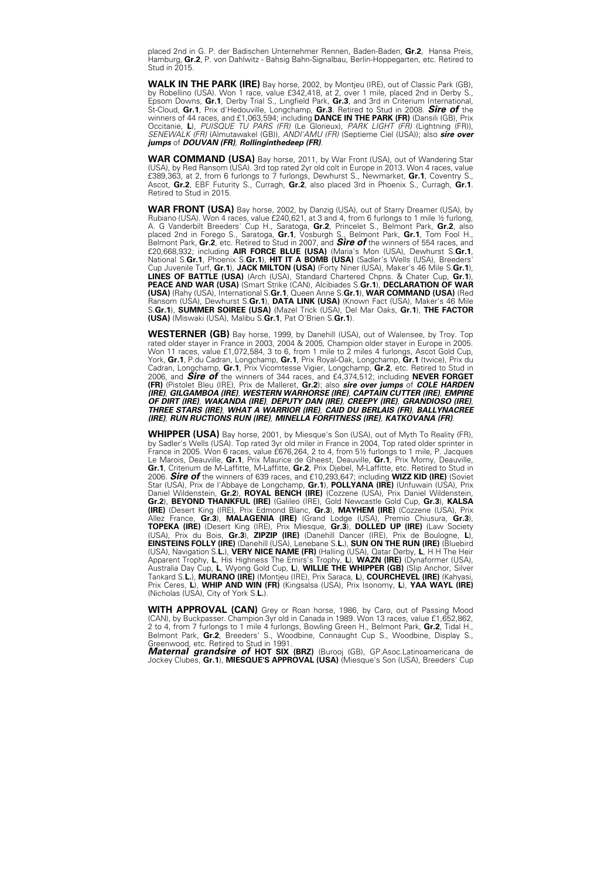placed 2nd in G. P. der Badischen Unternehmer Rennen, Baden-Baden, **Gr.2**, Hansa Preis, Hamburg, **Gr.2**, P. von Dahlwitz - Bahsig Bahn-Signalbau, Berlin-Hoppegarten, etc. Retired to Stud in 2015.

**WALK IN THE PARK (IRE)** Bay horse, 2002, by Montjeu (IRE), out of Classic Park (GB), by Robellino (USA). Won 1 race, value £342,418, at 2, over 1 mile, placed 2nd in Derby S., Epsom Downs, **Gr.1**, Derby Trial S., Lingfield Park, **Gr.3**, and 3rd in Criterium International,<br>St-Cloud, **Gr.1**, Prix d'Hedouville, Longchamp, **Gr.3**. Retired to Stud in 2008. *Sire of* the<br>winners of 44 races, and £1, Occitanie, **L**), *PUISQUE TU PARS (FR)* (Le Glorieux), *PARK LIGHT (FR)* (Lightning (FR)), *SENEWALK (FR)* (Almutawakel (GB)), *ANDI'AMU (FR)* (Septieme Ciel (USA)); also *sire over jumps* of *DOUVAN (FR), Rollinginthedeep (FR)*.

**WAR COMMAND (USA)** Bay horse, 2011, by War Front (USA), out of Wandering Star (USA), by Red Ransom (USA). 3rd top rated 2yr old colt in Europe in 2013. Won 4 races, value £389,363, at 2, from 6 furlongs to 7 furlongs, Dewhurst S., Newmarket, **Gr.1**, Coventry S., Ascot, **Gr.2**, EBF Futurity S., Curragh, **Gr.2**, also placed 3rd in Phoenix S., Curragh, **Gr.1**. Retired to Stud in 2015.

**WAR FRONT (USA)** Bay horse, 2002, by Danzig (USA), out of Starry Dreamer (USA), by Rubiano (USA). Won 4 races, value £240,621, at 3 and 4, from 6 furlongs to 1 mile ½ furlong, A. G Vanderbilt Breeders' Cup H., Saratoga, **Gr.2**, Princelet S., Belmont Park, **Gr.2**, also placed 2nd in Forego S., Saratoga, **Gr.1**, Vosburgh S., Belmont Park, **Gr.1**, Tom Fool H., Belmont Park, **Gr.2**, etc. Retired to Stud in 2007, and *Sire of* the winners of 554 races, and £20,668,932; including **AIR FORCE BLUE (USA)** (Maria's Mon (USA), Dewhurst S.**Gr.1**, National S.**Gr.1**, Phoenix S.**Gr.1**), **HIT IT A BOMB (USA)** (Sadler's Wells (USA), Breeders' Cup Juvenile Turf, **Gr.1**), **JACK MILTON (USA)** (Forty Niner (USA), Maker's 46 Mile S.**Gr.1**), **LINES OF BATTLE (USA)** (Arch (USA), Standard Chartered Chpns. & Chater Cup, **Gr.1**), **PEACE AND WAR (USA)** (Smart Strike (CAN), Alcibiades S.**Gr.1**), **DECLARATION OF WAR (USA)** (Rahy (USA), International S.**Gr.1**, Queen Anne S.**Gr.1**), **WAR COMMAND (USA)** (Red Ransom (USA), Dewhurst S.**Gr.1**), **DATA LINK (USA)** (Known Fact (USA), Maker's 46 Mile S.**Gr.1**), **SUMMER SOIREE (USA)** (Mazel Trick (USA), Del Mar Oaks, **Gr.1**), **THE FACTOR (USA)** (Miswaki (USA), Malibu S.**Gr.1**, Pat O'Brien S.**Gr.1**).

**WESTERNER (GB)** Bay horse, 1999, by Danehill (USA), out of Walensee, by Troy. Top rated older stayer in France in 2003, 2004 & 2005, Champion older stayer in Europe in 2005. Won 11 races, value £1,072,584, 3 to 6, from 1 mile to 2 miles 4 furlongs, Ascot Gold Cup, York, **Gr.1**, P.du Cadran, Longchamp, **Gr.1**, Prix Royal-Oak, Longchamp, **Gr.1** (twice), Prix du<br>Cadran, Longchamp, **Gr.1**, Prix Vicomtesse Vigier, Longchamp, **Gr.2**, etc. Retired to Stud in<br>2006, and *Sire of the winner* (FR) (Pistolet Bleu (IRE), Prix de Malleret, **Gr.2**); also *sire over jumps* of *COLE HARDEN*<br>*(IRE), GILGAMBOA (IRE), WESTERN WARHORSE (IRE), CAPTAIN CUTTER (IRE), EMPIRE OF DIRT (IRE), WAKANDA (IRE), DEPUTY DAN (IRE), CREEPY (IRE), GRANDIOSO (IRE),*  THREE STARS (IRE), WHAT A WARRIOR (IRE), CAID DU BERLAIS (FR), BALLYNACREE<br>(IRE), RUN RUCTIONS RUN (IRE), MINELLA FORFITNESS (IRE), KATKOVANA (FR).

**WHIPPER (USA)** Bay horse, 2001, by Miesque's Son (USA), out of Myth To Reality (FR), by Sadler's Wells (USA). Top rated 3yr old miler in France in 2004, Top rated older sprinter in France in 2005. Won 6 races, value £676,264, 2 to 4, from 5½ furlongs to 1 mile, P. Jacques Le Marois, Deauville, **Gr.1**, Prix Maurice de Gheest, Deauville, **Gr.1**, Prix Morny, Deauville, **Gr.1**, Criterium de M-Laffitte, M-Laffitte, **Gr.2**, Prix Djebel, M-Laffitte, etc. Retired to Stud in 2006. *Sire of* the winners of 639 races, and £10,293,647; including **WIZZ KID (IRE)** (Soviet Star (USA), Prix de l'Abbaye de Longchamp, **Gr.1**), **POLLYANA (IRE)** (Unfuwain (USA), Prix Daniel Wildenstein, **Gr.2**), **ROYAL BENCH (IRE)** (Cozzene (USA), Prix Daniel Wildenstein, **Gr.2**), **BEYOND THANKFUL (IRE)** (Galileo (IRE), Gold Newcastle Gold Cup, **Gr.3**), **KALSA (IRE)** (Desert King (IRE), Prix Edmond Blanc, **Gr.3**), **MAYHEM (IRE)** (Cozzene (USA), Prix Allez France, **Gr.3**), **MALAGENIA (IRE)** (Grand Lodge (USA), Premio Chiusura, **Gr.3**), **TOPEKA (IRE)** (Desert King (IRE), Prix Miesque, **Gr.3**), **DOLLED UP (IRE)** (Law Society (USA), Prix du Bois, **Gr.3**), **ZIPZIP (IRE)** (Danehill Dancer (IRE), Prix de Boulogne, **L**), **EINSTEINS FOLLY (IRE)** (Danehill (USA), Lenebane S.**L.**), **SUN ON THE RUN (IRE)** (Bluebird (USA), Navigation S.**L.**), **VERY NICE NAME (FR)** (Halling (USA), Qatar Derby, **L**, H H The Heir Apparent Trophy, **L**, His Highness The Emirs's Trophy, **L**), **WAZN (IRE)** (Dynaformer (USA), Australia Day Cup, **L**, Wyong Gold Cup, **L**), **WILLIE THE WHIPPER (GB)** (Slip Anchor, Silver Tankard S.**L.**), **MURANO (IRE)** (Montjeu (IRE), Prix Saraca, **L**), **COURCHEVEL (IRE)** (Kahyasi, Prix Ceres, **L**), **WHIP AND WIN (FR)** (Kingsalsa (USA), Prix Isonomy, **L**), **YAA WAYL (IRE)** (Nicholas (USA), City of York S.**L.**).

**WITH APPROVAL (CAN)** Grey or Roan horse, 1986, by Caro, out of Passing Mood (CAN), by Buckpasser. Champion 3yr old in Canada in 1989. Won 13 races, value £1,652,862, 2 to 4, from 7 furlongs to 1 mile 4 furlongs, Bowling Green H., Belmont Park, **Gr.2**, Tidal H., Belmont Park, **Gr.2**, Breeders' S., Woodbine, Connaught Cup S., Woodbine, Display S.,

Greenwood, etc. Retired to Stud in 1991. *Maternal grandsire of* **HOT SIX (BRZ)** (Burooj (GB), GP.Asoc.Latinoamericana de Jockey Clubes, **Gr.1**), **MIESQUE'S APPROVAL (USA)** (Miesque's Son (USA), Breeders' Cup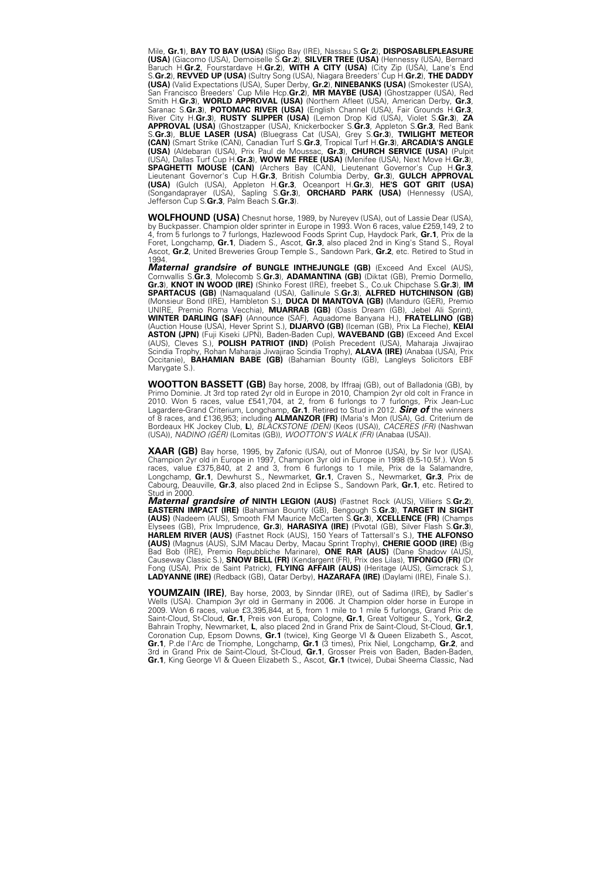Mile, **Gr.1**), **BAY TO BAY (USA)** (Sligo Bay (IRE), Nassau S.**Gr.2**), **DISPOSABLEPLEASURE (USA)** (Giacomo (USA), Demoiselle S.**Gr.2**), **SILVER TREE (USA)** (Hennessy (USA), Bernard Baruch H.**Gr.2**, Fourstardave H.**Gr.2**), **WITH A CITY (USA)** (City Zip (USA), Lane's End S.**Gr.2**), **REVVED UP (USA)** (Sultry Song (USA), Niagara Breeders' Cup H.**Gr.2**), **THE DADDY (USA)** (Valid Expectations (USA), Super Derby, **Gr.2**), **NINEBANKS (USA)** (Smokester (USA), San Francisco Breeders' Cup Mile Hcp.**Gr.2**), **MR MAYBE (USA)** (Ghostzapper (USA), Red Smith H.**Gr.3**), **WORLD APPROVAL (USA)** (Northern Afleet (USA), American Derby, **Gr.3**, Saranac S.**Gr.3**), **POTOMAC RIVER (USA)** (English Channel (USA), Fair Grounds H.**Gr.3**, River City H.**Gr.3**), **RUSTY SLIPPER (USA)** (Lemon Drop Kid (USA), Violet S.**Gr.3**), **ZA APPROVAL (USA)** (Ghostzapper (USA), Knickerbocker S.**Gr.3**, Appleton S.**Gr.3**, Red Bank S.**Gr.3**), **BLUE LASER (USA)** (Bluegrass Cat (USA), Grey S.**Gr.3**), **TWILIGHT METEOR (CAN)** (Smart Strike (CAN), Canadian Turf S.**Gr.3**, Tropical Turf H.**Gr.3**), **ARCADIA'S ANGLE (USA)** (Aldebaran (USA), Prix Paul de Moussac, **Gr.3**), **CHURCH SERVICE (USA)** (Pulpit (USA), Dallas Turf Cup H.**Gr.3**), **WOW ME FREE (USA)** (Menifee (USA), Next Move H.**Gr.3**), **SPAGHETTI MOUSE (CAN)** (Archers Bay (CAN), Lieutenant Governor's Cup H.**Gr.3**, Lieutenant Governor's Cup H.**Gr.3**, British Columbia Derby, **Gr.3**), **GULCH APPROVAL (USA)** (Gulch (USA), Appleton H.**Gr.3**, Oceanport H.**Gr.3**), **HE'S GOT GRIT (USA)** (Songandaprayer (USA), Sapling S.**Gr.3**), **ORCHARD PARK (USA)** (Hennessy (USA), Jefferson Cup S.**Gr.3**, Palm Beach S.**Gr.3**).

**WOLFHOUND (USA)** Chesnut horse, 1989, by Nureyev (USA), out of Lassie Dear (USA), by Buckpasser. Champion older sprinter in Europe in 1993. Won 6 races, value £259,149, 2 to 4, from 5 furlongs to 7 furlongs, Hazlewood Foods Sprint Cup, Haydock Park, **Gr.1**, Prix de la Foret, Longchamp, **Gr.1**, Diadem S., Ascot, **Gr.3**, also placed 2nd in King's Stand S., Royal Ascot, **Gr.2**, United Breweries Group Temple S., Sandown Park, **Gr.2**, etc. Retired to Stud in 1994.

*Maternal grandsire of* **BUNGLE INTHEJUNGLE (GB)** (Exceed And Excel (AUS), Cornwallis S.**Gr.3**, Molecomb S.**Gr.3**), **ADAMANTINA (GB)** (Diktat (GB), Premio Dormello, **Gr.3**), **KNOT IN WOOD (IRE)** (Shinko Forest (IRE), freebet S., Co.uk Chipchase S.**Gr.3**), **IM SPARTACUS (GB)** (Namaqualand (USA), Gallinule S.**Gr.3**), **ALFRED HUTCHINSON (GB)** (Monsieur Bond (IRE), Hambleton S.), **DUCA DI MANTOVA (GB)** (Manduro (GER), Premio UNIRE, Premio Roma Vecchia), **MUARRAB (GB)** (Oasis Dream (GB), Jebel Ali Sprint), **WINTER DARLING (SAF)** (Announce (SAF), Aquadome Banyana H.), **FRATELLINO (GB)** (Auction House (USA), Hever Sprint S.), **DIJARVO (GB)** (Iceman (GB), Prix La Fleche), **KEIAI ASTON (JPN)** (Fuji Kiseki (JPN), Baden-Baden Cup), **WAVEBAND (GB)** (Exceed And Excel (AUS), Cleves S.), **POLISH PATRIOT (IND)** (Polish Precedent (USA), Maharaja Jiwajirao Scindia Trophy, Rohan Maharaja Jiwajirao Scindia Trophy), **ALAVA (IRE)** (Anabaa (USA), Prix Occitanie), **BAHAMIAN BABE (GB)** (Bahamian Bounty (GB), Langleys Solicitors EBF Marygate S.).

**WOOTTON BASSETT (GB)** Bay horse, 2008, by Iffraaj (GB), out of Balladonia (GB), by Primo Dominie. Jt 3rd top rated 2yr old in Europe in 2010, Champion 2yr old colt in France in 2010. Won 5 races, value £541,704, at 2, from 6 furlongs to 7 furlongs, Prix Jean-Luc Lagardere-Grand Criterium, Longchamp, **Gr.1**. Retired to Stud in 2012. *Sire of* the winners of 8 races, and £136,953; including **ALMANZOR (FR)** (Maria's Mon (USA), Gd. Criterium de Bordeaux HK Jockey Club, **L**), *BLACKSTONE (DEN)* (Keos (USA)), *CACERES (FR)* (Nashwan (USA)), *NADINO (GER)* (Lomitas (GB)), *WOOTTON'S WALK (FR)* (Anabaa (USA)).

**XAAR (GB)** Bay horse, 1995, by Zafonic (USA), out of Monroe (USA), by Sir Ivor (USA).<br>Champion 2yr old in Europe in 1997, Champion 3yr old in Europe in 1998 (9.5-10.5f.). Won 5<br>races, value £375,840, at 2 and 3, from 6 fu Longchamp, **Gr.1**, Dewhurst S., Newmarket, **Gr.1**, Craven S., Newmarket, **Gr.3**, Prix de Cabourg, Deauville, **Gr.3**, also placed 2nd in Eclipse S., Sandown Park, **Gr.1**, etc. Retired to Stud in 2000.

*Maternal grandsire of* **NINTH LEGION (AUS)** (Fastnet Rock (AUS), Villiers S.**Gr.2**), **EASTERN IMPACT (IRE)** (Bahamian Bounty (GB), Bengough S.**Gr.3**), **TARGET IN SIGHT (AUS)** (Nadeem (AUS), Smooth FM Maurice McCarten S.**Gr.3**), **XCELLENCE (FR)** (Champs Elysees (GB), Prix Imprudence, **Gr.3**), **HARASIYA (IRE)** (Pivotal (GB), Silver Flash S.**Gr.3**), **HARLEM RIVER (AUS)** (Fastnet Rock (AUS), 150 Years of Tattersall's S.), **THE ALFONSO (AUS)** (Magnus (AUS), SJM Macau Derby, Macau Sprint Trophy), **CHERIE GOOD (IRE)** (Big Bad Bob (IRE), Premio Repubbliche Marinare), **ONE RAR (AUS)** (Dane Shadow (AUS), Causeway Classic S.), **SNOW BELL (FR)** (Kendargent (FR), Prix des Lilas), **TIFONGO (FR)** (Dr Fong (USA), Prix de Saint Patrick), **FLYING AFFAIR (AUS)** (Heritage (AUS), Gimcrack S.), **LADYANNE (IRE)** (Redback (GB), Qatar Derby), **HAZARAFA (IRE)** (Daylami (IRE), Finale S.).

**YOUMZAIN (IRE)**, Bay horse, 2003, by Sinndar (IRE), out of Sadima (IRE), by Sadler's Wells (USA). Champion 3yr old in Germany in 2006. Jt Champion older horse in Europe in 2009. Won 6 races, value £3,395,844, at 5, from 1 mile to 1 mile 5 furlongs, Grand Prix de Saint-Cloud, St-Cloud, **Gr.1**, Preis von Europa, Cologne, **Gr.1**, Great Voltigeur S., York, **Gr.2**, Bahrain Trophy, Newmarket, **L**, also placed 2nd in Grand Prix de Saint-Cloud, St-Cloud, **Gr.1**, Coronation Cup, Epsom Downs, **Gr.1** (twice), King George VI & Queen Elizabeth S., Ascot, **Gr.1**, P.de l'Arc de Triomphe, Longchamp, **Gr.1** (3 times), Prix Niel, Longchamp, **Gr.2**, and 3rd in Grand Prix de Saint-Cloud, St-Cloud, **Gr.1**, Grosser Preis von Baden, Baden-Baden, **Gr.1**, King George VI & Queen Elizabeth S., Ascot, **Gr.1** (twice), Dubai Sheema Classic, Nad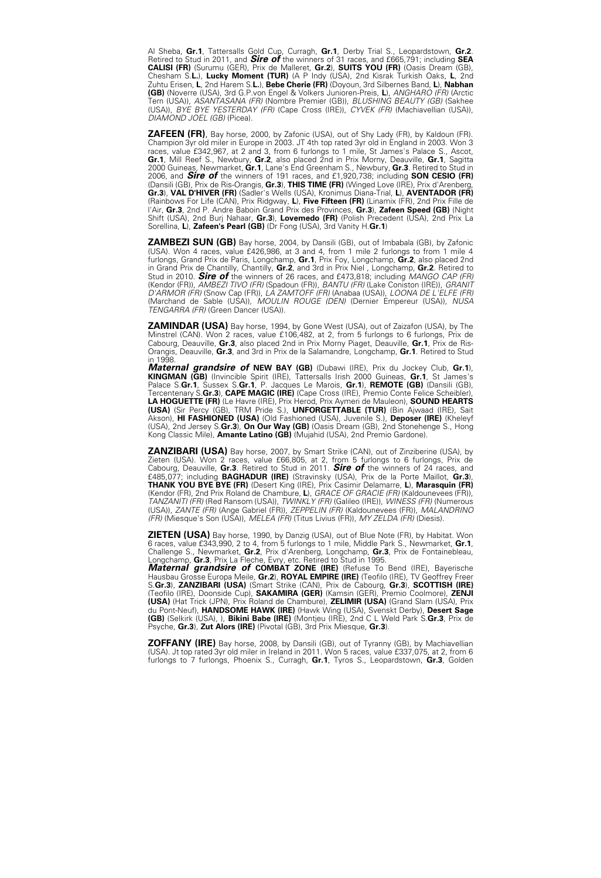Al Sheba, **Gr.1**, Tattersalls Gold Cup, Curragh, **Gr.1**, Derby Trial S., Leopardstown, **Gr.2**.<br>Retired to Stud in 2011, and *Sire of the winners of 31 races, and £665,791;* including **SEA**<br>**CALISI (FR)** (Surumu (GER), Pr Chesham S.**L.**), **Lucky Moment (TUR)** (A P Indy (USA), 2nd Kisrak Turkish Oaks, **L**, 2nd Zuhtu Erisen, **L**, 2nd Harem S.**L.), Bebe Cherie (FR)** (Doyoun, 3rd Silbernes Band, **L), Nabhan**<br>**(GB)** (Noverre (USA), 3rd G.P.von Engel & Volkers Junioren-Preis, **L**), *ANGHARO (FR)* (Arctic Tern (USA)), *ASANTASANA (FR)* (Nombre Premier (GB)), *BLUSHING BEAUTY (GB)* (Sakhee (USA)), *BYE BYE YESTERDAY (FR)* (Cape Cross (IRE)), *CYVEK (FR)* (Machiavellian (USA)), *DIAMOND JOEL (GB)* (Picea).

**ZAFEEN (FR)**, Bay horse, 2000, by Zafonic (USA), out of Shy Lady (FR), by Kaldoun (FR). Champion 3yr old miler in Europe in 2003. JT 4th top rated 3yr old in England in 2003. Won 3 races, value £342,967, at 2 and 3, from 6 furlongs to 1 mile, St James's Palace S., Ascot, Gr.1, Mill Reef S., Newbury, Gr.2, also placed 2nd in Prix Morny, Deauville, Gr.1, Sagitta<br>2000 Guineas, Newmarket, Gr.1, Lane's End Greenham S., Newbury, Gr.3. Retired to Stud in<br>2006, and Sire of the winners of 191 races (Rainbows For Life (CAN), Prix Ridgway, **L**), **Five Fifteen (FR)** (Linamix (FR), 2nd Prix Fille de l'Air, **Gr.3**, 2nd P. Andre Baboin Grand Prix des Provinces, **Gr.3**), **Zafeen Speed (GB)** (Night Shift (USA), 2nd Burj Nahaar, **Gr.3**), **Lovemedo (FR)** (Polish Precedent (USA), 2nd Prix La Sorellina, **L**), **Zafeen's Pearl (GB)** (Dr Fong (USA), 3rd Vanity H.**Gr.1**)

**ZAMBEZI SUN (GB)** Bay horse, 2004, by Dansili (GB), out of Imbabala (GB), by Zafonic (USA). Won 4 races, value £426,986, at 3 and 4, from 1 mile 2 furlongs to from 1 mile 4 furlongs, Grand Prix de Paris, Longchamp, **Gr.1**, Prix Foy, Longchamp, **Gr.2**, also placed 2nd<br>in Grand Prix de Chantilly, Chantilly, **Gr.2**, and 3rd in Prix Niel , Longchamp, **Gr.2**. Retired to<br>Stud in 2010. **Sire of** the (Marchand de Sable (USA)), *MOULIN ROUGE (DEN)* (Dernier Empereur (USA)), *NUSA TENGARRA (FR)* (Green Dancer (USA)).

**ZAMINDAR (USA)** Bay horse, 1994, by Gone West (USA), out of Zaizafon (USA), by The Minstrel (CAN). Won 2 races, value £106,482, at 2, from 5 furlongs to 6 furlongs, Prix de Cabourg, Deauville, **Gr.3**, also placed 2nd in Prix Morny Piaget, Deauville, **Gr.1**, Prix de Ris-Orangis, Deauville, **Gr.3**, and 3rd in Prix de la Salamandre, Longchamp, **Gr.1**. Retired to Stud in 1998.

*Maternal grandsire of* **NEW BAY (GB)** (Dubawi (IRE), Prix du Jockey Club, **Gr.1**), **KINGMAN (GB)** (Invincible Spirit (IRE), Tattersalls Irish 2000 Guineas, **Gr.1**, St James's Palace S.**Gr.1**, Sussex S.**Gr.1**, P. Jacques Le Marois, **Gr.1**), **REMOTE (GB)** (Dansili (GB), Tercentenary S.**Gr.3**), **CAPE MAGIC (IRE)** (Cape Cross (IRE), Premio Conte Felice Scheibler), **LA HOGUETTE (FR)** (Le Havre (IRE), Prix Herod, Prix Aymeri de Mauleon), **SOUND HEARTS (USA)** (Sir Percy (GB), TRM Pride S.), **UNFORGETTABLE (TUR)** (Bin Ajwaad (IRE), Sait Akson), **HI FASHIONED (USA)** (Old Fashioned (USA), Juvenile S.), **Deposer (IRE)** (Kheleyf (USA), 2nd Jersey S.**Gr.3**), **On Our Way (GB)** (Oasis Dream (GB), 2nd Stonehenge S., Hong Kong Classic Mile), **Amante Latino (GB)** (Mujahid (USA), 2nd Premio Gardone).

**ZANZIBARI (USA)** Bay horse, 2007, by Smart Strike (CAN), out of Zinziberine (USA), by<br>Zieten (USA). Won 2 races, value £66,805, at 2, from 5 furlongs to 6 furlongs, Prix de<br>Cabourg, Deauville, Gr.3. Retired to Stud in 201 **THANK YOU BYE BYE (FR)** (Desert King (IRE), Prix Casimir Delamarre, **L**), **Marasquin (FR)** (Kendor (FR), 2nd Prix Roland de Chambure, **L**), *GRACE OF GRACIE (FR)* (Kaldounevees (FR)), *TANZANITI (FR)* (Red Ransom (USA)), *TWINKLY (FR)* (Galileo (IRE)), *WINESS (FR)* (Numerous (USA)), *ZANTE (FR)* (Ange Gabriel (FR)), *ZEPPELIN (FR)* (Kaldounevees (FR)), *MALANDRINO (FR)* (Miesque's Son (USA)), *MELEA (FR)* (Titus Livius (FR)), *MY ZELDA (FR)* (Diesis).

**ZIETEN (USA)** Bay horse, 1990, by Danzig (USA), out of Blue Note (FR), by Habitat. Won 6 races, value £343,990, 2 to 4, from 5 furlongs to 1 mile, Middle Park S., Newmarket, **Gr.1**, Challenge S., Newmarket, **Gr.2**, Prix d'Arenberg, Longchamp, **Gr.3**, Prix de Fontainebleau,

Longchamp, **Gr.3**, Prix La Fleche, Evry, etc. Retired to Stud in 1995.<br>**Maternal grandsire of COMBAT ZONE (IRE)** (Refuse To Bend (IRE), Bayerische<br>Hausbau Grosse Europa Meile, **Gr.2), ROYAL EMPIRE (IRE)** (Teofilo (IRE), TV S.**Gr.3**), **ZANZIBARI (USA)** (Smart Strike (CAN), Prix de Cabourg, **Gr.3**), **SCOTTISH (IRE)** (Teofilo (IRE), Doonside Cup), **SAKAMIRA (GER)** (Kamsin (GER), Premio Coolmore), **ZENJI (USA)** (Hat Trick (JPN), Prix Roland de Chambure), **ZELIMIR (USA)** (Grand Slam (USA), Prix du Pont-Neuf), **HANDSOME HAWK (IRE)** (Hawk Wing (USA), Svenskt Derby), **Desert Sage (GB)** (Selkirk (USA), ), **Bikini Babe (IRE)** (Montjeu (IRE), 2nd C L Weld Park S.**Gr.3**, Prix de Psyche, **Gr.3**), **Zut Alors (IRE)** (Pivotal (GB), 3rd Prix Miesque, **Gr.3**).

**ZOFFANY (IRE)** Bay horse, 2008, by Dansili (GB), out of Tyranny (GB), by Machiavellian (USA). Jt top rated 3yr old miler in Ireland in 2011. Won 5 races, value £337,075, at 2, from 6 furlongs to 7 furlongs, Phoenix S., Curragh, **Gr.1**, Tyros S., Leopardstown, **Gr.3**, Golden